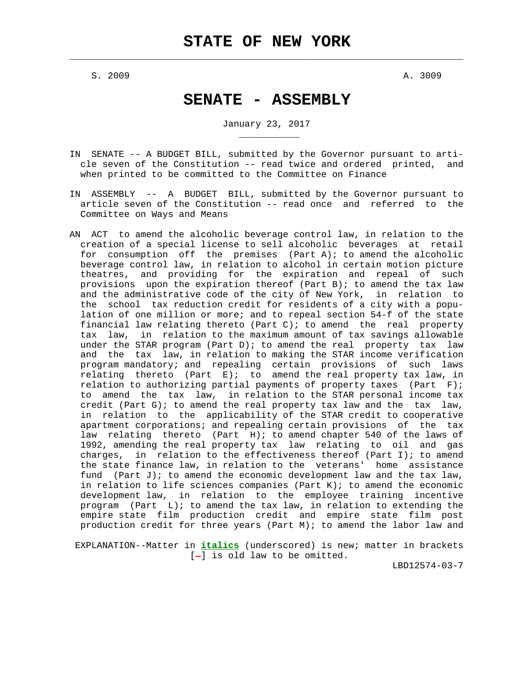$\mathcal{L}_\text{max} = \frac{1}{2} \sum_{i=1}^{n} \frac{1}{2} \sum_{i=1}^{n} \frac{1}{2} \sum_{i=1}^{n} \frac{1}{2} \sum_{i=1}^{n} \frac{1}{2} \sum_{i=1}^{n} \frac{1}{2} \sum_{i=1}^{n} \frac{1}{2} \sum_{i=1}^{n} \frac{1}{2} \sum_{i=1}^{n} \frac{1}{2} \sum_{i=1}^{n} \frac{1}{2} \sum_{i=1}^{n} \frac{1}{2} \sum_{i=1}^{n} \frac{1}{2} \sum_{i=1}^{n} \frac{1$ 

 $S. 2009$  A. 3009

\_\_\_\_\_\_\_\_\_\_\_

# **SENATE - ASSEMBLY**

January 23, 2017

- IN SENATE -- A BUDGET BILL, submitted by the Governor pursuant to arti cle seven of the Constitution -- read twice and ordered printed, and when printed to be committed to the Committee on Finance
- IN ASSEMBLY -- A BUDGET BILL, submitted by the Governor pursuant to article seven of the Constitution -- read once and referred to the Committee on Ways and Means
- AN ACT to amend the alcoholic beverage control law, in relation to the creation of a special license to sell alcoholic beverages at retail for consumption off the premises (Part A); to amend the alcoholic beverage control law, in relation to alcohol in certain motion picture theatres, and providing for the expiration and repeal of such provisions upon the expiration thereof (Part B); to amend the tax law and the administrative code of the city of New York, in relation to the school tax reduction credit for residents of a city with a popu lation of one million or more; and to repeal section 54-f of the state financial law relating thereto (Part C); to amend the real property tax law, in relation to the maximum amount of tax savings allowable under the STAR program (Part D); to amend the real property tax law and the tax law, in relation to making the STAR income verification program mandatory; and repealing certain provisions of such laws relating thereto (Part E); to amend the real property tax law, in relation to authorizing partial payments of property taxes (Part  $F$ ); to amend the tax law, in relation to the STAR personal income tax credit (Part G); to amend the real property tax law and the tax law, in relation to the applicability of the STAR credit to cooperative apartment corporations; and repealing certain provisions of the tax law relating thereto (Part H); to amend chapter 540 of the laws of 1992, amending the real property tax law relating to oil and gas charges, in relation to the effectiveness thereof (Part I); to amend the state finance law, in relation to the veterans' home assistance fund (Part J); to amend the economic development law and the tax law, in relation to life sciences companies (Part K); to amend the economic development law, in relation to the employee training incentive program (Part L); to amend the tax law, in relation to extending the empire state film production credit and empire state film post production credit for three years (Part M); to amend the labor law and

 EXPLANATION--Matter in **italics** (underscored) is new; matter in brackets  $[-]$  is old law to be omitted.

LBD12574-03-7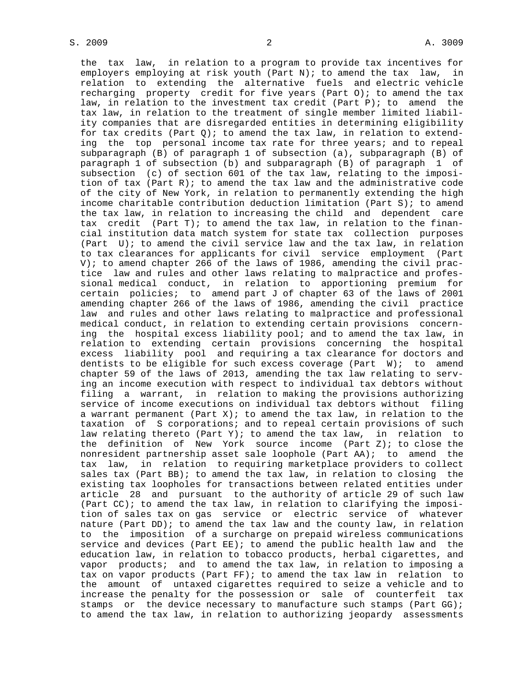the tax law, in relation to a program to provide tax incentives for employers employing at risk youth (Part N); to amend the tax law, in relation to extending the alternative fuels and electric vehicle recharging property credit for five years (Part O); to amend the tax law, in relation to the investment tax credit (Part P); to amend the tax law, in relation to the treatment of single member limited liabil ity companies that are disregarded entities in determining eligibility for tax credits (Part  $Q$ ); to amend the tax law, in relation to extend ing the top personal income tax rate for three years; and to repeal subparagraph (B) of paragraph 1 of subsection (a), subparagraph (B) of paragraph 1 of subsection (b) and subparagraph (B) of paragraph 1 of subsection (c) of section 601 of the tax law, relating to the imposi tion of tax (Part R); to amend the tax law and the administrative code of the city of New York, in relation to permanently extending the high income charitable contribution deduction limitation (Part S); to amend the tax law, in relation to increasing the child and dependent care tax credit (Part T); to amend the tax law, in relation to the finan cial institution data match system for state tax collection purposes (Part U); to amend the civil service law and the tax law, in relation to tax clearances for applicants for civil service employment (Part V); to amend chapter 266 of the laws of 1986, amending the civil prac tice law and rules and other laws relating to malpractice and profes sional medical conduct, in relation to apportioning premium for certain policies; to amend part J of chapter 63 of the laws of 2001 amending chapter 266 of the laws of 1986, amending the civil practice law and rules and other laws relating to malpractice and professional medical conduct, in relation to extending certain provisions concern ing the hospital excess liability pool; and to amend the tax law, in relation to extending certain provisions concerning the hospital excess liability pool and requiring a tax clearance for doctors and dentists to be eligible for such excess coverage (Part W); to amend chapter 59 of the laws of 2013, amending the tax law relating to serv ing an income execution with respect to individual tax debtors without filing a warrant, in relation to making the provisions authorizing service of income executions on individual tax debtors without filing a warrant permanent (Part X); to amend the tax law, in relation to the taxation of S corporations; and to repeal certain provisions of such law relating thereto (Part Y); to amend the tax law, in relation to the definition of New York source income (Part Z); to close the nonresident partnership asset sale loophole (Part AA); to amend the tax law, in relation to requiring marketplace providers to collect sales tax (Part BB); to amend the tax law, in relation to closing the existing tax loopholes for transactions between related entities under article 28 and pursuant to the authority of article 29 of such law (Part  $CC$ ); to amend the tax law, in relation to clarifying the imposi tion of sales tax on gas service or electric service of whatever nature (Part DD); to amend the tax law and the county law, in relation to the imposition of a surcharge on prepaid wireless communications service and devices (Part EE); to amend the public health law and the education law, in relation to tobacco products, herbal cigarettes, and vapor products; and to amend the tax law, in relation to imposing a tax on vapor products (Part FF); to amend the tax law in relation to the amount of untaxed cigarettes required to seize a vehicle and to increase the penalty for the possession or sale of counterfeit tax stamps or the device necessary to manufacture such stamps (Part GG); to amend the tax law, in relation to authorizing jeopardy assessments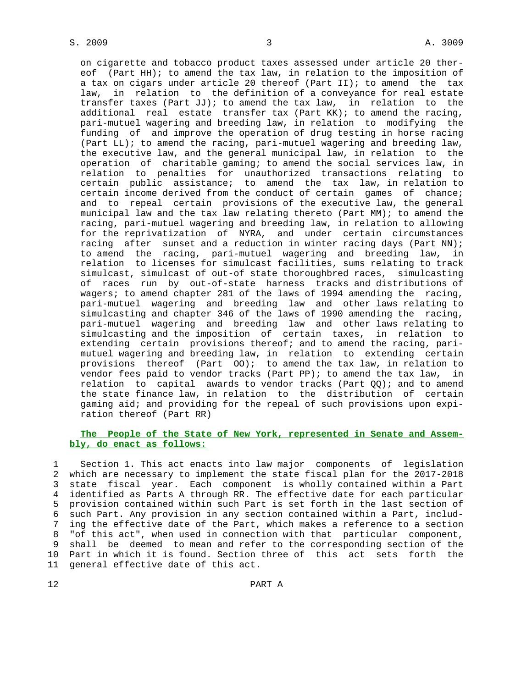on cigarette and tobacco product taxes assessed under article 20 ther eof (Part HH); to amend the tax law, in relation to the imposition of a tax on cigars under article 20 thereof (Part II); to amend the tax law, in relation to the definition of a conveyance for real estate transfer taxes (Part JJ); to amend the tax law, in relation to the additional real estate transfer tax (Part KK); to amend the racing, pari-mutuel wagering and breeding law, in relation to modifying the funding of and improve the operation of drug testing in horse racing (Part LL); to amend the racing, pari-mutuel wagering and breeding law, the executive law, and the general municipal law, in relation to the operation of charitable gaming; to amend the social services law, in relation to penalties for unauthorized transactions relating to certain public assistance; to amend the tax law, in relation to certain income derived from the conduct of certain games of chance; and to repeal certain provisions of the executive law, the general municipal law and the tax law relating thereto (Part MM); to amend the racing, pari-mutuel wagering and breeding law, in relation to allowing for the reprivatization of NYRA, and under certain circumstances racing after sunset and a reduction in winter racing days (Part NN); to amend the racing, pari-mutuel wagering and breeding law, in relation to licenses for simulcast facilities, sums relating to track simulcast, simulcast of out-of state thoroughbred races, simulcasting of races run by out-of-state harness tracks and distributions of wagers; to amend chapter 281 of the laws of 1994 amending the racing, pari-mutuel wagering and breeding law and other laws relating to simulcasting and chapter 346 of the laws of 1990 amending the racing, pari-mutuel wagering and breeding law and other laws relating to simulcasting and the imposition of certain taxes, in relation to extending certain provisions thereof; and to amend the racing, pari mutuel wagering and breeding law, in relation to extending certain provisions thereof (Part OO); to amend the tax law, in relation to vendor fees paid to vendor tracks (Part PP); to amend the tax law, in relation to capital awards to vendor tracks (Part  $QQ$ ); and to amend the state finance law, in relation to the distribution of certain gaming aid; and providing for the repeal of such provisions upon expi ration thereof (Part RR)

## **The People of the State of New York, represented in Senate and Assem bly, do enact as follows:**

 1 Section 1. This act enacts into law major components of legislation 2 which are necessary to implement the state fiscal plan for the 2017-2018 3 state fiscal year. Each component is wholly contained within a Part 4 identified as Parts A through RR. The effective date for each particular 5 provision contained within such Part is set forth in the last section of 6 such Part. Any provision in any section contained within a Part, includ- 7 ing the effective date of the Part, which makes a reference to a section 8 "of this act", when used in connection with that particular component, 9 shall be deemed to mean and refer to the corresponding section of the 10 Part in which it is found. Section three of this act sets forth the 11 general effective date of this act.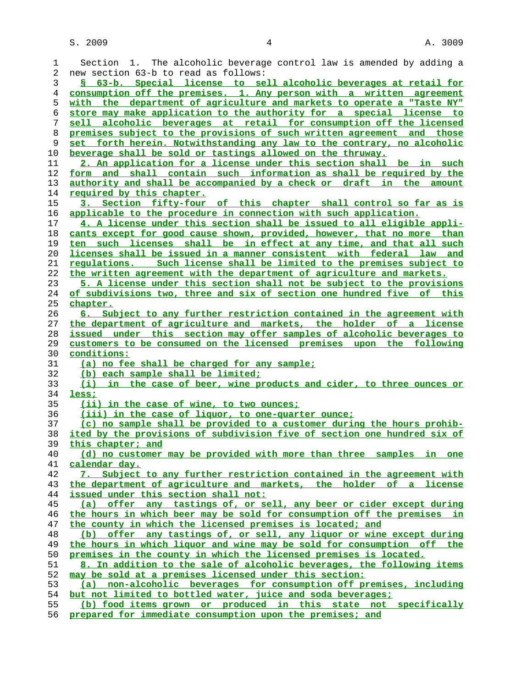| 1              | Section 1. The alcoholic beverage control law is amended by adding a     |
|----------------|--------------------------------------------------------------------------|
| 2              | new section 63-b to read as follows:                                     |
| 3              | § 63-b. Special license to sell alcoholic beverages at retail for        |
| $\overline{4}$ | consumption off the premises. 1. Any person with a written agreement     |
| 5              | with the department of agriculture and markets to operate a "Taste NY"   |
| 6              | store may make application to the authority for a special license to     |
| 7              | sell alcoholic beverages at retail for consumption off the licensed      |
| 8              | premises subject to the provisions of such written agreement and those   |
| 9              | set forth herein. Notwithstanding any law to the contrary, no alcoholic  |
| 10             | beverage shall be sold or tastings allowed on the thruway.               |
| 11             | 2. An application for a license under this section shall be in such      |
| 12             | shall contain such information as shall be required by the<br>form and   |
| 13             | authority and shall be accompanied by a check or draft in the amount     |
| 14             | <u>required by this chapter.</u>                                         |
| 15             | 3. Section fifty-four of this chapter shall control so far as is         |
| 16             | applicable to the procedure in connection with such application.         |
| 17             | 4. A license under this section shall be issued to all eligible appli-   |
| 18             | cants except for good cause shown, provided, however, that no more than  |
| 19             | ten such licenses shall be in effect at any time, and that all such      |
| 20             | licenses shall be issued in a manner consistent with federal law and     |
| 21             | requlations. Such license shall be limited to the premises subject to    |
|                |                                                                          |
| 22             | the written agreement with the department of agriculture and markets.    |
| 23             | 5. A license under this section shall not be subject to the provisions   |
| 24             | of subdivisions two, three and six of section one hundred five of this   |
| 25             | <u>chapter.</u>                                                          |
| 26             | 6. Subject to any further restriction contained in the agreement with    |
| 27             | the department of agriculture and markets, the holder of a license       |
| 28             | issued under this section may offer samples of alcoholic beverages to    |
| 29             | customers to be consumed on the licensed premises upon the following     |
| 30             | conditions:                                                              |
| 31             | (a) no fee shall be charged for any sample;                              |
| 32             | (b) each sample shall be limited;                                        |
| 33             | (i) in the case of beer, wine products and cider, to three ounces or     |
| 34             | less;                                                                    |
| 35             | <u>(ii) in the case of wine, to two ounces;</u>                          |
| 36             | (iii) in the case of liquor, to one-quarter ounce;                       |
| 37             | (c) no sample shall be provided to a customer during the hours prohib-   |
| 38             | ited by the provisions of subdivision five of section one hundred six of |
| 39             | this chapter; and                                                        |
| 40             | (d) no customer may be provided with more than three samples in one      |
| 41             | calendar day.                                                            |
| 42             | 7. Subject to any further restriction contained in the agreement with    |
| 43             | the department of agriculture and markets, the holder of a license       |
| 44             | issued under this section shall not:                                     |
| 45             | (a) offer any tastings of, or sell, any beer or cider except during      |
| 46             | the hours in which beer may be sold for consumption off the premises in  |
| 47             | the county in which the licensed premises is located; and                |
| 48             | (b) offer any tastings of, or sell, any liquor or wine except during     |
| 49             | the hours in which liquor and wine may be sold for consumption off the   |
| 50             | premises in the county in which the licensed premises is located.        |
| 51             | 8. In addition to the sale of alcoholic beverages, the following items   |
| 52             | may be sold at a premises licensed under this section:                   |
| 53             | (a) non-alcoholic beverages for consumption off premises, including      |
| 54             | but not limited to bottled water, juice and soda beverages;              |
| 55             | (b) food items grown or produced in this state not specifically          |
|                |                                                                          |

**prepared for immediate consumption upon the premises; and**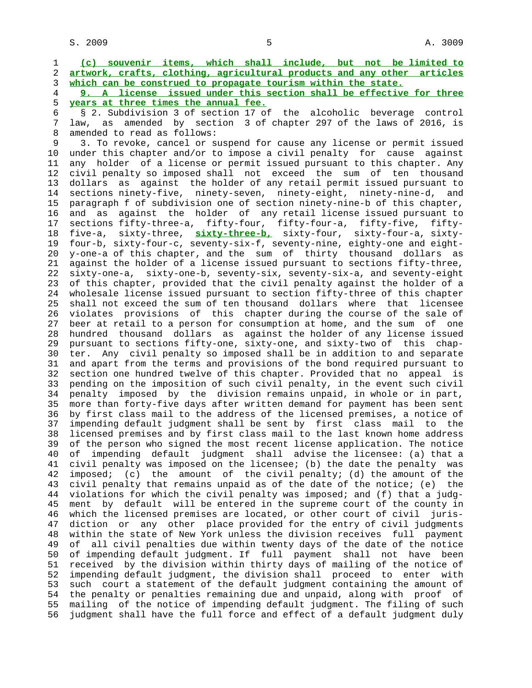1 **(c) souvenir items, which shall include, but not be limited to** 2 **artwork, crafts, clothing, agricultural products and any other articles** 3 **which can be construed to propagate tourism within the state.**

 4 **9. A license issued under this section shall be effective for three** 5 **years at three times the annual fee.**

 6 § 2. Subdivision 3 of section 17 of the alcoholic beverage control law, as amended by section 3 of chapter 297 of the laws of 2016, is 8 amended to read as follows:<br>9 3. To revoke, cancel or s

 9 3. To revoke, cancel or suspend for cause any license or permit issued 10 under this chapter and/or to impose a civil penalty for cause against 11 any holder of a license or permit issued pursuant to this chapter. Any 12 civil penalty so imposed shall not exceed the sum of ten thousand 13 dollars as against the holder of any retail permit issued pursuant to 14 sections ninety-five, ninety-seven, ninety-eight, ninety-nine-d, and 15 paragraph f of subdivision one of section ninety-nine-b of this chapter, 16 and as against the holder of any retail license issued pursuant to 17 sections fifty-three-a, fifty-four, fifty-four-a, fifty-five, fifty- 18 five-a, sixty-three, **sixty-three-b,** sixty-four, sixty-four-a, sixty- 19 four-b, sixty-four-c, seventy-six-f, seventy-nine, eighty-one and eight- 20 y-one-a of this chapter, and the sum of thirty thousand dollars as 21 against the holder of a license issued pursuant to sections fifty-three, 22 sixty-one-a, sixty-one-b, seventy-six, seventy-six-a, and seventy-eight 23 of this chapter, provided that the civil penalty against the holder of a 24 wholesale license issued pursuant to section fifty-three of this chapter 25 shall not exceed the sum of ten thousand dollars where that licensee 26 violates provisions of this chapter during the course of the sale of 27 beer at retail to a person for consumption at home, and the sum of one 28 hundred thousand dollars as against the holder of any license issued 29 pursuant to sections fifty-one, sixty-one, and sixty-two of this chap- 30 ter. Any civil penalty so imposed shall be in addition to and separate 31 and apart from the terms and provisions of the bond required pursuant to 32 section one hundred twelve of this chapter. Provided that no appeal is 33 pending on the imposition of such civil penalty, in the event such civil 34 penalty imposed by the division remains unpaid, in whole or in part, 35 more than forty-five days after written demand for payment has been sent 36 by first class mail to the address of the licensed premises, a notice of 37 impending default judgment shall be sent by first class mail to the 38 licensed premises and by first class mail to the last known home address 39 of the person who signed the most recent license application. The notice 40 of impending default judgment shall advise the licensee: (a) that a 41 civil penalty was imposed on the licensee; (b) the date the penalty was 42 imposed; (c) the amount of the civil penalty; (d) the amount of the 43 civil penalty that remains unpaid as of the date of the notice; (e) the 44 violations for which the civil penalty was imposed; and (f) that a judg- 45 ment by default will be entered in the supreme court of the county in 46 which the licensed premises are located, or other court of civil juris- 47 diction or any other place provided for the entry of civil judgments 48 within the state of New York unless the division receives full payment 49 of all civil penalties due within twenty days of the date of the notice 50 of impending default judgment. If full payment shall not have been 51 received by the division within thirty days of mailing of the notice of 52 impending default judgment, the division shall proceed to enter with 53 such court a statement of the default judgment containing the amount of 54 the penalty or penalties remaining due and unpaid, along with proof of 55 mailing of the notice of impending default judgment. The filing of such 56 judgment shall have the full force and effect of a default judgment duly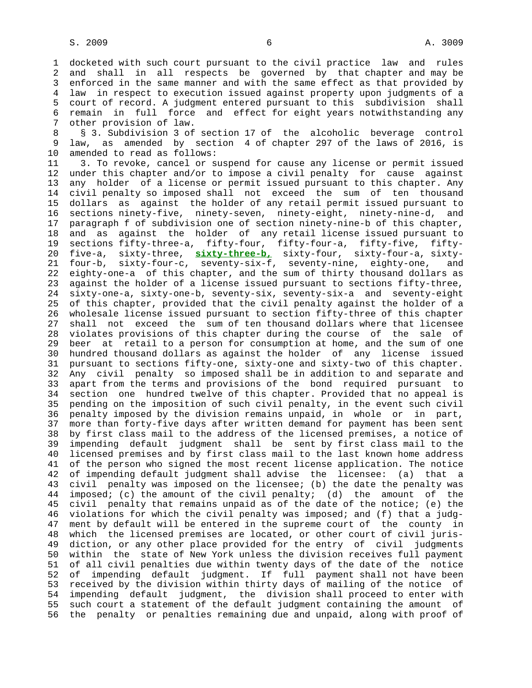1 docketed with such court pursuant to the civil practice law and rules 2 and shall in all respects be governed by that chapter and may be 3 enforced in the same manner and with the same effect as that provided by 4 law in respect to execution issued against property upon judgments of a 5 court of record. A judgment entered pursuant to this subdivision shall 6 remain in full force and effect for eight years notwithstanding any 7 other provision of law.

8 § 3. Subdivision 3 of section 17 of the alcoholic beverage control<br>9 law, as amended by section 4 of chapter 297 of the laws of 2016, is law, as amended by section 4 of chapter 297 of the laws of 2016, is 10 amended to read as follows:

 11 3. To revoke, cancel or suspend for cause any license or permit issued 12 under this chapter and/or to impose a civil penalty for cause against 13 any holder of a license or permit issued pursuant to this chapter. Any 14 civil penalty so imposed shall not exceed the sum of ten thousand 15 dollars as against the holder of any retail permit issued pursuant to 16 sections ninety-five, ninety-seven, ninety-eight, ninety-nine-d, and 17 paragraph f of subdivision one of section ninety-nine-b of this chapter, 18 and as against the holder of any retail license issued pursuant to 19 sections fifty-three-a, fifty-four, fifty-four-a, fifty-five, fifty- 20 five-a, sixty-three, **sixty-three-b,** sixty-four, sixty-four-a, sixty- 21 four-b, sixty-four-c, seventy-six-f, seventy-nine, eighty-one, and 22 eighty-one-a of this chapter, and the sum of thirty thousand dollars as 23 against the holder of a license issued pursuant to sections fifty-three, 24 sixty-one-a, sixty-one-b, seventy-six, seventy-six-a and seventy-eight 25 of this chapter, provided that the civil penalty against the holder of a 26 wholesale license issued pursuant to section fifty-three of this chapter 27 shall not exceed the sum of ten thousand dollars where that licensee 28 violates provisions of this chapter during the course of the sale of 29 beer at retail to a person for consumption at home, and the sum of one 30 hundred thousand dollars as against the holder of any license issued 31 pursuant to sections fifty-one, sixty-one and sixty-two of this chapter. 32 Any civil penalty so imposed shall be in addition to and separate and 33 apart from the terms and provisions of the bond required pursuant to 34 section one hundred twelve of this chapter. Provided that no appeal is 35 pending on the imposition of such civil penalty, in the event such civil 36 penalty imposed by the division remains unpaid, in whole or in part, 37 more than forty-five days after written demand for payment has been sent 38 by first class mail to the address of the licensed premises, a notice of 39 impending default judgment shall be sent by first class mail to the 40 licensed premises and by first class mail to the last known home address 41 of the person who signed the most recent license application. The notice 42 of impending default judgment shall advise the licensee: (a) that a 43 civil penalty was imposed on the licensee; (b) the date the penalty was 44 imposed; (c) the amount of the civil penalty; (d) the amount of the 45 civil penalty that remains unpaid as of the date of the notice; (e) the 46 violations for which the civil penalty was imposed; and (f) that a judg- 47 ment by default will be entered in the supreme court of the county in 48 which the licensed premises are located, or other court of civil juris- 49 diction, or any other place provided for the entry of civil judgments 50 within the state of New York unless the division receives full payment 51 of all civil penalties due within twenty days of the date of the notice 52 of impending default judgment. If full payment shall not have been 53 received by the division within thirty days of mailing of the notice of 54 impending default judgment, the division shall proceed to enter with 55 such court a statement of the default judgment containing the amount of 56 the penalty or penalties remaining due and unpaid, along with proof of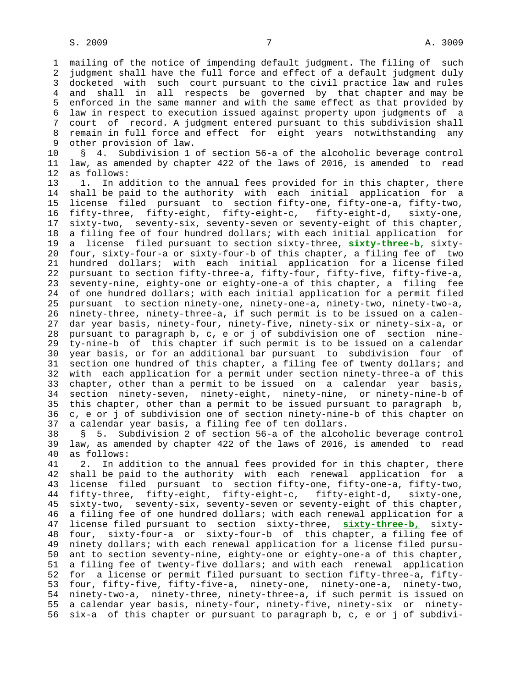1 mailing of the notice of impending default judgment. The filing of such 2 judgment shall have the full force and effect of a default judgment duly 3 docketed with such court pursuant to the civil practice law and rules 4 and shall in all respects be governed by that chapter and may be 5 enforced in the same manner and with the same effect as that provided by 6 law in respect to execution issued against property upon judgments of a 7 court of record. A judgment entered pursuant to this subdivision shall 8 remain in full force and effect for eight years notwithstanding any<br>9 other provision of law. other provision of law.

 10 § 4. Subdivision 1 of section 56-a of the alcoholic beverage control 11 law, as amended by chapter 422 of the laws of 2016, is amended to read 12 as follows:

 13 1. In addition to the annual fees provided for in this chapter, there 14 shall be paid to the authority with each initial application for a 15 license filed pursuant to section fifty-one, fifty-one-a, fifty-two, 16 fifty-three, fifty-eight, fifty-eight-c, fifty-eight-d, sixty-one, 17 sixty-two, seventy-six, seventy-seven or seventy-eight of this chapter, 18 a filing fee of four hundred dollars; with each initial application for 19 a license filed pursuant to section sixty-three, **sixty-three-b,** sixty- 20 four, sixty-four-a or sixty-four-b of this chapter, a filing fee of two 21 hundred dollars; with each initial application for a license filed 22 pursuant to section fifty-three-a, fifty-four, fifty-five, fifty-five-a, 23 seventy-nine, eighty-one or eighty-one-a of this chapter, a filing fee 24 of one hundred dollars; with each initial application for a permit filed 25 pursuant to section ninety-one, ninety-one-a, ninety-two, ninety-two-a, 26 ninety-three, ninety-three-a, if such permit is to be issued on a calen- 27 dar year basis, ninety-four, ninety-five, ninety-six or ninety-six-a, or 28 pursuant to paragraph b, c, e or j of subdivision one of section nine- 29 ty-nine-b of this chapter if such permit is to be issued on a calendar 30 year basis, or for an additional bar pursuant to subdivision four of 31 section one hundred of this chapter, a filing fee of twenty dollars; and 32 with each application for a permit under section ninety-three-a of this 33 chapter, other than a permit to be issued on a calendar year basis, 34 section ninety-seven, ninety-eight, ninety-nine, or ninety-nine-b of 35 this chapter, other than a permit to be issued pursuant to paragraph b, 36 c, e or j of subdivision one of section ninety-nine-b of this chapter on 37 a calendar year basis, a filing fee of ten dollars.

 38 § 5. Subdivision 2 of section 56-a of the alcoholic beverage control 39 law, as amended by chapter 422 of the laws of 2016, is amended to read 40 as follows:

 41 2. In addition to the annual fees provided for in this chapter, there 42 shall be paid to the authority with each renewal application for a 43 license filed pursuant to section fifty-one, fifty-one-a, fifty-two, 44 fifty-three, fifty-eight, fifty-eight-c, fifty-eight-d, sixty-one, 45 sixty-two, seventy-six, seventy-seven or seventy-eight of this chapter, 46 a filing fee of one hundred dollars; with each renewal application for a 47 license filed pursuant to section sixty-three, **sixty-three-b,** sixty- 48 four, sixty-four-a or sixty-four-b of this chapter, a filing fee of 49 ninety dollars; with each renewal application for a license filed pursu- 50 ant to section seventy-nine, eighty-one or eighty-one-a of this chapter, 51 a filing fee of twenty-five dollars; and with each renewal application 52 for a license or permit filed pursuant to section fifty-three-a, fifty- 53 four, fifty-five, fifty-five-a, ninety-one, ninety-one-a, ninety-two, 54 ninety-two-a, ninety-three, ninety-three-a, if such permit is issued on 55 a calendar year basis, ninety-four, ninety-five, ninety-six or ninety- 56 six-a of this chapter or pursuant to paragraph b, c, e or j of subdivi-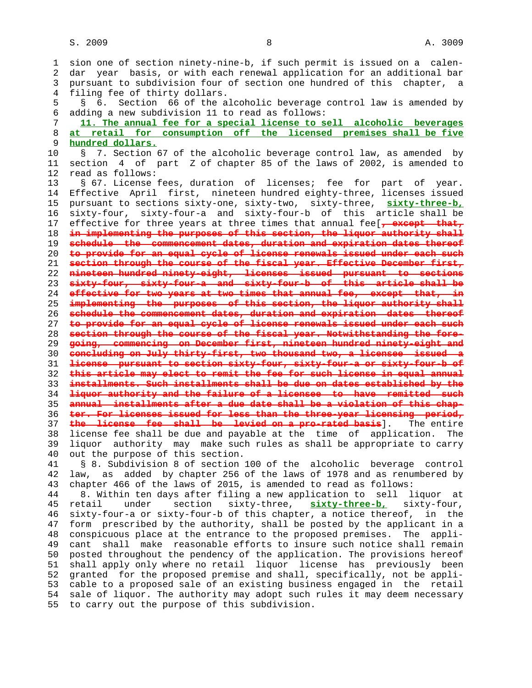1 sion one of section ninety-nine-b, if such permit is issued on a calen- 2 dar year basis, or with each renewal application for an additional bar 3 pursuant to subdivision four of section one hundred of this chapter, a 4 filing fee of thirty dollars. 5 § 6. Section 66 of the alcoholic beverage control law is amended by 6 adding a new subdivision 11 to read as follows: 7 **11. The annual fee for a special license to sell alcoholic beverages** 8 **at retail for consumption off the licensed premises shall be five** 9 **hundred dollars.** 10 § 7. Section 67 of the alcoholic beverage control law, as amended by 11 section 4 of part Z of chapter 85 of the laws of 2002, is amended to 12 read as follows: 13 § 67. License fees, duration of licenses; fee for part of year. 14 Effective April first, nineteen hundred eighty-three, licenses issued 15 pursuant to sections sixty-one, sixty-two, sixty-three, **sixty-three-b,** 16 sixty-four, sixty-four-a and sixty-four-b of this article shall be 17 effective for three years at three times that annual fee[**, except that,** 18 **in implementing the purposes of this section, the liquor authority shall** 19 **schedule the commencement dates, duration and expiration dates thereof** 20 **to provide for an equal cycle of license renewals issued under each such** 21 **section through the course of the fiscal year. Effective December first,** 22 **nineteen hundred ninety-eight, licenses issued pursuant to sections** 23 **sixty-four, sixty-four-a and sixty-four-b of this article shall be** 24 **effective for two years at two times that annual fee, except that, in** 25 **implementing the purposes of this section, the liquor authority shall** 26 **schedule the commencement dates, duration and expiration dates thereof** 27 **to provide for an equal cycle of license renewals issued under each such** 28 **section through the course of the fiscal year. Notwithstanding the fore-** 29 **going, commencing on December first, nineteen hundred ninety-eight and** 30 **concluding on July thirty-first, two thousand two, a licensee issued a** 31 **license pursuant to section sixty-four, sixty-four-a or sixty-four-b of** 32 **this article may elect to remit the fee for such license in equal annual** 33 **installments. Such installments shall be due on dates established by the** 34 **liquor authority and the failure of a licensee to have remitted such** 35 **annual installments after a due date shall be a violation of this chap-** 36 **ter. For licenses issued for less than the three-year licensing period,** 37 **the license fee shall be levied on a pro-rated basis**]. The entire 38 license fee shall be due and payable at the time of application. The 39 liquor authority may make such rules as shall be appropriate to carry 40 out the purpose of this section. 41 § 8. Subdivision 8 of section 100 of the alcoholic beverage control 42 law, as added by chapter 256 of the laws of 1978 and as renumbered by 43 chapter 466 of the laws of 2015, is amended to read as follows: 44 8. Within ten days after filing a new application to sell liquor at 45 retail under section sixty-three, **sixty-three-b,** sixty-four, 46 sixty-four-a or sixty-four-b of this chapter, a notice thereof, in the 47 form prescribed by the authority, shall be posted by the applicant in a 48 conspicuous place at the entrance to the proposed premises. The appli- 49 cant shall make reasonable efforts to insure such notice shall remain 50 posted throughout the pendency of the application. The provisions hereof 51 shall apply only where no retail liquor license has previously been 52 granted for the proposed premise and shall, specifically, not be appli- 53 cable to a proposed sale of an existing business engaged in the retail 54 sale of liquor. The authority may adopt such rules it may deem necessary 55 to carry out the purpose of this subdivision.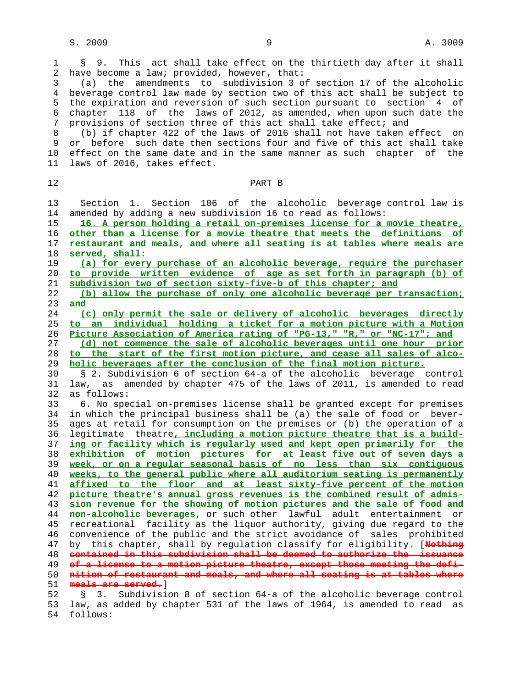54 follows:

 1 § 9. This act shall take effect on the thirtieth day after it shall 2 have become a law; provided, however, that:

 3 (a) the amendments to subdivision 3 of section 17 of the alcoholic 4 beverage control law made by section two of this act shall be subject to 5 the expiration and reversion of such section pursuant to section 4 of 6 chapter 118 of the laws of 2012, as amended, when upon such date the 7 provisions of section three of this act shall take effect; and

8 (b) if chapter 422 of the laws of 2016 shall not have taken effect on<br>9 or before such date then sections four and five of this act shall take or before such date then sections four and five of this act shall take 10 effect on the same date and in the same manner as such chapter of the 11 laws of 2016, takes effect.

 12 PART B 13 Section 1. Section 106 of the alcoholic beverage control law is 14 amended by adding a new subdivision 16 to read as follows: **16. A person holding a retail on-premises license for a movie theatre, other than a license for a movie theatre that meets the definitions of restaurant and meals, and where all seating is at tables where meals are served, shall: (a) for every purchase of an alcoholic beverage, require the purchaser to provide written evidence of age as set forth in paragraph (b) of subdivision two of section sixty-five-b of this chapter; and (b) allow the purchase of only one alcoholic beverage per transaction;** 23 **and (c) only permit the sale or delivery of alcoholic beverages directly to an individual holding a ticket for a motion picture with a Motion Picture Association of America rating of "PG-13," "R," or "NC-17"; and (d) not commence the sale of alcoholic beverages until one hour prior to the start of the first motion picture, and cease all sales of alco- holic beverages after the conclusion of the final motion picture.** 30 § 2. Subdivision 6 of section 64-a of the alcoholic beverage control 31 law, as amended by chapter 475 of the laws of 2011, is amended to read 32 as follows: 33 6. No special on-premises license shall be granted except for premises 34 in which the principal business shall be (a) the sale of food or bever- 35 ages at retail for consumption on the premises or (b) the operation of a 36 legitimate theatre**, including a motion picture theatre that is a build- ing or facility which is regularly used and kept open primarily for the exhibition of motion pictures for at least five out of seven days a week, or on a regular seasonal basis of no less than six contiguous weeks, to the general public where all auditorium seating is permanently affixed to the floor and at least sixty-five percent of the motion picture theatre's annual gross revenues is the combined result of admis- sion revenue for the showing of motion pictures and the sale of food and non-alcoholic beverages,** or such other lawful adult entertainment or 45 recreational facility as the liquor authority, giving due regard to the 46 convenience of the public and the strict avoidance of sales prohibited 47 by this chapter, shall by regulation classify for eligibility. [**Nothing contained in this subdivision shall be deemed to authorize the issuance of a license to a motion picture theatre, except those meeting the defi- nition of restaurant and meals, and where all seating is at tables where meals are served.**] 52 § 3. Subdivision 8 of section 64-a of the alcoholic beverage control 53 law, as added by chapter 531 of the laws of 1964, is amended to read as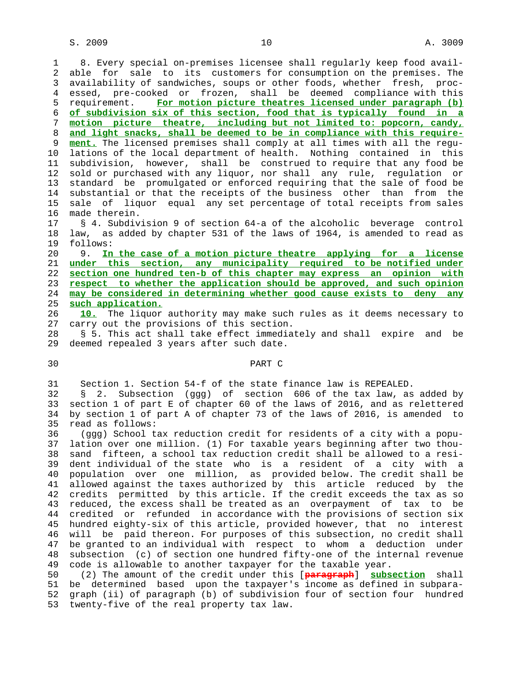1 8. Every special on-premises licensee shall regularly keep food avail- 2 able for sale to its customers for consumption on the premises. The 3 availability of sandwiches, soups or other foods, whether fresh, proc- 4 essed, pre-cooked or frozen, shall be deemed compliance with this 5 requirement. **For motion picture theatres licensed under paragraph (b)** 6 **of subdivision six of this section, food that is typically found in a** 7 **motion picture theatre, including but not limited to: popcorn, candy,** 8 **and light snacks, shall be deemed to be in compliance with this require** ment. The licensed premises shall comply at all times with all the regu- 10 lations of the local department of health. Nothing contained in this 11 subdivision, however, shall be construed to require that any food be 12 sold or purchased with any liquor, nor shall any rule, regulation or 13 standard be promulgated or enforced requiring that the sale of food be 14 substantial or that the receipts of the business other than from the 15 sale of liquor equal any set percentage of total receipts from sales 16 made therein.

 17 § 4. Subdivision 9 of section 64-a of the alcoholic beverage control 18 law, as added by chapter 531 of the laws of 1964, is amended to read as 19 follows:

 20 9. **In the case of a motion picture theatre applying for a license under this section, any municipality required to be notified under section one hundred ten-b of this chapter may express an opinion with respect to whether the application should be approved, and such opinion may be considered in determining whether good cause exists to deny any such application.**

 26 **10.** The liquor authority may make such rules as it deems necessary to 27 carry out the provisions of this section.

 28 § 5. This act shall take effect immediately and shall expire and be 29 deemed repealed 3 years after such date.

## 30 PART C

31 Section 1. Section 54-f of the state finance law is REPEALED.

 32 § 2. Subsection (ggg) of section 606 of the tax law, as added by 33 section 1 of part E of chapter 60 of the laws of 2016, and as relettered 34 by section 1 of part A of chapter 73 of the laws of 2016, is amended to 35 read as follows:

 36 (ggg) School tax reduction credit for residents of a city with a popu- 37 lation over one million. (1) For taxable years beginning after two thou- 38 sand fifteen, a school tax reduction credit shall be allowed to a resi- 39 dent individual of the state who is a resident of a city with a 40 population over one million, as provided below. The credit shall be 41 allowed against the taxes authorized by this article reduced by the 42 credits permitted by this article. If the credit exceeds the tax as so 43 reduced, the excess shall be treated as an overpayment of tax to be 44 credited or refunded in accordance with the provisions of section six 45 hundred eighty-six of this article, provided however, that no interest 46 will be paid thereon. For purposes of this subsection, no credit shall 47 be granted to an individual with respect to whom a deduction under 48 subsection (c) of section one hundred fifty-one of the internal revenue 49 code is allowable to another taxpayer for the taxable year.

 50 (2) The amount of the credit under this [**paragraph**] **subsection** shall 51 be determined based upon the taxpayer's income as defined in subpara- 52 graph (ii) of paragraph (b) of subdivision four of section four hundred 53 twenty-five of the real property tax law.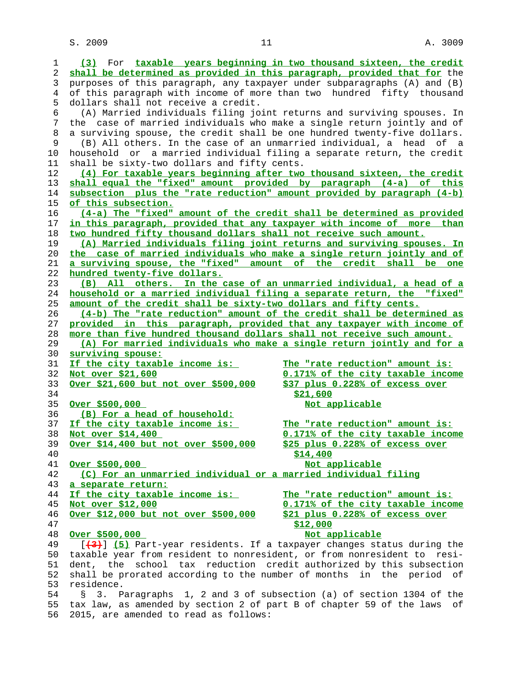$S. 2009$  and  $11$  and  $11$  and  $11$  and  $11$  and  $11$  and  $11$  and  $11$  and  $11$  and  $11$  and  $11$  and  $11$  and  $11$  and  $11$  and  $11$  and  $11$  and  $11$  and  $11$  and  $11$  and  $11$  and  $11$  and  $11$  and  $11$  and  $11$  and

| 1  | (3) For taxable years beginning in two thousand sixteen, the credit      |                                                                   |
|----|--------------------------------------------------------------------------|-------------------------------------------------------------------|
| 2  | shall be determined as provided in this paragraph, provided that for the |                                                                   |
| 3  | purposes of this paragraph, any taxpayer under subparagraphs (A) and (B) |                                                                   |
| 4  | of this paragraph with income of more than two hundred fifty thousand    |                                                                   |
| 5  | dollars shall not receive a credit.                                      |                                                                   |
| 6  | (A) Married individuals filing joint returns and surviving spouses. In   |                                                                   |
| 7  | the case of married individuals who make a single return jointly and of  |                                                                   |
| 8  | a surviving spouse, the credit shall be one hundred twenty-five dollars. |                                                                   |
| 9  | (B) All others. In the case of an unmarried individual, a head of a      |                                                                   |
| 10 | household or a married individual filing a separate return, the credit   |                                                                   |
| 11 | shall be sixty-two dollars and fifty cents.                              |                                                                   |
| 12 | (4) For taxable years beginning after two thousand sixteen, the credit   |                                                                   |
| 13 | shall equal the "fixed" amount provided by paragraph (4-a) of this       |                                                                   |
| 14 | subsection plus the "rate reduction" amount provided by paragraph (4-b)  |                                                                   |
| 15 | of this subsection.                                                      |                                                                   |
| 16 | (4-a) The "fixed" amount of the credit shall be determined as provided   |                                                                   |
| 17 | in this paragraph, provided that any taxpayer with income of more than   |                                                                   |
| 18 | two hundred fifty thousand dollars shall not receive such amount.        |                                                                   |
| 19 | (A) Married individuals filing joint returns and surviving spouses. In   |                                                                   |
| 20 | the case of married individuals who make a single return jointly and of  |                                                                   |
| 21 | a surviving spouse, the "fixed" amount of the credit shall be one        |                                                                   |
| 22 | hundred twenty-five dollars.                                             |                                                                   |
| 23 | (B) All others. In the case of an unmarried individual, a head of a      |                                                                   |
| 24 | household or a married individual filing a separate return, the "fixed"  |                                                                   |
| 25 | amount of the credit shall be sixty-two dollars and fifty cents.         |                                                                   |
| 26 | (4-b) The "rate reduction" amount of the credit shall be determined as   |                                                                   |
| 27 | provided in this paragraph, provided that any taxpayer with income of    |                                                                   |
| 28 | more than five hundred thousand dollars shall not receive such amount.   |                                                                   |
| 29 | (A) For married individuals who make a single return jointly and for a   |                                                                   |
| 30 | surviving spouse:                                                        |                                                                   |
| 31 | If the city taxable income is:                                           | The "rate reduction" amount is:                                   |
| 32 | Not over \$21,600                                                        | 0.171% of the city taxable income                                 |
| 33 | Over \$21,600 but not over \$500,000                                     | \$37 plus 0.228% of excess over                                   |
| 34 |                                                                          | \$21,600                                                          |
| 35 | Over \$500,000                                                           | Not applicable                                                    |
| 36 | (B) For a head of household:                                             |                                                                   |
| 37 | If the city taxable income is:                                           | The "rate reduction" amount is:                                   |
| 38 | Not over \$14,400                                                        | 0.171% of the city taxable income                                 |
| 39 | Over \$14,400 but not over \$500,000                                     | \$25 plus 0.228% of excess over                                   |
| 40 |                                                                          | \$14,400                                                          |
| 41 | Over \$500,000                                                           | Not applicable                                                    |
| 42 | (C) For an unmarried individual or a married individual filing           |                                                                   |
| 43 | a separate return:                                                       |                                                                   |
| 44 | If the city taxable income is:                                           | The "rate reduction" amount is:                                   |
| 45 | Not over \$12,000                                                        | 0.171% of the city taxable income                                 |
| 46 | Over \$12,000 but not over \$500,000                                     | \$21 plus 0.228% of excess over                                   |
| 47 |                                                                          | \$12,000                                                          |
| 48 | Over \$500,000                                                           | Not applicable                                                    |
| 49 | [(3) [5] Part-year residents. If a taxpayer changes status during the    |                                                                   |
| 50 | taxable year from resident to nonresident, or from nonresident to resi-  |                                                                   |
| 51 | dent, the                                                                | school tax reduction credit authorized by this subsection         |
| 52 | shall be prorated according to the number of months in the period of     |                                                                   |
| 53 | residence.                                                               |                                                                   |
| 54 | Š.                                                                       | 3. Paragraphs 1, 2 and 3 of subsection (a) of section 1304 of the |
| 55 | tax law, as amended by section 2 of part B of chapter 59 of the laws     | оf                                                                |
| 56 | 2015, are amended to read as follows:                                    |                                                                   |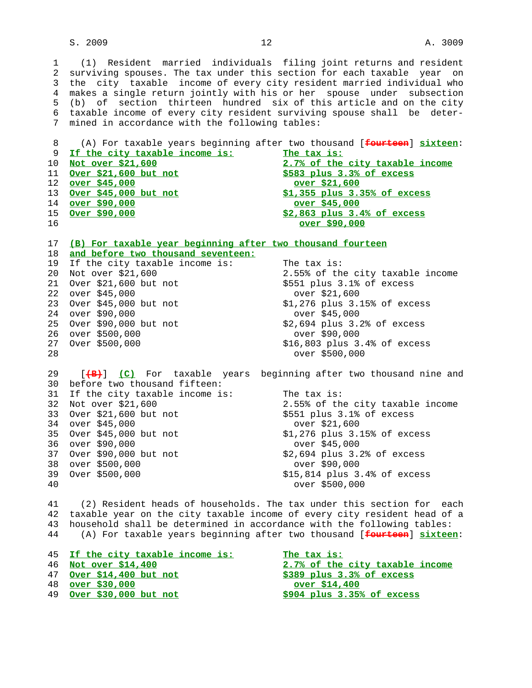## $S. 2009$  and  $12$  and  $12$  and  $12$  and  $2$  and  $3009$

 3 the city taxable income of every city resident married individual who 4 makes a single return jointly with his or her spouse under subsection 5 (b) of section thirteen hundred six of this article and on the city 6 taxable income of every city resident surviving spouse shall be deter- 7 mined in accordance with the following tables:

 8 (A) For taxable years beginning after two thousand [**fourteen**] **sixteen**: **If the city taxable income is:** The tax is:<br>10 <u>Not over \$21,600</u> 2.7% of the 2.7% of the city taxable income<br>\$583 plus 3.3% of excess **Over \$21,600 but not over \$45,000 over \$21,600 Over \$45,000 but not \$1,355 plus 3.35% of excess over \$90,000 over \$45,000 Over \$90,000 \$2,863 plus 3.4% of excess over \$90,000**

 17 **(B) For taxable year beginning after two thousand fourteen** 18 **and before two thousand seventeen:** 19 If the city taxable income is: The tax is:<br>20 Not over \$21,600 2.55% of the 2.55% of the city taxable income 21 Over \$21,600 but not \$551 plus 3.1% of excess 22 over \$45,000 over \$21,600 23 Over \$45,000 but not \$1,276 plus 3.15% of excess 24 over \$90,000<br>25 Over \$90,000 but not \$2,694 plus 3.2% of excess 25 Over \$90,000 but not 26 over \$500,000 over \$90,000 \$16,803 plus 3.4% of excess 28 over \$500,000 29 [**(B)**] **(C)** For taxable years beginning after two thousand nine and 30 before two thousand fifteen: 31 If the city taxable income is: The tax is: 32 Not over \$21,600 2.55% of the city taxable income

33 Over \$21,600 but not \$551 plus 3.1% of excess 34 over \$45,000 over \$21,600 35 Over \$45,000 but not \$1,276 plus 3.15% of excess<br>36 over \$90,000 600 600 0ver \$45,000 36 over \$90,000 37 Over \$90,000 but not \$2,694 plus 3.2% of excess 38 over \$500,000 over \$90,000 39 Over \$500,000 600 615,814 plus 3.4% of excess

40 over \$500,000

 41 (2) Resident heads of households. The tax under this section for each 42 taxable year on the city taxable income of every city resident head of a 43 household shall be determined in accordance with the following tables: 44 (A) For taxable years beginning after two thousand [**fourteen**] **sixteen**:

| 45 If the city taxable income is: | The tax is:                     |
|-----------------------------------|---------------------------------|
| 46 Not over \$14,400              | 2.7% of the city taxable income |
| 47 Over \$14,400 but not          | $$389$ plus $3.3%$ of excess    |
| 48 over \$30,000                  | over \$14,400                   |
| 49 Over \$30,000 but not          | $$904$ plus $3.35%$ of excess   |
|                                   |                                 |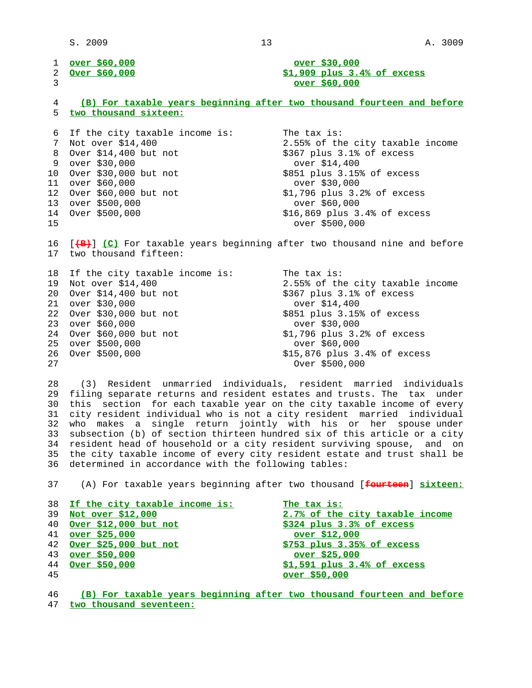$S. 2009$  and  $13$  and  $13$  and  $13$  and  $13$  and  $13$  and  $13$  and  $13$  and  $13$  and  $13$  and  $13$  and  $13$  and  $13$  and  $13$  and  $13$  and  $13$  and  $13$  and  $13$  and  $13$  and  $13$  and  $13$  and  $13$  and  $13$  and  $13$  and

| 1               | <u>over \$60,000</u>           | over \$30,000                                                           |
|-----------------|--------------------------------|-------------------------------------------------------------------------|
| 2               | Over \$60,000                  | $$1,909$ plus $3.4%$ of excess                                          |
| 3               |                                | over \$60,000                                                           |
|                 |                                |                                                                         |
| 4               |                                | (B) For taxable years beginning after two thousand fourteen and before  |
| 5               | two thousand sixteen:          |                                                                         |
|                 |                                |                                                                         |
| 6               | If the city taxable income is: | The tax is:                                                             |
| 7               | Not over \$14,400              | 2.55% of the city taxable income                                        |
| 8               | Over \$14,400 but not          | \$367 plus 3.1% of excess                                               |
| 9               | over \$30,000                  | over \$14,400                                                           |
| 10 <sup>°</sup> | Over \$30,000 but not          | \$851 plus 3.15% of excess                                              |
| 11              | over \$60,000                  | over \$30,000                                                           |
| 12 <sup>°</sup> | Over \$60,000 but not          | \$1,796 plus 3.2% of excess                                             |
| 13 <sup>7</sup> | over \$500,000                 | over \$60,000                                                           |
| 14              | Over \$500,000                 | $$16,869$ plus $3.4$ ° of excess                                        |
| 15              |                                | over \$500,000                                                          |
|                 |                                |                                                                         |
| 16              |                                | [(B) (C) For taxable years beginning after two thousand nine and before |
| 17              | two thousand fifteen:          |                                                                         |
|                 |                                |                                                                         |
| 18              | If the city taxable income is: | The tax is:                                                             |
| 19              | Not over \$14,400              | 2.55% of the city taxable income                                        |
| 20              | Over \$14,400 but not          | \$367 plus 3.1% of excess                                               |
| 21              | over \$30,000                  | over \$14,400                                                           |
| 22              | Over \$30,000 but not          | \$851 plus 3.15% of excess                                              |
| 23              | over \$60,000                  | over \$30,000                                                           |
| 24              | Over \$60,000 but not          | \$1,796 plus 3.2% of excess                                             |
| 25              | over \$500,000                 | over \$60,000                                                           |
| 26              | Over \$500,000                 | \$15,876 plus 3.4% of excess                                            |
| 27              |                                | Over \$500,000                                                          |

 28 (3) Resident unmarried individuals, resident married individuals 29 filing separate returns and resident estates and trusts. The tax under 30 this section for each taxable year on the city taxable income of every 31 city resident individual who is not a city resident married individual 32 who makes a single return jointly with his or her spouse under 33 subsection (b) of section thirteen hundred six of this article or a city 34 resident head of household or a city resident surviving spouse, and on 35 the city taxable income of every city resident estate and trust shall be 36 determined in accordance with the following tables:

37 (A) For taxable years beginning after two thousand [**fourteen**] **sixteen:**

|    | 38 If the city taxable income is: | The tax is:                     |
|----|-----------------------------------|---------------------------------|
| 39 | Not over \$12,000                 | 2.7% of the city taxable income |
|    | 40 Over \$12,000 but not          | \$324 plus 3.3% of excess       |
|    | 41 over \$25,000                  | over \$12,000                   |
|    | 42 Over \$25,000 but not          | \$753 plus 3.35% of excess      |
|    | 43 over \$50,000                  | over \$25,000                   |
|    | 44 Over \$50,000                  | $$1,591$ plus $3.4%$ of excess  |
| 45 |                                   | over \$50,000                   |

 46 **(B) For taxable years beginning after two thousand fourteen and before** 47 **two thousand seventeen:**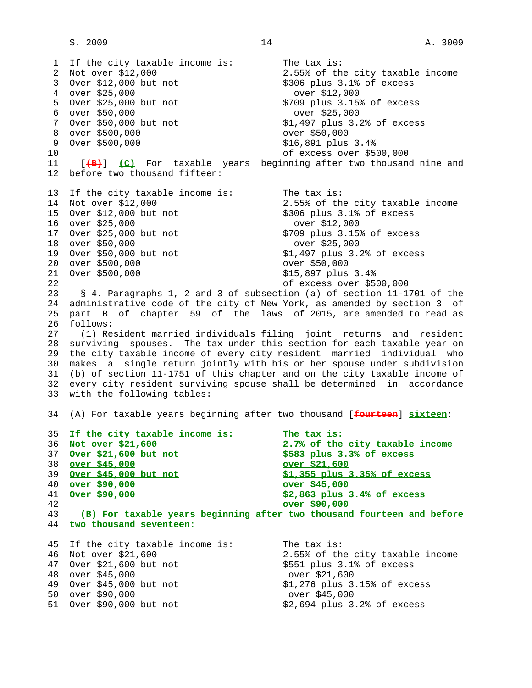$S. 2009$  and  $14$  and  $14$  and  $14$  and  $14$  and  $14$  and  $14$  and  $14$  and  $14$  and  $14$  and  $14$  and  $14$  and  $14$  and  $14$  and  $14$  and  $14$  and  $14$  and  $14$  and  $14$  and  $14$  and  $14$  and  $14$  and  $14$  and  $14$  and

1 If the city taxable income is: The tax is:<br>2 Not over \$12,000 2.55% of the 2 Not over \$12,000 2.55% of the city taxable income 3 Over \$12,000 but not \$306 plus 3.1% of excess 4 over \$25,000 over \$12,000 5 Over \$25,000 but not \$709 plus 3.15% of excess 6 over \$50,000<br>7 Over \$50,000 but not <br>\$1,497 plus 3.2% of excess 7 Over \$50,000 but not 8 over \$500,000 over \$50,000 \$16,891 plus 3.4% 10 of excess over \$500,000 11 [**(B)**] **(C)** For taxable years beginning after two thousand nine and 12 before two thousand fifteen: 13 If the city taxable income is: The tax is: 14 Not over \$12,000 2.55% of the city taxable income 15 Over \$12,000 but not \$306 plus 3.1% of excess 16 over \$25,000 over \$12,000 17 Over \$25,000 but not \$709 plus 3.15%<br>18 over \$50,000 but not \$709 plus 3.15% 18 over \$50,000 19 Over \$50,000 but not \$1,497 plus 3.2% of excess 20 over \$500,000 over \$50,000 21 Over \$500,000 \$15,897 plus 3.4% 22 of excess over \$500,000 23 § 4. Paragraphs 1, 2 and 3 of subsection (a) of section 11-1701 of the 24 administrative code of the city of New York, as amended by section 3 of 25 part B of chapter 59 of the laws of 2015, are amended to read as 26 follows: 27 (1) Resident married individuals filing joint returns and resident 28 surviving spouses. The tax under this section for each taxable year on 29 the city taxable income of every city resident married individual who 30 makes a single return jointly with his or her spouse under subdivision 31 (b) of section 11-1751 of this chapter and on the city taxable income of 32 every city resident surviving spouse shall be determined in accordance 33 with the following tables: 34 (A) For taxable years beginning after two thousand [**fourteen**] **sixteen**: 35 **If the city taxable income is: The tax is:** 36 **Not over \$21,600 2.7% of the city taxable income** 37 **Over \$21,600 but not \$583 plus 3.3% of excess** 38 **over \$45,000 over \$21,600** 39 **Over \$45,000 but not \$1,355 plus 3.35% of excess** 40 **over \$90,000 over \$45,000** 41 **Over \$90,000 \$2,863 plus 3.4% of excess** 42 **over \$90,000** 43 **(B) For taxable years beginning after two thousand fourteen and before** 44 **two thousand seventeen:** 45 If the city taxable income is: The tax is:<br>46 Not over \$21,600 2.55% of the 2.55% of the city taxable income<br>\$551 plus 3.1% of excess 47 Over \$21,600 but not \$551 plus 3.1% \$551 plus 3.1% 48 over \$45,000 over \$21,600 49 Over \$45,000 but not \$1,276 plus 3.15% of excess 50 over \$90,000 over \$45,000 -- --- ---,....<br>51 Over \$90,000 but not \$2,694 plus 3.2% of excess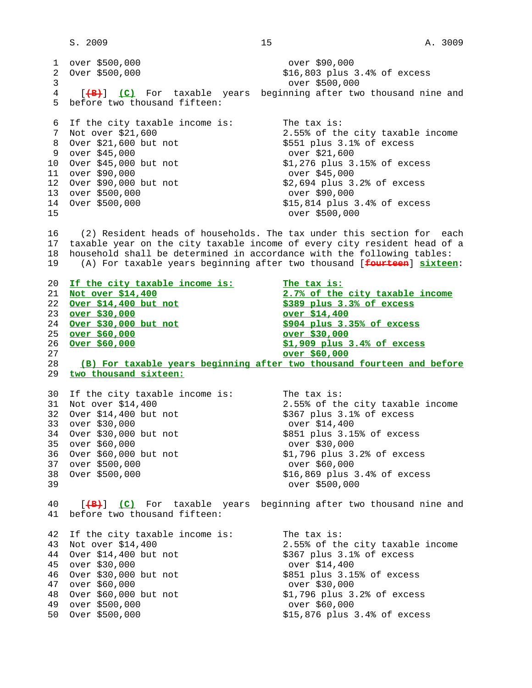1 over \$500,000 over \$90,000  $$16,803$  plus  $3.4$ % of excess 3 over \$500,000 4 [**(B)**] **(C)** For taxable years beginning after two thousand nine and 5 before two thousand fifteen: 6 If the city taxable income is: The tax is: 7 Not over \$21,600 2.55% of the city taxable income 8 Over \$21,600 but not \$551 plus 3.1% of excess 9 over \$45,000<br>
0 Over \$45,000 but not \$1,276 plus 3.15% of excess 10 Over \$45,000 but not \$1,276 plus 3.<br>11 over \$90,000 but not \$1,276 plus 3. 11 over \$90,000<br>12 Over \$90,000 but not \$2,694 plus 3.2% of excess 12 Over \$90,000 but not \$2,694 plus 3.<br>13 over \$500,000 but over \$90,000 13 over \$500,000 14 Over \$500,000 600 615,814 plus 3.4% of excess 15 over \$500,000 16 (2) Resident heads of households. The tax under this section for each 17 taxable year on the city taxable income of every city resident head of a 18 household shall be determined in accordance with the following tables: 19 (A) For taxable years beginning after two thousand [**fourteen**] **sixteen**: 20 **If the city taxable income is: The tax is:** 21 **Not over \$14,400 2.7% of the city taxable income** 22 **Over \$14,400 but not \$389 plus 3.3% of excess** 23 **over \$30,000 over \$14,400** 24 **Over \$30,000 but not \$904 plus 3.35% of excess** 25 **over \$60,000 over \$30,000** 26 **Over \$60,000 \$1,909 plus 3.4% of excess** 27 **over \$60,000** 28 **(B) For taxable years beginning after two thousand fourteen and before** 29 **two thousand sixteen:** 30 If the city taxable income is: The tax is: 31 Not over \$14,400 2.55% of the city taxable income 32 Over \$14,400 but not \$367 plus 3.1% of excess 33 over \$30,000 over \$14,400 34 Over \$30,000 but not 35 over \$60,000 over \$30,000 36 Over \$60,000 but not \$1,796 plus 3.2% of excess 37 over \$500,000 over \$60,000 38 Over \$500,000 \$16,869 plus 3.4% of excess 39 over \$500,000 40 [**(B)**] **(C)** For taxable years beginning after two thousand nine and 41 before two thousand fifteen:

42 If the city taxable income is: The tax is:<br>43 Not over \$14,400 2.55% of the 44 Over \$14,400 but not 45 over \$30,000 over \$14,400 46 Over \$30,000 but not 47 over \$60,000 over \$30,000 48 Over \$60,000 but not \$1,796 plus 3.2% of excess 49 over \$500,000 over \$60,000 50 Over \$500,000 \$15,876 plus 3.4% of excess

2.55% of the city taxable income<br>\$367 plus 3.1% of excess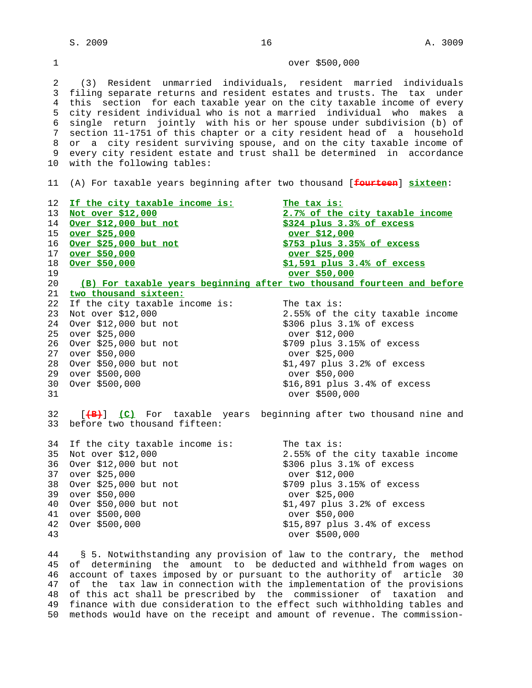1 over \$500,000

 2 (3) Resident unmarried individuals, resident married individuals 3 filing separate returns and resident estates and trusts. The tax under 4 this section for each taxable year on the city taxable income of every 5 city resident individual who is not a married individual who makes a 6 single return jointly with his or her spouse under subdivision (b) of 7 section 11-1751 of this chapter or a city resident head of a household 8 or a city resident surviving spouse, and on the city taxable income of 9 every city resident estate and trust shall be determined in accordance 10 with the following tables:

11 (A) For taxable years beginning after two thousand [**fourteen**] **sixteen**:

 12 **If the city taxable income is: The tax is:** 13 **Not over \$12,000 2.7% of the city taxable income** 14 **Over \$12,000 but not \$324 plus 3.3% of excess** 15 **over \$25,000 over \$12,000** 16 **Over \$25,000 but not \$753 plus 3.35% of excess** 17 **over \$50,000 over \$25,000** 18 **Over \$50,000 \$1,591 plus 3.4% of excess** 19 **over \$50,000** 20 **(B) For taxable years beginning after two thousand fourteen and before** 21 **two thousand sixteen:** 22 If the city taxable income is: The tax is: 23 Not over \$12,000 2.55% of the city taxable income 24 Over \$12,000 but not \$306 plus 3.1% of excess 25 over \$25,000<br>26 Over \$25,000 but not \$709 plus 3.15% of excess 26 Over \$25,000 but not 27 over \$50,000 over \$25,000 28 Over \$50,000 but not \$1,497 plus 3.2% of excess 29 over \$500,000 over \$50,000 30 Over \$500,000 \$16,891 plus 3.4% of excess 31 over \$500,000 32 [**(B)**] **(C)** For taxable years beginning after two thousand nine and 33 before two thousand fifteen: 34 If the city taxable income is: The tax is: 35 Not over \$12,000<br>36 Over \$12,000 but not <br>\$306 plus 3.1% of excess  $36$  Over  $$12,000$  but not 37 over \$25,000 over \$12,000 38 Over \$25,000 but not \$709 plus 3.15% of excess 39 over \$50,000 over \$25,000 40 Over \$50,000 but not \$1,497 plus 3.2% of excess 41 over \$500,000 over \$50,000 42 Over \$500,000 600 615,897 plus 3.4% of excess 43 over \$500,000

 44 § 5. Notwithstanding any provision of law to the contrary, the method 45 of determining the amount to be deducted and withheld from wages on 46 account of taxes imposed by or pursuant to the authority of article 30 47 of the tax law in connection with the implementation of the provisions 48 of this act shall be prescribed by the commissioner of taxation and 49 finance with due consideration to the effect such withholding tables and 50 methods would have on the receipt and amount of revenue. The commission-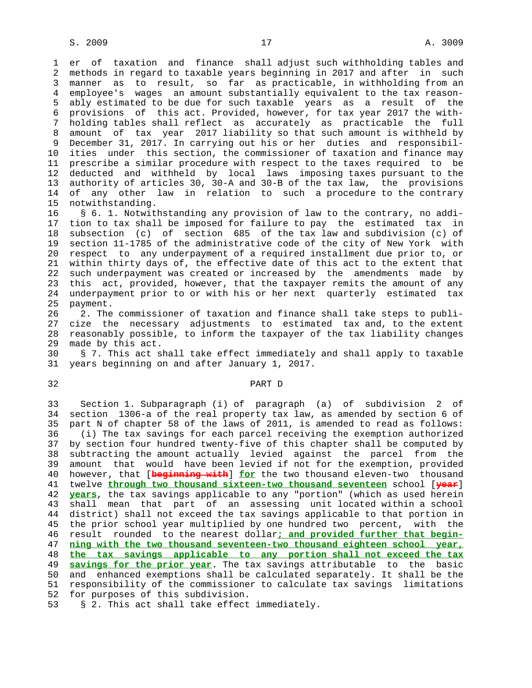1 er of taxation and finance shall adjust such withholding tables and 2 methods in regard to taxable years beginning in 2017 and after in such 3 manner as to result, so far as practicable, in withholding from an 4 employee's wages an amount substantially equivalent to the tax reason- 5 ably estimated to be due for such taxable years as a result of the 6 provisions of this act. Provided, however, for tax year 2017 the with- 7 holding tables shall reflect as accurately as practicable the full 8 amount of tax year 2017 liability so that such amount is withheld by 9 December 31, 2017. In carrying out his or her duties and responsibil- 10 ities under this section, the commissioner of taxation and finance may 11 prescribe a similar procedure with respect to the taxes required to be 12 deducted and withheld by local laws imposing taxes pursuant to the 13 authority of articles 30, 30-A and 30-B of the tax law, the provisions 14 of any other law in relation to such a procedure to the contrary 15 notwithstanding.

 16 § 6. 1. Notwithstanding any provision of law to the contrary, no addi- 17 tion to tax shall be imposed for failure to pay the estimated tax in 18 subsection (c) of section 685 of the tax law and subdivision (c) of 19 section 11-1785 of the administrative code of the city of New York with 20 respect to any underpayment of a required installment due prior to, or 21 within thirty days of, the effective date of this act to the extent that 22 such underpayment was created or increased by the amendments made by 23 this act, provided, however, that the taxpayer remits the amount of any 24 underpayment prior to or with his or her next quarterly estimated tax 25 payment.

 26 2. The commissioner of taxation and finance shall take steps to publi- 27 cize the necessary adjustments to estimated tax and, to the extent 28 reasonably possible, to inform the taxpayer of the tax liability changes 29 made by this act.

 30 § 7. This act shall take effect immediately and shall apply to taxable 31 years beginning on and after January 1, 2017.

## 32 PART D

 33 Section 1. Subparagraph (i) of paragraph (a) of subdivision 2 of 34 section 1306-a of the real property tax law, as amended by section 6 of 35 part N of chapter 58 of the laws of 2011, is amended to read as follows: 36 (i) The tax savings for each parcel receiving the exemption authorized 37 by section four hundred twenty-five of this chapter shall be computed by 38 subtracting the amount actually levied against the parcel from the 39 amount that would have been levied if not for the exemption, provided 40 however, that [**beginning with**] **for** the two thousand eleven-two thousand 41 twelve **through two thousand sixteen-two thousand seventeen** school [**year**] 42 **years**, the tax savings applicable to any "portion" (which as used herein 43 shall mean that part of an assessing unit located within a school 44 district) shall not exceed the tax savings applicable to that portion in 45 the prior school year multiplied by one hundred two percent, with the 46 result rounded to the nearest dollar**; and provided further that begin-** 47 **ning with the two thousand seventeen-two thousand eighteen school year,** 48 **the tax savings applicable to any portion shall not exceed the tax** 49 **savings for the prior year**. The tax savings attributable to the basic 50 and enhanced exemptions shall be calculated separately. It shall be the 51 responsibility of the commissioner to calculate tax savings limitations 52 for purposes of this subdivision.

53 § 2. This act shall take effect immediately.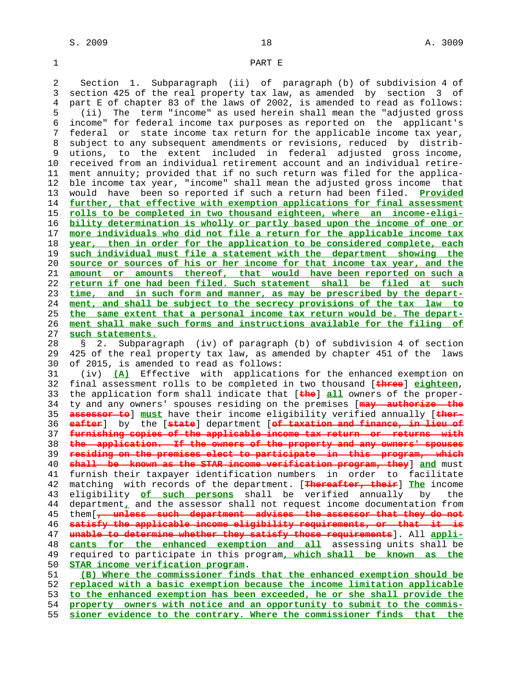## 1 PART E

 2 Section 1. Subparagraph (ii) of paragraph (b) of subdivision 4 of 3 section 425 of the real property tax law, as amended by section 3 of 4 part E of chapter 83 of the laws of 2002, is amended to read as follows: 5 (ii) The term "income" as used herein shall mean the "adjusted gross 6 income" for federal income tax purposes as reported on the applicant's 7 federal or state income tax return for the applicable income tax year, 8 subject to any subsequent amendments or revisions, reduced by distrib- 9 utions, to the extent included in federal adjusted gross income, 10 received from an individual retirement account and an individual retire- 11 ment annuity; provided that if no such return was filed for the applica- 12 ble income tax year, "income" shall mean the adjusted gross income that 13 would have been so reported if such a return had been filed. **Provided** 14 **further, that effective with exemption applications for final assessment** 15 **rolls to be completed in two thousand eighteen, where an income-eligi-** 16 **bility determination is wholly or partly based upon the income of one or** 17 **more individuals who did not file a return for the applicable income tax** 18 **year, then in order for the application to be considered complete, each** 19 **such individual must file a statement with the department showing the** 20 **source or sources of his or her income for that income tax year, and the** 21 **amount or amounts thereof, that would have been reported on such a** 22 **return if one had been filed. Such statement shall be filed at such** 23 **time, and in such form and manner, as may be prescribed by the depart-** 24 **ment, and shall be subject to the secrecy provisions of the tax law to** 25 **the same extent that a personal income tax return would be. The depart-** 26 **ment shall make such forms and instructions available for the filing of** 27 **such statements.** 28 § 2. Subparagraph (iv) of paragraph (b) of subdivision 4 of section 29 425 of the real property tax law, as amended by chapter 451 of the laws 30 of 2015, is amended to read as follows: 31 (iv) **(A)** Effective with applications for the enhanced exemption on 32 final assessment rolls to be completed in two thousand [**three**] **eighteen**, 33 the application form shall indicate that [**the**] **all** owners of the proper- 34 ty and any owners' spouses residing on the premises [**may authorize the** 35 **assessor to**] **must** have their income eligibility verified annually [**ther-** 36 **eafter**] by the [**state**] department [**of taxation and finance, in lieu of** 37 **furnishing copies of the applicable income tax return or returns with** 38 **the application. If the owners of the property and any owners' spouses** 39 **residing on the premises elect to participate in this program, which** 40 **shall be known as the STAR income verification program, they**] **and** must 41 furnish their taxpayer identification numbers in order to facilitate 42 matching with records of the department. [**Thereafter, their**] **The** income

 43 eligibility **of such persons** shall be verified annually by the 44 department**,** and the assessor shall not request income documentation from 45 them[**, unless such department advises the assessor that they do not** 46 **satisfy the applicable income eligibility requirements, or that it is** 47 **unable to determine whether they satisfy those requirements**]. All **appli-** 48 **cants for the enhanced exemption and all** assessing units shall be 49 required to participate in this program**, which shall be known as the** 50 **STAR income verification program**.

**(B) Where the commissioner finds that the enhanced exemption should be replaced with a basic exemption because the income limitation applicable to the enhanced exemption has been exceeded, he or she shall provide the property owners with notice and an opportunity to submit to the commis- sioner evidence to the contrary. Where the commissioner finds that the**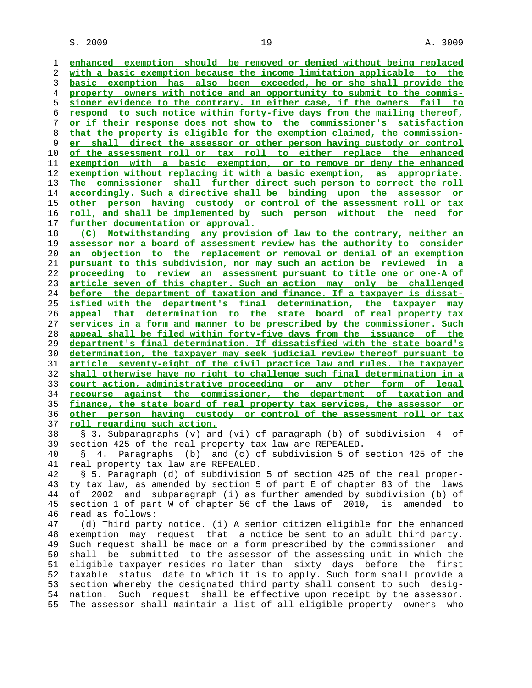$S. 2009$  and  $19$  and  $19$  and  $19$  and  $19$  and  $19$  and  $19$  and  $19$  and  $19$  and  $19$  and  $19$  and  $19$  and  $19$  and  $19$  and  $19$  and  $19$  and  $19$  and  $19$  and  $19$  and  $19$  and  $19$  and  $19$  and  $19$  and  $19$  and

**enhanced exemption should be removed or denied without being replaced with a basic exemption because the income limitation applicable to the basic exemption has also been exceeded, he or she shall provide the property owners with notice and an opportunity to submit to the commis- sioner evidence to the contrary. In either case, if the owners fail to respond to such notice within forty-five days from the mailing thereof, or if their response does not show to the commissioner's satisfaction that the property is eligible for the exemption claimed, the commission- er shall direct the assessor or other person having custody or control of the assessment roll or tax roll to either replace the enhanced exemption with a basic exemption, or to remove or deny the enhanced exemption without replacing it with a basic exemption, as appropriate. The commissioner shall further direct such person to correct the roll accordingly. Such a directive shall be binding upon the assessor or other person having custody or control of the assessment roll or tax roll, and shall be implemented by such person without the need for further documentation or approval. (C) Notwithstanding any provision of law to the contrary, neither an**

**assessor nor a board of assessment review has the authority to consider an objection to the replacement or removal or denial of an exemption pursuant to this subdivision, nor may such an action be reviewed in a proceeding to review an assessment pursuant to title one or one-A of article seven of this chapter. Such an action may only be challenged before the department of taxation and finance. If a taxpayer is dissat- isfied with the department's final determination, the taxpayer may appeal that determination to the state board of real property tax services in a form and manner to be prescribed by the commissioner. Such appeal shall be filed within forty-five days from the issuance of the department's final determination. If dissatisfied with the state board's determination, the taxpayer may seek judicial review thereof pursuant to article seventy-eight of the civil practice law and rules. The taxpayer shall otherwise have no right to challenge such final determination in a court action, administrative proceeding or any other form of legal recourse against the commissioner, the department of taxation and finance, the state board of real property tax services, the assessor or other person having custody or control of the assessment roll or tax roll regarding such action.**

 38 § 3. Subparagraphs (v) and (vi) of paragraph (b) of subdivision 4 of 39 section 425 of the real property tax law are REPEALED.

 40 § 4. Paragraphs (b) and (c) of subdivision 5 of section 425 of the 41 real property tax law are REPEALED.

 42 § 5. Paragraph (d) of subdivision 5 of section 425 of the real proper- 43 ty tax law, as amended by section 5 of part E of chapter 83 of the laws 44 of 2002 and subparagraph (i) as further amended by subdivision (b) of 45 section 1 of part W of chapter 56 of the laws of 2010, is amended to 46 read as follows:

 47 (d) Third party notice. (i) A senior citizen eligible for the enhanced 48 exemption may request that a notice be sent to an adult third party. 49 Such request shall be made on a form prescribed by the commissioner and 50 shall be submitted to the assessor of the assessing unit in which the 51 eligible taxpayer resides no later than sixty days before the first 52 taxable status date to which it is to apply. Such form shall provide a 53 section whereby the designated third party shall consent to such desig- 54 nation. Such request shall be effective upon receipt by the assessor. 55 The assessor shall maintain a list of all eligible property owners who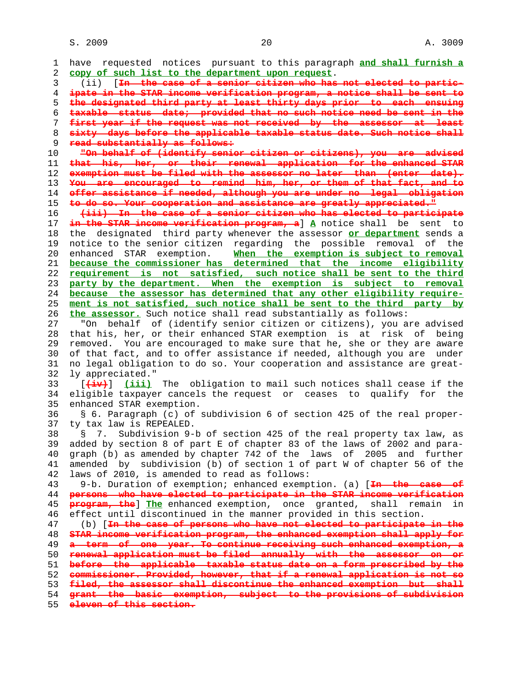$S. 2009$  and  $20$  and  $20$  and  $20$  and  $20$  and  $20$  and  $20$  and  $20$  and  $20$  and  $20$  and  $20$  and  $20$  and  $20$  and  $20$  and  $20$  and  $20$  and  $20$  and  $20$  and  $20$  and  $20$  and  $20$  and  $20$  and  $20$  and  $20$  and

 1 have requested notices pursuant to this paragraph **and shall furnish a** 2 **copy of such list to the department upon request**. 3 (ii) [**In the case of a senior citizen who has not elected to partic-** 4 **ipate in the STAR income verification program, a notice shall be sent to** 5 **the designated third party at least thirty days prior to each ensuing** 6 **taxable status date; provided that no such notice need be sent in the** 7 **first year if the request was not received by the assessor at least** 8 **sixty days before the applicable taxable status date. Such notice shall** 9 **read substantially as follows:** 10 **"On behalf of (identify senior citizen or citizens), you are advised** 11 **that his, her, or their renewal application for the enhanced STAR** 12 **exemption must be filed with the assessor no later than (enter date).** 13 **You are encouraged to remind him, her, or them of that fact, and to** 14 **offer assistance if needed, although you are under no legal obligation** 15 **to do so. Your cooperation and assistance are greatly appreciated."** 16 **(iii) In the case of a senior citizen who has elected to participate** 17 **in the STAR income verification program, a**] **A** notice shall be sent to 18 the designated third party whenever the assessor **or department** sends a 19 notice to the senior citizen regarding the possible removal of the 20 enhanced STAR exemption. **When the exemption is subject to removal** 21 **because the commissioner has determined that the income eligibility** 22 **requirement is not satisfied, such notice shall be sent to the third** 23 **party by the department. When the exemption is subject to removal** 24 **because the assessor has determined that any other eligibility require-** 25 **ment is not satisfied, such notice shall be sent to the third party by** 26 **the assessor.** Such notice shall read substantially as follows: 27 "On behalf of (identify senior citizen or citizens), you are advised 28 that his, her, or their enhanced STAR exemption is at risk of being 29 removed. You are encouraged to make sure that he, she or they are aware 30 of that fact, and to offer assistance if needed, although you are under 31 no legal obligation to do so. Your cooperation and assistance are great- 32 ly appreciated." 33 [**(iv)**] **(iii)** The obligation to mail such notices shall cease if the 34 eligible taxpayer cancels the request or ceases to qualify for the 35 enhanced STAR exemption. 36 § 6. Paragraph (c) of subdivision 6 of section 425 of the real proper- 37 ty tax law is REPEALED. 38 § 7. Subdivision 9-b of section 425 of the real property tax law, as 39 added by section 8 of part E of chapter 83 of the laws of 2002 and para- 40 graph (b) as amended by chapter 742 of the laws of 2005 and further 41 amended by subdivision (b) of section 1 of part W of chapter 56 of the 42 laws of 2010, is amended to read as follows: 43 9-b. Duration of exemption; enhanced exemption. (a) [**In the case of** 44 **persons who have elected to participate in the STAR income verification** 45 **program, the**] **The** enhanced exemption, once granted, shall remain in 46 effect until discontinued in the manner provided in this section. 47 (b) [**In the case of persons who have not elected to participate in the** 48 **STAR income verification program, the enhanced exemption shall apply for** 49 **a term of one year. To continue receiving such enhanced exemption, a** 50 **renewal application must be filed annually with the assessor on or** 51 **before the applicable taxable status date on a form prescribed by the** 52 **commissioner. Provided, however, that if a renewal application is not so** 53 **filed, the assessor shall discontinue the enhanced exemption but shall** 54 **grant the basic exemption, subject to the provisions of subdivision** 55 **eleven of this section.**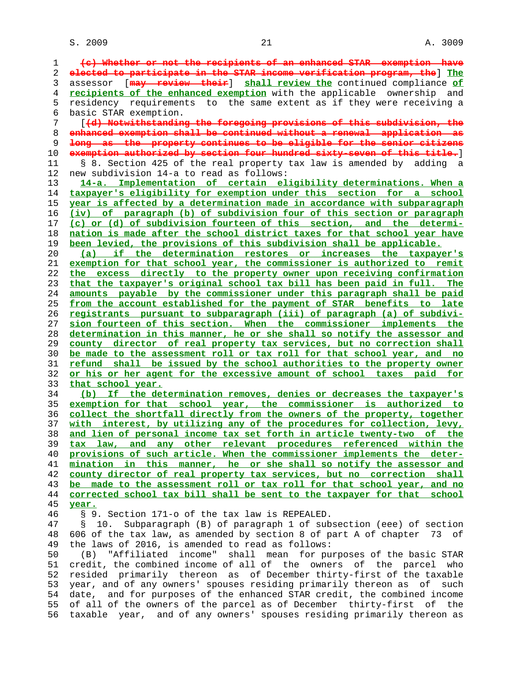**(c) Whether or not the recipients of an enhanced STAR exemption have elected to participate in the STAR income verification program, the**] **The** 3 assessor [**may review their**] **shall review the** continued compliance **of recipients of the enhanced exemption** with the applicable ownership and 5 residency requirements to the same extent as if they were receiving a 6 basic STAR exemption. 7 [**(d) Notwithstanding the foregoing provisions of this subdivision, the enhanced exemption shall be continued without a renewal application as long as the property continues to be eligible for the senior citizens exemption authorized by section four hundred sixty-seven of this title.**] 11 § 8. Section 425 of the real property tax law is amended by adding a 12 new subdivision 14-a to read as follows: **14-a. Implementation of certain eligibility determinations. When a taxpayer's eligibility for exemption under this section for a school year is affected by a determination made in accordance with subparagraph (iv) of paragraph (b) of subdivision four of this section or paragraph (c) or (d) of subdivision fourteen of this section, and the determi- nation is made after the school district taxes for that school year have been levied, the provisions of this subdivision shall be applicable. (a) if the determination restores or increases the taxpayer's exemption for that school year, the commissioner is authorized to remit the excess directly to the property owner upon receiving confirmation that the taxpayer's original school tax bill has been paid in full. The amounts payable by the commissioner under this paragraph shall be paid from the account established for the payment of STAR benefits to late registrants pursuant to subparagraph (iii) of paragraph (a) of subdivi- sion fourteen of this section. When the commissioner implements the determination in this manner, he or she shall so notify the assessor and county director of real property tax services, but no correction shall be made to the assessment roll or tax roll for that school year, and no refund shall be issued by the school authorities to the property owner or his or her agent for the excessive amount of school taxes paid for that school year. (b) If the determination removes, denies or decreases the taxpayer's exemption for that school year, the commissioner is authorized to collect the shortfall directly from the owners of the property, together with interest, by utilizing any of the procedures for collection, levy, and lien of personal income tax set forth in article twenty-two of the tax law, and any other relevant procedures referenced within the provisions of such article. When the commissioner implements the deter- mination in this manner, he or she shall so notify the assessor and county director of real property tax services, but no correction shall be made to the assessment roll or tax roll for that school year, and no corrected school tax bill shall be sent to the taxpayer for that school year.** 46 § 9. Section 171-o of the tax law is REPEALED. 47 § 10. Subparagraph (B) of paragraph 1 of subsection (eee) of section 48 606 of the tax law, as amended by section 8 of part A of chapter 73 of 49 the laws of 2016, is amended to read as follows: 50 (B) "Affiliated income" shall mean for purposes of the basic STAR 51 credit, the combined income of all of the owners of the parcel who 52 resided primarily thereon as of December thirty-first of the taxable 53 year, and of any owners' spouses residing primarily thereon as of such 54 date, and for purposes of the enhanced STAR credit, the combined income 55 of all of the owners of the parcel as of December thirty-first of the 56 taxable year, and of any owners' spouses residing primarily thereon as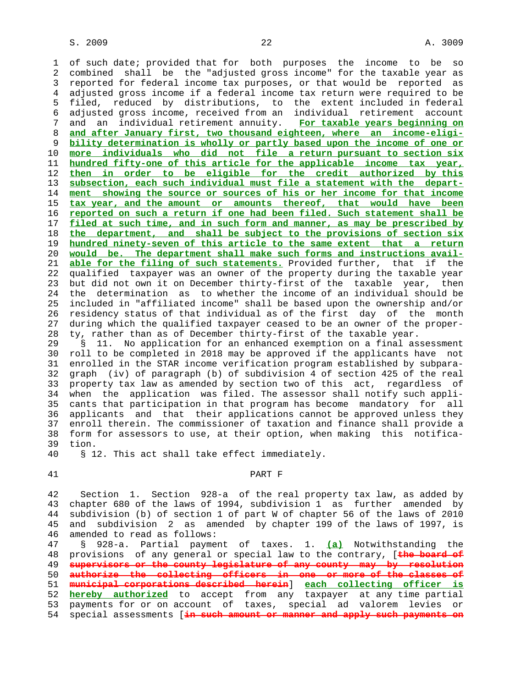1 of such date; provided that for both purposes the income to be so 2 combined shall be the "adjusted gross income" for the taxable year as 3 reported for federal income tax purposes, or that would be reported as 4 adjusted gross income if a federal income tax return were required to be 5 filed, reduced by distributions, to the extent included in federal 6 adjusted gross income, received from an individual retirement account 7 and an individual retirement annuity. **For taxable years beginning on** 8 **and after January first, two thousand eighteen, where an income-eligi-** 9 **bility determination is wholly or partly based upon the income of one or** 10 **more individuals who did not file a return pursuant to section six** 11 **hundred fifty-one of this article for the applicable income tax year,** 12 **then in order to be eligible for the credit authorized by this** 13 **subsection, each such individual must file a statement with the depart-** 14 **ment showing the source or sources of his or her income for that income** 15 **tax year, and the amount or amounts thereof, that would have been** 16 **reported on such a return if one had been filed. Such statement shall be** 17 **filed at such time, and in such form and manner, as may be prescribed by** 18 **the department, and shall be subject to the provisions of section six** 19 **hundred ninety-seven of this article to the same extent that a return** 20 **would be. The department shall make such forms and instructions avail-** 21 **able for the filing of such statements.** Provided further, that if the 22 qualified taxpayer was an owner of the property during the taxable year 23 but did not own it on December thirty-first of the taxable year, then 24 the determination as to whether the income of an individual should be 25 included in "affiliated income" shall be based upon the ownership and/or 26 residency status of that individual as of the first day of the month 27 during which the qualified taxpayer ceased to be an owner of the proper- 28 ty, rather than as of December thirty-first of the taxable year.

 29 § 11. No application for an enhanced exemption on a final assessment 30 roll to be completed in 2018 may be approved if the applicants have not 31 enrolled in the STAR income verification program established by subpara- 32 graph (iv) of paragraph (b) of subdivision 4 of section 425 of the real 33 property tax law as amended by section two of this act, regardless of 34 when the application was filed. The assessor shall notify such appli- 35 cants that participation in that program has become mandatory for all 36 applicants and that their applications cannot be approved unless they 37 enroll therein. The commissioner of taxation and finance shall provide a 38 form for assessors to use, at their option, when making this notifica- 39 tion.

40 § 12. This act shall take effect immediately.

#### 41 PART F

 42 Section 1. Section 928-a of the real property tax law, as added by 43 chapter 680 of the laws of 1994, subdivision 1 as further amended by 44 subdivision (b) of section 1 of part W of chapter 56 of the laws of 2010 45 and subdivision 2 as amended by chapter 199 of the laws of 1997, is 46 amended to read as follows:

 47 § 928-a. Partial payment of taxes. 1. **(a)** Notwithstanding the 48 provisions of any general or special law to the contrary, [**the board of** 49 **supervisors or the county legislature of any county may by resolution** 50 **authorize the collecting officers in one or more of the classes of** 51 **municipal corporations described herein**] **each collecting officer is** 52 **hereby authorized** to accept from any taxpayer at any time partial 53 payments for or on account of taxes, special ad valorem levies or 54 special assessments [**in such amount or manner and apply such payments on**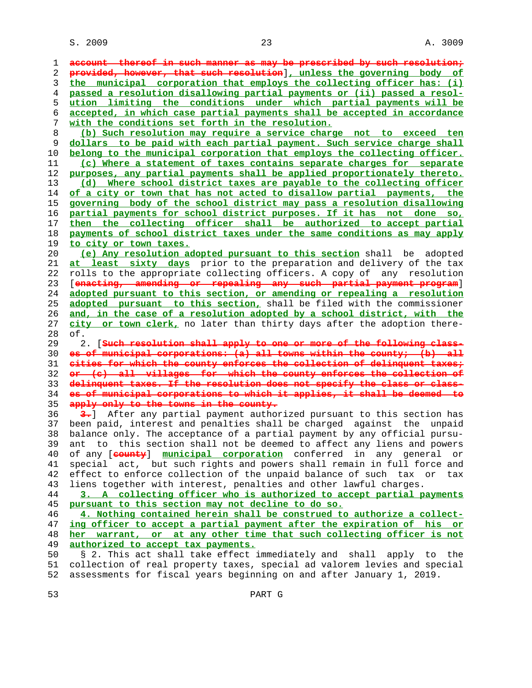| 1        | account thereof in such manner as may be prescribed by such resolution,                                                                          |
|----------|--------------------------------------------------------------------------------------------------------------------------------------------------|
| 2        | provided, however, that such resolution], unless the governing body of                                                                           |
| 3        | the municipal corporation that employs the collecting officer has: (i)                                                                           |
| 4        | passed a resolution disallowing partial payments or (ii) passed a resol-                                                                         |
| 5        | ution limiting the conditions under which partial payments will be                                                                               |
| 6        | accepted, in which case partial payments shall be accepted in accordance                                                                         |
| 7        | with the conditions set forth in the resolution.                                                                                                 |
| 8        | (b) Such resolution may require a service charge not to exceed ten                                                                               |
| 9        | dollars to be paid with each partial payment. Such service charge shall                                                                          |
| 10       | belong to the municipal corporation that employs the collecting officer.                                                                         |
| 11       | (c) Where a statement of taxes contains separate charges for separate                                                                            |
| 12       | purposes, any partial payments shall be applied proportionately thereto.                                                                         |
| 13       | Where school district taxes are payable to the collecting officer<br>(d)                                                                         |
| 14       | of a city or town that has not acted to disallow partial payments, the                                                                           |
| 15       | governing body of the school district may pass a resolution disallowing                                                                          |
| 16       | partial payments for school district purposes. If it has not done so,                                                                            |
| 17       | then the collecting officer shall be authorized to accept partial                                                                                |
| 18       | payments of school district taxes under the same conditions as may apply                                                                         |
| 19       | to city or town taxes.                                                                                                                           |
| 20       | (e) Any resolution adopted pursuant to this section shall be adopted                                                                             |
| 21       | at least sixty days prior to the preparation and delivery of the tax                                                                             |
| 22       | rolls to the appropriate collecting officers. A copy of any resolution                                                                           |
| 23       | [enasting, amending or repealing any such partial payment program]                                                                               |
| 24       | adopted pursuant to this section, or amending or repealing a resolution                                                                          |
| 25       | adopted pursuant to this section, shall be filed with the commissioner                                                                           |
| 26       | and, in the case of a resolution adopted by a school district, with the                                                                          |
| 27       | city or town clerk, no later than thirty days after the adoption there-                                                                          |
|          |                                                                                                                                                  |
| 28       | of.                                                                                                                                              |
| 29       | 2. [Such resolution shall apply to one or more of the following class-                                                                           |
| 30       | es of municipal corporations: (a) all towns within the county, (b) all                                                                           |
| 31       | cities for which the county enforces the collection of delinquent taxes,                                                                         |
| 32       | or (c) all villages for which the county enforces the collection of                                                                              |
| 33       | delinquent taxes. If the resolution does not specify the class or class-                                                                         |
| 34       | es of municipal corporations to which it applies, it shall be deemed to                                                                          |
| 35       | apply only to the towns in the county.                                                                                                           |
| 36       | 3. After any partial payment authorized pursuant to this section has                                                                             |
| 37       | been paid, interest and penalties shall be charged against the unpaid                                                                            |
| 38       | balance only. The acceptance of a partial payment by any official pursu-                                                                         |
| 39       | ant to this section shall not be deemed to affect any liens and powers                                                                           |
| 40       | of any [county] municipal corporation conferred in any general or                                                                                |
| 41       | special act, but such rights and powers shall remain in full force and                                                                           |
| 42       | effect to enforce collection of the unpaid balance of such tax or<br>tax                                                                         |
| 43       | liens together with interest, penalties and other lawful charges.                                                                                |
| 44       | 3. A collecting officer who is authorized to accept partial payments                                                                             |
| 45       | pursuant to this section may not decline to do so.                                                                                               |
| 46       | 4. Nothing contained herein shall be construed to authorize a collect-                                                                           |
| 47       | ing officer to accept a partial payment after the expiration of his or                                                                           |
| 48       | her warrant, or at any other time that such collecting officer is not                                                                            |
| 49       | authorized to accept tax payments.                                                                                                               |
| 50       | § 2. This act shall take effect immediately and shall apply to the                                                                               |
| 51<br>52 | collection of real property taxes, special ad valorem levies and special<br>assessments for fiscal years beginning on and after January 1, 2019. |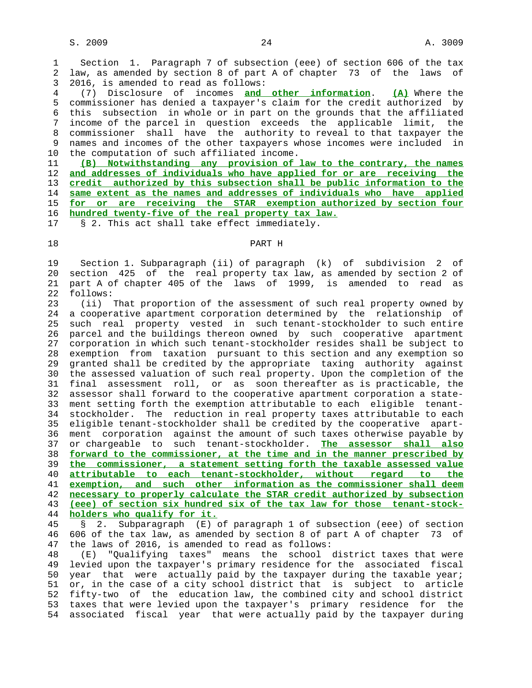1 Section 1. Paragraph 7 of subsection (eee) of section 606 of the tax 2 law, as amended by section 8 of part A of chapter 73 of the laws of 3 2016, is amended to read as follows:

 4 (7) Disclosure of incomes **and other information**. **(A)** Where the 5 commissioner has denied a taxpayer's claim for the credit authorized by 6 this subsection in whole or in part on the grounds that the affiliated 7 income of the parcel in question exceeds the applicable limit, the 8 commissioner shall have the authority to reveal to that taxpayer the<br>9 names and incomes of the other taxpayers whose incomes were included in names and incomes of the other taxpayers whose incomes were included in 10 the computation of such affiliated income.

**(B) Notwithstanding any provision of law to the contrary, the names and addresses of individuals who have applied for or are receiving the credit authorized by this subsection shall be public information to the same extent as the names and addresses of individuals who have applied for or are receiving the STAR exemption authorized by section four hundred twenty-five of the real property tax law.**

|  |  |  |  |  |  |  | § 2. This act shall take effect immediately. |
|--|--|--|--|--|--|--|----------------------------------------------|
|--|--|--|--|--|--|--|----------------------------------------------|

## 18 PART H

 19 Section 1. Subparagraph (ii) of paragraph (k) of subdivision 2 of 20 section 425 of the real property tax law, as amended by section 2 of 21 part A of chapter 405 of the laws of 1999, is amended to read as 22 follows:

 23 (ii) That proportion of the assessment of such real property owned by 24 a cooperative apartment corporation determined by the relationship of 25 such real property vested in such tenant-stockholder to such entire 26 parcel and the buildings thereon owned by such cooperative apartment 27 corporation in which such tenant-stockholder resides shall be subject to 28 exemption from taxation pursuant to this section and any exemption so 29 granted shall be credited by the appropriate taxing authority against 30 the assessed valuation of such real property. Upon the completion of the 31 final assessment roll, or as soon thereafter as is practicable, the 32 assessor shall forward to the cooperative apartment corporation a state- 33 ment setting forth the exemption attributable to each eligible tenant- 34 stockholder. The reduction in real property taxes attributable to each 35 eligible tenant-stockholder shall be credited by the cooperative apart- 36 ment corporation against the amount of such taxes otherwise payable by 37 or chargeable to such tenant-stockholder. **The assessor shall also** 38 **forward to the commissioner, at the time and in the manner prescribed by** 39 **the commissioner, a statement setting forth the taxable assessed value** 40 **attributable to each tenant-stockholder, without regard to the** 41 **exemption, and such other information as the commissioner shall deem** 42 **necessary to properly calculate the STAR credit authorized by subsection** 43 **(eee) of section six hundred six of the tax law for those tenant-stock-** 44 **holders who qualify for it.** 45 § 2. Subparagraph (E) of paragraph 1 of subsection (eee) of section

 46 606 of the tax law, as amended by section 8 of part A of chapter 73 of 47 the laws of 2016, is amended to read as follows:

 48 (E) "Qualifying taxes" means the school district taxes that were 49 levied upon the taxpayer's primary residence for the associated fiscal 50 year that were actually paid by the taxpayer during the taxable year; 51 or, in the case of a city school district that is subject to article 52 fifty-two of the education law, the combined city and school district 53 taxes that were levied upon the taxpayer's primary residence for the 54 associated fiscal year that were actually paid by the taxpayer during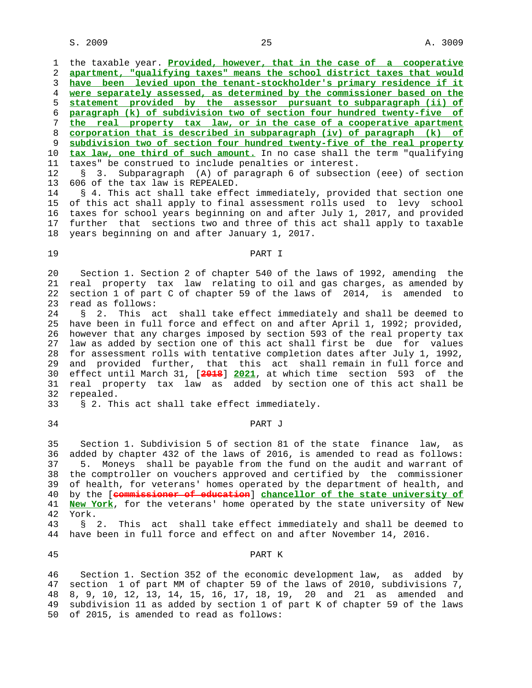$S. 2009$  . All  $25$  and  $25$  and  $25$  and  $25$  and  $25$  and  $25$  and  $25$  and  $25$  and  $25$  and  $25$  and  $25$  and  $25$  and  $25$  and  $25$  and  $25$  and  $25$  and  $25$  and  $25$  and  $25$  and  $25$  and  $25$  and  $25$  and  $25$  an

 1 the taxable year. **Provided, however, that in the case of a cooperative apartment, "qualifying taxes" means the school district taxes that would have been levied upon the tenant-stockholder's primary residence if it were separately assessed, as determined by the commissioner based on the statement provided by the assessor pursuant to subparagraph (ii) of paragraph (k) of subdivision two of section four hundred twenty-five of the real property tax law, or in the case of a cooperative apartment corporation that is described in subparagraph (iv) of paragraph (k) of subdivision two of section four hundred twenty-five of the real property tax law, one third of such amount.** In no case shall the term "qualifying 11 taxes" be construed to include penalties or interest. 12 § 3. Subparagraph (A) of paragraph 6 of subsection (eee) of section 13 606 of the tax law is REPEALED.

14 § 4. This act shall take effect immediately, provided that section one 15 of this act shall apply to final assessment rolls used to levy school 16 taxes for school years beginning on and after July 1, 2017, and provided 17 further that sections two and three of this act shall apply to taxable 18 years beginning on and after January 1, 2017.

### 19 PART I

 20 Section 1. Section 2 of chapter 540 of the laws of 1992, amending the 21 real property tax law relating to oil and gas charges, as amended by 22 section 1 of part C of chapter 59 of the laws of 2014, is amended to 23 read as follows:

 24 § 2. This act shall take effect immediately and shall be deemed to 25 have been in full force and effect on and after April 1, 1992; provided, 26 however that any charges imposed by section 593 of the real property tax 27 law as added by section one of this act shall first be due for values 28 for assessment rolls with tentative completion dates after July 1, 1992, 29 and provided further, that this act shall remain in full force and 30 effect until March 31, [**2018**] **2021**, at which time section 593 of the 31 real property tax law as added by section one of this act shall be 32 repealed.

33 § 2. This act shall take effect immediately.

### 34 PART J

 35 Section 1. Subdivision 5 of section 81 of the state finance law, as 36 added by chapter 432 of the laws of 2016, is amended to read as follows: 37 5. Moneys shall be payable from the fund on the audit and warrant of 38 the comptroller on vouchers approved and certified by the commissioner 39 of health, for veterans' homes operated by the department of health, and 40 by the [**commissioner of education**] **chancellor of the state university of** 41 **New York**, for the veterans' home operated by the state university of New 42 York.

 43 § 2. This act shall take effect immediately and shall be deemed to 44 have been in full force and effect on and after November 14, 2016.

#### 45 PART K

 46 Section 1. Section 352 of the economic development law, as added by 47 section 1 of part MM of chapter 59 of the laws of 2010, subdivisions 7, 48 8, 9, 10, 12, 13, 14, 15, 16, 17, 18, 19, 20 and 21 as amended and 49 subdivision 11 as added by section 1 of part K of chapter 59 of the laws 50 of 2015, is amended to read as follows: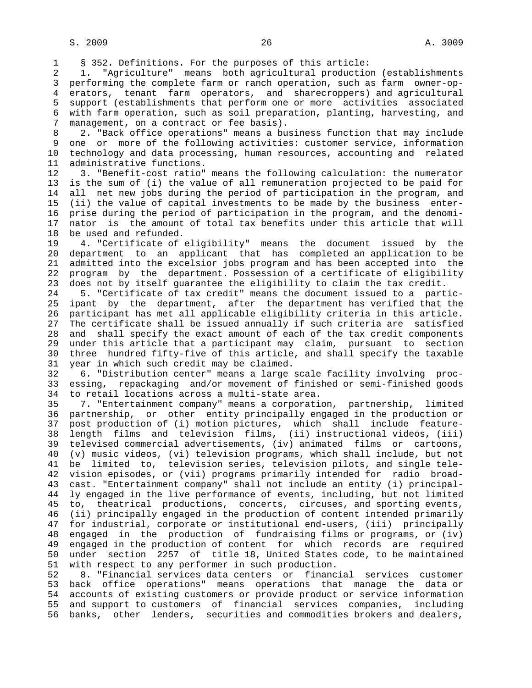1 § 352. Definitions. For the purposes of this article:

 2 1. "Agriculture" means both agricultural production (establishments 3 performing the complete farm or ranch operation, such as farm owner-op- 4 erators, tenant farm operators, and sharecroppers) and agricultural 5 support (establishments that perform one or more activities associated 6 with farm operation, such as soil preparation, planting, harvesting, and 7 management, on a contract or fee basis).

8 2. "Back office operations" means a business function that may include<br>9 one or more of the following activities: customer service, information one or more of the following activities: customer service, information 10 technology and data processing, human resources, accounting and related 11 administrative functions.

 12 3. "Benefit-cost ratio" means the following calculation: the numerator 13 is the sum of (i) the value of all remuneration projected to be paid for 14 all net new jobs during the period of participation in the program, and 15 (ii) the value of capital investments to be made by the business enter- 16 prise during the period of participation in the program, and the denomi- 17 nator is the amount of total tax benefits under this article that will 18 be used and refunded.

 19 4. "Certificate of eligibility" means the document issued by the 20 department to an applicant that has completed an application to be 21 admitted into the excelsior jobs program and has been accepted into the 22 program by the department. Possession of a certificate of eligibility 23 does not by itself guarantee the eligibility to claim the tax credit.

 24 5. "Certificate of tax credit" means the document issued to a partic- 25 ipant by the department, after the department has verified that the 26 participant has met all applicable eligibility criteria in this article. 27 The certificate shall be issued annually if such criteria are satisfied 28 and shall specify the exact amount of each of the tax credit components 29 under this article that a participant may claim, pursuant to section 30 three hundred fifty-five of this article, and shall specify the taxable 31 year in which such credit may be claimed.

 32 6. "Distribution center" means a large scale facility involving proc- 33 essing, repackaging and/or movement of finished or semi-finished goods 34 to retail locations across a multi-state area.

 35 7. "Entertainment company" means a corporation, partnership, limited 36 partnership, or other entity principally engaged in the production or 37 post production of (i) motion pictures, which shall include feature- 38 length films and television films, (ii) instructional videos, (iii) 39 televised commercial advertisements, (iv) animated films or cartoons, 40 (v) music videos, (vi) television programs, which shall include, but not 41 be limited to, television series, television pilots, and single tele- 42 vision episodes, or (vii) programs primarily intended for radio broad- 43 cast. "Entertainment company" shall not include an entity (i) principal- 44 ly engaged in the live performance of events, including, but not limited 45 to, theatrical productions, concerts, circuses, and sporting events, 46 (ii) principally engaged in the production of content intended primarily 47 for industrial, corporate or institutional end-users, (iii) principally 48 engaged in the production of fundraising films or programs, or (iv) 49 engaged in the production of content for which records are required 50 under section 2257 of title 18, United States code, to be maintained 51 with respect to any performer in such production.

 52 8. "Financial services data centers or financial services customer 53 back office operations" means operations that manage the data or 54 accounts of existing customers or provide product or service information 55 and support to customers of financial services companies, including 56 banks, other lenders, securities and commodities brokers and dealers,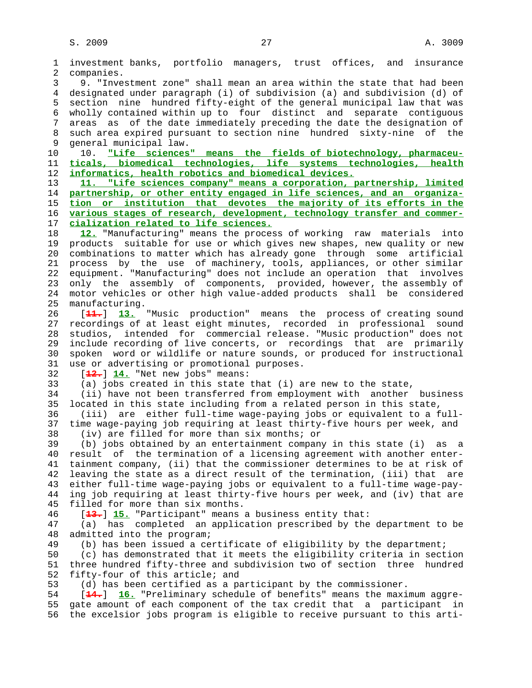1 investment banks, portfolio managers, trust offices, and insurance 2 companies. 3 9. "Investment zone" shall mean an area within the state that had been 4 designated under paragraph (i) of subdivision (a) and subdivision (d) of 5 section nine hundred fifty-eight of the general municipal law that was 6 wholly contained within up to four distinct and separate contiguous 7 areas as of the date immediately preceding the date the designation of 8 such area expired pursuant to section nine hundred sixty-nine of the 9 general municipal law. 10 10. **"Life sciences" means the fields of biotechnology, pharmaceu-** 11 **ticals, biomedical technologies, life systems technologies, health** 12 **informatics, health robotics and biomedical devices.** 13 **11. "Life sciences company" means a corporation, partnership, limited** 14 **partnership, or other entity engaged in life sciences, and an organiza-** 15 **tion or institution that devotes the majority of its efforts in the** 16 **various stages of research, development, technology transfer and commer-** 17 **cialization related to life sciences.** 18 **12.** "Manufacturing" means the process of working raw materials into 19 products suitable for use or which gives new shapes, new quality or new 20 combinations to matter which has already gone through some artificial 21 process by the use of machinery, tools, appliances, or other similar 22 equipment. "Manufacturing" does not include an operation that involves 23 only the assembly of components, provided, however, the assembly of 24 motor vehicles or other high value-added products shall be considered 25 manufacturing. 26 [**11.**] **13.** "Music production" means the process of creating sound 27 recordings of at least eight minutes, recorded in professional sound 28 studios, intended for commercial release. "Music production" does not 29 include recording of live concerts, or recordings that are primarily 30 spoken word or wildlife or nature sounds, or produced for instructional 31 use or advertising or promotional purposes. 32 [**12.**] **14.** "Net new jobs" means: 33 (a) jobs created in this state that (i) are new to the state, 34 (ii) have not been transferred from employment with another business 35 located in this state including from a related person in this state, 36 (iii) are either full-time wage-paying jobs or equivalent to a full- 37 time wage-paying job requiring at least thirty-five hours per week, and 38 (iv) are filled for more than six months; or 39 (b) jobs obtained by an entertainment company in this state (i) as a 40 result of the termination of a licensing agreement with another enter- 41 tainment company, (ii) that the commissioner determines to be at risk of 42 leaving the state as a direct result of the termination, (iii) that are 43 either full-time wage-paying jobs or equivalent to a full-time wage-pay- 44 ing job requiring at least thirty-five hours per week, and (iv) that are 45 filled for more than six months. 46 [**13.**] **15.** "Participant" means a business entity that: 47 (a) has completed an application prescribed by the department to be 48 admitted into the program; 49 (b) has been issued a certificate of eligibility by the department; 50 (c) has demonstrated that it meets the eligibility criteria in section 51 three hundred fifty-three and subdivision two of section three hundred 52 fifty-four of this article; and 53 (d) has been certified as a participant by the commissioner. 54 [**14.**] **16.** "Preliminary schedule of benefits" means the maximum aggre- 55 gate amount of each component of the tax credit that a participant in 56 the excelsior jobs program is eligible to receive pursuant to this arti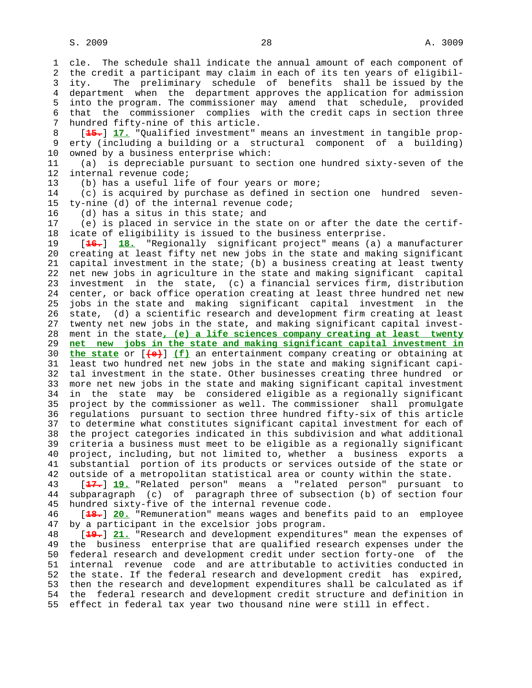1 cle. The schedule shall indicate the annual amount of each component of

 2 the credit a participant may claim in each of its ten years of eligibil- 3 ity. The preliminary schedule of benefits shall be issued by the 4 department when the department approves the application for admission 5 into the program. The commissioner may amend that schedule, provided 6 that the commissioner complies with the credit caps in section three 7 hundred fifty-nine of this article. 8 [**15.**] **17.** "Qualified investment" means an investment in tangible prop erty (including a building or a structural component of a building) 10 owned by a business enterprise which: 11 (a) is depreciable pursuant to section one hundred sixty-seven of the 12 internal revenue code; 13 (b) has a useful life of four years or more; 14 (c) is acquired by purchase as defined in section one hundred seven- 15 ty-nine (d) of the internal revenue code; 16 (d) has a situs in this state; and 17 (e) is placed in service in the state on or after the date the certif- 18 icate of eligibility is issued to the business enterprise. 19 [**16.**] **18.** "Regionally significant project" means (a) a manufacturer 20 creating at least fifty net new jobs in the state and making significant 21 capital investment in the state; (b) a business creating at least twenty 22 net new jobs in agriculture in the state and making significant capital 23 investment in the state, (c) a financial services firm, distribution 24 center, or back office operation creating at least three hundred net new 25 jobs in the state and making significant capital investment in the 26 state, (d) a scientific research and development firm creating at least 27 twenty net new jobs in the state, and making significant capital invest- 28 ment in the state**, (e) a life sciences company creating at least twenty** 29 **net new jobs in the state and making significant capital investment in** 30 **the state** or [**(e)**] **(f)** an entertainment company creating or obtaining at 31 least two hundred net new jobs in the state and making significant capi- 32 tal investment in the state. Other businesses creating three hundred or 33 more net new jobs in the state and making significant capital investment 34 in the state may be considered eligible as a regionally significant 35 project by the commissioner as well. The commissioner shall promulgate 36 regulations pursuant to section three hundred fifty-six of this article 37 to determine what constitutes significant capital investment for each of 38 the project categories indicated in this subdivision and what additional 39 criteria a business must meet to be eligible as a regionally significant 40 project, including, but not limited to, whether a business exports a 41 substantial portion of its products or services outside of the state or 42 outside of a metropolitan statistical area or county within the state. 43 [**17.**] **19.** "Related person" means a "related person" pursuant to 44 subparagraph (c) of paragraph three of subsection (b) of section four 45 hundred sixty-five of the internal revenue code. 46 [**18.**] **20.** "Remuneration" means wages and benefits paid to an employee 47 by a participant in the excelsior jobs program. 48 [**19.**] **21.** "Research and development expenditures" mean the expenses of 49 the business enterprise that are qualified research expenses under the 50 federal research and development credit under section forty-one of the 51 internal revenue code and are attributable to activities conducted in 52 the state. If the federal research and development credit has expired, 53 then the research and development expenditures shall be calculated as if

 54 the federal research and development credit structure and definition in 55 effect in federal tax year two thousand nine were still in effect.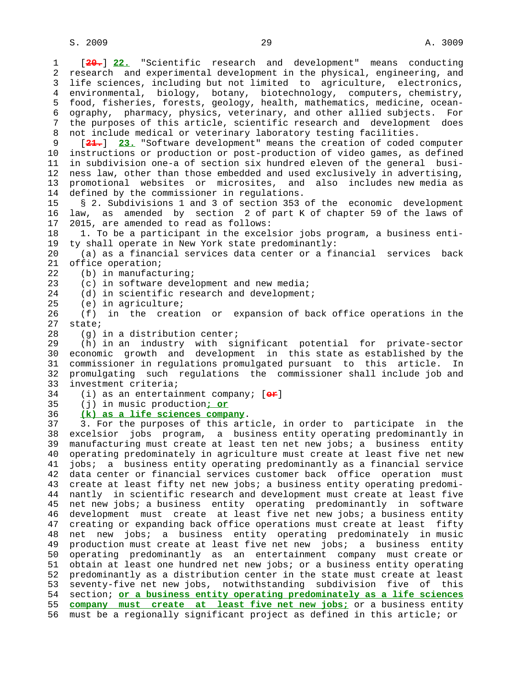1 [**20.**] **22.** "Scientific research and development" means conducting 2 research and experimental development in the physical, engineering, and 3 life sciences, including but not limited to agriculture, electronics, 4 environmental, biology, botany, biotechnology, computers, chemistry, 5 food, fisheries, forests, geology, health, mathematics, medicine, ocean- 6 ography, pharmacy, physics, veterinary, and other allied subjects. For 7 the purposes of this article, scientific research and development does 8 not include medical or veterinary laboratory testing facilities.<br>9 [ $\frac{21}{10}$ ] 23. "Software development" means the creation of coded [21.] 23. "Software development" means the creation of coded computer 10 instructions or production or post-production of video games, as defined 11 in subdivision one-a of section six hundred eleven of the general busi- 12 ness law, other than those embedded and used exclusively in advertising, 13 promotional websites or microsites, and also includes new media as 14 defined by the commissioner in regulations. 15 § 2. Subdivisions 1 and 3 of section 353 of the economic development 16 law, as amended by section 2 of part K of chapter 59 of the laws of 17 2015, are amended to read as follows: 18 1. To be a participant in the excelsior jobs program, a business enti- 19 ty shall operate in New York state predominantly: 20 (a) as a financial services data center or a financial services back 21 office operation; 22 (b) in manufacturing; 23 (c) in software development and new media; 24 (d) in scientific research and development; 25 (e) in agriculture; 26 (f) in the creation or expansion of back office operations in the 27 state; 28 (g) in a distribution center; 29 (h) in an industry with significant potential for private-sector 30 economic growth and development in this state as established by the 31 commissioner in regulations promulgated pursuant to this article. In 32 promulgating such regulations the commissioner shall include job and 33 investment criteria; 34 (i) as an entertainment company; [**or**] 35 (j) in music production**; or** 36 **(k) as a life sciences company**. 37 3. For the purposes of this article, in order to participate in the 38 excelsior jobs program, a business entity operating predominantly in 39 manufacturing must create at least ten net new jobs; a business entity 40 operating predominately in agriculture must create at least five net new 41 jobs; a business entity operating predominantly as a financial service 42 data center or financial services customer back office operation must 43 create at least fifty net new jobs; a business entity operating predomi- 44 nantly in scientific research and development must create at least five 45 net new jobs; a business entity operating predominantly in software 46 development must create at least five net new jobs; a business entity 47 creating or expanding back office operations must create at least fifty 48 net new jobs; a business entity operating predominately in music 49 production must create at least five net new jobs; a business entity 50 operating predominantly as an entertainment company must create or 51 obtain at least one hundred net new jobs; or a business entity operating 52 predominantly as a distribution center in the state must create at least 53 seventy-five net new jobs, notwithstanding subdivision five of this 54 section; **or a business entity operating predominately as a life sciences** 55 **company must create at least five net new jobs;** or a business entity 56 must be a regionally significant project as defined in this article; or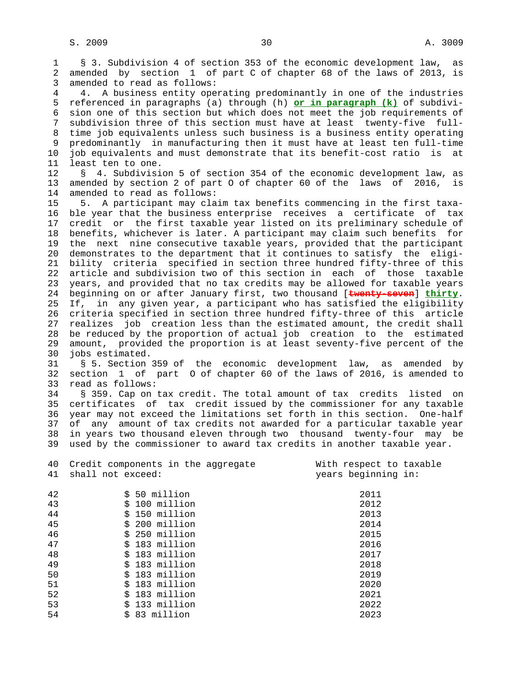1 § 3. Subdivision 4 of section 353 of the economic development law, as 2 amended by section 1 of part C of chapter 68 of the laws of 2013, is 3 amended to read as follows:

 4 4. A business entity operating predominantly in one of the industries 5 referenced in paragraphs (a) through (h) **or in paragraph (k)** of subdivi- 6 sion one of this section but which does not meet the job requirements of 7 subdivision three of this section must have at least twenty-five full- 8 time job equivalents unless such business is a business entity operating 9 predominantly in manufacturing then it must have at least ten full-time 10 job equivalents and must demonstrate that its benefit-cost ratio is at 11 least ten to one.

 12 § 4. Subdivision 5 of section 354 of the economic development law, as 13 amended by section 2 of part O of chapter 60 of the laws of 2016, is 14 amended to read as follows:

 15 5. A participant may claim tax benefits commencing in the first taxa- 16 ble year that the business enterprise receives a certificate of tax 17 credit or the first taxable year listed on its preliminary schedule of 18 benefits, whichever is later. A participant may claim such benefits for 19 the next nine consecutive taxable years, provided that the participant 20 demonstrates to the department that it continues to satisfy the eligi- 21 bility criteria specified in section three hundred fifty-three of this 22 article and subdivision two of this section in each of those taxable 23 years, and provided that no tax credits may be allowed for taxable years 24 beginning on or after January first, two thousand [**twenty-seven**] **thirty**. 25 If, in any given year, a participant who has satisfied the eligibility 26 criteria specified in section three hundred fifty-three of this article 27 realizes job creation less than the estimated amount, the credit shall 28 be reduced by the proportion of actual job creation to the estimated 29 amount, provided the proportion is at least seventy-five percent of the 30 jobs estimated.

 31 § 5. Section 359 of the economic development law, as amended by 32 section 1 of part O of chapter 60 of the laws of 2016, is amended to 33 read as follows:

 34 § 359. Cap on tax credit. The total amount of tax credits listed on 35 certificates of tax credit issued by the commissioner for any taxable 36 year may not exceed the limitations set forth in this section. One-half 37 of any amount of tax credits not awarded for a particular taxable year 38 in years two thousand eleven through two thousand twenty-four may be 39 used by the commissioner to award tax credits in another taxable year.

| 40<br>41 | Credit components in the aggregate<br>shall not exceed: | With respect to taxable<br>years beginning in: |
|----------|---------------------------------------------------------|------------------------------------------------|
| 42       | \$ 50 million                                           | 2011                                           |
| 43       | \$ 100 million                                          | 2012                                           |
| 44       | \$ 150 million                                          | 2013                                           |
| 45       | \$ 200 million                                          | 2014                                           |
| 46       | \$ 250 million                                          | 2015                                           |
| 47       | \$ 183 million                                          | 2016                                           |
| 48       | \$ 183 million                                          | 2017                                           |
| 49       | \$ 183 million                                          | 2018                                           |
| 50       | \$ 183 million                                          | 2019                                           |
| 51       | \$ 183 million                                          | 2020                                           |
| 52       | 183 million<br>Ŝ.                                       | 2021                                           |
| 53       | \$ 133 million                                          | 2022                                           |
| 54       | 83 million<br>Ŝ.                                        | 2023                                           |
|          |                                                         |                                                |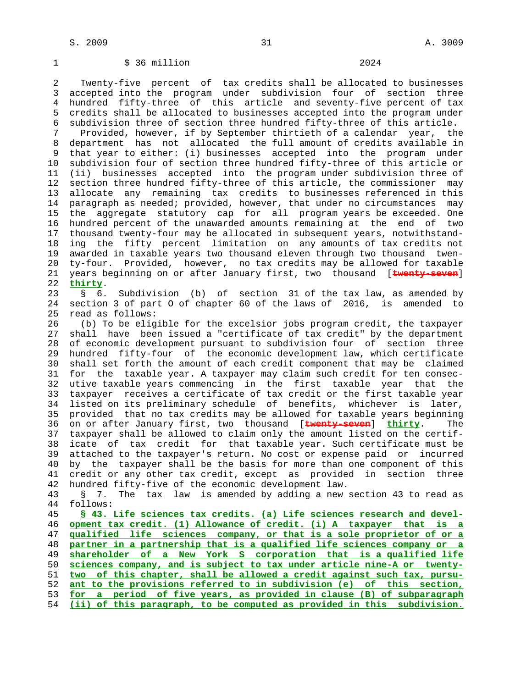## 1 \$ 36 million 2024

 2 Twenty-five percent of tax credits shall be allocated to businesses 3 accepted into the program under subdivision four of section three 4 hundred fifty-three of this article and seventy-five percent of tax 5 credits shall be allocated to businesses accepted into the program under 6 subdivision three of section three hundred fifty-three of this article.

 7 Provided, however, if by September thirtieth of a calendar year, the department has not allocated the full amount of credits available in 9 that year to either: (i) businesses accepted into the program under 10 subdivision four of section three hundred fifty-three of this article or 11 (ii) businesses accepted into the program under subdivision three of 12 section three hundred fifty-three of this article, the commissioner may 13 allocate any remaining tax credits to businesses referenced in this 14 paragraph as needed; provided, however, that under no circumstances may 15 the aggregate statutory cap for all program years be exceeded. One 16 hundred percent of the unawarded amounts remaining at the end of two 17 thousand twenty-four may be allocated in subsequent years, notwithstand- 18 ing the fifty percent limitation on any amounts of tax credits not 19 awarded in taxable years two thousand eleven through two thousand twen- 20 ty-four. Provided, however, no tax credits may be allowed for taxable 21 years beginning on or after January first, two thousand [**twenty-seven**] 22 **thirty**.

 23 § 6. Subdivision (b) of section 31 of the tax law, as amended by 24 section 3 of part O of chapter 60 of the laws of 2016, is amended to 25 read as follows:

 26 (b) To be eligible for the excelsior jobs program credit, the taxpayer 27 shall have been issued a "certificate of tax credit" by the department 28 of economic development pursuant to subdivision four of section three 29 hundred fifty-four of the economic development law, which certificate 30 shall set forth the amount of each credit component that may be claimed 31 for the taxable year. A taxpayer may claim such credit for ten consec- 32 utive taxable years commencing in the first taxable year that the 33 taxpayer receives a certificate of tax credit or the first taxable year 34 listed on its preliminary schedule of benefits, whichever is later, 35 provided that no tax credits may be allowed for taxable years beginning 36 on or after January first, two thousand [**twenty-seven**] **thirty**. The 37 taxpayer shall be allowed to claim only the amount listed on the certif- 38 icate of tax credit for that taxable year. Such certificate must be 39 attached to the taxpayer's return. No cost or expense paid or incurred 40 by the taxpayer shall be the basis for more than one component of this 41 credit or any other tax credit, except as provided in section three 42 hundred fifty-five of the economic development law.

 43 § 7. The tax law is amended by adding a new section 43 to read as 44 follows:

**§ 43. Life sciences tax credits. (a) Life sciences research and devel- opment tax credit. (1) Allowance of credit. (i) A taxpayer that is a qualified life sciences company, or that is a sole proprietor of or a partner in a partnership that is a qualified life sciences company or a shareholder of a New York S corporation that is a qualified life sciences company, and is subject to tax under article nine-A or twenty- two of this chapter, shall be allowed a credit against such tax, pursu- ant to the provisions referred to in subdivision (e) of this section, for a period of five years, as provided in clause (B) of subparagraph (ii) of this paragraph, to be computed as provided in this subdivision.**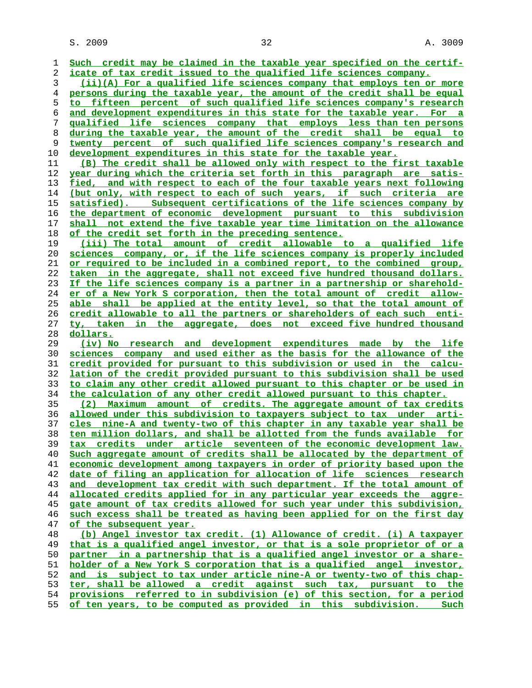$S. 2009$  and  $32$  and  $32$  and  $32$  and  $3009$ 

**Such credit may be claimed in the taxable year specified on the certif- icate of tax credit issued to the qualified life sciences company. (ii)(A) For a qualified life sciences company that employs ten or more persons during the taxable year, the amount of the credit shall be equal to fifteen percent of such qualified life sciences company's research and development expenditures in this state for the taxable year. For a qualified life sciences company that employs less than ten persons during the taxable year, the amount of the credit shall be equal to twenty percent of such qualified life sciences company's research and development expenditures in this state for the taxable year. (B) The credit shall be allowed only with respect to the first taxable year during which the criteria set forth in this paragraph are satis- fied, and with respect to each of the four taxable years next following (but only, with respect to each of such years, if such criteria are satisfied). Subsequent certifications of the life sciences company by the department of economic development pursuant to this subdivision shall not extend the five taxable year time limitation on the allowance of the credit set forth in the preceding sentence. (iii) The total amount of credit allowable to a qualified life sciences company, or, if the life sciences company is properly included or required to be included in a combined report, to the combined group, taken in the aggregate, shall not exceed five hundred thousand dollars. If the life sciences company is a partner in a partnership or sharehold- er of a New York S corporation, then the total amount of credit allow- able shall be applied at the entity level, so that the total amount of credit allowable to all the partners or shareholders of each such enti- ty, taken in the aggregate, does not exceed five hundred thousand dollars. (iv) No research and development expenditures made by the life sciences company and used either as the basis for the allowance of the credit provided for pursuant to this subdivision or used in the calcu- lation of the credit provided pursuant to this subdivision shall be used to claim any other credit allowed pursuant to this chapter or be used in the calculation of any other credit allowed pursuant to this chapter. (2) Maximum amount of credits. The aggregate amount of tax credits allowed under this subdivision to taxpayers subject to tax under arti- cles nine-A and twenty-two of this chapter in any taxable year shall be ten million dollars, and shall be allotted from the funds available for tax credits under article seventeen of the economic development law. Such aggregate amount of credits shall be allocated by the department of economic development among taxpayers in order of priority based upon the date of filing an application for allocation of life sciences research and development tax credit with such department. If the total amount of allocated credits applied for in any particular year exceeds the aggre- gate amount of tax credits allowed for such year under this subdivision, such excess shall be treated as having been applied for on the first day of the subsequent year. (b) Angel investor tax credit. (1) Allowance of credit. (i) A taxpayer that is a qualified angel investor, or that is a sole proprietor of or a partner in a partnership that is a qualified angel investor or a share- holder of a New York S corporation that is a qualified angel investor, and is subject to tax under article nine-A or twenty-two of this chap- ter, shall be allowed a credit against such tax, pursuant to the provisions referred to in subdivision (e) of this section, for a period**

**of ten years, to be computed as provided in this subdivision. Such**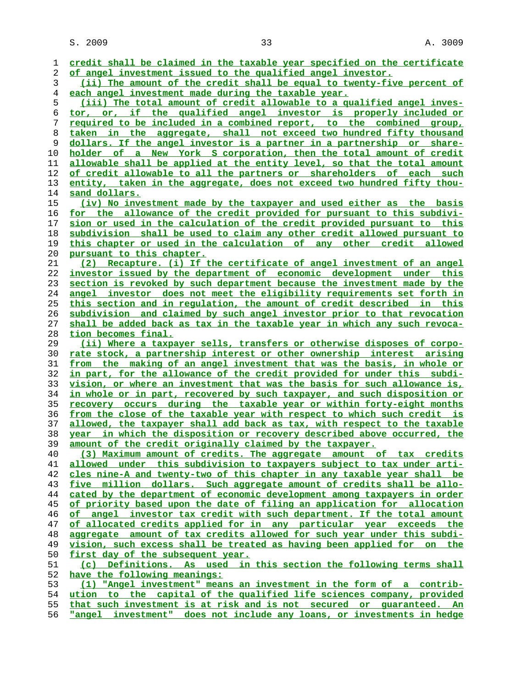S. 2009 2009 23 33

| 1  | credit shall be claimed in the taxable year specified on the certificate      |
|----|-------------------------------------------------------------------------------|
| 2  | of angel investment issued to the qualified angel investor.                   |
| 3  | (ii) The amount of the credit shall be equal to twenty-five percent of        |
| 4  | each angel investment made during the taxable year.                           |
| 5  | (iii) The total amount of credit allowable to a qualified angel inves-        |
| 6  | tor, or, if the qualified angel investor is properly included or              |
| 7  | required to be included in a combined report, to the combined group,          |
| 8  | taken in the aggregate, shall not exceed two hundred fifty thousand           |
| 9  | <u>dollars. If the angel investor is a partner in a partnership or share-</u> |
| 10 | holder of a New York S corporation, then the total amount of credit           |
|    | allowable shall be applied at the entity level, so that the total amount      |
| 11 |                                                                               |
| 12 | of credit allowable to all the partners or shareholders of each such          |
| 13 | entity, taken in the aggregate, does not exceed two hundred fifty thou-       |
| 14 | sand dollars.                                                                 |
| 15 | (iv) No investment made by the taxpayer and used either as the basis          |
| 16 | for the allowance of the credit provided for pursuant to this subdivi-        |
| 17 | sion or used in the calculation of the credit provided pursuant to this       |
| 18 | subdivision shall be used to claim any other credit allowed pursuant to       |
| 19 | this chapter or used in the calculation of any other credit allowed           |
| 20 | pursuant to this chapter.                                                     |
| 21 | (2) Recapture. (i) If the certificate of angel investment of an angel         |
| 22 | investor issued by the department of economic development under this          |
| 23 | section is revoked by such department because the investment made by the      |
| 24 | <u>angel investor does not meet the eligibility requirements set forth in</u> |
| 25 | this section and in regulation, the amount of credit described in this        |
| 26 | subdivision and claimed by such angel investor prior to that revocation       |
| 27 | shall be added back as tax in the taxable year in which any such revoca-      |
| 28 | tion becomes final.                                                           |
| 29 | (ii) Where a taxpayer sells, transfers or otherwise disposes of corpo-        |
| 30 | rate stock, a partnership interest or other ownership interest arising        |
| 31 | <u>from the making of an angel investment that was the basis, in whole or</u> |
| 32 | in part, for the allowance of the credit provided for under this subdi-       |
| 33 | vision, or where an investment that was the basis for such allowance is,      |
|    | in whole or in part, recovered by such taxpayer, and such disposition or      |
| 34 |                                                                               |
| 35 | <u>recovery occurs during the taxable year or within forty-eight months</u>   |
| 36 | from the close of the taxable year with respect to which such credit is       |
| 37 | allowed, the taxpayer shall add back as tax, with respect to the taxable      |
| 38 | year in which the disposition or recovery described above occurred, the       |
| 39 | amount of the credit originally claimed by the taxpayer.                      |
| 40 | (3) Maximum amount of credits. The aggregate amount of tax credits            |
| 41 | allowed under this subdivision to taxpayers subject to tax under arti-        |
| 42 | cles nine-A and twenty-two of this chapter in any taxable year shall be       |
| 43 | five million dollars. Such aggregate amount of credits shall be allo-         |
| 44 | cated by the department of economic development among taxpayers in order      |
| 45 | of priority based upon the date of filing an application for allocation       |
| 46 | of angel investor tax credit with such department. If the total amount        |
| 47 | of allocated credits applied for in any particular year exceeds the           |
| 48 | aggregate amount of tax credits allowed for such year under this subdi-       |
| 49 | vision, such excess shall be treated as having been applied for on the        |
| 50 | first day of the subsequent year.                                             |
| 51 | (c) Definitions. As used in this section the following terms shall            |
| 52 | have the following meanings:                                                  |
| 53 | (1) "Angel investment" means an investment in the form of a contrib-          |
| 54 | ution to the capital of the qualified life sciences company, provided         |
| 55 | that such investment is at risk and is not secured or quaranteed. An          |
| 56 | "angel investment" does not include any loans, or investments in hedge        |
|    |                                                                               |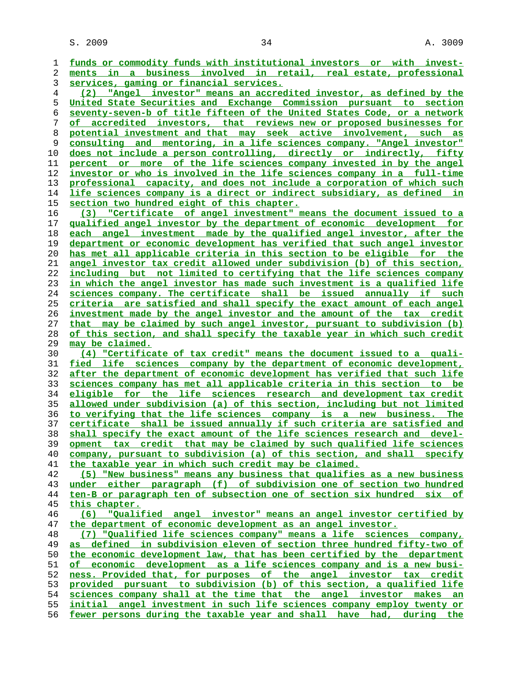$S. 2009$  and  $34$  and  $34$  and  $34$  and  $3009$ 

**funds or commodity funds with institutional investors or with invest- ments in a business involved in retail, real estate, professional services, gaming or financial services. (2) "Angel investor" means an accredited investor, as defined by the United State Securities and Exchange Commission pursuant to section seventy-seven-b of title fifteen of the United States Code, or a network of accredited investors, that reviews new or proposed businesses for potential investment and that may seek active involvement, such as consulting and mentoring, in a life sciences company. "Angel investor" does not include a person controlling, directly or indirectly, fifty percent or more of the life sciences company invested in by the angel investor or who is involved in the life sciences company in a full-time professional capacity, and does not include a corporation of which such life sciences company is a direct or indirect subsidiary, as defined in section two hundred eight of this chapter. (3) "Certificate of angel investment" means the document issued to a qualified angel investor by the department of economic development for each angel investment made by the qualified angel investor, after the department or economic development has verified that such angel investor has met all applicable criteria in this section to be eligible for the angel investor tax credit allowed under subdivision (b) of this section, including but not limited to certifying that the life sciences company in which the angel investor has made such investment is a qualified life sciences company. The certificate shall be issued annually if such criteria are satisfied and shall specify the exact amount of each angel investment made by the angel investor and the amount of the tax credit that may be claimed by such angel investor, pursuant to subdivision (b) of this section, and shall specify the taxable year in which such credit may be claimed. (4) "Certificate of tax credit" means the document issued to a quali- fied life sciences company by the department of economic development, after the department of economic development has verified that such life sciences company has met all applicable criteria in this section to be eligible for the life sciences research and development tax credit allowed under subdivision (a) of this section, including but not limited to verifying that the life sciences company is a new business. The certificate shall be issued annually if such criteria are satisfied and shall specify the exact amount of the life sciences research and devel- opment tax credit that may be claimed by such qualified life sciences company, pursuant to subdivision (a) of this section, and shall specify the taxable year in which such credit may be claimed. (5) "New business" means any business that qualifies as a new business under either paragraph (f) of subdivision one of section two hundred ten-B or paragraph ten of subsection one of section six hundred six of this chapter. (6) "Qualified angel investor" means an angel investor certified by the department of economic development as an angel investor. (7) "Qualified life sciences company" means a life sciences company, as defined in subdivision eleven of section three hundred fifty-two of the economic development law, that has been certified by the department of economic development as a life sciences company and is a new busi- ness. Provided that, for purposes of the angel investor tax credit provided pursuant to subdivision (b) of this section, a qualified life sciences company shall at the time that the angel investor makes an initial angel investment in such life sciences company employ twenty or fewer persons during the taxable year and shall have had, during the**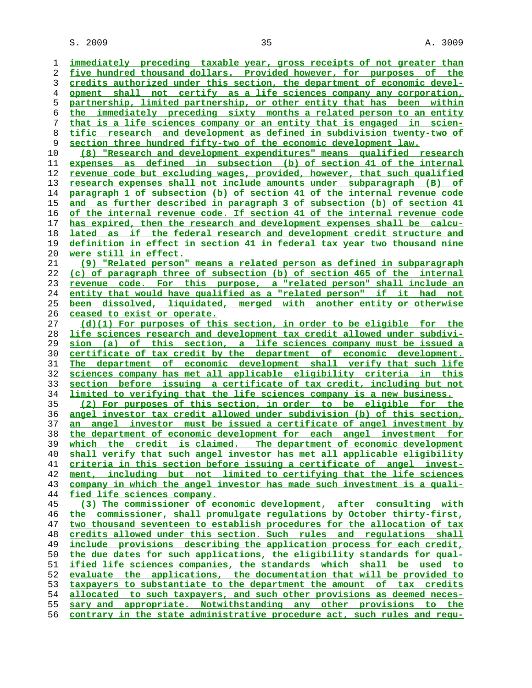**immediately preceding taxable year, gross receipts of not greater than five hundred thousand dollars. Provided however, for purposes of the credits authorized under this section, the department of economic devel- opment shall not certify as a life sciences company any corporation, partnership, limited partnership, or other entity that has been within the immediately preceding sixty months a related person to an entity that is a life sciences company or an entity that is engaged in scien- tific research and development as defined in subdivision twenty-two of section three hundred fifty-two of the economic development law. (8) "Research and development expenditures" means qualified research expenses as defined in subsection (b) of section 41 of the internal revenue code but excluding wages, provided, however, that such qualified research expenses shall not include amounts under subparagraph (B) of paragraph 1 of subsection (b) of section 41 of the internal revenue code and as further described in paragraph 3 of subsection (b) of section 41 of the internal revenue code. If section 41 of the internal revenue code has expired, then the research and development expenses shall be calcu- lated as if the federal research and development credit structure and definition in effect in section 41 in federal tax year two thousand nine were still in effect. (9) "Related person" means a related person as defined in subparagraph (c) of paragraph three of subsection (b) of section 465 of the internal revenue code. For this purpose, a "related person" shall include an entity that would have qualified as a "related person" if it had not been dissolved, liquidated, merged with another entity or otherwise ceased to exist or operate. (d)(1) For purposes of this section, in order to be eligible for the life sciences research and development tax credit allowed under subdivi- sion (a) of this section, a life sciences company must be issued a certificate of tax credit by the department of economic development. The department of economic development shall verify that such life sciences company has met all applicable eligibility criteria in this section before issuing a certificate of tax credit, including but not limited to verifying that the life sciences company is a new business. (2) For purposes of this section, in order to be eligible for the angel investor tax credit allowed under subdivision (b) of this section, an angel investor must be issued a certificate of angel investment by the department of economic development for each angel investment for which the credit is claimed. The department of economic development shall verify that such angel investor has met all applicable eligibility criteria in this section before issuing a certificate of angel invest- ment, including but not limited to certifying that the life sciences company in which the angel investor has made such investment is a quali- fied life sciences company. (3) The commissioner of economic development, after consulting with the commissioner, shall promulgate regulations by October thirty-first, two thousand seventeen to establish procedures for the allocation of tax credits allowed under this section. Such rules and regulations shall include provisions describing the application process for each credit, the due dates for such applications, the eligibility standards for qual- ified life sciences companies, the standards which shall be used to evaluate the applications, the documentation that will be provided to taxpayers to substantiate to the department the amount of tax credits allocated to such taxpayers, and such other provisions as deemed neces- sary and appropriate. Notwithstanding any other provisions to the contrary in the state administrative procedure act, such rules and regu-**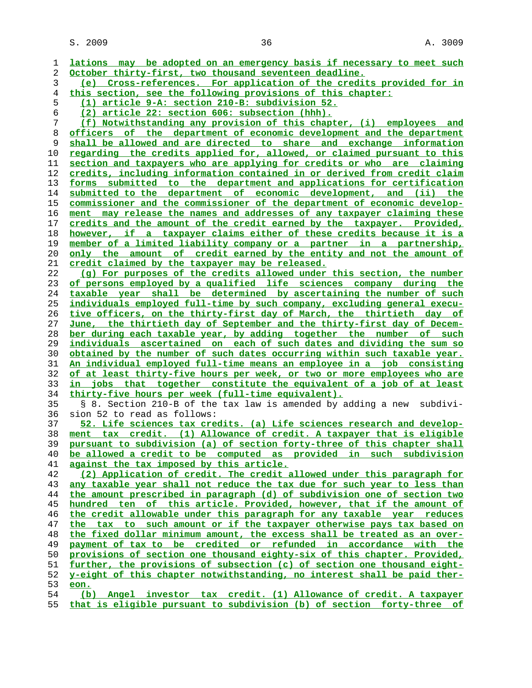$S. 2009$  36  $A. 3009$ 

| 1  | lations may be adopted on an emergency basis if necessary to meet such          |
|----|---------------------------------------------------------------------------------|
| 2  | October thirty-first, two thousand seventeen deadline.                          |
| 3  | (e) Cross-references. For application of the credits provided for in            |
| 4  | this section, see the following provisions of this chapter:                     |
| 5  | (1) article 9-A: section 210-B: subdivision 52.                                 |
| 6  | (2) article 22: section 606: subsection (hhh).                                  |
| 7  | (f) Notwithstanding any provision of this chapter, (i) employees and            |
| 8  | officers of the department of economic development and the department           |
| 9  | shall be allowed and are directed to share and exchange information             |
| 10 | regarding the credits applied for, allowed, or claimed pursuant to this         |
| 11 | section and taxpayers who are applying for credits or who are claiming          |
| 12 | credits, including information contained in or derived from credit claim        |
| 13 | forms submitted to the department and applications for certification            |
| 14 | submitted to the department of economic development, and (ii) the               |
| 15 | <u>commissioner and the commissioner of the department of economic develop-</u> |
| 16 | ment may release the names and addresses of any taxpayer claiming these         |
| 17 | credits and the amount of the credit earned by the taxpayer. Provided,          |
| 18 | however, if a taxpayer claims either of these credits because it is a           |
| 19 | member of a limited liability company or a partner in a partnership,            |
| 20 | only the amount of credit earned by the entity and not the amount of            |
| 21 | credit claimed by the taxpayer may be released.                                 |
| 22 | (q) For purposes of the credits allowed under this section, the number          |
| 23 | of persons employed by a qualified life sciences company during the             |
| 24 | taxable year shall be determined by ascertaining the number of such             |
| 25 | individuals employed full-time by such company, excluding general execu-        |
| 26 | tive officers, on the thirty-first day of March, the thirtieth day of           |
| 27 | June, the thirtieth day of September and the thirty-first day of Decem-         |
| 28 | ber during each taxable year, by adding together the number of such             |
| 29 | individuals ascertained on each of such dates and dividing the sum so           |
| 30 | obtained by the number of such dates occurring within such taxable year.        |
| 31 | An individual employed full-time means an employee in a job consisting          |
| 32 | of at least thirty-five hours per week, or two or more employees who are        |
| 33 | in jobs that together constitute the equivalent of a job of at least            |
| 34 | thirty-five hours per week (full-time equivalent).                              |
| 35 | § 8. Section 210-B of the tax law is amended by adding a new subdivi-           |
| 36 | sion 52 to read as follows:                                                     |
| 37 | 52. Life sciences tax credits. (a) Life sciences research and develop-          |
| 38 | ment tax credit. (1) Allowance of credit. A taxpayer that is eligible           |
| 39 | pursuant to subdivision (a) of section forty-three of this chapter shall        |
| 40 | be allowed a credit to be computed as provided in such subdivision              |
| 41 | against the tax imposed by this article.                                        |
| 42 | (2) Application of credit. The credit allowed under this paragraph for          |
| 43 | any taxable year shall not reduce the tax due for such year to less than        |
| 44 | the amount prescribed in paragraph (d) of subdivision one of section two        |
| 45 | hundred ten of this article. Provided, however, that if the amount of           |
| 46 | the credit allowable under this paragraph for any taxable year reduces          |
| 47 | the tax to such amount or if the taxpayer otherwise pays tax based on           |
| 48 | the fixed dollar minimum amount, the excess shall be treated as an over-        |
| 49 | payment of tax to be credited or refunded in accordance with the                |
| 50 | provisions of section one thousand eighty-six of this chapter. Provided,        |
| 51 | further, the provisions of subsection (c) of section one thousand eight-        |
| 52 | y-eight of this chapter notwithstanding, no interest shall be paid ther-        |
| 53 | eon.                                                                            |
| 54 | (b) Angel investor tax credit. (1) Allowance of credit. A taxpayer              |
|    |                                                                                 |

**that is eligible pursuant to subdivision (b) of section forty-three of**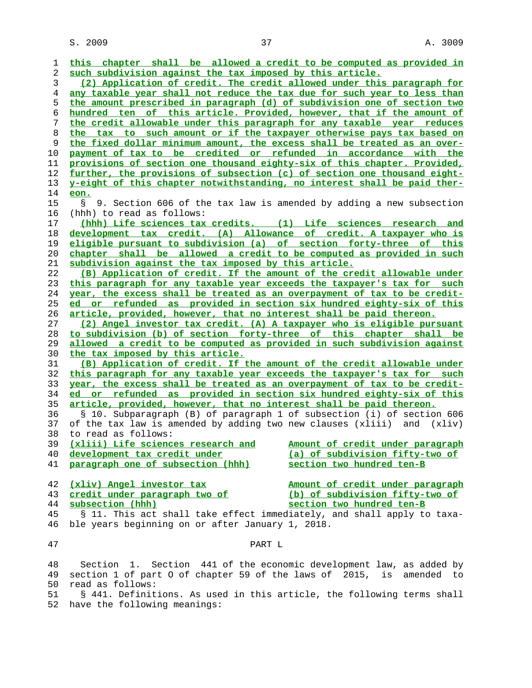$S. 2009$  and  $37$  and  $37$  and  $3009$ 

| ı  | this chapter shall be allowed a credit to be computed as provided in     |
|----|--------------------------------------------------------------------------|
| 2  | such subdivision against the tax imposed by this article.                |
| 3  | (2) Application of credit. The credit allowed under this paragraph for   |
| 4  | any taxable year shall not reduce the tax due for such year to less than |
| 5  | the amount prescribed in paragraph (d) of subdivision one of section two |
| 6  | hundred ten of this article. Provided, however, that if the amount of    |
| 7  | the credit allowable under this paragraph for any taxable year reduces   |
| 8  | the tax to such amount or if the taxpayer otherwise pays tax based on    |
| 9  | the fixed dollar minimum amount, the excess shall be treated as an over- |
| 10 | payment of tax to be credited or refunded in accordance with the         |
| 11 | provisions of section one thousand eighty-six of this chapter. Provided, |
| 12 | further, the provisions of subsection (c) of section one thousand eight- |
| 13 | y-eight of this chapter notwithstanding, no interest shall be paid ther- |
| 14 | eon.                                                                     |
| 15 | 9. Section 606 of the tax law is amended by adding a new subsection<br>S |
| 16 | (hhh) to read as follows:                                                |
| 17 | (hhh) Life sciences tax credits. (1) Life sciences research and          |
| 18 | development tax credit. (A) Allowance of credit. A taxpayer who is       |
| 19 | eligible pursuant to subdivision (a) of section forty-three of this      |
| 20 | chapter shall be allowed a credit to be computed as provided in such     |
| 21 | subdivision against the tax imposed by this article.                     |
| 22 | (B) Application of credit. If the amount of the credit allowable under   |
| 23 | this paragraph for any taxable year exceeds the taxpayer's tax for such  |
| 24 | year, the excess shall be treated as an overpayment of tax to be credit- |
| 25 | ed or refunded as provided in section six hundred eighty-six of this     |
| 26 | article, provided, however, that no interest shall be paid thereon.      |
| 27 | (2) Angel investor tax credit. (A) A taxpayer who is eligible pursuant   |
| 28 | to subdivision (b) of section forty-three of this chapter shall be       |
| 29 | allowed a credit to be computed as provided in such subdivision against  |
| 30 | the tax imposed by this article.                                         |
| 31 | (B) Application of credit. If the amount of the credit allowable under   |
| 32 | this paragraph for any taxable year exceeds the taxpayer's tax for such  |
| 33 | year, the excess shall be treated as an overpayment of tax to be credit- |
| 34 | ed or refunded as provided in section six hundred eighty-six of this     |
| 35 | article, provided, however, that no interest shall be paid thereon.      |
| 36 | § 10. Subparagraph (B) of paragraph 1 of subsection (i) of section 606   |
| 37 | of the tax law is amended by adding two new clauses (xliii) and (xliv)   |
| 38 | to read as follows:                                                      |
| 39 | (xliii) Life sciences research and Mmount of credit under paragraph      |
| 40 | development tax credit under<br>(a) of subdivision fifty-two of          |
| 41 | paragraph one of subsection (hhh)<br>section two hundred ten-B           |
|    |                                                                          |
| 42 | (xliv) Angel investor tax<br>Amount of credit under paragraph            |
| 43 | credit under paragraph two of<br>(b) of subdivision fifty-two of         |
| 44 | subsection (hhh)<br>section two hundred ten-B                            |
| 45 | § 11. This act shall take effect immediately, and shall apply to taxa-   |
| 46 | ble years beginning on or after January 1, 2018.                         |
|    |                                                                          |
| 47 | PART L                                                                   |
| 48 | Section 1. Section 441 of the economic development law, as added by      |
| 49 | section 1 of part 0 of chapter 59 of the laws of 2015, is amended to     |
| 50 | read as follows:                                                         |
|    | $\sim + \frac{1}{2} \times 1 \times 1$<br>$D - 5$                        |

 51 § 441. Definitions. As used in this article, the following terms shall 52 have the following meanings: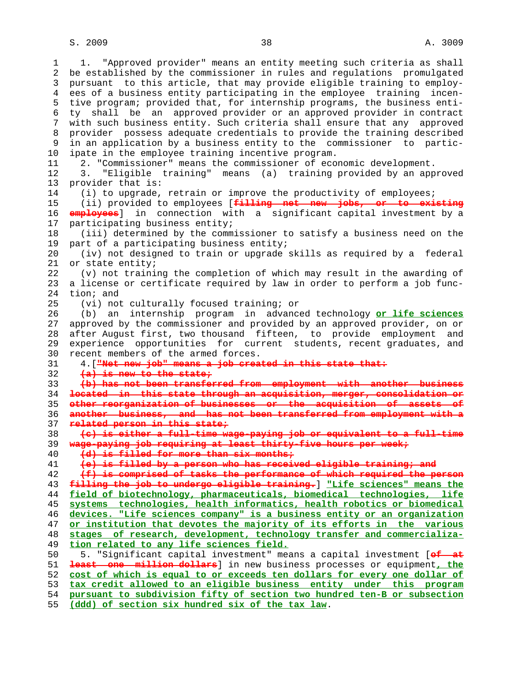$S. 2009$  and  $38$  and  $3009$  and  $3009$ 

 1 1. "Approved provider" means an entity meeting such criteria as shall 2 be established by the commissioner in rules and regulations promulgated 3 pursuant to this article, that may provide eligible training to employ- 4 ees of a business entity participating in the employee training incen- 5 tive program; provided that, for internship programs, the business enti- 6 ty shall be an approved provider or an approved provider in contract 7 with such business entity. Such criteria shall ensure that any approved 8 provider possess adequate credentials to provide the training described 9 in an application by a business entity to the commissioner to partic- 10 ipate in the employee training incentive program. 11 2. "Commissioner" means the commissioner of economic development. 12 3. "Eligible training" means (a) training provided by an approved 13 provider that is: 14 (i) to upgrade, retrain or improve the productivity of employees; 15 (ii) provided to employees [**filling net new jobs, or to existing** 16 **employees**] in connection with a significant capital investment by a 17 participating business entity; 18 (iii) determined by the commissioner to satisfy a business need on the 19 part of a participating business entity; 20 (iv) not designed to train or upgrade skills as required by a federal 21 or state entity; 22 (v) not training the completion of which may result in the awarding of 23 a license or certificate required by law in order to perform a job func- 24 tion; and 25 (vi) not culturally focused training; or 26 (b) an internship program in advanced technology **or life sciences** 27 approved by the commissioner and provided by an approved provider, on or 28 after August first, two thousand fifteen, to provide employment and 29 experience opportunities for current students, recent graduates, and 30 recent members of the armed forces. 31 4.[**"Net new job" means a job created in this state that:** 32 **(a) is new to the state;** 33 **(b) has not been transferred from employment with another business** 34 **located in this state through an acquisition, merger, consolidation or** 35 **other reorganization of businesses or the acquisition of assets of** 36 **another business, and has not been transferred from employment with a** 37 **related person in this state;** 38 **(c) is either a full-time wage-paying job or equivalent to a full-time** 39 **wage-paying job requiring at least thirty-five hours per week;** 40 **(d) is filled for more than six months;** 41 **(e) is filled by a person who has received eligible training; and** 42 **(f) is comprised of tasks the performance of which required the person** 43 **filling the job to undergo eligible training.**] **"Life sciences" means the** 44 **field of biotechnology, pharmaceuticals, biomedical technologies, life** 45 **systems technologies, health informatics, health robotics or biomedical** 46 **devices. "Life sciences company" is a business entity or an organization** 47 **or institution that devotes the majority of its efforts in the various** 48 **stages of research, development, technology transfer and commercializa-** 49 **tion related to any life sciences field.** 50 5. "Significant capital investment" means a capital investment [**of at** 51 **least one million dollars**] in new business processes or equipment**, the** 52 **cost of which is equal to or exceeds ten dollars for every one dollar of** 53 **tax credit allowed to an eligible business entity under this program** 54 **pursuant to subdivision fifty of section two hundred ten-B or subsection**

55 **(ddd) of section six hundred six of the tax law**.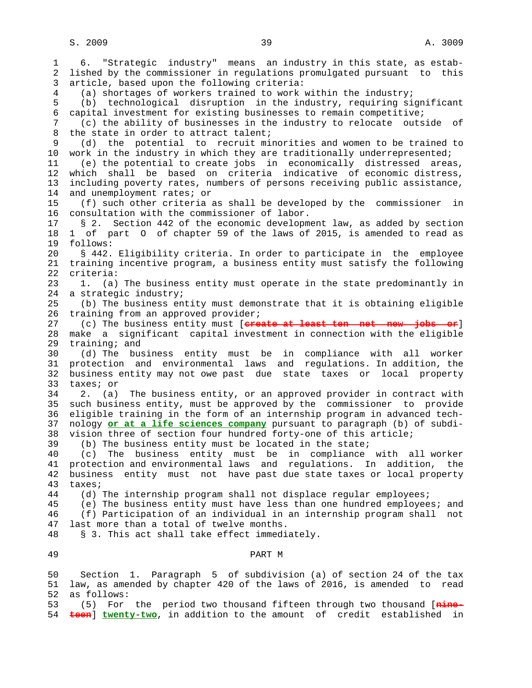1 6. "Strategic industry" means an industry in this state, as estab- 2 lished by the commissioner in regulations promulgated pursuant to this 3 article, based upon the following criteria: 4 (a) shortages of workers trained to work within the industry; 5 (b) technological disruption in the industry, requiring significant 6 capital investment for existing businesses to remain competitive; 7 (c) the ability of businesses in the industry to relocate outside of 8 the state in order to attract talent;<br>9 (d) the potential to recruit mi 9 (d) the potential to recruit minorities and women to be trained to 10 work in the industry in which they are traditionally underrepresented; 11 (e) the potential to create jobs in economically distressed areas, 12 which shall be based on criteria indicative of economic distress, 13 including poverty rates, numbers of persons receiving public assistance, 14 and unemployment rates; or 15 (f) such other criteria as shall be developed by the commissioner in 16 consultation with the commissioner of labor. 17 § 2. Section 442 of the economic development law, as added by section 18 1 of part O of chapter 59 of the laws of 2015, is amended to read as 19 follows: 20 § 442. Eligibility criteria. In order to participate in the employee 21 training incentive program, a business entity must satisfy the following 22 criteria: 23 1. (a) The business entity must operate in the state predominantly in 24 a strategic industry; 25 (b) The business entity must demonstrate that it is obtaining eligible 26 training from an approved provider; 27 (c) The business entity must [**create at least ten net new jobs or**] 28 make a significant capital investment in connection with the eligible 29 training; and 30 (d) The business entity must be in compliance with all worker 31 protection and environmental laws and regulations. In addition, the 32 business entity may not owe past due state taxes or local property 33 taxes; or 34 2. (a) The business entity, or an approved provider in contract with 35 such business entity, must be approved by the commissioner to provide 36 eligible training in the form of an internship program in advanced tech- 37 nology **or at a life sciences company** pursuant to paragraph (b) of subdi- 38 vision three of section four hundred forty-one of this article; 39 (b) The business entity must be located in the state; 40 (c) The business entity must be in compliance with all worker 41 protection and environmental laws and regulations. In addition, the 42 business entity must not have past due state taxes or local property 43 taxes; 44 (d) The internship program shall not displace regular employees; 45 (e) The business entity must have less than one hundred employees; and 46 (f) Participation of an individual in an internship program shall not 47 last more than a total of twelve months. 48 § 3. This act shall take effect immediately. 49 PART M 50 Section 1. Paragraph 5 of subdivision (a) of section 24 of the tax 51 law, as amended by chapter 420 of the laws of 2016, is amended to read 52 as follows:

 53 (5) For the period two thousand fifteen through two thousand [**nine-** 54 **teen**] **twenty-two**, in addition to the amount of credit established in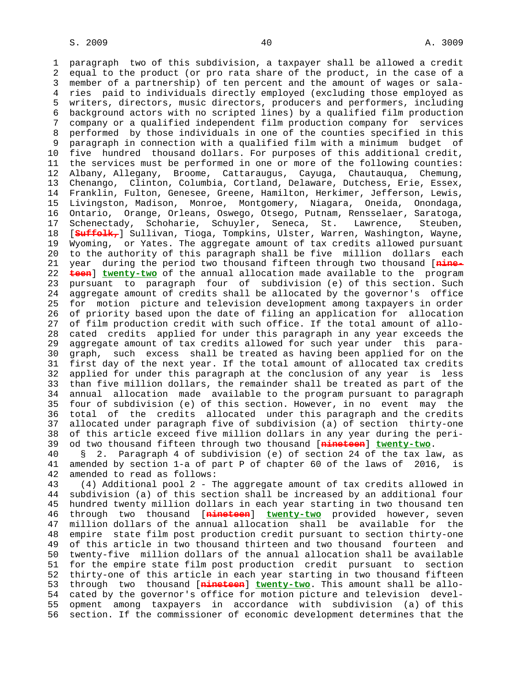1 paragraph two of this subdivision, a taxpayer shall be allowed a credit 2 equal to the product (or pro rata share of the product, in the case of a 3 member of a partnership) of ten percent and the amount of wages or sala- 4 ries paid to individuals directly employed (excluding those employed as 5 writers, directors, music directors, producers and performers, including 6 background actors with no scripted lines) by a qualified film production 7 company or a qualified independent film production company for services 8 performed by those individuals in one of the counties specified in this paragraph in connection with a qualified film with a minimum budget of 10 five hundred thousand dollars. For purposes of this additional credit, 11 the services must be performed in one or more of the following counties: 12 Albany, Allegany, Broome, Cattaraugus, Cayuga, Chautauqua, Chemung, 13 Chenango, Clinton, Columbia, Cortland, Delaware, Dutchess, Erie, Essex, 14 Franklin, Fulton, Genesee, Greene, Hamilton, Herkimer, Jefferson, Lewis, 15 Livingston, Madison, Monroe, Montgomery, Niagara, Oneida, Onondaga, 16 Ontario, Orange, Orleans, Oswego, Otsego, Putnam, Rensselaer, Saratoga, 17 Schenectady, Schoharie, Schuyler, Seneca, St. Lawrence, Steuben, 18 [**Suffolk,**] Sullivan, Tioga, Tompkins, Ulster, Warren, Washington, Wayne, 19 Wyoming, or Yates. The aggregate amount of tax credits allowed pursuant 20 to the authority of this paragraph shall be five million dollars each 21 year during the period two thousand fifteen through two thousand [**nine-** 22 **teen**] **twenty-two** of the annual allocation made available to the program 23 pursuant to paragraph four of subdivision (e) of this section. Such 24 aggregate amount of credits shall be allocated by the governor's office 25 for motion picture and television development among taxpayers in order 26 of priority based upon the date of filing an application for allocation 27 of film production credit with such office. If the total amount of allo- 28 cated credits applied for under this paragraph in any year exceeds the 29 aggregate amount of tax credits allowed for such year under this para- 30 graph, such excess shall be treated as having been applied for on the 31 first day of the next year. If the total amount of allocated tax credits 32 applied for under this paragraph at the conclusion of any year is less 33 than five million dollars, the remainder shall be treated as part of the 34 annual allocation made available to the program pursuant to paragraph 35 four of subdivision (e) of this section. However, in no event may the 36 total of the credits allocated under this paragraph and the credits 37 allocated under paragraph five of subdivision (a) of section thirty-one 38 of this article exceed five million dollars in any year during the peri- 39 od two thousand fifteen through two thousand [**nineteen**] **twenty-two**.

 40 § 2. Paragraph 4 of subdivision (e) of section 24 of the tax law, as 41 amended by section 1-a of part P of chapter 60 of the laws of 2016, is 42 amended to read as follows:

 43 (4) Additional pool 2 - The aggregate amount of tax credits allowed in 44 subdivision (a) of this section shall be increased by an additional four 45 hundred twenty million dollars in each year starting in two thousand ten 46 through two thousand [**nineteen**] **twenty-two** provided however, seven 47 million dollars of the annual allocation shall be available for the 48 empire state film post production credit pursuant to section thirty-one 49 of this article in two thousand thirteen and two thousand fourteen and 50 twenty-five million dollars of the annual allocation shall be available 51 for the empire state film post production credit pursuant to section 52 thirty-one of this article in each year starting in two thousand fifteen 53 through two thousand [**nineteen**] **twenty-two**. This amount shall be allo- 54 cated by the governor's office for motion picture and television devel- 55 opment among taxpayers in accordance with subdivision (a) of this 56 section. If the commissioner of economic development determines that the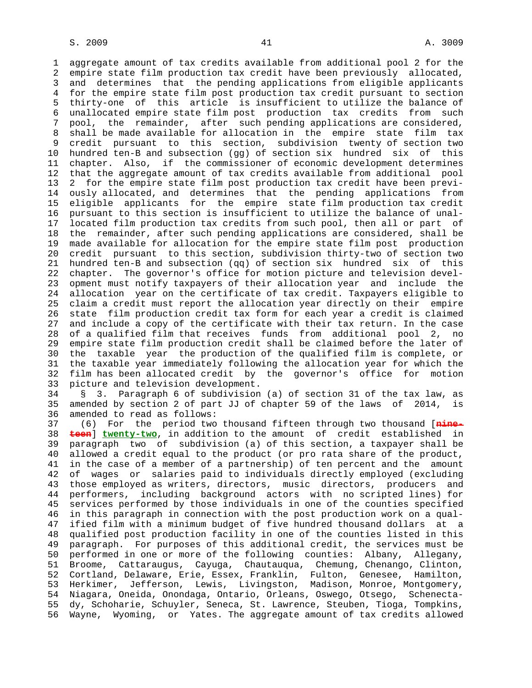1 aggregate amount of tax credits available from additional pool 2 for the 2 empire state film production tax credit have been previously allocated, 3 and determines that the pending applications from eligible applicants 4 for the empire state film post production tax credit pursuant to section 5 thirty-one of this article is insufficient to utilize the balance of 6 unallocated empire state film post production tax credits from such 7 pool, the remainder, after such pending applications are considered, 8 shall be made available for allocation in the empire state film tax 9 credit pursuant to this section, subdivision twenty of section two 10 hundred ten-B and subsection (gg) of section six hundred six of this 11 chapter. Also, if the commissioner of economic development determines 12 that the aggregate amount of tax credits available from additional pool 13 2 for the empire state film post production tax credit have been previ- 14 ously allocated, and determines that the pending applications from 15 eligible applicants for the empire state film production tax credit 16 pursuant to this section is insufficient to utilize the balance of unal- 17 located film production tax credits from such pool, then all or part of 18 the remainder, after such pending applications are considered, shall be 19 made available for allocation for the empire state film post production 20 credit pursuant to this section, subdivision thirty-two of section two 21 hundred ten-B and subsection (qq) of section six hundred six of this 22 chapter. The governor's office for motion picture and television devel- 23 opment must notify taxpayers of their allocation year and include the 24 allocation year on the certificate of tax credit. Taxpayers eligible to 25 claim a credit must report the allocation year directly on their empire 26 state film production credit tax form for each year a credit is claimed 27 and include a copy of the certificate with their tax return. In the case 28 of a qualified film that receives funds from additional pool 2, no 29 empire state film production credit shall be claimed before the later of 30 the taxable year the production of the qualified film is complete, or 31 the taxable year immediately following the allocation year for which the 32 film has been allocated credit by the governor's office for motion 33 picture and television development.

 34 § 3. Paragraph 6 of subdivision (a) of section 31 of the tax law, as 35 amended by section 2 of part JJ of chapter 59 of the laws of 2014, is 36 amended to read as follows:

 37 (6) For the period two thousand fifteen through two thousand [**nine-** 38 **teen**] **twenty-two**, in addition to the amount of credit established in 39 paragraph two of subdivision (a) of this section, a taxpayer shall be 40 allowed a credit equal to the product (or pro rata share of the product, 41 in the case of a member of a partnership) of ten percent and the amount 42 of wages or salaries paid to individuals directly employed (excluding 43 those employed as writers, directors, music directors, producers and 44 performers, including background actors with no scripted lines) for 45 services performed by those individuals in one of the counties specified 46 in this paragraph in connection with the post production work on a qual- 47 ified film with a minimum budget of five hundred thousand dollars at a 48 qualified post production facility in one of the counties listed in this 49 paragraph. For purposes of this additional credit, the services must be 50 performed in one or more of the following counties: Albany, Allegany, 51 Broome, Cattaraugus, Cayuga, Chautauqua, Chemung, Chenango, Clinton, 52 Cortland, Delaware, Erie, Essex, Franklin, Fulton, Genesee, Hamilton, 53 Herkimer, Jefferson, Lewis, Livingston, Madison, Monroe, Montgomery, 54 Niagara, Oneida, Onondaga, Ontario, Orleans, Oswego, Otsego, Schenecta- 55 dy, Schoharie, Schuyler, Seneca, St. Lawrence, Steuben, Tioga, Tompkins, 56 Wayne, Wyoming, or Yates. The aggregate amount of tax credits allowed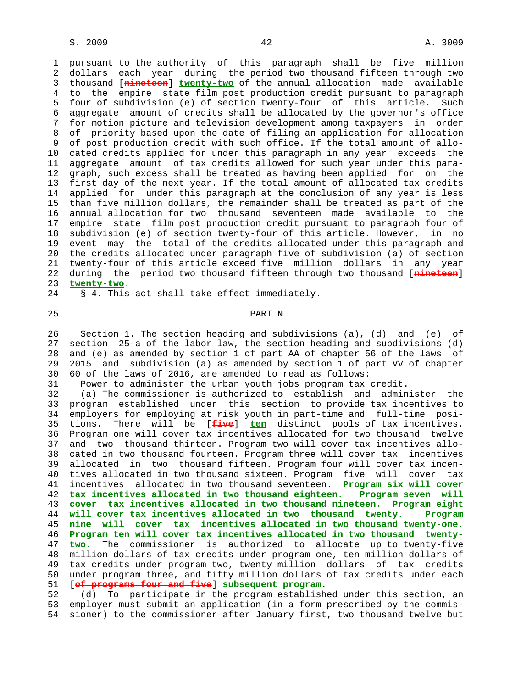1 pursuant to the authority of this paragraph shall be five million 2 dollars each year during the period two thousand fifteen through two 3 thousand [**nineteen**] **twenty-two** of the annual allocation made available 4 to the empire state film post production credit pursuant to paragraph 5 four of subdivision (e) of section twenty-four of this article. Such 6 aggregate amount of credits shall be allocated by the governor's office 7 for motion picture and television development among taxpayers in order 8 of priority based upon the date of filing an application for allocation 9 of post production credit with such office. If the total amount of allo- 10 cated credits applied for under this paragraph in any year exceeds the 11 aggregate amount of tax credits allowed for such year under this para- 12 graph, such excess shall be treated as having been applied for on the 13 first day of the next year. If the total amount of allocated tax credits 14 applied for under this paragraph at the conclusion of any year is less 15 than five million dollars, the remainder shall be treated as part of the 16 annual allocation for two thousand seventeen made available to the 17 empire state film post production credit pursuant to paragraph four of 18 subdivision (e) of section twenty-four of this article. However, in no 19 event may the total of the credits allocated under this paragraph and 20 the credits allocated under paragraph five of subdivision (a) of section 21 twenty-four of this article exceed five million dollars in any year 22 during the period two thousand fifteen through two thousand [**nineteen**] 23 **twenty-two**. 24 § 4. This act shall take effect immediately.

25 PART N

 26 Section 1. The section heading and subdivisions (a), (d) and (e) of 27 section 25-a of the labor law, the section heading and subdivisions (d) 28 and (e) as amended by section 1 of part AA of chapter 56 of the laws of 29 2015 and subdivision (a) as amended by section 1 of part VV of chapter 30 60 of the laws of 2016, are amended to read as follows:

31 Power to administer the urban youth jobs program tax credit.

 32 (a) The commissioner is authorized to establish and administer the 33 program established under this section to provide tax incentives to 34 employers for employing at risk youth in part-time and full-time posi- 35 tions. There will be [**five**] **ten** distinct pools of tax incentives. 36 Program one will cover tax incentives allocated for two thousand twelve 37 and two thousand thirteen. Program two will cover tax incentives allo- 38 cated in two thousand fourteen. Program three will cover tax incentives 39 allocated in two thousand fifteen. Program four will cover tax incen- 40 tives allocated in two thousand sixteen. Program five will cover tax 41 incentives allocated in two thousand seventeen. **Program six will cover** 42 **tax incentives allocated in two thousand eighteen. Program seven will** 43 **cover tax incentives allocated in two thousand nineteen. Program eight** 44 **will cover tax incentives allocated in two thousand twenty. Program** 45 **nine will cover tax incentives allocated in two thousand twenty-one.** 46 **Program ten will cover tax incentives allocated in two thousand twenty-** 47 **two.** The commissioner is authorized to allocate up to twenty-five 48 million dollars of tax credits under program one, ten million dollars of 49 tax credits under program two, twenty million dollars of tax credits 50 under program three, and fifty million dollars of tax credits under each 51 [**of programs four and five**] **subsequent program**.

 52 (d) To participate in the program established under this section, an 53 employer must submit an application (in a form prescribed by the commis- 54 sioner) to the commissioner after January first, two thousand twelve but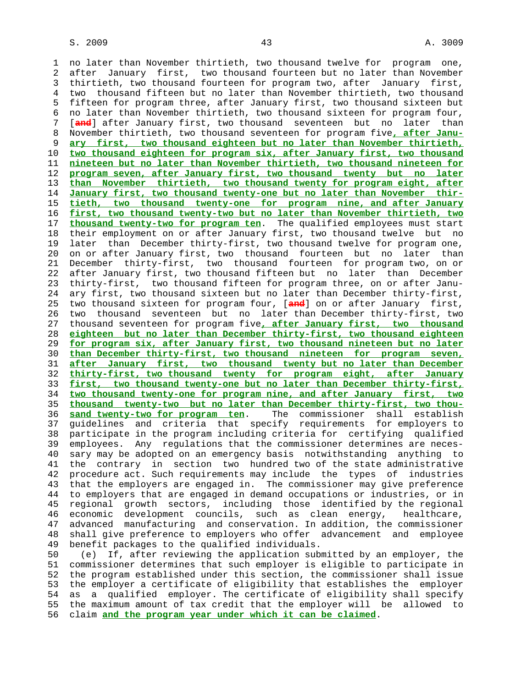1 no later than November thirtieth, two thousand twelve for program one, 2 after January first, two thousand fourteen but no later than November 3 thirtieth, two thousand fourteen for program two, after January first, 4 two thousand fifteen but no later than November thirtieth, two thousand 5 fifteen for program three, after January first, two thousand sixteen but 6 no later than November thirtieth, two thousand sixteen for program four, 7 [**and**] after January first, two thousand seventeen but no later than 8 November thirtieth, two thousand seventeen for program five**, after Janu-** 9 **ary first, two thousand eighteen but no later than November thirtieth,** 10 **two thousand eighteen for program six, after January first, two thousand** 11 **nineteen but no later than November thirtieth, two thousand nineteen for** 12 **program seven, after January first, two thousand twenty but no later** 13 **than November thirtieth, two thousand twenty for program eight, after** 14 **January first, two thousand twenty-one but no later than November thir-** 15 **tieth, two thousand twenty-one for program nine, and after January** 16 **first, two thousand twenty-two but no later than November thirtieth, two** 17 **thousand twenty-two for program ten**. The qualified employees must start 18 their employment on or after January first, two thousand twelve but no 19 later than December thirty-first, two thousand twelve for program one, 20 on or after January first, two thousand fourteen but no later than 21 December thirty-first, two thousand fourteen for program two, on or 22 after January first, two thousand fifteen but no later than December 23 thirty-first, two thousand fifteen for program three, on or after Janu- 24 ary first, two thousand sixteen but no later than December thirty-first, 25 two thousand sixteen for program four, [**and**] on or after January first, 26 two thousand seventeen but no later than December thirty-first, two 27 thousand seventeen for program five**, after January first, two thousand** 28 **eighteen but no later than December thirty-first, two thousand eighteen** 29 **for program six, after January first, two thousand nineteen but no later** 30 **than December thirty-first, two thousand nineteen for program seven,** 31 **after January first, two thousand twenty but no later than December** 32 **thirty-first, two thousand twenty for program eight, after January** 33 **first, two thousand twenty-one but no later than December thirty-first,** 34 **two thousand twenty-one for program nine, and after January first, two** 35 **thousand twenty-two but no later than December thirty-first, two thou-** 36 **sand twenty-two for program ten**. The commissioner shall establish 37 guidelines and criteria that specify requirements for employers to 38 participate in the program including criteria for certifying qualified 39 employees. Any regulations that the commissioner determines are neces- 40 sary may be adopted on an emergency basis notwithstanding anything to 41 the contrary in section two hundred two of the state administrative 42 procedure act. Such requirements may include the types of industries 43 that the employers are engaged in. The commissioner may give preference 44 to employers that are engaged in demand occupations or industries, or in 45 regional growth sectors, including those identified by the regional 46 economic development councils, such as clean energy, healthcare, 47 advanced manufacturing and conservation. In addition, the commissioner 48 shall give preference to employers who offer advancement and employee 49 benefit packages to the qualified individuals. 50 (e) If, after reviewing the application submitted by an employer, the

 51 commissioner determines that such employer is eligible to participate in 52 the program established under this section, the commissioner shall issue 53 the employer a certificate of eligibility that establishes the employer 54 as a qualified employer. The certificate of eligibility shall specify 55 the maximum amount of tax credit that the employer will be allowed to 56 claim **and the program year under which it can be claimed**.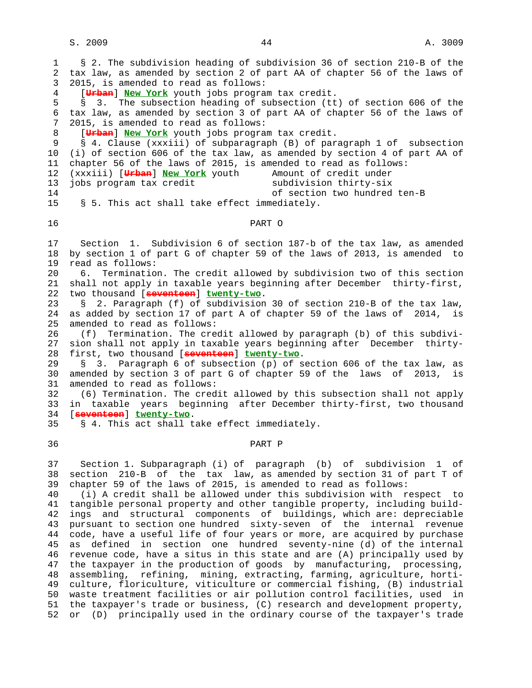1 § 2. The subdivision heading of subdivision 36 of section 210-B of the 2 tax law, as amended by section 2 of part AA of chapter 56 of the laws of 3 2015, is amended to read as follows: 4 [**Urban**] **New York** youth jobs program tax credit. 5 § 3. The subsection heading of subsection (tt) of section 606 of the 6 tax law, as amended by section 3 of part AA of chapter 56 of the laws of 7 2015, is amended to read as follows: 8 [**Urban**] **New York** youth jobs program tax credit. 9 § 4. Clause (xxxiii) of subparagraph (B) of paragraph 1 of subsection 10 (i) of section 606 of the tax law, as amended by section 4 of part AA of 11 chapter 56 of the laws of 2015, is amended to read as follows: 12 (xxxiii) [**Urban**] **New York** youth Amount of credit under 13 jobs program tax credit subdivision thirty-six 14 of section two hundred ten-B 15 § 5. This act shall take effect immediately. 16 PART O 17 Section 1. Subdivision 6 of section 187-b of the tax law, as amended 18 by section 1 of part G of chapter 59 of the laws of 2013, is amended to 19 read as follows: 20 6. Termination. The credit allowed by subdivision two of this section 21 shall not apply in taxable years beginning after December thirty-first, 22 two thousand [**seventeen**] **twenty-two**. 23 § 2. Paragraph (f) of subdivision 30 of section 210-B of the tax law, 24 as added by section 17 of part A of chapter 59 of the laws of 2014, is 25 amended to read as follows: 26 (f) Termination. The credit allowed by paragraph (b) of this subdivi- 27 sion shall not apply in taxable years beginning after December thirty- 28 first, two thousand [**seventeen**] **twenty-two**. 29 § 3. Paragraph 6 of subsection (p) of section 606 of the tax law, as 30 amended by section 3 of part G of chapter 59 of the laws of 2013, is 31 amended to read as follows: 32 (6) Termination. The credit allowed by this subsection shall not apply 33 in taxable years beginning after December thirty-first, two thousand 34 [**seventeen**] **twenty-two**. 35 § 4. This act shall take effect immediately. 36 PART P 37 Section 1. Subparagraph (i) of paragraph (b) of subdivision 1 of 38 section 210-B of the tax law, as amended by section 31 of part T of 39 chapter 59 of the laws of 2015, is amended to read as follows: 40 (i) A credit shall be allowed under this subdivision with respect to 41 tangible personal property and other tangible property, including build- 42 ings and structural components of buildings, which are: depreciable 43 pursuant to section one hundred sixty-seven of the internal revenue 44 code, have a useful life of four years or more, are acquired by purchase 45 as defined in section one hundred seventy-nine (d) of the internal 46 revenue code, have a situs in this state and are (A) principally used by 47 the taxpayer in the production of goods by manufacturing, processing, 48 assembling, refining, mining, extracting, farming, agriculture, horti-

 49 culture, floriculture, viticulture or commercial fishing, (B) industrial 50 waste treatment facilities or air pollution control facilities, used in 51 the taxpayer's trade or business, (C) research and development property, 52 or (D) principally used in the ordinary course of the taxpayer's trade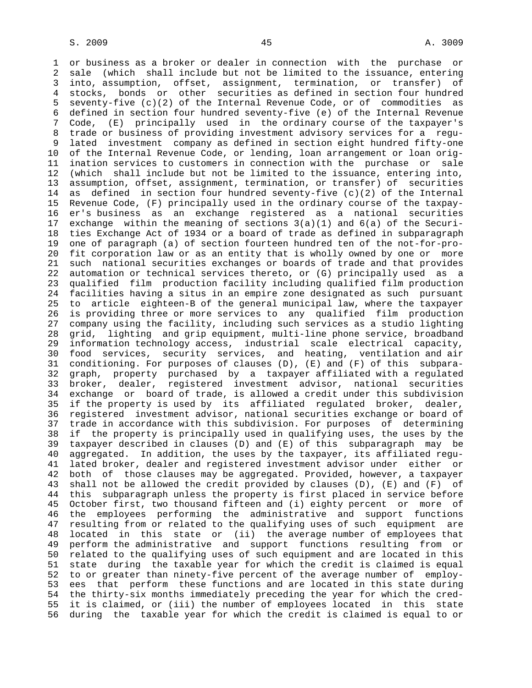1 or business as a broker or dealer in connection with the purchase or 2 sale (which shall include but not be limited to the issuance, entering 3 into, assumption, offset, assignment, termination, or transfer) of 4 stocks, bonds or other securities as defined in section four hundred 5 seventy-five (c)(2) of the Internal Revenue Code, or of commodities as 6 defined in section four hundred seventy-five (e) of the Internal Revenue 7 Code, (E) principally used in the ordinary course of the taxpayer's 8 trade or business of providing investment advisory services for a regu- 9 lated investment company as defined in section eight hundred fifty-one 10 of the Internal Revenue Code, or lending, loan arrangement or loan orig- 11 ination services to customers in connection with the purchase or sale 12 (which shall include but not be limited to the issuance, entering into, 13 assumption, offset, assignment, termination, or transfer) of securities 14 as defined in section four hundred seventy-five (c)(2) of the Internal 15 Revenue Code, (F) principally used in the ordinary course of the taxpay- 16 er's business as an exchange registered as a national securities 17 exchange within the meaning of sections  $3(a)(1)$  and  $6(a)$  of the Securi- 18 ties Exchange Act of 1934 or a board of trade as defined in subparagraph 19 one of paragraph (a) of section fourteen hundred ten of the not-for-pro- 20 fit corporation law or as an entity that is wholly owned by one or more 21 such national securities exchanges or boards of trade and that provides 22 automation or technical services thereto, or (G) principally used as a 23 qualified film production facility including qualified film production 24 facilities having a situs in an empire zone designated as such pursuant 25 to article eighteen-B of the general municipal law, where the taxpayer 26 is providing three or more services to any qualified film production 27 company using the facility, including such services as a studio lighting 28 grid, lighting and grip equipment, multi-line phone service, broadband 29 information technology access, industrial scale electrical capacity, 30 food services, security services, and heating, ventilation and air 31 conditioning. For purposes of clauses (D), (E) and (F) of this subpara- 32 graph, property purchased by a taxpayer affiliated with a regulated 33 broker, dealer, registered investment advisor, national securities 34 exchange or board of trade, is allowed a credit under this subdivision 35 if the property is used by its affiliated regulated broker, dealer, 36 registered investment advisor, national securities exchange or board of 37 trade in accordance with this subdivision. For purposes of determining 38 if the property is principally used in qualifying uses, the uses by the 39 taxpayer described in clauses (D) and (E) of this subparagraph may be 40 aggregated. In addition, the uses by the taxpayer, its affiliated regu- 41 lated broker, dealer and registered investment advisor under either or 42 both of those clauses may be aggregated. Provided, however, a taxpayer 43 shall not be allowed the credit provided by clauses (D), (E) and (F) of 44 this subparagraph unless the property is first placed in service before 45 October first, two thousand fifteen and (i) eighty percent or more of 46 the employees performing the administrative and support functions 47 resulting from or related to the qualifying uses of such equipment are 48 located in this state or (ii) the average number of employees that 49 perform the administrative and support functions resulting from or 50 related to the qualifying uses of such equipment and are located in this 51 state during the taxable year for which the credit is claimed is equal 52 to or greater than ninety-five percent of the average number of employ- 53 ees that perform these functions and are located in this state during 54 the thirty-six months immediately preceding the year for which the cred- 55 it is claimed, or (iii) the number of employees located in this state 56 during the taxable year for which the credit is claimed is equal to or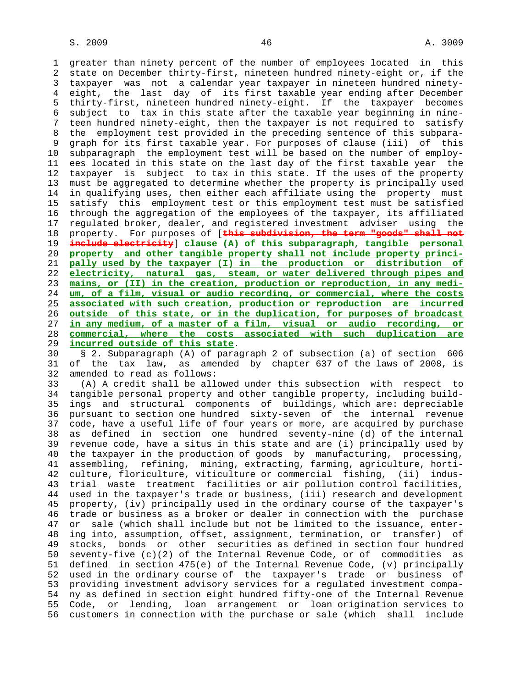1 greater than ninety percent of the number of employees located in this 2 state on December thirty-first, nineteen hundred ninety-eight or, if the 3 taxpayer was not a calendar year taxpayer in nineteen hundred ninety- 4 eight, the last day of its first taxable year ending after December 5 thirty-first, nineteen hundred ninety-eight. If the taxpayer becomes 6 subject to tax in this state after the taxable year beginning in nine- 7 teen hundred ninety-eight, then the taxpayer is not required to satisfy 8 the employment test provided in the preceding sentence of this subpara- 9 graph for its first taxable year. For purposes of clause (iii) of this 10 subparagraph the employment test will be based on the number of employ- 11 ees located in this state on the last day of the first taxable year the 12 taxpayer is subject to tax in this state. If the uses of the property 13 must be aggregated to determine whether the property is principally used 14 in qualifying uses, then either each affiliate using the property must 15 satisfy this employment test or this employment test must be satisfied 16 through the aggregation of the employees of the taxpayer, its affiliated 17 regulated broker, dealer, and registered investment adviser using the 18 property. For purposes of [**this subdivision, the term "goods" shall not** 19 **include electricity**] **clause (A) of this subparagraph, tangible personal** 20 **property and other tangible property shall not include property princi-** 21 **pally used by the taxpayer (I) in the production or distribution of** 22 **electricity, natural gas, steam, or water delivered through pipes and** 23 **mains, or (II) in the creation, production or reproduction, in any medi-** 24 **um, of a film, visual or audio recording, or commercial, where the costs** 25 **associated with such creation, production or reproduction are incurred** 26 **outside of this state, or in the duplication, for purposes of broadcast** 27 **in any medium, of a master of a film, visual or audio recording, or** 28 **commercial, where the costs associated with such duplication are** 29 **incurred outside of this state**.

 30 § 2. Subparagraph (A) of paragraph 2 of subsection (a) of section 606 31 of the tax law, as amended by chapter 637 of the laws of 2008, is 32 amended to read as follows:

 33 (A) A credit shall be allowed under this subsection with respect to 34 tangible personal property and other tangible property, including build- 35 ings and structural components of buildings, which are: depreciable 36 pursuant to section one hundred sixty-seven of the internal revenue 37 code, have a useful life of four years or more, are acquired by purchase 38 as defined in section one hundred seventy-nine (d) of the internal 39 revenue code, have a situs in this state and are (i) principally used by 40 the taxpayer in the production of goods by manufacturing, processing, 41 assembling, refining, mining, extracting, farming, agriculture, horti- 42 culture, floriculture, viticulture or commercial fishing, (ii) indus- 43 trial waste treatment facilities or air pollution control facilities, 44 used in the taxpayer's trade or business, (iii) research and development 45 property, (iv) principally used in the ordinary course of the taxpayer's 46 trade or business as a broker or dealer in connection with the purchase 47 or sale (which shall include but not be limited to the issuance, enter- 48 ing into, assumption, offset, assignment, termination, or transfer) of 49 stocks, bonds or other securities as defined in section four hundred 50 seventy-five (c)(2) of the Internal Revenue Code, or of commodities as 51 defined in section 475(e) of the Internal Revenue Code, (v) principally 52 used in the ordinary course of the taxpayer's trade or business of 53 providing investment advisory services for a regulated investment compa- 54 ny as defined in section eight hundred fifty-one of the Internal Revenue 55 Code, or lending, loan arrangement or loan origination services to 56 customers in connection with the purchase or sale (which shall include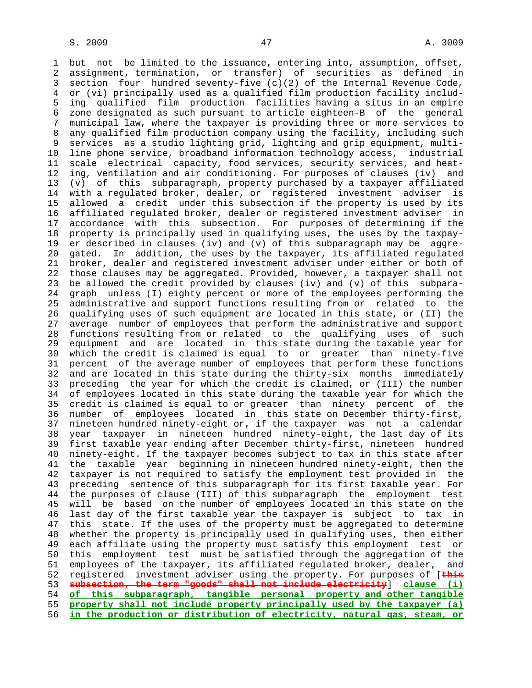1 but not be limited to the issuance, entering into, assumption, offset, 2 assignment, termination, or transfer) of securities as defined in 3 section four hundred seventy-five (c)(2) of the Internal Revenue Code, 4 or (vi) principally used as a qualified film production facility includ- 5 ing qualified film production facilities having a situs in an empire 6 zone designated as such pursuant to article eighteen-B of the general 7 municipal law, where the taxpayer is providing three or more services to 8 any qualified film production company using the facility, including such services as a studio lighting grid, lighting and grip equipment, multi- 10 line phone service, broadband information technology access, industrial 11 scale electrical capacity, food services, security services, and heat- 12 ing, ventilation and air conditioning. For purposes of clauses (iv) and 13 (v) of this subparagraph, property purchased by a taxpayer affiliated 14 with a regulated broker, dealer, or registered investment adviser is 15 allowed a credit under this subsection if the property is used by its 16 affiliated regulated broker, dealer or registered investment adviser in 17 accordance with this subsection. For purposes of determining if the 18 property is principally used in qualifying uses, the uses by the taxpay- 19 er described in clauses (iv) and (v) of this subparagraph may be aggre- 20 gated. In addition, the uses by the taxpayer, its affiliated regulated 21 broker, dealer and registered investment adviser under either or both of 22 those clauses may be aggregated. Provided, however, a taxpayer shall not 23 be allowed the credit provided by clauses (iv) and (v) of this subpara- 24 graph unless (I) eighty percent or more of the employees performing the 25 administrative and support functions resulting from or related to the 26 qualifying uses of such equipment are located in this state, or (II) the 27 average number of employees that perform the administrative and support 28 functions resulting from or related to the qualifying uses of such 29 equipment and are located in this state during the taxable year for 30 which the credit is claimed is equal to or greater than ninety-five 31 percent of the average number of employees that perform these functions 32 and are located in this state during the thirty-six months immediately 33 preceding the year for which the credit is claimed, or (III) the number 34 of employees located in this state during the taxable year for which the 35 credit is claimed is equal to or greater than ninety percent of the 36 number of employees located in this state on December thirty-first, 37 nineteen hundred ninety-eight or, if the taxpayer was not a calendar 38 year taxpayer in nineteen hundred ninety-eight, the last day of its 39 first taxable year ending after December thirty-first, nineteen hundred 40 ninety-eight. If the taxpayer becomes subject to tax in this state after 41 the taxable year beginning in nineteen hundred ninety-eight, then the 42 taxpayer is not required to satisfy the employment test provided in the 43 preceding sentence of this subparagraph for its first taxable year. For 44 the purposes of clause (III) of this subparagraph the employment test 45 will be based on the number of employees located in this state on the 46 last day of the first taxable year the taxpayer is subject to tax in 47 this state. If the uses of the property must be aggregated to determine 48 whether the property is principally used in qualifying uses, then either 49 each affiliate using the property must satisfy this employment test or 50 this employment test must be satisfied through the aggregation of the 51 employees of the taxpayer, its affiliated regulated broker, dealer, and 52 registered investment adviser using the property. For purposes of [**this** 53 **subsection, the term "goods" shall not include electricity**] **clause (i)** 54 **of this subparagraph, tangible personal property and other tangible** 55 **property shall not include property principally used by the taxpayer (a)** 56 **in the production or distribution of electricity, natural gas, steam, or**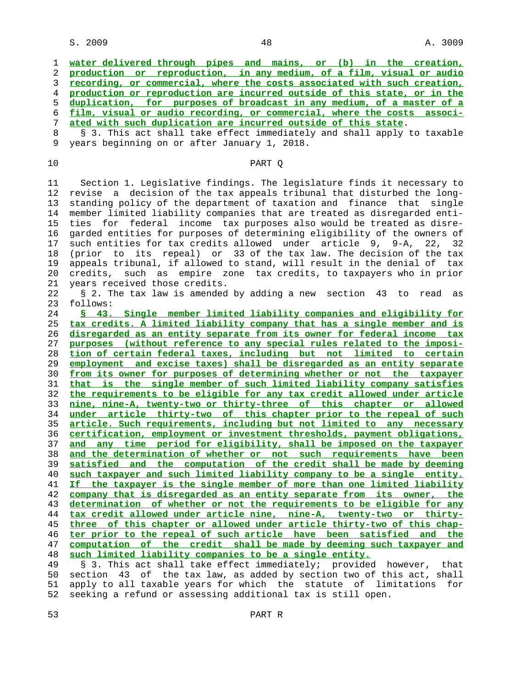**water delivered through pipes and mains, or (b) in the creation, production or reproduction, in any medium, of a film, visual or audio recording, or commercial, where the costs associated with such creation, production or reproduction are incurred outside of this state, or in the duplication, for purposes of broadcast in any medium, of a master of a film, visual or audio recording, or commercial, where the costs associ- ated with such duplication are incurred outside of this state**. 8 § 3. This act shall take effect immediately and shall apply to taxable<br>9 years beginning on or after January 1, 2018. 9 years beginning on or after January 1, 2018. 10 PART Q 11 Section 1. Legislative findings. The legislature finds it necessary to 12 revise a decision of the tax appeals tribunal that disturbed the long- 13 standing policy of the department of taxation and finance that single 14 member limited liability companies that are treated as disregarded enti- 15 ties for federal income tax purposes also would be treated as disre- 16 garded entities for purposes of determining eligibility of the owners of 17 such entities for tax credits allowed under article 9, 9-A, 22, 32 18 (prior to its repeal) or 33 of the tax law. The decision of the tax 19 appeals tribunal, if allowed to stand, will result in the denial of tax 20 credits, such as empire zone tax credits, to taxpayers who in prior 21 years received those credits. 22 § 2. The tax law is amended by adding a new section 43 to read as 23 follows: **§ 43. Single member limited liability companies and eligibility for tax credits. A limited liability company that has a single member and is disregarded as an entity separate from its owner for federal income tax purposes (without reference to any special rules related to the imposi- tion of certain federal taxes, including but not limited to certain employment and excise taxes) shall be disregarded as an entity separate from its owner for purposes of determining whether or not the taxpayer that is the single member of such limited liability company satisfies the requirements to be eligible for any tax credit allowed under article nine, nine-A, twenty-two or thirty-three of this chapter or allowed under article thirty-two of this chapter prior to the repeal of such article. Such requirements, including but not limited to any necessary certification, employment or investment thresholds, payment obligations, and any time period for eligibility, shall be imposed on the taxpayer and the determination of whether or not such requirements have been satisfied and the computation of the credit shall be made by deeming such taxpayer and such limited liability company to be a single entity. If the taxpayer is the single member of more than one limited liability company that is disregarded as an entity separate from its owner, the determination of whether or not the requirements to be eligible for any tax credit allowed under article nine, nine-A, twenty-two or thirty- three of this chapter or allowed under article thirty-two of this chap- ter prior to the repeal of such article have been satisfied and the computation of the credit shall be made by deeming such taxpayer and such limited liability companies to be a single entity.** 49 § 3. This act shall take effect immediately; provided however, that

 50 section 43 of the tax law, as added by section two of this act, shall 51 apply to all taxable years for which the statute of limitations for 52 seeking a refund or assessing additional tax is still open.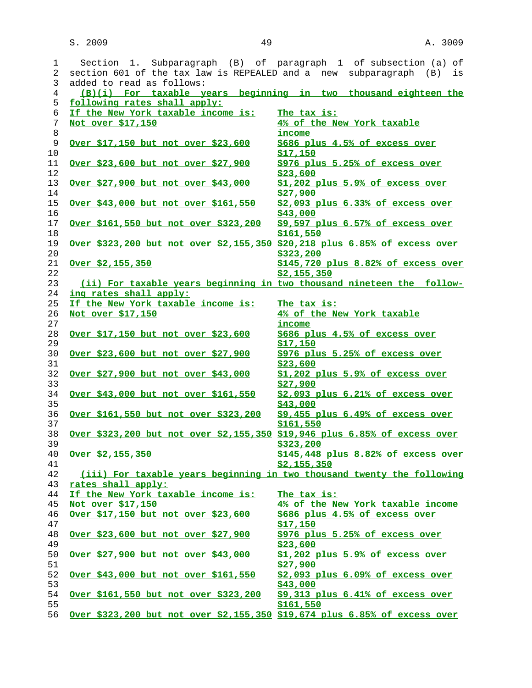| 1<br>$\overline{2}$ | Section 1. Subparagraph (B) of paragraph 1 of subsection (a) of<br>section 601 of the tax law is REPEALED and a new subparagraph (B) | is                                                     |
|---------------------|--------------------------------------------------------------------------------------------------------------------------------------|--------------------------------------------------------|
| 3                   | added to read as follows:                                                                                                            |                                                        |
| 4                   | (B)(i) For taxable years beginning in two thousand eighteen the                                                                      |                                                        |
| 5                   | following rates shall apply:                                                                                                         |                                                        |
| 6                   | If the New York taxable income is:                                                                                                   | The tax is:                                            |
| 7<br>8              | Not over \$17,150                                                                                                                    | 4% of the New York taxable<br>income                   |
| 9<br>10             | <u>Over \$17,150 but not over \$23,600</u>                                                                                           | \$686 plus 4.5% of excess over<br><u>\$17,150</u>      |
| 11<br>12            | <u>Over \$23,600 but not over \$27,900</u>                                                                                           | \$976 plus 5.25% of excess over<br>\$23,600            |
| 13<br>14            | <u>Over \$27,900 but not over \$43,000</u>                                                                                           | \$1,202 plus 5.9% of excess over<br>\$27,900           |
| 15<br>16            | Over \$43,000 but not over \$161,550                                                                                                 | \$2,093 plus 6.33% of excess over<br>\$43,000          |
| 17<br>18            | Over \$161,550 but not over \$323,200                                                                                                | \$9,597 plus 6.57% of excess over<br>\$161,550         |
| 19<br>20            | Over \$323,200 but not over \$2,155,350 \$20,218 plus 6.85% of excess over                                                           | \$323,200                                              |
| 21<br>22            | $Over$ \$2,155,350                                                                                                                   | \$145,720 plus 8.82% of excess over<br>\$2,155,350     |
| 23                  | (ii) For taxable years beginning in two thousand nineteen the follow-                                                                |                                                        |
| 24                  | ing rates shall apply:                                                                                                               |                                                        |
| 25                  | If the New York taxable income is:                                                                                                   | The tax is:                                            |
| 26                  | Not over \$17,150                                                                                                                    | 4% of the New York taxable                             |
| 27                  |                                                                                                                                      | income                                                 |
| 28                  | Over \$17,150 but not over \$23,600                                                                                                  | \$686 plus 4.5% of excess over                         |
| 29                  |                                                                                                                                      | <u>\$17,150</u>                                        |
| 30<br>31            | <u>Over \$23,600 but not over \$27,900</u>                                                                                           | \$976 plus 5.25% of excess over<br>\$23,600            |
| 32<br>33            | Over \$27,900 but not over \$43,000                                                                                                  | \$1,202 plus 5.9% of excess over<br>\$27,900           |
| 34<br>35            | <u>Over \$43,000 but not over \$161,550</u>                                                                                          | \$2,093 plus 6.21% of excess over<br>\$43,000          |
| 36<br>37            | <u>Over \$161,550 but not over \$323,200</u>                                                                                         | \$9,455 plus 6.49% of excess over<br>\$161,550         |
| 38<br>39            | Over \$323,200 but not over \$2,155,350 \$19,946 plus 6.85% of excess over                                                           | \$323,200                                              |
| 40<br>41            | Over \$2,155,350                                                                                                                     | $$145,448$ plus $8.82$ % of excess over<br>\$2,155,350 |
| 42                  | (iii) For taxable years beginning in two thousand twenty the following                                                               |                                                        |
| 43                  | rates shall apply:                                                                                                                   |                                                        |
| 44                  | If the New York taxable income is:                                                                                                   | The tax is:                                            |
| 45                  | Not over \$17,150                                                                                                                    | 4% of the New York taxable income                      |
| 46                  | Over \$17,150 but not over \$23,600                                                                                                  | \$686 plus 4.5% of excess over                         |
| 47                  |                                                                                                                                      | \$17,150                                               |
| 48<br>49            | Over \$23,600 but not over \$27,900                                                                                                  | \$976 plus 5.25% of excess over<br>\$23,600            |
| 50<br>51            | <u>Over \$27,900 but not over \$43,000</u>                                                                                           | \$1,202 plus 5.9% of excess over<br>\$27,900           |
| 52<br>53            | Over \$43,000 but not over \$161,550                                                                                                 | \$2,093 plus 6.09% of excess over<br>\$43,000          |
| 54<br>55            | <u>Over \$161,550 but not over \$323,200</u>                                                                                         | \$9,313 plus 6.41% of excess over<br>\$161,550         |
| 56                  | Over \$323,200 but not over \$2,155,350 \$19,674 plus 6.85% of excess over                                                           |                                                        |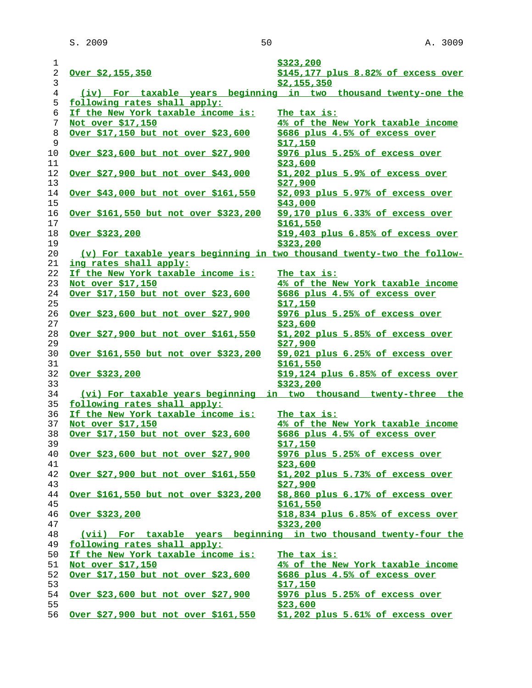| 1              |                                              | \$323,200                                                              |
|----------------|----------------------------------------------|------------------------------------------------------------------------|
| $\overline{a}$ | Over \$2,155,350                             | \$145,177 plus 8.82% of excess over                                    |
| 3              |                                              | \$2,155,350                                                            |
| 4              |                                              | (iv) For taxable years beginning in two thousand twenty-one the        |
| 5              | following rates shall apply:                 |                                                                        |
| 6              | If the New York taxable income is:           | The tax is:                                                            |
| 7              | Not over \$17,150                            | 4% of the New York taxable income                                      |
| 8              | Over \$17,150 but not over \$23,600          | \$686 plus 4.5% of excess over                                         |
| 9              |                                              | <u>\$17,150</u>                                                        |
| 10             | Over \$23,600 but not over \$27,900          | \$976 plus 5.25% of excess over                                        |
| 11             |                                              | \$23,600                                                               |
| 12             | Over \$27,900 but not over \$43,000          | \$1,202 plus 5.9% of excess over                                       |
| 13             |                                              | \$27,900                                                               |
| 14             | Over \$43,000 but not over \$161,550         | \$2,093 plus 5.97% of excess over                                      |
| 15             |                                              | \$43,000                                                               |
| 16             | <u>Over \$161,550 but not over \$323,200</u> | \$9,170 plus 6.33% of excess over                                      |
| 17             |                                              | \$161,550                                                              |
| 18             | Over \$323,200                               | \$19,403 plus 6.85% of excess over                                     |
| 19             |                                              | \$323,200                                                              |
| 20             |                                              | (v) For taxable years beginning in two thousand twenty-two the follow- |
| 21             | ing rates shall apply:                       |                                                                        |
| 22             | If the New York taxable income is:           |                                                                        |
| 23             |                                              | The tax is:                                                            |
|                | Not over \$17,150                            | 4% of the New York taxable income                                      |
| 24             | Over \$17,150 but not over \$23,600          | \$686 plus 4.5% of excess over                                         |
| 25             |                                              | \$17,150                                                               |
| 26             | Over \$23,600 but not over \$27,900          | \$976 plus 5.25% of excess over                                        |
| 27             |                                              | \$23,600                                                               |
| 28             | Over \$27,900 but not over \$161,550         | $$1,202$ plus $5.85%$ of excess over                                   |
| 29             |                                              | \$27,900                                                               |
| 30             | <u>Over \$161,550 but not over \$323,200</u> | $$9.021$ plus $6.25%$ of excess over                                   |
| 31             |                                              | \$161,550                                                              |
| 32             | Over \$323,200                               | \$19,124 plus 6.85% of excess over                                     |
| 33             |                                              | \$323,200                                                              |
| 34             |                                              | (vi) For taxable years beginning in two thousand twenty-three the      |
| 35             | following rates shall apply:                 |                                                                        |
| 36             | If the New York taxable income is:           | The tax is:                                                            |
| 37             | Not over \$17,150                            | 4% of the New York taxable income                                      |
| 38             | <u>Over \$17,150 but not over \$23,600</u>   | \$686 plus 4.5% of excess over                                         |
| 39             |                                              | \$17,150                                                               |
| 40             | Over \$23,600 but not over \$27,900          | \$976 plus 5.25% of excess over                                        |
| 41             |                                              | \$23,600                                                               |
| 42             | Over \$27,900 but not over \$161,550         | \$1,202 plus 5.73% of excess over                                      |
| 43             |                                              | \$27,900                                                               |
| 44             | <u>Over \$161,550 but not over \$323,200</u> | \$8,860 plus 6.17% of excess over                                      |
| 45             |                                              | \$161,550                                                              |
| 46             | <u>Over \$323,200</u>                        | $$18,834$ plus $6.85%$ of excess over                                  |
| 47             |                                              | \$323,200                                                              |
| 48             |                                              | (vii) For taxable years beginning in two thousand twenty-four the      |
| 49             | following rates shall apply:                 |                                                                        |
| 50             | If the New York taxable income is:           | The tax is:                                                            |
| 51             | Not over \$17,150                            | 4% of the New York taxable income                                      |
| 52             | Over \$17,150 but not over \$23,600          | \$686 plus 4.5% of excess over                                         |
| 53             |                                              | \$17,150                                                               |
| 54             | Over \$23,600 but not over \$27,900          | \$976 plus 5.25% of excess over                                        |
| 55             |                                              | \$23,600                                                               |
| 56             | Over \$27,900 but not over \$161,550         | \$1,202 plus 5.61% of excess over                                      |
|                |                                              |                                                                        |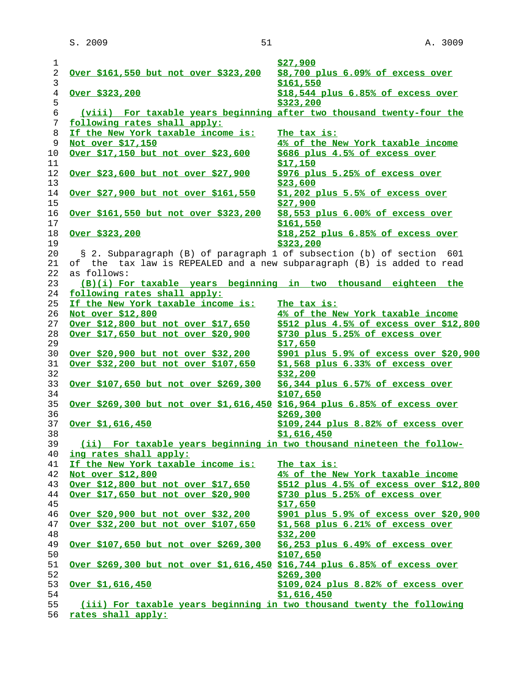| 1              |                                                                            | \$27,900                                |
|----------------|----------------------------------------------------------------------------|-----------------------------------------|
| $\overline{c}$ | <u>Over \$161,550 but not over \$323,200</u>                               | \$8,700 plus 6.09% of excess over       |
| $\mathsf{3}$   |                                                                            | \$161,550                               |
| 4              | <u>Over \$323,200</u>                                                      | \$18,544 plus 6.85% of excess over      |
| 5              |                                                                            | \$323,200                               |
| $\epsilon$     | (viii) For taxable years beginning after two thousand twenty-four the      |                                         |
| 7              | following rates shall apply:                                               |                                         |
| 8              | If the New York taxable income is:                                         | The tax is:                             |
| 9              | Not over \$17,150                                                          | 4% of the New York taxable income       |
| 10             | Over \$17,150 but not over \$23,600                                        | \$686 plus 4.5% of excess over          |
| 11             |                                                                            | \$17,150                                |
| 12             | Over \$23,600 but not over \$27,900                                        | \$976 plus 5.25% of excess over         |
| 13             |                                                                            | \$23,600                                |
| 14             | Over \$27,900 but not over \$161,550                                       | \$1,202 plus 5.5% of excess over        |
| 15             |                                                                            | \$27,900                                |
| 16             | Over \$161,550 but not over \$323,200                                      | \$8,553 plus 6.00% of excess over       |
| 17             |                                                                            | \$161,550                               |
| 18             | Over \$323,200                                                             | $$18,252$ plus $6.85%$ of excess over   |
| 19             |                                                                            | \$323,200                               |
| 20             | § 2. Subparagraph (B) of paragraph 1 of subsection (b) of section 601      |                                         |
| 21             | of the tax law is REPEALED and a new subparagraph (B) is added to read     |                                         |
| 22             | as follows:                                                                |                                         |
| 23             | (B)(i) For taxable years beginning in two thousand eighteen the            |                                         |
| 24             | following rates shall apply:                                               |                                         |
| 25             | If the New York taxable income is:                                         | The tax is:                             |
| 26             | Not over \$12,800                                                          | 4% of the New York taxable income       |
| 27             | Over \$12,800 but not over \$17,650                                        | \$512 plus 4.5% of excess over \$12,800 |
| 28             | Over \$17,650 but not over \$20,900                                        | \$730 plus 5.25% of excess over         |
| 29             |                                                                            | \$17,650                                |
| 30             | <u>Over \$20,900 but not over \$32,200</u>                                 | \$901 plus 5.9% of excess over \$20,900 |
| 31             | Over \$32,200 but not over \$107,650                                       | \$1,568 plus 6.33% of excess over       |
| 32             |                                                                            | \$32,200                                |
| 33             | <u>Over \$107,650 but not over \$269,300</u>                               | \$6,344 plus 6.57% of excess over       |
| 34             |                                                                            | \$107,650                               |
| 35             | Over \$269,300 but not over \$1,616,450 \$16,964 plus 6.85% of excess over |                                         |
| 36             |                                                                            | \$269,300                               |
| 37             | Over \$1,616,450                                                           | \$109,244 plus 8.82% of excess over     |
| 38             |                                                                            | \$1,616,450                             |
| 39             | (ii) For taxable years beginning in two thousand nineteen the follow-      |                                         |
| 40             | ing rates shall apply:                                                     |                                         |
| 41             | If the New York taxable income is:                                         | The tax is:                             |
| 42             | Not over \$12,800                                                          | 4% of the New York taxable income       |
| 43             | Over \$12,800 but not over \$17,650                                        | \$512 plus 4.5% of excess over \$12,800 |
| 44             | Over \$17,650 but not over \$20,900                                        | \$730 plus 5.25% of excess over         |
| 45             |                                                                            | \$17,650                                |
| 46             | Over \$20,900 but not over \$32,200                                        | \$901 plus 5.9% of excess over \$20,900 |
| 47             | Over \$32,200 but not over \$107,650                                       | $$1,568$ plus $6.21\%$ of excess over   |
| 48             |                                                                            | \$32,200                                |
| 49             | Over \$107,650 but not over \$269,300                                      | \$6,253 plus 6.49% of excess over       |
| 50             |                                                                            | \$107,650                               |
| 51             | Over \$269,300 but not over \$1,616,450 \$16,744 plus 6.85% of excess over |                                         |
| 52             |                                                                            | \$269,300                               |
| 53             | Over $$1,616,450$                                                          | \$109,024 plus 8.82% of excess over     |
| 54             |                                                                            | \$1,616,450                             |
| 55             | (iii) For taxable years beginning in two thousand twenty the following     |                                         |
| 56             | rates shall apply:                                                         |                                         |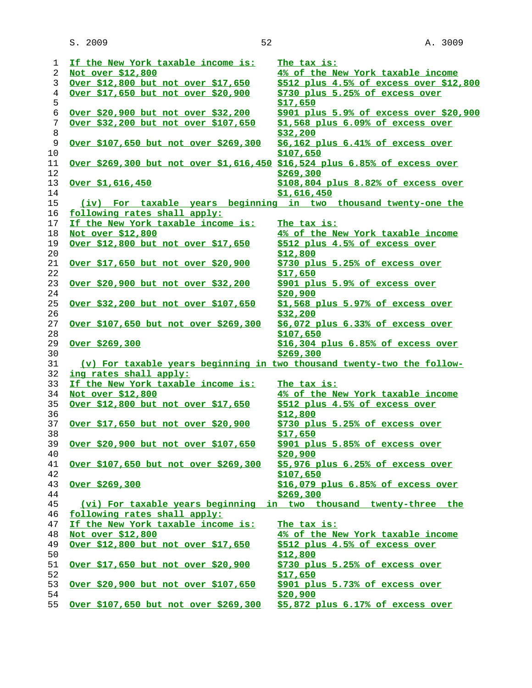| 1          | If the New York taxable income is:                                         | The tax is:                             |
|------------|----------------------------------------------------------------------------|-----------------------------------------|
| 2          | Not over \$12,800                                                          | 4% of the New York taxable income       |
| 3          | Over \$12,800 but not over \$17,650                                        | \$512 plus 4.5% of excess over \$12,800 |
| 4          | Over \$17,650 but not over \$20,900                                        | \$730 plus 5.25% of excess over         |
| 5          |                                                                            | \$17,650                                |
| $\epsilon$ | Over \$20,900 but not over \$32,200                                        | \$901 plus 5.9% of excess over \$20,900 |
| 7          | Over \$32,200 but not over \$107,650                                       | \$1,568 plus 6.09% of excess over       |
| 8          |                                                                            | \$32,200                                |
| 9          | Over \$107,650 but not over \$269,300                                      | \$6,162 plus 6.41% of excess over       |
| 10         |                                                                            | \$107,650                               |
| 11         | Over \$269,300 but not over \$1,616,450 \$16,524 plus 6.85% of excess over |                                         |
| 12         |                                                                            |                                         |
|            |                                                                            | \$269,300                               |
| 13         | Over \$1,616,450                                                           | \$108,804 plus 8.82% of excess over     |
| 14         |                                                                            | \$1,616,450                             |
| 15         | (iv) For taxable years beginning in two thousand twenty-one the            |                                         |
| 16         | following rates shall apply:                                               |                                         |
| 17         | If the New York taxable income is:                                         | The tax is:                             |
| 18         | Not over \$12,800                                                          | 4% of the New York taxable income       |
| 19         | Over \$12,800 but not over \$17,650                                        | \$512 plus 4.5% of excess over          |
| 20         |                                                                            | \$12,800                                |
| 21         | Over \$17,650 but not over \$20,900                                        | \$730 plus 5.25% of excess over         |
| 22         |                                                                            | \$17,650                                |
| 23         | Over \$20,900 but not over \$32,200                                        | \$901 plus 5.9% of excess over          |
| 24         |                                                                            | \$20,900                                |
| 25         | Over \$32,200 but not over \$107,650                                       | \$1,568 plus 5.97% of excess over       |
| 26         |                                                                            | \$32,200                                |
| 27         | Over \$107,650 but not over \$269,300                                      | \$6,072 plus 6.33% of excess over       |
| 28         |                                                                            | \$107,650                               |
| 29         | Over \$269,300                                                             | \$16,304 plus 6.85% of excess over      |
| 30         |                                                                            | \$269,300                               |
| 31         | (v) For taxable years beginning in two thousand twenty-two the follow-     |                                         |
| 32         | ing rates shall apply:                                                     |                                         |
| 33         | If the New York taxable income is:                                         | The tax is:                             |
| 34         | Not over \$12,800                                                          | 4% of the New York taxable income       |
| 35         | Over \$12,800 but not over \$17,650                                        | \$512 plus 4.5% of excess over          |
| 36         |                                                                            | \$12,800                                |
| 37         | Over \$17,650 but not over \$20,900                                        | \$730 plus 5.25% of excess over         |
| 38         |                                                                            | \$17,650                                |
| 39         | Over \$20,900 but not over \$107,650                                       | \$901 plus 5.85% of excess over         |
| 40         |                                                                            | \$20,900                                |
| 41         | Over \$107,650 but not over \$269,300                                      | \$5,976 plus 6.25% of excess over       |
| 42         |                                                                            | \$107,650                               |
| 43         | Over \$269,300                                                             | $$16,079$ plus $6.85%$ of excess over   |
| 44         |                                                                            | \$269,300                               |
| 45         | (vi) For taxable years beginning in two thousand twenty-three the          |                                         |
| 46         | following rates shall apply:                                               |                                         |
| 47         | If the New York taxable income is:                                         | The tax is:                             |
| 48         | Not over \$12,800                                                          | 4% of the New York taxable income       |
| 49         | Over \$12,800 but not over \$17,650                                        | \$512 plus 4.5% of excess over          |
| 50         |                                                                            | \$12,800                                |
| 51         | <u>Over \$17,650 but not over \$20,900</u>                                 | \$730 plus 5.25% of excess over         |
| 52         |                                                                            | \$17,650                                |
| 53         | Over \$20,900 but not over \$107,650                                       | \$901 plus 5.73% of excess over         |
| 54         |                                                                            | \$20,900                                |
| 55         | Over \$107,650 but not over \$269,300                                      | \$5,872 plus 6.17% of excess over       |
|            |                                                                            |                                         |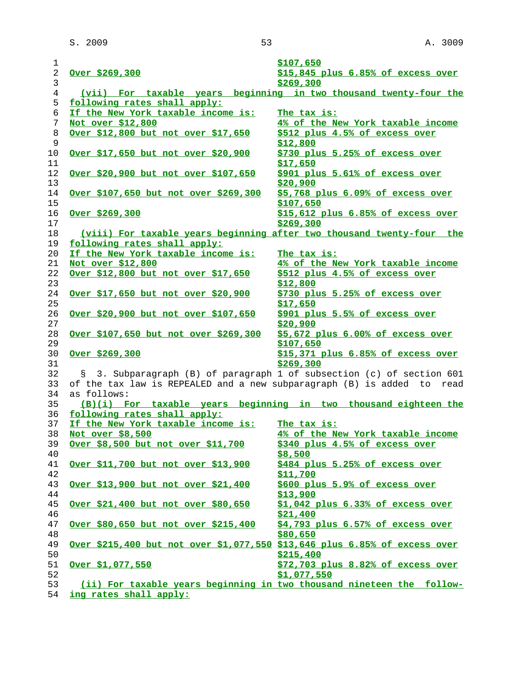| $\mathbf 1$                    |                                                                            | \$107,650                                          |
|--------------------------------|----------------------------------------------------------------------------|----------------------------------------------------|
| $\overline{c}$<br>$\mathsf{3}$ | <u>Over \$269,300</u>                                                      | \$15,845 plus 6.85% of excess over<br>\$269,300    |
| 4                              | (vii) For taxable years beginning in two thousand twenty-four the          |                                                    |
| 5                              | following rates shall apply:                                               |                                                    |
| 6                              | If the New York taxable income is:                                         | The tax is:                                        |
| 7                              | Not over \$12,800                                                          | 4% of the New York taxable income                  |
| 8<br>9                         | Over \$12,800 but not over \$17,650                                        | \$512 plus 4.5% of excess over<br>\$12,800         |
| 10<br>11                       | Over \$17,650 but not over \$20,900                                        | \$730 plus 5.25% of excess over<br><u>\$17,650</u> |
| 12<br>13                       | Over \$20,900 but not over \$107,650                                       | \$901 plus 5.61% of excess over<br>\$20,900        |
| 14<br>15                       | <u>Over \$107,650 but not over \$269,300</u>                               | \$5,768 plus 6.09% of excess over<br>\$107,650     |
| 16                             | <u>Over \$269,300</u>                                                      | \$15,612 plus 6.85% of excess over                 |
| 17                             |                                                                            | \$269,300                                          |
| 18                             | (viii) For taxable years beginning after two thousand twenty-four the      |                                                    |
| 19                             | following rates shall apply:                                               |                                                    |
| 20                             | If the New York taxable income is:                                         | The tax is:                                        |
| 21                             | Not over \$12,800                                                          | 4% of the New York taxable income                  |
| 22<br>23                       | Over \$12,800 but not over \$17,650                                        | \$512 plus 4.5% of excess over<br>\$12,800         |
| 24<br>25                       | Over \$17,650 but not over \$20,900                                        | \$730 plus 5.25% of excess over<br>\$17,650        |
| 26<br>27                       | <u>Over \$20,900 but not over \$107,650</u>                                | \$901 plus 5.5% of excess over<br>\$20,900         |
| 28<br>29                       | Over \$107,650 but not over \$269,300                                      | \$5,672 plus 6.00% of excess over<br>\$107,650     |
| 30<br>31                       | Over \$269,300                                                             | \$15,371 plus 6.85% of excess over<br>\$269,300    |
| 32                             | § 3. Subparagraph (B) of paragraph 1 of subsection (c) of section 601      |                                                    |
| 33                             | of the tax law is REPEALED and a new subparagraph (B) is added to read     |                                                    |
| 34                             | as follows:                                                                |                                                    |
| 35                             | (B)(i) For taxable years beginning in two thousand eighteen the            |                                                    |
| 36                             | following rates shall apply:                                               |                                                    |
| 37                             | If the New York taxable income is:                                         | The tax is:                                        |
| 38                             | Not over \$8,500                                                           | 4% of the New York taxable income                  |
| 39                             | Over \$8,500 but not over \$11,700                                         | \$340 plus 4.5% of excess over                     |
| 40                             |                                                                            | \$8,500                                            |
| 41<br>42                       | Over \$11,700 but not over \$13,900                                        | \$484 plus 5.25% of excess over<br>\$11,700        |
| 43<br>44                       | Over \$13,900 but not over \$21,400                                        | \$600 plus 5.9% of excess over<br>\$13,900         |
| 45                             | <u>Over \$21,400 but not over \$80,650</u>                                 | \$1,042 plus 6.33% of excess over                  |
| 46                             |                                                                            | \$21,400                                           |
| 47                             | <u>Over \$80,650 but not over \$215,400</u>                                | \$4,793 plus 6.57% of excess over                  |
| 48                             |                                                                            | \$80,650                                           |
| 49<br>50                       | Over \$215,400 but not over \$1,077,550 \$13,646 plus 6.85% of excess over | \$215,400                                          |
| 51<br>52                       | <u>Over \$1,077,550</u>                                                    | \$72,703 plus 8.82% of excess over<br>\$1,077,550  |
| 53                             | (ii) For taxable years beginning in two thousand nineteen the follow-      |                                                    |
| 54                             | ing rates shall apply:                                                     |                                                    |
|                                |                                                                            |                                                    |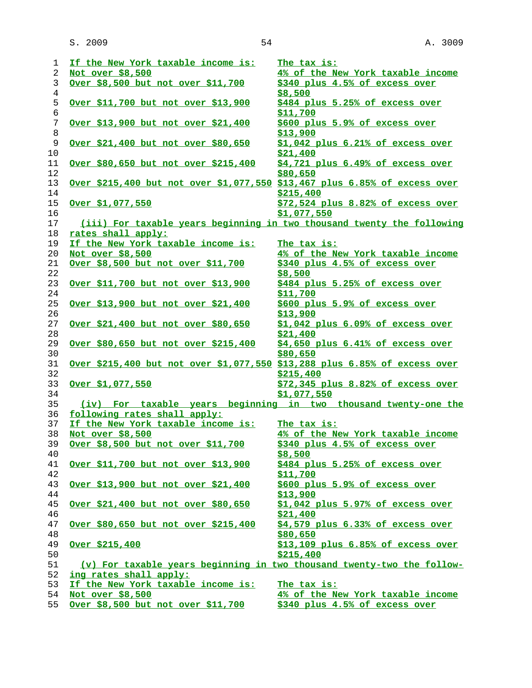| 1       | If the New York taxable income is:                                                | The tax is:                           |
|---------|-----------------------------------------------------------------------------------|---------------------------------------|
| 2       | Not over \$8,500                                                                  | 4% of the New York taxable income     |
| 3       | Over \$8,500 but not over \$11,700                                                | \$340 plus 4.5% of excess over        |
| 4       |                                                                                   | \$8,500                               |
| 5       | Over \$11,700 but not over \$13,900                                               | \$484 plus 5.25% of excess over       |
| 6       |                                                                                   | \$11,700                              |
| 7       | <u>Over \$13,900 but not over \$21,400</u>                                        | \$600 plus 5.9% of excess over        |
| $\,8\,$ |                                                                                   | \$13,900                              |
| 9       | Over \$21,400 but not over \$80,650                                               | \$1,042 plus 6.21% of excess over     |
| 10      |                                                                                   | \$21,400                              |
| 11      | <u>Over \$80,650 but not over \$215,400</u>                                       | \$4,721 plus 6.49% of excess over     |
| 12      |                                                                                   | \$80,650                              |
| 13      | <u>Over \$215,400 but not over \$1,077,550 \$13,467 plus 6.85% of excess over</u> |                                       |
| 14      |                                                                                   | \$215,400                             |
| 15      | Over \$1,077,550                                                                  | \$72,524 plus 8.82% of excess over    |
| 16      |                                                                                   | \$1,077,550                           |
| 17      | (iii) For taxable years beginning in two thousand twenty the following            |                                       |
| 18      | rates shall apply:                                                                |                                       |
| 19      | If the New York taxable income is:                                                | The tax is:                           |
| 20      | Not over \$8,500                                                                  | 4% of the New York taxable income     |
| 21      | Over \$8,500 but not over \$11,700                                                | \$340 plus 4.5% of excess over        |
| 22      |                                                                                   | \$8,500                               |
| 23      | <u>Over \$11,700 but not over \$13,900</u>                                        | $$484$ plus 5.25% of excess over      |
| 24      |                                                                                   | <u>\$11,700</u>                       |
| 25      | Over \$13,900 but not over \$21,400                                               | \$600 plus 5.9% of excess over        |
| 26      |                                                                                   | <u>\$13,900</u>                       |
| 27      | Over \$21,400 but not over \$80,650                                               | $$1,042$ plus $6.09%$ of excess over  |
| 28      |                                                                                   | \$21,400                              |
| 29      | Over \$80,650 but not over \$215,400                                              | $$4,650$ plus $6.41\%$ of excess over |
| 30      |                                                                                   | \$80,650                              |
| 31      | Over \$215,400 but not over \$1,077,550 \$13,288 plus 6.85% of excess over        |                                       |
| 32      |                                                                                   | \$215,400                             |
| 33      | Over \$1,077,550                                                                  | \$72,345 plus 8.82% of excess over    |
| 34      |                                                                                   | \$1,077,550                           |
| 35      | (iv) For taxable years beginning in two thousand twenty-one the                   |                                       |
| 36      | following rates shall apply:                                                      |                                       |
| 37      | If the New York taxable income is:                                                | The tax is:                           |
| 38      | Not over \$8,500                                                                  | 4% of the New York taxable income     |
|         | 39 Over \$8,500 but not over \$11,700                                             | \$340 plus 4.5% of excess over        |
| 40      |                                                                                   | <u>\$8,500</u>                        |
| 41      | <u>Over \$11,700 but not over \$13,900</u>                                        | \$484 plus 5.25% of excess over       |
| 42      |                                                                                   | \$11,700                              |
| 43      | <u>Over \$13,900 but not over \$21,400</u>                                        | \$600 plus 5.9% of excess over        |
| 44      |                                                                                   | <u>\$13,900</u>                       |
| 45      | <u>Over \$21,400 but not over \$80,650</u>                                        | \$1,042 plus 5.97% of excess over     |
| 46      |                                                                                   | \$21,400                              |
| 47      | <u>Over \$80,650 but not over \$215,400</u>                                       | \$4,579 plus 6.33% of excess over     |
| 48      |                                                                                   | \$80,650                              |
| 49      | <u>Over \$215,400</u>                                                             | \$13,109 plus 6.85% of excess over    |
| 50      |                                                                                   | \$215,400                             |
| 51      | (v) For taxable years beginning in two thousand twenty-two the follow-            |                                       |
| 52      | ing rates shall apply:                                                            |                                       |
| 53      | If the New York taxable income is:                                                | The tax is:                           |
| 54      | Not over \$8,500                                                                  | 4% of the New York taxable income     |
| 55      | Over \$8,500 but not over \$11,700                                                | \$340 plus 4.5% of excess over        |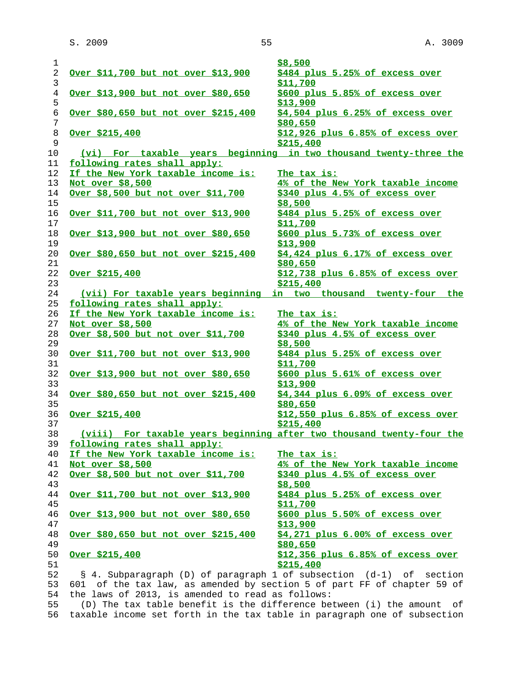|                              |                                                  | \$8,500                                                                 |
|------------------------------|--------------------------------------------------|-------------------------------------------------------------------------|
|                              | Over \$11,700 but not over \$13,900              | \$484 plus 5.25% of excess over                                         |
|                              |                                                  | \$11,700                                                                |
|                              | Over \$13,900 but not over \$80,650              | \$600 plus 5.85% of excess over                                         |
|                              |                                                  | \$13,900                                                                |
|                              | Over \$80,650 but not over \$215,400             | \$4,504 plus 6.25% of excess over                                       |
|                              |                                                  | \$80,650                                                                |
| Over $$215,400$              |                                                  | $$12,926$ plus $6.85%$ of excess over                                   |
|                              |                                                  | \$215,400                                                               |
|                              |                                                  | (vi) For taxable years beginning in two thousand twenty-three the       |
| following rates shall apply: |                                                  |                                                                         |
|                              | If the New York taxable income is:               | The tax is:                                                             |
| Not over \$8,500             |                                                  | 4% of the New York taxable income                                       |
|                              | Over \$8,500 but not over \$11,700               | \$340 plus 4.5% of excess over                                          |
|                              |                                                  | \$8,500                                                                 |
|                              | Over \$11,700 but not over \$13,900              | \$484 plus 5.25% of excess over                                         |
|                              |                                                  | <u>\$11,700</u>                                                         |
|                              | Over \$13,900 but not over \$80,650              | \$600 plus 5.73% of excess over                                         |
|                              |                                                  | \$13,900                                                                |
|                              | Over \$80,650 but not over \$215,400             | \$4,424 plus 6.17% of excess over                                       |
|                              |                                                  | \$80,650                                                                |
| <u>Over \$215,400</u>        |                                                  | \$12,738 plus 6.85% of excess over                                      |
|                              |                                                  | \$215,400                                                               |
|                              | (vii) For taxable years beginning                | in two thousand twenty-four the                                         |
| following rates shall apply: |                                                  |                                                                         |
|                              | If the New York taxable income is:               | The tax is:                                                             |
| Not over \$8,500             |                                                  | 4% of the New York taxable income                                       |
|                              | Over \$8,500 but not over \$11,700               | \$340 plus 4.5% of excess over                                          |
|                              |                                                  | \$8,500                                                                 |
|                              | <u>Over \$11,700 but not over \$13,900</u>       | \$484 plus 5.25% of excess over                                         |
|                              |                                                  | \$11,700                                                                |
|                              | Over \$13,900 but not over \$80,650              | \$600 plus 5.61% of excess over                                         |
|                              |                                                  | \$13,900                                                                |
|                              | Over \$80,650 but not over \$215,400             | \$4,344 plus 6.09% of excess over                                       |
|                              |                                                  | \$80,650                                                                |
| <u>Over \$215,400</u>        |                                                  | \$12,550 plus 6.85% of excess over                                      |
|                              |                                                  | \$215,400                                                               |
|                              |                                                  | (viii) For taxable years beginning after two thousand twenty-four the   |
| following rates shall apply: |                                                  |                                                                         |
|                              | If the New York taxable income is:               | The tax is:                                                             |
|                              |                                                  | 4% of the New York taxable income                                       |
| Not over \$8,500             |                                                  |                                                                         |
|                              | Over \$8,500 but not over \$11,700               | \$340 plus 4.5% of excess over                                          |
|                              |                                                  | \$8,500                                                                 |
|                              | Over \$11,700 but not over \$13,900              | \$484 plus 5.25% of excess over                                         |
|                              |                                                  | \$11,700                                                                |
|                              | <u>Over \$13,900 but not over \$80,650</u>       | \$600 plus 5.50% of excess over                                         |
|                              |                                                  | \$13,900                                                                |
|                              | Over \$80,650 but not over \$215,400             | \$4,271 plus 6.00% of excess over                                       |
|                              |                                                  | \$80,650                                                                |
| <u>Over \$215,400</u>        |                                                  | \$12,356 plus 6.85% of excess over                                      |
|                              |                                                  | \$215,400                                                               |
|                              |                                                  | § 4. Subparagraph (D) of paragraph 1 of subsection (d-1) of section     |
|                              |                                                  | 601 of the tax law, as amended by section 5 of part FF of chapter 59 of |
|                              | the laws of 2013, is amended to read as follows: |                                                                         |
|                              |                                                  |                                                                         |

 55 (D) The tax table benefit is the difference between (i) the amount of 56 taxable income set forth in the tax table in paragraph one of subsection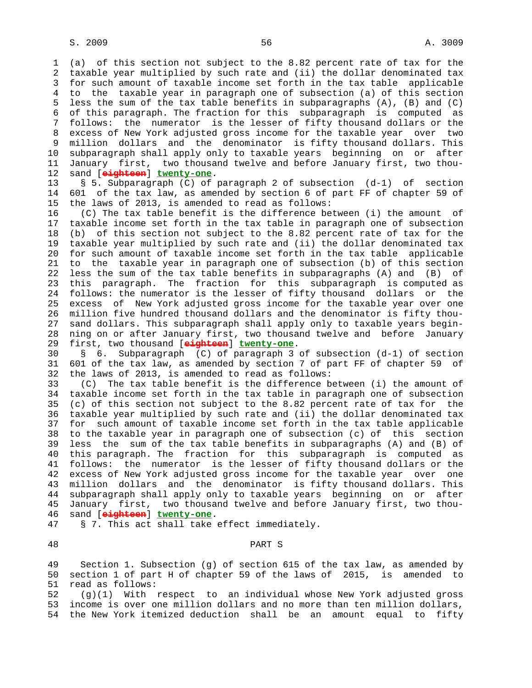1 (a) of this section not subject to the 8.82 percent rate of tax for the 2 taxable year multiplied by such rate and (ii) the dollar denominated tax 3 for such amount of taxable income set forth in the tax table applicable 4 to the taxable year in paragraph one of subsection (a) of this section 5 less the sum of the tax table benefits in subparagraphs (A), (B) and (C) 6 of this paragraph. The fraction for this subparagraph is computed as 7 follows: the numerator is the lesser of fifty thousand dollars or the 8 excess of New York adjusted gross income for the taxable year over two 9 million dollars and the denominator is fifty thousand dollars. This 10 subparagraph shall apply only to taxable years beginning on or after 11 January first, two thousand twelve and before January first, two thou- 12 sand [**eighteen**] **twenty-one**.

 13 § 5. Subparagraph (C) of paragraph 2 of subsection (d-1) of section 14 601 of the tax law, as amended by section 6 of part FF of chapter 59 of 15 the laws of 2013, is amended to read as follows:

 16 (C) The tax table benefit is the difference between (i) the amount of 17 taxable income set forth in the tax table in paragraph one of subsection 18 (b) of this section not subject to the 8.82 percent rate of tax for the 19 taxable year multiplied by such rate and (ii) the dollar denominated tax 20 for such amount of taxable income set forth in the tax table applicable 21 to the taxable year in paragraph one of subsection (b) of this section 22 less the sum of the tax table benefits in subparagraphs (A) and (B) of 23 this paragraph. The fraction for this subparagraph is computed as 24 follows: the numerator is the lesser of fifty thousand dollars or the 25 excess of New York adjusted gross income for the taxable year over one 26 million five hundred thousand dollars and the denominator is fifty thou- 27 sand dollars. This subparagraph shall apply only to taxable years begin- 28 ning on or after January first, two thousand twelve and before January 29 first, two thousand [**eighteen**] **twenty-one**.

 30 § 6. Subparagraph (C) of paragraph 3 of subsection (d-1) of section 31 601 of the tax law, as amended by section 7 of part FF of chapter 59 of 32 the laws of 2013, is amended to read as follows:

 33 (C) The tax table benefit is the difference between (i) the amount of 34 taxable income set forth in the tax table in paragraph one of subsection 35 (c) of this section not subject to the 8.82 percent rate of tax for the 36 taxable year multiplied by such rate and (ii) the dollar denominated tax 37 for such amount of taxable income set forth in the tax table applicable 38 to the taxable year in paragraph one of subsection (c) of this section 39 less the sum of the tax table benefits in subparagraphs (A) and (B) of 40 this paragraph. The fraction for this subparagraph is computed as 41 follows: the numerator is the lesser of fifty thousand dollars or the 42 excess of New York adjusted gross income for the taxable year over one 43 million dollars and the denominator is fifty thousand dollars. This 44 subparagraph shall apply only to taxable years beginning on or after 45 January first, two thousand twelve and before January first, two thou- 46 sand [**eighteen**] **twenty-one**.

47 § 7. This act shall take effect immediately.

## 48 PART S

 49 Section 1. Subsection (g) of section 615 of the tax law, as amended by 50 section 1 of part H of chapter 59 of the laws of 2015, is amended to 51 read as follows:

 52 (g)(1) With respect to an individual whose New York adjusted gross 53 income is over one million dollars and no more than ten million dollars, 54 the New York itemized deduction shall be an amount equal to fifty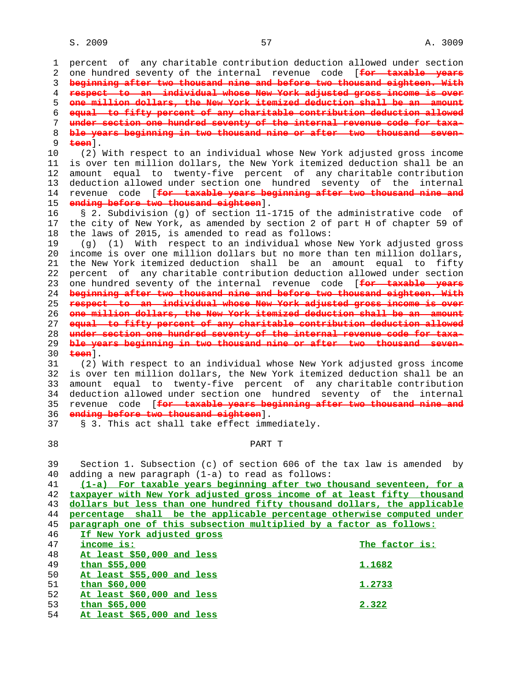1 percent of any charitable contribution deduction allowed under section 2 one hundred seventy of the internal revenue code [**for taxable years** 3 **beginning after two thousand nine and before two thousand eighteen. With** 4 **respect to an individual whose New York adjusted gross income is over** 5 **one million dollars, the New York itemized deduction shall be an amount** 6 **equal to fifty percent of any charitable contribution deduction allowed** 7 **under section one hundred seventy of the internal revenue code for taxa-** 8 **ble years beginning in two thousand nine or after two thousand seven-** 9 **teen**]. 10 (2) With respect to an individual whose New York adjusted gross income 11 is over ten million dollars, the New York itemized deduction shall be an 12 amount equal to twenty-five percent of any charitable contribution 13 deduction allowed under section one hundred seventy of the internal 14 revenue code [**for taxable years beginning after two thousand nine and** 15 **ending before two thousand eighteen**]. 16 § 2. Subdivision (g) of section 11-1715 of the administrative code of 17 the city of New York, as amended by section 2 of part H of chapter 59 of 18 the laws of 2015, is amended to read as follows: 19 (g) (1) With respect to an individual whose New York adjusted gross 20 income is over one million dollars but no more than ten million dollars, 21 the New York itemized deduction shall be an amount equal to fifty 22 percent of any charitable contribution deduction allowed under section 23 one hundred seventy of the internal revenue code [**for taxable years** 24 **beginning after two thousand nine and before two thousand eighteen. With** 25 **respect to an individual whose New York adjusted gross income is over** 26 **one million dollars, the New York itemized deduction shall be an amount** 27 **equal to fifty percent of any charitable contribution deduction allowed** 28 **under section one hundred seventy of the internal revenue code for taxa-** 29 **ble years beginning in two thousand nine or after two thousand seven-** 30 **teen**]. 31 (2) With respect to an individual whose New York adjusted gross income 32 is over ten million dollars, the New York itemized deduction shall be an 33 amount equal to twenty-five percent of any charitable contribution 34 deduction allowed under section one hundred seventy of the internal 35 revenue code [**for taxable years beginning after two thousand nine and** 36 **ending before two thousand eighteen**]. 37 § 3. This act shall take effect immediately. 38 PART T 39 Section 1. Subsection (c) of section 606 of the tax law is amended by 40 adding a new paragraph (1-a) to read as follows: 41 **(1-a) For taxable years beginning after two thousand seventeen, for a** 42 **taxpayer with New York adjusted gross income of at least fifty thousand** 43 **dollars but less than one hundred fifty thousand dollars, the applicable** 44 **percentage shall be the applicable percentage otherwise computed under** 45 **paragraph one of this subsection multiplied by a factor as follows:** 46 **If New York adjusted gross** 47 **income is: The factor is:** 48 **At least \$50,000 and less** 49 **than \$55,000 1.1682** 50 **At least \$55,000 and less** 51 **than \$60,000 1.2733** 52 **At least \$60,000 and less** 53 **than \$65,000 2.322** 54 **At least \$65,000 and less**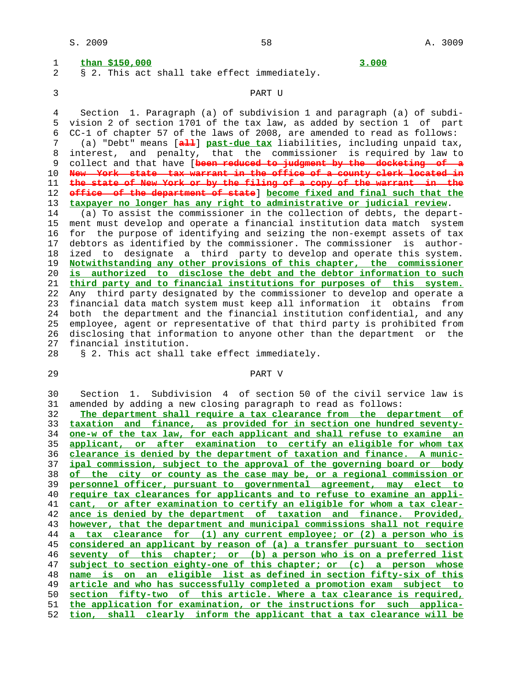| 1  | than \$150,000<br>3.000                                                    |
|----|----------------------------------------------------------------------------|
| 2  | § 2. This act shall take effect immediately.                               |
| 3  | PART U                                                                     |
| 4  | Section 1. Paragraph (a) of subdivision 1 and paragraph (a) of subdi-      |
| 5  | vision 2 of section 1701 of the tax law, as added by section 1 of part     |
| 6  | CC-1 of chapter 57 of the laws of 2008, are amended to read as follows:    |
| 7  | (a) "Debt" means [all] past-due tax liabilities, including unpaid tax,     |
| 8  | interest, and penalty, that the commissioner is required by law to         |
| 9  | collect and that have [been reduced to judgment by the docketing of a      |
| 10 | New York state tax warrant in the office of a county clerk located in      |
| 11 | the state of New York or by the filing of a copy of the warrant in the     |
| 12 | office of the department of state] become fixed and final such that the    |
| 13 | taxpayer no longer has any right to administrative or judicial review.     |
| 14 | (a) To assist the commissioner in the collection of debts, the depart-     |
| 15 | ment must develop and operate a financial institution data match system    |
| 16 | for the purpose of identifying and seizing the non-exempt assets of tax    |
| 17 | debtors as identified by the commissioner. The commissioner is author-     |
| 18 | ized to designate a third party to develop and operate this system.        |
| 19 | Notwithstanding any other provisions of this chapter, the commissioner     |
| 20 | is authorized to disclose the debt and the debtor information to such      |
| 21 | third party and to financial institutions for purposes of this system.     |
| 22 | Any third party designated by the commissioner to develop and operate a    |
| 23 | financial data match system must keep all information it obtains<br>from   |
| 24 | both the department and the financial institution confidential, and any    |
| 25 | employee, agent or representative of that third party is prohibited from   |
| 26 | disclosing that information to anyone other than the department or the     |
| 27 | financial institution.                                                     |
| 28 | § 2. This act shall take effect immediately.                               |
| 29 | PART V                                                                     |
| 30 | 1. Subdivision 4 of section 50 of the civil service law is<br>Section      |
| 31 | amended by adding a new closing paragraph to read as follows:              |
| 32 | The department shall require a tax clearance from the department of        |
| 33 | taxation and finance, as provided for in section one hundred seventy-      |
| 34 | one-w of the tax law, for each applicant and shall refuse to examine<br>an |
| 35 | applicant, or after examination to certify an eligible for whom tax        |
| 36 | clearance is denied by the department of taxation and finance. A munic-    |
| 37 | ipal commission, subject to the approval of the governing board or body    |
| 38 | of the city or county as the case may be, or a regional commission or      |
| 39 | personnel officer, pursuant to governmental agreement, may elect to        |
| 40 | require tax clearances for applicants and to refuse to examine an appli-   |
| 41 | cant, or after examination to certify an eligible for whom a tax clear-    |
| 42 | ance is denied by the department of taxation and finance. Provided,        |
| 43 | however, that the department and municipal commissions shall not require   |
| 44 | tax clearance for (1) any current employee; or (2) a person who is<br>a i  |

**considered an applicant by reason of (a) a transfer pursuant to section seventy of this chapter; or (b) a person who is on a preferred list subject to section eighty-one of this chapter; or (c) a person whose name is on an eligible list as defined in section fifty-six of this article and who has successfully completed a promotion exam subject to section fifty-two of this article. Where a tax clearance is required,**

 51 **the application for examination, or the instructions for such applica-** 52 **tion, shall clearly inform the applicant that a tax clearance will be**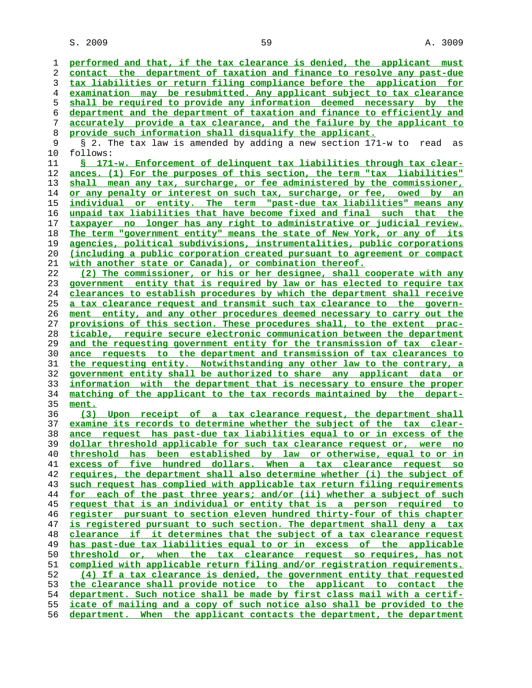$S. 2009$  and  $S. 3009$  and  $S. 3009$ 

**performed and that, if the tax clearance is denied, the applicant must contact the department of taxation and finance to resolve any past-due tax liabilities or return filing compliance before the application for examination may be resubmitted. Any applicant subject to tax clearance shall be required to provide any information deemed necessary by the department and the department of taxation and finance to efficiently and accurately provide a tax clearance, and the failure by the applicant to provide such information shall disqualify the applicant.** § 2. The tax law is amended by adding a new section 171-w to read as 10 follows: **§ 171-w. Enforcement of delinquent tax liabilities through tax clear- ances. (1) For the purposes of this section, the term "tax liabilities" shall mean any tax, surcharge, or fee administered by the commissioner, or any penalty or interest on such tax, surcharge, or fee, owed by an individual or entity. The term "past-due tax liabilities" means any unpaid tax liabilities that have become fixed and final such that the taxpayer no longer has any right to administrative or judicial review. The term "government entity" means the state of New York, or any of its agencies, political subdivisions, instrumentalities, public corporations (including a public corporation created pursuant to agreement or compact with another state or Canada), or combination thereof. (2) The commissioner, or his or her designee, shall cooperate with any government entity that is required by law or has elected to require tax clearances to establish procedures by which the department shall receive a tax clearance request and transmit such tax clearance to the govern- ment entity, and any other procedures deemed necessary to carry out the provisions of this section. These procedures shall, to the extent prac- ticable, require secure electronic communication between the department and the requesting government entity for the transmission of tax clear- ance requests to the department and transmission of tax clearances to the requesting entity. Notwithstanding any other law to the contrary, a government entity shall be authorized to share any applicant data or information with the department that is necessary to ensure the proper matching of the applicant to the tax records maintained by the depart- ment. (3) Upon receipt of a tax clearance request, the department shall examine its records to determine whether the subject of the tax clear- ance request has past-due tax liabilities equal to or in excess of the dollar threshold applicable for such tax clearance request or, were no threshold has been established by law or otherwise, equal to or in excess of five hundred dollars. When a tax clearance request so requires, the department shall also determine whether (i) the subject of such request has complied with applicable tax return filing requirements for each of the past three years; and/or (ii) whether a subject of such request that is an individual or entity that is a person required to register pursuant to section eleven hundred thirty-four of this chapter is registered pursuant to such section. The department shall deny a tax clearance if it determines that the subject of a tax clearance request has past-due tax liabilities equal to or in excess of the applicable threshold or, when the tax clearance request so requires, has not complied with applicable return filing and/or registration requirements. (4) If a tax clearance is denied, the government entity that requested the clearance shall provide notice to the applicant to contact the department. Such notice shall be made by first class mail with a certif- icate of mailing and a copy of such notice also shall be provided to the department. When the applicant contacts the department, the department**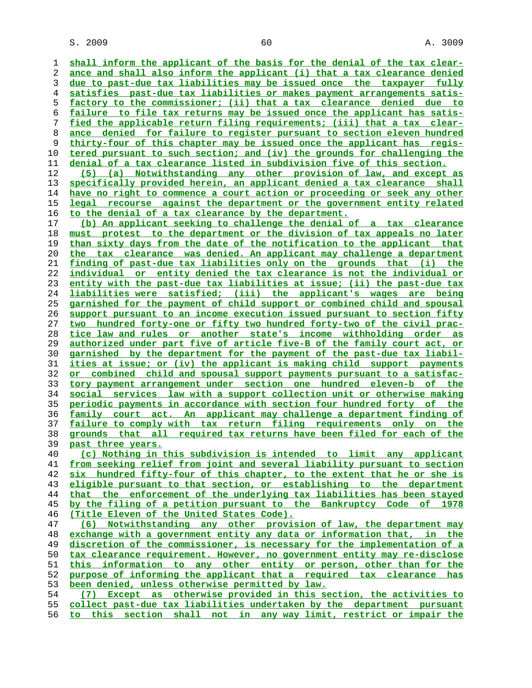$S. 2009$  60  $A. 3009$ 

**shall inform the applicant of the basis for the denial of the tax clear- ance and shall also inform the applicant (i) that a tax clearance denied due to past-due tax liabilities may be issued once the taxpayer fully satisfies past-due tax liabilities or makes payment arrangements satis- factory to the commissioner; (ii) that a tax clearance denied due to failure to file tax returns may be issued once the applicant has satis- fied the applicable return filing requirements; (iii) that a tax clear- ance denied for failure to register pursuant to section eleven hundred thirty-four of this chapter may be issued once the applicant has regis- tered pursuant to such section; and (iv) the grounds for challenging the denial of a tax clearance listed in subdivision five of this section. (5) (a) Notwithstanding any other provision of law, and except as specifically provided herein, an applicant denied a tax clearance shall have no right to commence a court action or proceeding or seek any other legal recourse against the department or the government entity related to the denial of a tax clearance by the department. (b) An applicant seeking to challenge the denial of a tax clearance must protest to the department or the division of tax appeals no later than sixty days from the date of the notification to the applicant that the tax clearance was denied. An applicant may challenge a department finding of past-due tax liabilities only on the grounds that (i) the individual or entity denied the tax clearance is not the individual or entity with the past-due tax liabilities at issue; (ii) the past-due tax liabilities were satisfied; (iii) the applicant's wages are being garnished for the payment of child support or combined child and spousal support pursuant to an income execution issued pursuant to section fifty two hundred forty-one or fifty two hundred forty-two of the civil prac- tice law and rules or another state's income withholding order as authorized under part five of article five-B of the family court act, or garnished by the department for the payment of the past-due tax liabil- ities at issue; or (iv) the applicant is making child support payments or combined child and spousal support payments pursuant to a satisfac- tory payment arrangement under section one hundred eleven-b of the social services law with a support collection unit or otherwise making periodic payments in accordance with section four hundred forty of the family court act. An applicant may challenge a department finding of failure to comply with tax return filing requirements only on the grounds that all required tax returns have been filed for each of the past three years. (c) Nothing in this subdivision is intended to limit any applicant from seeking relief from joint and several liability pursuant to section six hundred fifty-four of this chapter, to the extent that he or she is eligible pursuant to that section, or establishing to the department that the enforcement of the underlying tax liabilities has been stayed by the filing of a petition pursuant to the Bankruptcy Code of 1978 (Title Eleven of the United States Code). (6) Notwithstanding any other provision of law, the department may exchange with a government entity any data or information that, in the discretion of the commissioner, is necessary for the implementation of a tax clearance requirement. However, no government entity may re-disclose this information to any other entity or person, other than for the purpose of informing the applicant that a required tax clearance has been denied, unless otherwise permitted by law. (7) Except as otherwise provided in this section, the activities to collect past-due tax liabilities undertaken by the department pursuant to this section shall not in any way limit, restrict or impair the**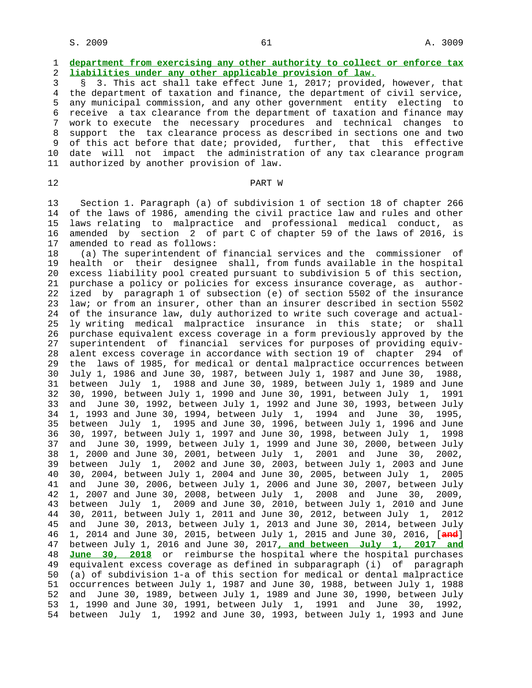## 1 **department from exercising any other authority to collect or enforce tax** 2 **liabilities under any other applicable provision of law.**

 3 § 3. This act shall take effect June 1, 2017; provided, however, that 4 the department of taxation and finance, the department of civil service, 5 any municipal commission, and any other government entity electing to 6 receive a tax clearance from the department of taxation and finance may 7 work to execute the necessary procedures and technical changes to 8 support the tax clearance process as described in sections one and two 9 of this act before that date; provided, further, that this effective 10 date will not impact the administration of any tax clearance program 11 authorized by another provision of law.

## 12 **PART W**

 13 Section 1. Paragraph (a) of subdivision 1 of section 18 of chapter 266 14 of the laws of 1986, amending the civil practice law and rules and other 15 laws relating to malpractice and professional medical conduct, as 16 amended by section 2 of part C of chapter 59 of the laws of 2016, is 17 amended to read as follows:

 18 (a) The superintendent of financial services and the commissioner of 19 health or their designee shall, from funds available in the hospital 20 excess liability pool created pursuant to subdivision 5 of this section, 21 purchase a policy or policies for excess insurance coverage, as author- 22 ized by paragraph 1 of subsection (e) of section 5502 of the insurance 23 law; or from an insurer, other than an insurer described in section 5502 24 of the insurance law, duly authorized to write such coverage and actual- 25 ly writing medical malpractice insurance in this state; or shall 26 purchase equivalent excess coverage in a form previously approved by the 27 superintendent of financial services for purposes of providing equiv- 28 alent excess coverage in accordance with section 19 of chapter 294 of 29 the laws of 1985, for medical or dental malpractice occurrences between 30 July 1, 1986 and June 30, 1987, between July 1, 1987 and June 30, 1988, 31 between July 1, 1988 and June 30, 1989, between July 1, 1989 and June 32 30, 1990, between July 1, 1990 and June 30, 1991, between July 1, 1991 33 and June 30, 1992, between July 1, 1992 and June 30, 1993, between July 34 1, 1993 and June 30, 1994, between July 1, 1994 and June 30, 1995, 35 between July 1, 1995 and June 30, 1996, between July 1, 1996 and June 36 30, 1997, between July 1, 1997 and June 30, 1998, between July 1, 1998 37 and June 30, 1999, between July 1, 1999 and June 30, 2000, between July 38 1, 2000 and June 30, 2001, between July 1, 2001 and June 30, 2002, 39 between July 1, 2002 and June 30, 2003, between July 1, 2003 and June 40 30, 2004, between July 1, 2004 and June 30, 2005, between July 1, 2005 41 and June 30, 2006, between July 1, 2006 and June 30, 2007, between July 42 1, 2007 and June 30, 2008, between July 1, 2008 and June 30, 2009, 43 between July 1, 2009 and June 30, 2010, between July 1, 2010 and June 44 30, 2011, between July 1, 2011 and June 30, 2012, between July 1, 2012 45 and June 30, 2013, between July 1, 2013 and June 30, 2014, between July 46 1, 2014 and June 30, 2015, between July 1, 2015 and June 30, 2016, [**and**] 47 between July 1, 2016 and June 30, 2017**, and between July 1, 2017 and** 48 **June 30, 2018** or reimburse the hospital where the hospital purchases 49 equivalent excess coverage as defined in subparagraph (i) of paragraph 50 (a) of subdivision 1-a of this section for medical or dental malpractice 51 occurrences between July 1, 1987 and June 30, 1988, between July 1, 1988 52 and June 30, 1989, between July 1, 1989 and June 30, 1990, between July 53 1, 1990 and June 30, 1991, between July 1, 1991 and June 30, 1992, 54 between July 1, 1992 and June 30, 1993, between July 1, 1993 and June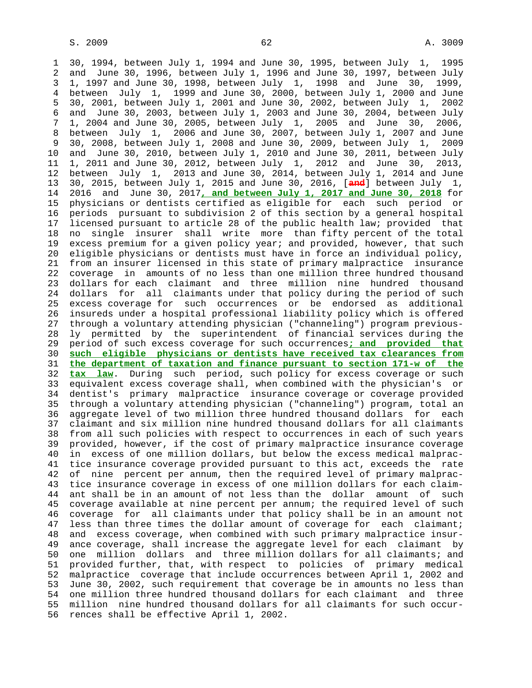1 30, 1994, between July 1, 1994 and June 30, 1995, between July 1, 1995 2 and June 30, 1996, between July 1, 1996 and June 30, 1997, between July 3 1, 1997 and June 30, 1998, between July 1, 1998 and June 30, 1999, 4 between July 1, 1999 and June 30, 2000, between July 1, 2000 and June 5 30, 2001, between July 1, 2001 and June 30, 2002, between July 1, 2002 6 and June 30, 2003, between July 1, 2003 and June 30, 2004, between July 7 1, 2004 and June 30, 2005, between July 1, 2005 and June 30, 2006, 8 between July 1, 2006 and June 30, 2007, between July 1, 2007 and June 9 30, 2008, between July 1, 2008 and June 30, 2009, between July 1, 2009 10 and June 30, 2010, between July 1, 2010 and June 30, 2011, between July 11 1, 2011 and June 30, 2012, between July 1, 2012 and June 30, 2013, 12 between July 1, 2013 and June 30, 2014, between July 1, 2014 and June 13 30, 2015, between July 1, 2015 and June 30, 2016, [**and**] between July 1, 14 2016 and June 30, 2017**, and between July 1, 2017 and June 30, 2018** for 15 physicians or dentists certified as eligible for each such period or 16 periods pursuant to subdivision 2 of this section by a general hospital 17 licensed pursuant to article 28 of the public health law; provided that 18 no single insurer shall write more than fifty percent of the total 19 excess premium for a given policy year; and provided, however, that such 20 eligible physicians or dentists must have in force an individual policy, 21 from an insurer licensed in this state of primary malpractice insurance 22 coverage in amounts of no less than one million three hundred thousand 23 dollars for each claimant and three million nine hundred thousand 24 dollars for all claimants under that policy during the period of such 25 excess coverage for such occurrences or be endorsed as additional 26 insureds under a hospital professional liability policy which is offered 27 through a voluntary attending physician ("channeling") program previous- 28 ly permitted by the superintendent of financial services during the 29 period of such excess coverage for such occurrences**; and provided that** 30 **such eligible physicians or dentists have received tax clearances from** 31 **the department of taxation and finance pursuant to section 171-w of the** 32 **tax law**. During such period, such policy for excess coverage or such 33 equivalent excess coverage shall, when combined with the physician's or 34 dentist's primary malpractice insurance coverage or coverage provided 35 through a voluntary attending physician ("channeling") program, total an 36 aggregate level of two million three hundred thousand dollars for each 37 claimant and six million nine hundred thousand dollars for all claimants 38 from all such policies with respect to occurrences in each of such years 39 provided, however, if the cost of primary malpractice insurance coverage 40 in excess of one million dollars, but below the excess medical malprac- 41 tice insurance coverage provided pursuant to this act, exceeds the rate 42 of nine percent per annum, then the required level of primary malprac- 43 tice insurance coverage in excess of one million dollars for each claim- 44 ant shall be in an amount of not less than the dollar amount of such 45 coverage available at nine percent per annum; the required level of such 46 coverage for all claimants under that policy shall be in an amount not 47 less than three times the dollar amount of coverage for each claimant; 48 and excess coverage, when combined with such primary malpractice insur- 49 ance coverage, shall increase the aggregate level for each claimant by 50 one million dollars and three million dollars for all claimants; and 51 provided further, that, with respect to policies of primary medical 52 malpractice coverage that include occurrences between April 1, 2002 and 53 June 30, 2002, such requirement that coverage be in amounts no less than 54 one million three hundred thousand dollars for each claimant and three 55 million nine hundred thousand dollars for all claimants for such occur- 56 rences shall be effective April 1, 2002.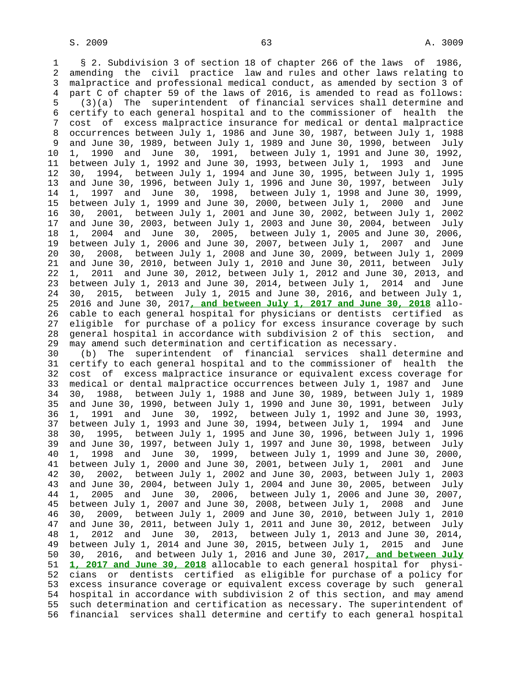1 § 2. Subdivision 3 of section 18 of chapter 266 of the laws of 1986, 2 amending the civil practice law and rules and other laws relating to 3 malpractice and professional medical conduct, as amended by section 3 of 4 part C of chapter 59 of the laws of 2016, is amended to read as follows: 5 (3)(a) The superintendent of financial services shall determine and 6 certify to each general hospital and to the commissioner of health the 7 cost of excess malpractice insurance for medical or dental malpractice 8 occurrences between July 1, 1986 and June 30, 1987, between July 1, 1988 9 and June 30, 1989, between July 1, 1989 and June 30, 1990, between July 10 1, 1990 and June 30, 1991, between July 1, 1991 and June 30, 1992, 11 between July 1, 1992 and June 30, 1993, between July 1, 1993 and June 12 30, 1994, between July 1, 1994 and June 30, 1995, between July 1, 1995 13 and June 30, 1996, between July 1, 1996 and June 30, 1997, between July 14 1, 1997 and June 30, 1998, between July 1, 1998 and June 30, 1999, 15 between July 1, 1999 and June 30, 2000, between July 1, 2000 and June 16 30, 2001, between July 1, 2001 and June 30, 2002, between July 1, 2002 17 and June 30, 2003, between July 1, 2003 and June 30, 2004, between July 18 1, 2004 and June 30, 2005, between July 1, 2005 and June 30, 2006, 19 between July 1, 2006 and June 30, 2007, between July 1, 2007 and June 20 30, 2008, between July 1, 2008 and June 30, 2009, between July 1, 2009 21 and June 30, 2010, between July 1, 2010 and June 30, 2011, between July 22 1, 2011 and June 30, 2012, between July 1, 2012 and June 30, 2013, and 23 between July 1, 2013 and June 30, 2014, between July 1, 2014 and June 24 30, 2015, between July 1, 2015 and June 30, 2016, and between July 1, 25 2016 and June 30, 2017**, and between July 1, 2017 and June 30, 2018** allo- 26 cable to each general hospital for physicians or dentists certified as 27 eligible for purchase of a policy for excess insurance coverage by such 28 general hospital in accordance with subdivision 2 of this section, and 29 may amend such determination and certification as necessary. 30 (b) The superintendent of financial services shall determine and 31 certify to each general hospital and to the commissioner of health the 32 cost of excess malpractice insurance or equivalent excess coverage for 33 medical or dental malpractice occurrences between July 1, 1987 and June 34 30, 1988, between July 1, 1988 and June 30, 1989, between July 1, 1989 35 and June 30, 1990, between July 1, 1990 and June 30, 1991, between July 36 1, 1991 and June 30, 1992, between July 1, 1992 and June 30, 1993, 37 between July 1, 1993 and June 30, 1994, between July 1, 1994 and June 38 30, 1995, between July 1, 1995 and June 30, 1996, between July 1, 1996 39 and June 30, 1997, between July 1, 1997 and June 30, 1998, between July 40 1, 1998 and June 30, 1999, between July 1, 1999 and June 30, 2000, 41 between July 1, 2000 and June 30, 2001, between July 1, 2001 and June 42 30, 2002, between July 1, 2002 and June 30, 2003, between July 1, 2003 43 and June 30, 2004, between July 1, 2004 and June 30, 2005, between July 44 1, 2005 and June 30, 2006, between July 1, 2006 and June 30, 2007, 45 between July 1, 2007 and June 30, 2008, between July 1, 2008 and June 46 30, 2009, between July 1, 2009 and June 30, 2010, between July 1, 2010 47 and June 30, 2011, between July 1, 2011 and June 30, 2012, between July 48 1, 2012 and June 30, 2013, between July 1, 2013 and June 30, 2014, 49 between July 1, 2014 and June 30, 2015, between July 1, 2015 and June 50 30, 2016, and between July 1, 2016 and June 30, 2017**, and between July** 51 **1, 2017 and June 30, 2018** allocable to each general hospital for physi- 52 cians or dentists certified as eligible for purchase of a policy for 53 excess insurance coverage or equivalent excess coverage by such general 54 hospital in accordance with subdivision 2 of this section, and may amend 55 such determination and certification as necessary. The superintendent of 56 financial services shall determine and certify to each general hospital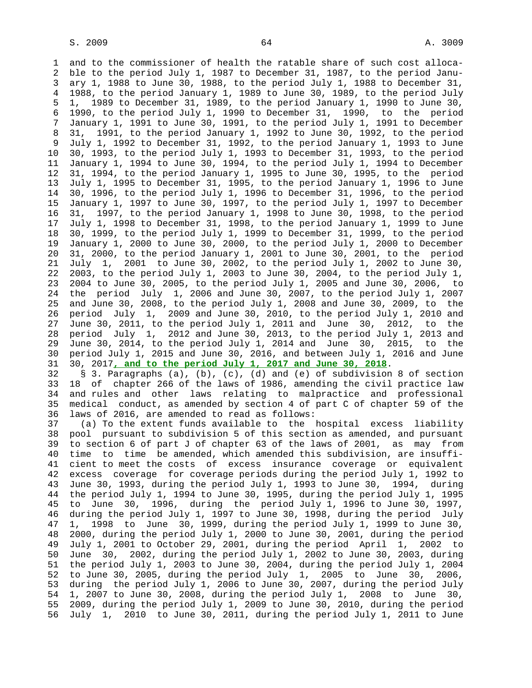1 and to the commissioner of health the ratable share of such cost alloca- 2 ble to the period July 1, 1987 to December 31, 1987, to the period Janu- 3 ary 1, 1988 to June 30, 1988, to the period July 1, 1988 to December 31, 4 1988, to the period January 1, 1989 to June 30, 1989, to the period July 5 1, 1989 to December 31, 1989, to the period January 1, 1990 to June 30, 6 1990, to the period July 1, 1990 to December 31, 1990, to the period 7 January 1, 1991 to June 30, 1991, to the period July 1, 1991 to December 8 31, 1991, to the period January 1, 1992 to June 30, 1992, to the period 9 July 1, 1992 to December 31, 1992, to the period January 1, 1993 to June 10 30, 1993, to the period July 1, 1993 to December 31, 1993, to the period 11 January 1, 1994 to June 30, 1994, to the period July 1, 1994 to December 12 31, 1994, to the period January 1, 1995 to June 30, 1995, to the period 13 July 1, 1995 to December 31, 1995, to the period January 1, 1996 to June 14 30, 1996, to the period July 1, 1996 to December 31, 1996, to the period 15 January 1, 1997 to June 30, 1997, to the period July 1, 1997 to December 16 31, 1997, to the period January 1, 1998 to June 30, 1998, to the period 17 July 1, 1998 to December 31, 1998, to the period January 1, 1999 to June 18 30, 1999, to the period July 1, 1999 to December 31, 1999, to the period 19 January 1, 2000 to June 30, 2000, to the period July 1, 2000 to December 20 31, 2000, to the period January 1, 2001 to June 30, 2001, to the period 21 July 1, 2001 to June 30, 2002, to the period July 1, 2002 to June 30, 22 2003, to the period July 1, 2003 to June 30, 2004, to the period July 1, 23 2004 to June 30, 2005, to the period July 1, 2005 and June 30, 2006, to 24 the period July 1, 2006 and June 30, 2007, to the period July 1, 2007 25 and June 30, 2008, to the period July 1, 2008 and June 30, 2009, to the 26 period July 1, 2009 and June 30, 2010, to the period July 1, 2010 and 27 June 30, 2011, to the period July 1, 2011 and June 30, 2012, to the 28 period July 1, 2012 and June 30, 2013, to the period July 1, 2013 and 29 June 30, 2014, to the period July 1, 2014 and June 30, 2015, to the 30 period July 1, 2015 and June 30, 2016, and between July 1, 2016 and June 31 30, 2017**, and to the period July 1, 2017 and June 30, 2018**. 32 § 3. Paragraphs (a), (b), (c), (d) and (e) of subdivision 8 of section

 33 18 of chapter 266 of the laws of 1986, amending the civil practice law 34 and rules and other laws relating to malpractice and professional 35 medical conduct, as amended by section 4 of part C of chapter 59 of the 36 laws of 2016, are amended to read as follows:

 37 (a) To the extent funds available to the hospital excess liability 38 pool pursuant to subdivision 5 of this section as amended, and pursuant 39 to section 6 of part J of chapter 63 of the laws of 2001, as may from 40 time to time be amended, which amended this subdivision, are insuffi- 41 cient to meet the costs of excess insurance coverage or equivalent 42 excess coverage for coverage periods during the period July 1, 1992 to 43 June 30, 1993, during the period July 1, 1993 to June 30, 1994, during 44 the period July 1, 1994 to June 30, 1995, during the period July 1, 1995 45 to June 30, 1996, during the period July 1, 1996 to June 30, 1997, 46 during the period July 1, 1997 to June 30, 1998, during the period July 47 1, 1998 to June 30, 1999, during the period July 1, 1999 to June 30, 48 2000, during the period July 1, 2000 to June 30, 2001, during the period 49 July 1, 2001 to October 29, 2001, during the period April 1, 2002 to 50 June 30, 2002, during the period July 1, 2002 to June 30, 2003, during 51 the period July 1, 2003 to June 30, 2004, during the period July 1, 2004 52 to June 30, 2005, during the period July 1, 2005 to June 30, 2006, 53 during the period July 1, 2006 to June 30, 2007, during the period July 54 1, 2007 to June 30, 2008, during the period July 1, 2008 to June 30, 55 2009, during the period July 1, 2009 to June 30, 2010, during the period 56 July 1, 2010 to June 30, 2011, during the period July 1, 2011 to June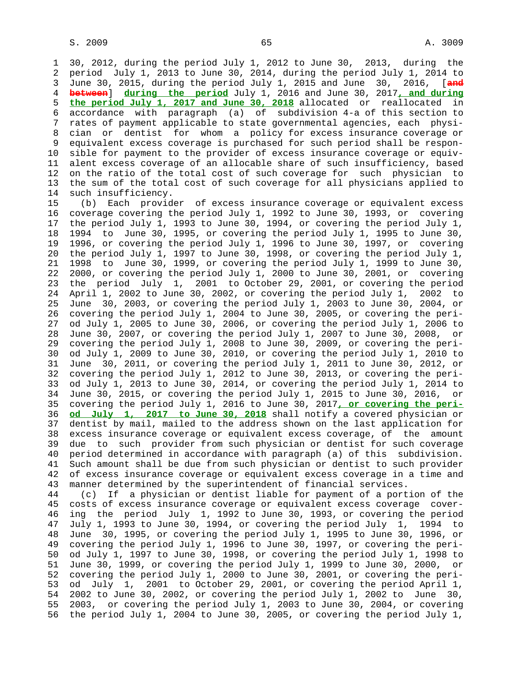1 30, 2012, during the period July 1, 2012 to June 30, 2013, during the 2 period July 1, 2013 to June 30, 2014, during the period July 1, 2014 to 3 June 30, 2015, during the period July 1, 2015 and June 30, 2016, [**and** 4 **between**] **during the period** July 1, 2016 and June 30, 2017**, and during** 5 **the period July 1, 2017 and June 30, 2018** allocated or reallocated in 6 accordance with paragraph (a) of subdivision 4-a of this section to 7 rates of payment applicable to state governmental agencies, each physi- 8 cian or dentist for whom a policy for excess insurance coverage or 9 equivalent excess coverage is purchased for such period shall be respon- 10 sible for payment to the provider of excess insurance coverage or equiv- 11 alent excess coverage of an allocable share of such insufficiency, based 12 on the ratio of the total cost of such coverage for such physician to 13 the sum of the total cost of such coverage for all physicians applied to 14 such insufficiency.

 15 (b) Each provider of excess insurance coverage or equivalent excess 16 coverage covering the period July 1, 1992 to June 30, 1993, or covering 17 the period July 1, 1993 to June 30, 1994, or covering the period July 1, 18 1994 to June 30, 1995, or covering the period July 1, 1995 to June 30, 19 1996, or covering the period July 1, 1996 to June 30, 1997, or covering 20 the period July 1, 1997 to June 30, 1998, or covering the period July 1, 21 1998 to June 30, 1999, or covering the period July 1, 1999 to June 30, 22 2000, or covering the period July 1, 2000 to June 30, 2001, or covering 23 the period July 1, 2001 to October 29, 2001, or covering the period 24 April 1, 2002 to June 30, 2002, or covering the period July 1, 2002 to 25 June 30, 2003, or covering the period July 1, 2003 to June 30, 2004, or 26 covering the period July 1, 2004 to June 30, 2005, or covering the peri- 27 od July 1, 2005 to June 30, 2006, or covering the period July 1, 2006 to 28 June 30, 2007, or covering the period July 1, 2007 to June 30, 2008, or 29 covering the period July 1, 2008 to June 30, 2009, or covering the peri- 30 od July 1, 2009 to June 30, 2010, or covering the period July 1, 2010 to 31 June 30, 2011, or covering the period July 1, 2011 to June 30, 2012, or 32 covering the period July 1, 2012 to June 30, 2013, or covering the peri- 33 od July 1, 2013 to June 30, 2014, or covering the period July 1, 2014 to 34 June 30, 2015, or covering the period July 1, 2015 to June 30, 2016, or 35 covering the period July 1, 2016 to June 30, 2017**, or covering the peri-** 36 **od July 1, 2017 to June 30, 2018** shall notify a covered physician or 37 dentist by mail, mailed to the address shown on the last application for 38 excess insurance coverage or equivalent excess coverage, of the amount 39 due to such provider from such physician or dentist for such coverage 40 period determined in accordance with paragraph (a) of this subdivision. 41 Such amount shall be due from such physician or dentist to such provider 42 of excess insurance coverage or equivalent excess coverage in a time and 43 manner determined by the superintendent of financial services.

 44 (c) If a physician or dentist liable for payment of a portion of the 45 costs of excess insurance coverage or equivalent excess coverage cover- 46 ing the period July 1, 1992 to June 30, 1993, or covering the period 47 July 1, 1993 to June 30, 1994, or covering the period July 1, 1994 to 48 June 30, 1995, or covering the period July 1, 1995 to June 30, 1996, or 49 covering the period July 1, 1996 to June 30, 1997, or covering the peri- 50 od July 1, 1997 to June 30, 1998, or covering the period July 1, 1998 to 51 June 30, 1999, or covering the period July 1, 1999 to June 30, 2000, or 52 covering the period July 1, 2000 to June 30, 2001, or covering the peri- 53 od July 1, 2001 to October 29, 2001, or covering the period April 1, 54 2002 to June 30, 2002, or covering the period July 1, 2002 to June 30, 55 2003, or covering the period July 1, 2003 to June 30, 2004, or covering 56 the period July 1, 2004 to June 30, 2005, or covering the period July 1,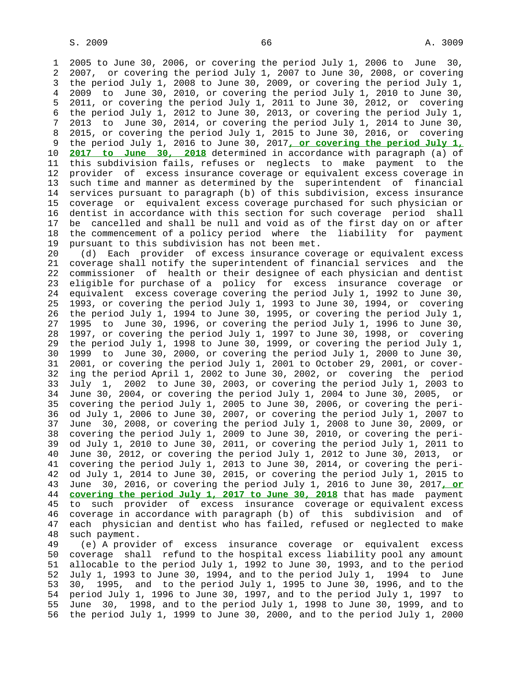1 2005 to June 30, 2006, or covering the period July 1, 2006 to June 30, 2 2007, or covering the period July 1, 2007 to June 30, 2008, or covering 3 the period July 1, 2008 to June 30, 2009, or covering the period July 1, 4 2009 to June 30, 2010, or covering the period July 1, 2010 to June 30, 5 2011, or covering the period July 1, 2011 to June 30, 2012, or covering 6 the period July 1, 2012 to June 30, 2013, or covering the period July 1, 7 2013 to June 30, 2014, or covering the period July 1, 2014 to June 30, 8 2015, or covering the period July 1, 2015 to June 30, 2016, or covering 9 the period July 1, 2016 to June 30, 2017**, or covering the period July 1,** 10 **2017 to June 30, 2018** determined in accordance with paragraph (a) of 11 this subdivision fails, refuses or neglects to make payment to the 12 provider of excess insurance coverage or equivalent excess coverage in 13 such time and manner as determined by the superintendent of financial 14 services pursuant to paragraph (b) of this subdivision, excess insurance 15 coverage or equivalent excess coverage purchased for such physician or 16 dentist in accordance with this section for such coverage period shall 17 be cancelled and shall be null and void as of the first day on or after 18 the commencement of a policy period where the liability for payment 19 pursuant to this subdivision has not been met.

 20 (d) Each provider of excess insurance coverage or equivalent excess 21 coverage shall notify the superintendent of financial services and the 22 commissioner of health or their designee of each physician and dentist 23 eligible for purchase of a policy for excess insurance coverage or 24 equivalent excess coverage covering the period July 1, 1992 to June 30, 25 1993, or covering the period July 1, 1993 to June 30, 1994, or covering 26 the period July 1, 1994 to June 30, 1995, or covering the period July 1, 27 1995 to June 30, 1996, or covering the period July 1, 1996 to June 30, 28 1997, or covering the period July 1, 1997 to June 30, 1998, or covering 29 the period July 1, 1998 to June 30, 1999, or covering the period July 1, 30 1999 to June 30, 2000, or covering the period July 1, 2000 to June 30, 31 2001, or covering the period July 1, 2001 to October 29, 2001, or cover- 32 ing the period April 1, 2002 to June 30, 2002, or covering the period 33 July 1, 2002 to June 30, 2003, or covering the period July 1, 2003 to 34 June 30, 2004, or covering the period July 1, 2004 to June 30, 2005, or 35 covering the period July 1, 2005 to June 30, 2006, or covering the peri- 36 od July 1, 2006 to June 30, 2007, or covering the period July 1, 2007 to 37 June 30, 2008, or covering the period July 1, 2008 to June 30, 2009, or 38 covering the period July 1, 2009 to June 30, 2010, or covering the peri- 39 od July 1, 2010 to June 30, 2011, or covering the period July 1, 2011 to 40 June 30, 2012, or covering the period July 1, 2012 to June 30, 2013, or 41 covering the period July 1, 2013 to June 30, 2014, or covering the peri- 42 od July 1, 2014 to June 30, 2015, or covering the period July 1, 2015 to 43 June 30, 2016, or covering the period July 1, 2016 to June 30, 2017**, or** 44 **covering the period July 1, 2017 to June 30, 2018** that has made payment 45 to such provider of excess insurance coverage or equivalent excess 46 coverage in accordance with paragraph (b) of this subdivision and of 47 each physician and dentist who has failed, refused or neglected to make 48 such payment.

 49 (e) A provider of excess insurance coverage or equivalent excess 50 coverage shall refund to the hospital excess liability pool any amount 51 allocable to the period July 1, 1992 to June 30, 1993, and to the period 52 July 1, 1993 to June 30, 1994, and to the period July 1, 1994 to June 53 30, 1995, and to the period July 1, 1995 to June 30, 1996, and to the 54 period July 1, 1996 to June 30, 1997, and to the period July 1, 1997 to 55 June 30, 1998, and to the period July 1, 1998 to June 30, 1999, and to 56 the period July 1, 1999 to June 30, 2000, and to the period July 1, 2000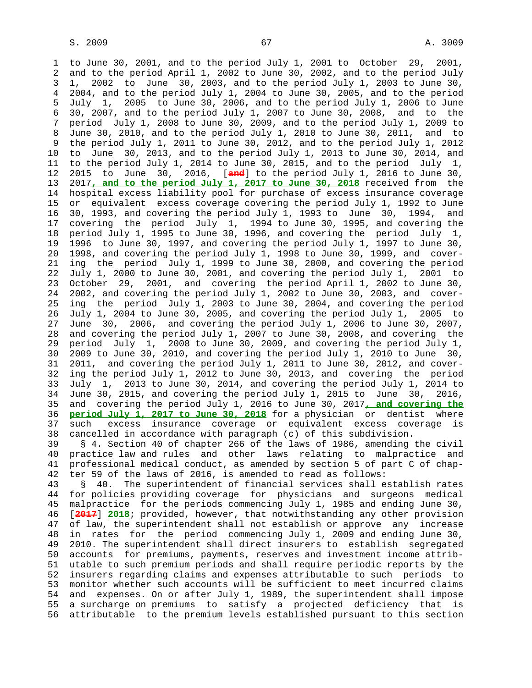1 to June 30, 2001, and to the period July 1, 2001 to October 29, 2001, 2 and to the period April 1, 2002 to June 30, 2002, and to the period July 3 1, 2002 to June 30, 2003, and to the period July 1, 2003 to June 30, 4 2004, and to the period July 1, 2004 to June 30, 2005, and to the period 5 July 1, 2005 to June 30, 2006, and to the period July 1, 2006 to June 6 30, 2007, and to the period July 1, 2007 to June 30, 2008, and to the 7 period July 1, 2008 to June 30, 2009, and to the period July 1, 2009 to 8 June 30, 2010, and to the period July 1, 2010 to June 30, 2011, and to 9 the period July 1, 2011 to June 30, 2012, and to the period July 1, 2012 10 to June 30, 2013, and to the period July 1, 2013 to June 30, 2014, and 11 to the period July 1, 2014 to June 30, 2015, and to the period July 1, 12 2015 to June 30, 2016, [**and**] to the period July 1, 2016 to June 30, 13 2017**, and to the period July 1, 2017 to June 30, 2018** received from the 14 hospital excess liability pool for purchase of excess insurance coverage 15 or equivalent excess coverage covering the period July 1, 1992 to June 16 30, 1993, and covering the period July 1, 1993 to June 30, 1994, and 17 covering the period July 1, 1994 to June 30, 1995, and covering the 18 period July 1, 1995 to June 30, 1996, and covering the period July 1, 19 1996 to June 30, 1997, and covering the period July 1, 1997 to June 30, 20 1998, and covering the period July 1, 1998 to June 30, 1999, and cover- 21 ing the period July 1, 1999 to June 30, 2000, and covering the period 22 July 1, 2000 to June 30, 2001, and covering the period July 1, 2001 to 23 October 29, 2001, and covering the period April 1, 2002 to June 30, 24 2002, and covering the period July 1, 2002 to June 30, 2003, and cover- 25 ing the period July 1, 2003 to June 30, 2004, and covering the period 26 July 1, 2004 to June 30, 2005, and covering the period July 1, 2005 to 27 June 30, 2006, and covering the period July 1, 2006 to June 30, 2007, 28 and covering the period July 1, 2007 to June 30, 2008, and covering the 29 period July 1, 2008 to June 30, 2009, and covering the period July 1, 30 2009 to June 30, 2010, and covering the period July 1, 2010 to June 30, 31 2011, and covering the period July 1, 2011 to June 30, 2012, and cover- 32 ing the period July 1, 2012 to June 30, 2013, and covering the period 33 July 1, 2013 to June 30, 2014, and covering the period July 1, 2014 to 34 June 30, 2015, and covering the period July 1, 2015 to June 30, 2016, 35 and covering the period July 1, 2016 to June 30, 2017**, and covering the** 36 **period July 1, 2017 to June 30, 2018** for a physician or dentist where 37 such excess insurance coverage or equivalent excess coverage is 38 cancelled in accordance with paragraph (c) of this subdivision. 39 § 4. Section 40 of chapter 266 of the laws of 1986, amending the civil 40 practice law and rules and other laws relating to malpractice and 41 professional medical conduct, as amended by section 5 of part C of chap- 42 ter 59 of the laws of 2016, is amended to read as follows: 43 § 40. The superintendent of financial services shall establish rates 44 for policies providing coverage for physicians and surgeons medical 45 malpractice for the periods commencing July 1, 1985 and ending June 30, 46 [**2017**] **2018**; provided, however, that notwithstanding any other provision 47 of law, the superintendent shall not establish or approve any increase 48 in rates for the period commencing July 1, 2009 and ending June 30, 49 2010. The superintendent shall direct insurers to establish segregated 50 accounts for premiums, payments, reserves and investment income attrib- 51 utable to such premium periods and shall require periodic reports by the

 52 insurers regarding claims and expenses attributable to such periods to 53 monitor whether such accounts will be sufficient to meet incurred claims 54 and expenses. On or after July 1, 1989, the superintendent shall impose 55 a surcharge on premiums to satisfy a projected deficiency that is 56 attributable to the premium levels established pursuant to this section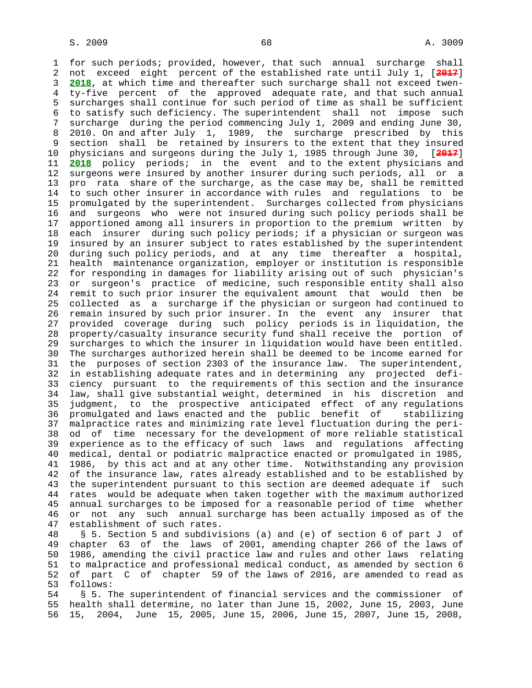1 for such periods; provided, however, that such annual surcharge shall 2 not exceed eight percent of the established rate until July 1, [**2017**] 3 **2018**, at which time and thereafter such surcharge shall not exceed twen- 4 ty-five percent of the approved adequate rate, and that such annual 5 surcharges shall continue for such period of time as shall be sufficient 6 to satisfy such deficiency. The superintendent shall not impose such 7 surcharge during the period commencing July 1, 2009 and ending June 30, 8 2010. On and after July 1, 1989, the surcharge prescribed by this 9 section shall be retained by insurers to the extent that they insured 10 physicians and surgeons during the July 1, 1985 through June 30, [**2017**] 11 **2018** policy periods; in the event and to the extent physicians and 12 surgeons were insured by another insurer during such periods, all or a 13 pro rata share of the surcharge, as the case may be, shall be remitted 14 to such other insurer in accordance with rules and regulations to be 15 promulgated by the superintendent. Surcharges collected from physicians 16 and surgeons who were not insured during such policy periods shall be 17 apportioned among all insurers in proportion to the premium written by 18 each insurer during such policy periods; if a physician or surgeon was 19 insured by an insurer subject to rates established by the superintendent 20 during such policy periods, and at any time thereafter a hospital, 21 health maintenance organization, employer or institution is responsible 22 for responding in damages for liability arising out of such physician's 23 or surgeon's practice of medicine, such responsible entity shall also 24 remit to such prior insurer the equivalent amount that would then be 25 collected as a surcharge if the physician or surgeon had continued to 26 remain insured by such prior insurer. In the event any insurer that 27 provided coverage during such policy periods is in liquidation, the 28 property/casualty insurance security fund shall receive the portion of 29 surcharges to which the insurer in liquidation would have been entitled. 30 The surcharges authorized herein shall be deemed to be income earned for 31 the purposes of section 2303 of the insurance law. The superintendent, 32 in establishing adequate rates and in determining any projected defi- 33 ciency pursuant to the requirements of this section and the insurance 34 law, shall give substantial weight, determined in his discretion and 35 judgment, to the prospective anticipated effect of any regulations 36 promulgated and laws enacted and the public benefit of stabilizing 37 malpractice rates and minimizing rate level fluctuation during the peri- 38 od of time necessary for the development of more reliable statistical 39 experience as to the efficacy of such laws and regulations affecting 40 medical, dental or podiatric malpractice enacted or promulgated in 1985, 41 1986, by this act and at any other time. Notwithstanding any provision 42 of the insurance law, rates already established and to be established by 43 the superintendent pursuant to this section are deemed adequate if such 44 rates would be adequate when taken together with the maximum authorized 45 annual surcharges to be imposed for a reasonable period of time whether 46 or not any such annual surcharge has been actually imposed as of the 47 establishment of such rates.

 48 § 5. Section 5 and subdivisions (a) and (e) of section 6 of part J of 49 chapter 63 of the laws of 2001, amending chapter 266 of the laws of 50 1986, amending the civil practice law and rules and other laws relating 51 to malpractice and professional medical conduct, as amended by section 6 52 of part C of chapter 59 of the laws of 2016, are amended to read as 53 follows:

 54 § 5. The superintendent of financial services and the commissioner of 55 health shall determine, no later than June 15, 2002, June 15, 2003, June 56 15, 2004, June 15, 2005, June 15, 2006, June 15, 2007, June 15, 2008,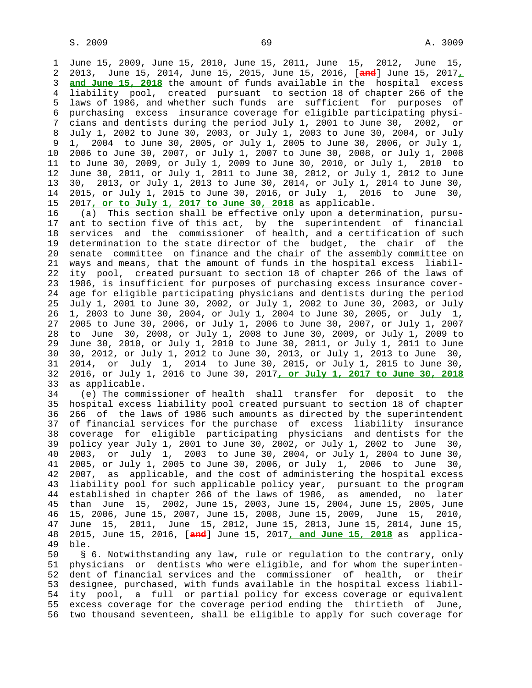1 June 15, 2009, June 15, 2010, June 15, 2011, June 15, 2012, June 15, 2 2013, June 15, 2014, June 15, 2015, June 15, 2016, [**and**] June 15, 2017**,** 3 **and June 15, 2018** the amount of funds available in the hospital excess 4 liability pool, created pursuant to section 18 of chapter 266 of the 5 laws of 1986, and whether such funds are sufficient for purposes of 6 purchasing excess insurance coverage for eligible participating physi- 7 cians and dentists during the period July 1, 2001 to June 30, 2002, or 8 July 1, 2002 to June 30, 2003, or July 1, 2003 to June 30, 2004, or July 9 1, 2004 to June 30, 2005, or July 1, 2005 to June 30, 2006, or July 1, 10 2006 to June 30, 2007, or July 1, 2007 to June 30, 2008, or July 1, 2008 11 to June 30, 2009, or July 1, 2009 to June 30, 2010, or July 1, 2010 to 12 June 30, 2011, or July 1, 2011 to June 30, 2012, or July 1, 2012 to June 13 30, 2013, or July 1, 2013 to June 30, 2014, or July 1, 2014 to June 30, 14 2015, or July 1, 2015 to June 30, 2016, or July 1, 2016 to June 30, 15 2017**, or to July 1, 2017 to June 30, 2018** as applicable.

 16 (a) This section shall be effective only upon a determination, pursu- 17 ant to section five of this act, by the superintendent of financial 18 services and the commissioner of health, and a certification of such 19 determination to the state director of the budget, the chair of the 20 senate committee on finance and the chair of the assembly committee on 21 ways and means, that the amount of funds in the hospital excess liabil- 22 ity pool, created pursuant to section 18 of chapter 266 of the laws of 23 1986, is insufficient for purposes of purchasing excess insurance cover- 24 age for eligible participating physicians and dentists during the period 25 July 1, 2001 to June 30, 2002, or July 1, 2002 to June 30, 2003, or July 26 1, 2003 to June 30, 2004, or July 1, 2004 to June 30, 2005, or July 1, 27 2005 to June 30, 2006, or July 1, 2006 to June 30, 2007, or July 1, 2007 28 to June 30, 2008, or July 1, 2008 to June 30, 2009, or July 1, 2009 to 29 June 30, 2010, or July 1, 2010 to June 30, 2011, or July 1, 2011 to June 30 30, 2012, or July 1, 2012 to June 30, 2013, or July 1, 2013 to June 30, 31 2014, or July 1, 2014 to June 30, 2015, or July 1, 2015 to June 30, 32 2016, or July 1, 2016 to June 30, 2017**, or July 1, 2017 to June 30, 2018** 33 as applicable.

 34 (e) The commissioner of health shall transfer for deposit to the 35 hospital excess liability pool created pursuant to section 18 of chapter 36 266 of the laws of 1986 such amounts as directed by the superintendent 37 of financial services for the purchase of excess liability insurance 38 coverage for eligible participating physicians and dentists for the 39 policy year July 1, 2001 to June 30, 2002, or July 1, 2002 to June 30, 40 2003, or July 1, 2003 to June 30, 2004, or July 1, 2004 to June 30, 41 2005, or July 1, 2005 to June 30, 2006, or July 1, 2006 to June 30, 42 2007, as applicable, and the cost of administering the hospital excess 43 liability pool for such applicable policy year, pursuant to the program 44 established in chapter 266 of the laws of 1986, as amended, no later 45 than June 15, 2002, June 15, 2003, June 15, 2004, June 15, 2005, June 46 15, 2006, June 15, 2007, June 15, 2008, June 15, 2009, June 15, 2010, 47 June 15, 2011, June 15, 2012, June 15, 2013, June 15, 2014, June 15, 48 2015, June 15, 2016, [**and**] June 15, 2017**, and June 15, 2018** as applica- 49 ble.

 50 § 6. Notwithstanding any law, rule or regulation to the contrary, only 51 physicians or dentists who were eligible, and for whom the superinten- 52 dent of financial services and the commissioner of health, or their 53 designee, purchased, with funds available in the hospital excess liabil- 54 ity pool, a full or partial policy for excess coverage or equivalent 55 excess coverage for the coverage period ending the thirtieth of June, 56 two thousand seventeen, shall be eligible to apply for such coverage for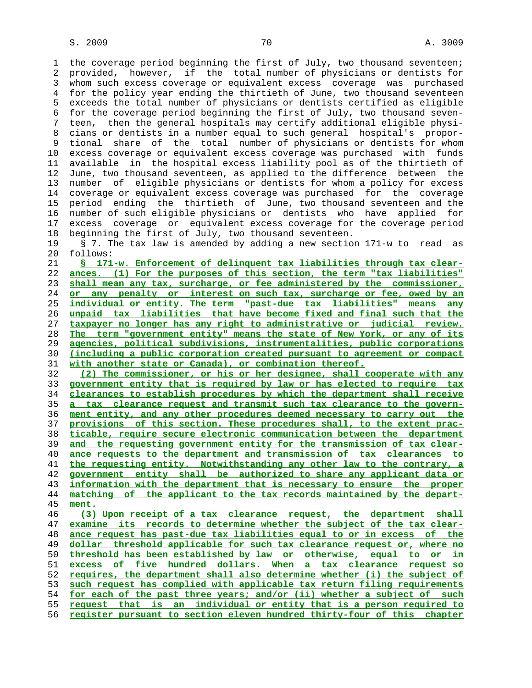1 the coverage period beginning the first of July, two thousand seventeen; 2 provided, however, if the total number of physicians or dentists for 3 whom such excess coverage or equivalent excess coverage was purchased 4 for the policy year ending the thirtieth of June, two thousand seventeen 5 exceeds the total number of physicians or dentists certified as eligible 6 for the coverage period beginning the first of July, two thousand seven- 7 teen, then the general hospitals may certify additional eligible physi- 8 cians or dentists in a number equal to such general hospital's propor- 9 tional share of the total number of physicians or dentists for whom 10 excess coverage or equivalent excess coverage was purchased with funds 11 available in the hospital excess liability pool as of the thirtieth of 12 June, two thousand seventeen, as applied to the difference between the 13 number of eligible physicians or dentists for whom a policy for excess 14 coverage or equivalent excess coverage was purchased for the coverage 15 period ending the thirtieth of June, two thousand seventeen and the 16 number of such eligible physicians or dentists who have applied for 17 excess coverage or equivalent excess coverage for the coverage period 18 beginning the first of July, two thousand seventeen.

 19 § 7. The tax law is amended by adding a new section 171-w to read as 20 follows:

**§ 171-w. Enforcement of delinquent tax liabilities through tax clear- ances. (1) For the purposes of this section, the term "tax liabilities" shall mean any tax, surcharge, or fee administered by the commissioner, or any penalty or interest on such tax, surcharge or fee, owed by an individual or entity. The term "past-due tax liabilities" means any unpaid tax liabilities that have become fixed and final such that the taxpayer no longer has any right to administrative or judicial review. The term "government entity" means the state of New York, or any of its agencies, political subdivisions, instrumentalities, public corporations (including a public corporation created pursuant to agreement or compact with another state or Canada), or combination thereof.**

**(2) The commissioner, or his or her designee, shall cooperate with any government entity that is required by law or has elected to require tax clearances to establish procedures by which the department shall receive a tax clearance request and transmit such tax clearance to the govern- ment entity, and any other procedures deemed necessary to carry out the provisions of this section. These procedures shall, to the extent prac- ticable, require secure electronic communication between the department and the requesting government entity for the transmission of tax clear- ance requests to the department and transmission of tax clearances to the requesting entity. Notwithstanding any other law to the contrary, a government entity shall be authorized to share any applicant data or information with the department that is necessary to ensure the proper matching of the applicant to the tax records maintained by the depart- ment. (3) Upon receipt of a tax clearance request, the department shall**

**examine its records to determine whether the subject of the tax clear- ance request has past-due tax liabilities equal to or in excess of the dollar threshold applicable for such tax clearance request or, where no threshold has been established by law or otherwise, equal to or in excess of five hundred dollars. When a tax clearance request so requires, the department shall also determine whether (i) the subject of such request has complied with applicable tax return filing requirements for each of the past three years; and/or (ii) whether a subject of such request that is an individual or entity that is a person required to register pursuant to section eleven hundred thirty-four of this chapter**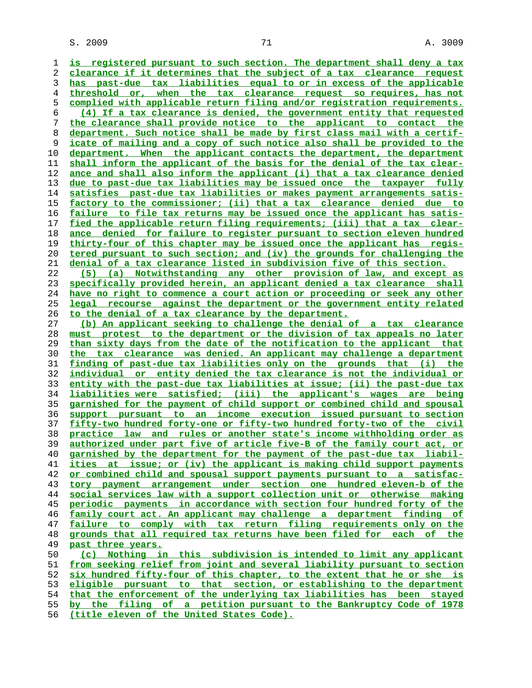**is registered pursuant to such section. The department shall deny a tax clearance if it determines that the subject of a tax clearance request has past-due tax liabilities equal to or in excess of the applicable threshold or, when the tax clearance request so requires, has not complied with applicable return filing and/or registration requirements. (4) If a tax clearance is denied, the government entity that requested the clearance shall provide notice to the applicant to contact the department. Such notice shall be made by first class mail with a certif- icate of mailing and a copy of such notice also shall be provided to the department. When the applicant contacts the department, the department shall inform the applicant of the basis for the denial of the tax clear- ance and shall also inform the applicant (i) that a tax clearance denied due to past-due tax liabilities may be issued once the taxpayer fully satisfies past-due tax liabilities or makes payment arrangements satis- factory to the commissioner; (ii) that a tax clearance denied due to failure to file tax returns may be issued once the applicant has satis- fied the applicable return filing requirements; (iii) that a tax clear- ance denied for failure to register pursuant to section eleven hundred thirty-four of this chapter may be issued once the applicant has regis- tered pursuant to such section; and (iv) the grounds for challenging the denial of a tax clearance listed in subdivision five of this section. (5) (a) Notwithstanding any other provision of law, and except as specifically provided herein, an applicant denied a tax clearance shall have no right to commence a court action or proceeding or seek any other legal recourse against the department or the government entity related to the denial of a tax clearance by the department. (b) An applicant seeking to challenge the denial of a tax clearance must protest to the department or the division of tax appeals no later than sixty days from the date of the notification to the applicant that the tax clearance was denied. An applicant may challenge a department finding of past-due tax liabilities only on the grounds that (i) the individual or entity denied the tax clearance is not the individual or entity with the past-due tax liabilities at issue; (ii) the past-due tax liabilities were satisfied; (iii) the applicant's wages are being garnished for the payment of child support or combined child and spousal support pursuant to an income execution issued pursuant to section fifty-two hundred forty-one or fifty-two hundred forty-two of the civil practice law and rules or another state's income withholding order as authorized under part five of article five-B of the family court act, or garnished by the department for the payment of the past-due tax liabil- ities at issue; or (iv) the applicant is making child support payments or combined child and spousal support payments pursuant to a satisfac- tory payment arrangement under section one hundred eleven-b of the social services law with a support collection unit or otherwise making periodic payments in accordance with section four hundred forty of the family court act. An applicant may challenge a department finding of failure to comply with tax return filing requirements only on the grounds that all required tax returns have been filed for each of the past three years. (c) Nothing in this subdivision is intended to limit any applicant from seeking relief from joint and several liability pursuant to section six hundred fifty-four of this chapter, to the extent that he or she is eligible pursuant to that section, or establishing to the department that the enforcement of the underlying tax liabilities has been stayed by the filing of a petition pursuant to the Bankruptcy Code of 1978**

**(title eleven of the United States Code).**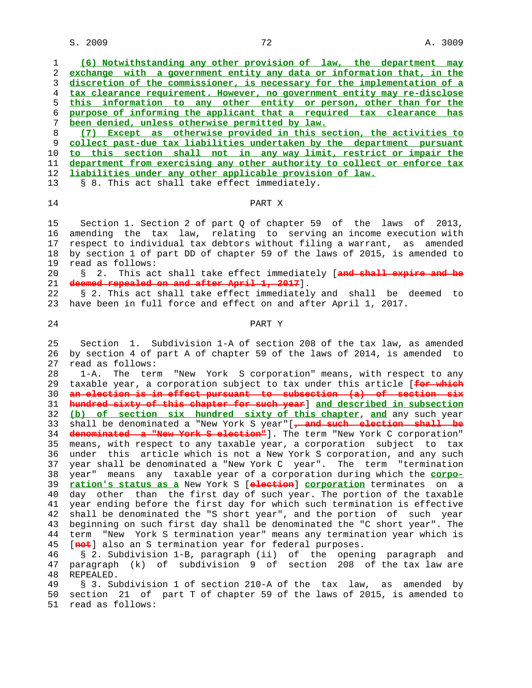$S. 2009$  and  $T2$  and  $T12$  and  $T2$  and  $T3009$ 

| 1                                                              | (6) Notwithstanding any other provision of law, the department may           |
|----------------------------------------------------------------|------------------------------------------------------------------------------|
| $\overline{2}$                                                 | exchange with a government entity any data or information that, in the       |
| 3                                                              | discretion of the commissioner, is necessary for the implementation of a     |
| 4                                                              | tax clearance requirement. However, no government entity may re-disclose     |
| 5                                                              | this information to any other entity or person, other than for the           |
| 6                                                              | purpose of informing the applicant that a required tax clearance has         |
| 7                                                              | been denied, unless otherwise permitted by law.                              |
| 8                                                              | (7) Except as otherwise provided in this section, the activities to          |
| 9                                                              | collect past-due tax liabilities undertaken by the department pursuant       |
| 10                                                             | to this section shall not in any way limit, restrict or impair the           |
| 11                                                             | department from exercising any other authority to collect or enforce tax     |
| 12                                                             | liabilities under any other applicable provision of law.                     |
| 13                                                             | § 8. This act shall take effect immediately.                                 |
|                                                                |                                                                              |
| 14                                                             | PART X                                                                       |
|                                                                |                                                                              |
| 15                                                             | Section 1. Section 2 of part Q of chapter 59 of the laws of 2013,            |
| 16                                                             | amending the tax law, relating to serving an income execution with           |
| 17                                                             | respect to individual tax debtors without filing a warrant, as amended       |
| 18                                                             | by section 1 of part DD of chapter 59 of the laws of 2015, is amended to     |
| 19                                                             | read as follows:                                                             |
| 20                                                             | This act shall take effect immediately [and shall expire and be<br>2.<br>Ş.  |
| 21                                                             | deemed repealed on and after April 1, 2017].                                 |
| 22                                                             | § 2. This act shall take effect immediately and shall be deemed to           |
| 23                                                             | have been in full force and effect on and after April 1, 2017.               |
|                                                                |                                                                              |
| 24                                                             | PART Y                                                                       |
|                                                                |                                                                              |
| 25                                                             |                                                                              |
|                                                                |                                                                              |
|                                                                | Section 1. Subdivision 1-A of section 208 of the tax law, as amended         |
|                                                                | by section 4 of part A of chapter 59 of the laws of 2014, is amended to      |
|                                                                | read as follows:<br>1-A.                                                     |
|                                                                | The term "New York S corporation" means, with respect to any                 |
|                                                                | taxable year, a corporation subject to tax under this article [for which     |
|                                                                | an election is in effect pursuant to subsection (a) of section six           |
|                                                                | hundred sixty of this chapter for such year] and described in subsection     |
|                                                                | (b) of section six hundred sixty of this chapter, and any such year          |
|                                                                | shall be denominated a "New York S year"[, and such election shall be        |
|                                                                | denominated a "New York S election"]. The term "New York C corporation"      |
|                                                                | means, with respect to any taxable year, a corporation subject to tax        |
|                                                                | under this article which is not a New York S corporation, and any such       |
|                                                                | year shall be denominated a "New York C year". The term "termination         |
|                                                                | year" means any taxable year of a corporation during which the <b>corpo-</b> |
|                                                                | ration's status as a New York S [election] corporation terminates on a       |
| 35                                                             | day other than the first day of such year. The portion of the taxable        |
|                                                                | year ending before the first day for which such termination is effective     |
| 28<br>32<br>34<br>36<br>37<br>39                               | shall be denominated the "S short year", and the portion of such year        |
| 26<br>27<br>29<br>30<br>31<br>33<br>38<br>40<br>41<br>42<br>43 | beginning on such first day shall be denominated the "C short year". The     |
|                                                                | term "New York S termination year" means any termination year which is       |
| 44<br>45                                                       | [not] also an S termination year for federal purposes.                       |
| 46                                                             | § 2. Subdivision 1-B, paragraph (ii) of the opening paragraph and            |
| 47                                                             | paragraph (k) of subdivision 9 of section 208 of the tax law are             |
|                                                                | REPEALED.                                                                    |
| 48<br>49                                                       | § 3. Subdivision 1 of section 210-A of the tax law, as amended by            |
| 50                                                             | section 21 of part T of chapter 59 of the laws of 2015, is amended to        |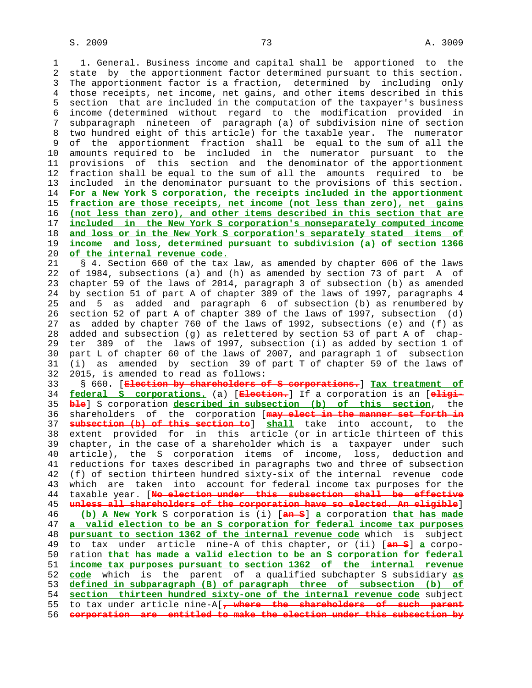1 1. General. Business income and capital shall be apportioned to the 2 state by the apportionment factor determined pursuant to this section. 3 The apportionment factor is a fraction, determined by including only 4 those receipts, net income, net gains, and other items described in this 5 section that are included in the computation of the taxpayer's business 6 income (determined without regard to the modification provided in 7 subparagraph nineteen of paragraph (a) of subdivision nine of section 8 two hundred eight of this article) for the taxable year. The numerator of the apportionment fraction shall be equal to the sum of all the 10 amounts required to be included in the numerator pursuant to the 11 provisions of this section and the denominator of the apportionment 12 fraction shall be equal to the sum of all the amounts required to be 13 included in the denominator pursuant to the provisions of this section. 14 **For a New York S corporation, the receipts included in the apportionment** 15 **fraction are those receipts, net income (not less than zero), net gains** 16 **(not less than zero), and other items described in this section that are** 17 **included in the New York S corporation's nonseparately computed income** 18 **and loss or in the New York S corporation's separately stated items of** 19 **income and loss, determined pursuant to subdivision (a) of section 1366** 20 **of the internal revenue code.**

 21 § 4. Section 660 of the tax law, as amended by chapter 606 of the laws 22 of 1984, subsections (a) and (h) as amended by section 73 of part A of 23 chapter 59 of the laws of 2014, paragraph 3 of subsection (b) as amended 24 by section 51 of part A of chapter 389 of the laws of 1997, paragraphs 4 25 and 5 as added and paragraph 6 of subsection (b) as renumbered by 26 section 52 of part A of chapter 389 of the laws of 1997, subsection (d) 27 as added by chapter 760 of the laws of 1992, subsections (e) and (f) as 28 added and subsection (g) as relettered by section 53 of part A of chap- 29 ter 389 of the laws of 1997, subsection (i) as added by section 1 of 30 part L of chapter 60 of the laws of 2007, and paragraph 1 of subsection 31 (i) as amended by section 39 of part T of chapter 59 of the laws of 32 2015, is amended to read as follows:

 33 § 660. [**Election by shareholders of S corporations.**] **Tax treatment of** 34 **federal S corporations.** (a) [**Election.**] If a corporation is an [**eligi-** 35 **ble**] S corporation **described in subsection (b) of this section**, the 36 shareholders of the corporation [**may elect in the manner set forth in** 37 **subsection (b) of this section to**] **shall** take into account, to the 38 extent provided for in this article (or in article thirteen of this 39 chapter, in the case of a shareholder which is a taxpayer under such 40 article), the S corporation items of income, loss, deduction and 41 reductions for taxes described in paragraphs two and three of subsection 42 (f) of section thirteen hundred sixty-six of the internal revenue code 43 which are taken into account for federal income tax purposes for the 44 taxable year. [**No election under this subsection shall be effective** 45 **unless all shareholders of the corporation have so elected. An eligible**] 46 **(b) A New York** S corporation is (i) [**an S**] **a** corporation **that has made** 47 **a valid election to be an S corporation for federal income tax purposes** 48 **pursuant to section 1362 of the internal revenue code** which is subject 49 to tax under article nine-A of this chapter, or (ii) [**an S**] **a** corpo- 50 ration **that has made a valid election to be an S corporation for federal** 51 **income tax purposes pursuant to section 1362 of the internal revenue** 52 **code** which is the parent of a qualified subchapter S subsidiary **as** 53 **defined in subparagraph (B) of paragraph three of subsection (b) of** 54 **section thirteen hundred sixty-one of the internal revenue code** subject 55 to tax under article nine-A[**, where the shareholders of such parent** 56 **corporation are entitled to make the election under this subsection by**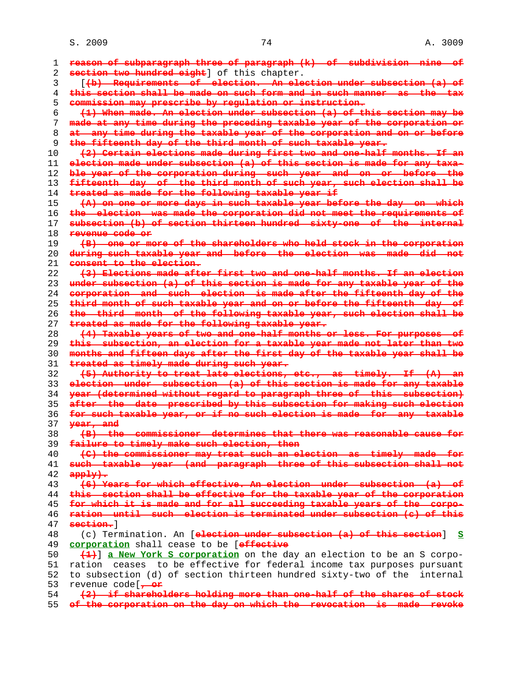S. 2009 24 A. 3009

| 1  | reason of subparagraph three of paragraph (k) of subdivision nine of                                              |
|----|-------------------------------------------------------------------------------------------------------------------|
| 2  | section two hundred eight] of this chapter.                                                                       |
| 3  | ((b) Requirements of election. An election under subsection (a) of                                                |
| 4  | this section shall be made on such form and in such manner as the tax                                             |
| 5  | commission may prescribe by regulation or instruction.                                                            |
|    | (1) When made. An election under subsection (a) of this section may be                                            |
| 6  |                                                                                                                   |
| 7  | made at any time during the preceding taxable year of the corporation or                                          |
| 8  | at any time during the taxable year of the corporation and on or before                                           |
| 9  | the fifteenth day of the third month of such taxable year.                                                        |
| 10 | (2) Certain elections made during first two and one-half months. If an                                            |
| 11 | election made under subsection (a) of this section is made for any taxa-                                          |
| 12 | ble year of the corporation during such year and on or before the                                                 |
| 13 | fifteenth day of the third month of such year, such election shall be                                             |
| 14 | treated as made for the following taxable year if                                                                 |
| 15 | (A) on one or more days in such taxable year before the day on which                                              |
| 16 | the election was made the corporation did not meet the requirements of                                            |
| 17 | subsection (b) of section thirteen hundred sixty one of the internal                                              |
| 18 | <del>revenue gode or</del>                                                                                        |
| 19 | (B) one or more of the shareholders who held stock in the corporation                                             |
| 20 | during such taxable year and before the election was made did not                                                 |
| 21 | consent to the election.                                                                                          |
| 22 | (3) Elections made after first two and one-half months. If an election                                            |
| 23 | under subsection (a) of this section is made for any taxable year of the                                          |
| 24 | corporation and such election is made after the fifteenth day of the                                              |
| 25 | third month of such taxable year and on or before the fifteenth day of                                            |
| 26 | the third month of the following taxable year, such election shall be                                             |
| 27 | treated as made for the following taxable year.                                                                   |
| 28 | (4) Taxable years of two and one-half months or less. For purposes of                                             |
| 29 | this subsection, an election for a taxable year made not later than two                                           |
| 30 | months and fifteen days after the first day of the taxable year shall be                                          |
| 31 | treated as timely made during such year.                                                                          |
| 32 | (5) Authority to treat late elections, etc., as timely. If (A) an                                                 |
| 33 | election under subsection (a) of this section is made for any taxable                                             |
| 34 | year (determined without regard to paragraph three of this subsection)                                            |
| 35 | after the date prescribed by this subsection for making such election                                             |
| 36 | for such taxable year, or if no such election is made for any taxable                                             |
| 37 | year, and                                                                                                         |
| 38 | (B) the commissioner determines that there was reasonable cause for                                               |
| 39 | failure to timely make such election, then                                                                        |
| 40 | (C) the commissioner may treat such an election as timely made for                                                |
| 41 | such taxable year (and paragraph three of this subsection shall not                                               |
| 42 | $app1y$ .                                                                                                         |
| 43 | (6) Years for which effective. An election under subsection (a) of                                                |
| 44 | this section shall be effective for the taxable year of the corporation                                           |
| 45 | for which it is made and for all succeeding taxable years of the corpo-                                           |
| 46 | ration until such election is terminated under subsection (c) of this                                             |
| 47 | section. 1                                                                                                        |
|    |                                                                                                                   |
| 48 | (c) Termination. An [election under subsection (a) of this section] S<br>corporation shall cease to be [effective |
| 49 |                                                                                                                   |
| 50 | (1) a New York S corporation on the day an election to be an S corpo-                                             |
| 51 | ration ceases to be effective for federal income tax purposes pursuant                                            |
| 52 | to subsection (d) of section thirteen hundred sixty-two of the internal                                           |
| 53 | revenue code[ <del>, or</del>                                                                                     |
| 54 | (2) if shareholders holding more than one-half of the shares of stock                                             |

**of the corporation on the day on which the revocation is made revoke**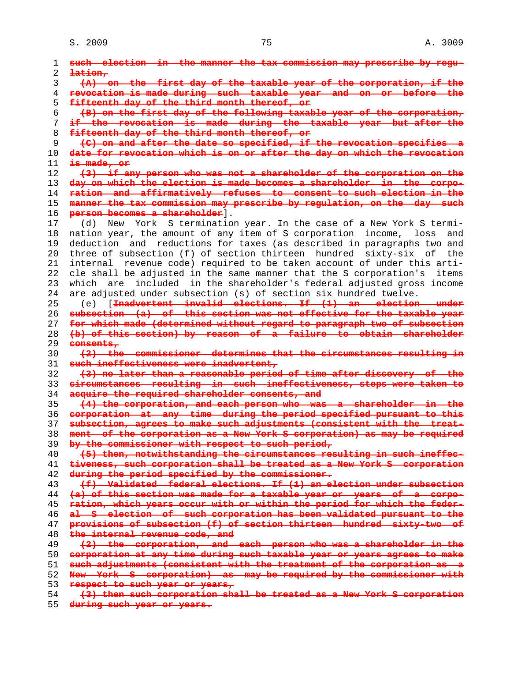| 1  | such election in the manner the tax commission may prescribe by regu-      |
|----|----------------------------------------------------------------------------|
| 2  | $lation$                                                                   |
| 3  | (A) on the first day of the taxable year of the corporation, if the        |
| 4  | revocation is made during such taxable year and on or before the           |
| 5  | fifteenth day of the third month thereof, or                               |
| 6  | (B) on the first day of the following taxable year of the corporation,     |
| 7  | if the revocation is made during the taxable year but after the            |
| 8  | fifteenth day of the third month thereof, or                               |
| 9  | (C) on and after the date so specified, if the revocation specifies a      |
| 10 | date for revocation which is on or after the day on which the revocation   |
| 11 | is made, or                                                                |
| 12 | (3) if any person who was not a shareholder of the corporation on the      |
| 13 | day on which the election is made becomes a shareholder in the corpo-      |
| 14 | ration and affirmatively refuses to consent to such election in the        |
| 15 | manner the tax commission may prescribe by regulation, on the day such     |
| 16 | person becomes a shareholder].                                             |
| 17 |                                                                            |
|    | York S termination year. In the case of a New York S termi-<br>(d)<br>New  |
| 18 | nation year, the amount of any item of S corporation income, loss<br>and   |
| 19 | deduction and reductions for taxes (as described in paragraphs two and     |
| 20 | three of subsection (f) of section thirteen hundred sixty-six of the       |
| 21 | revenue code) required to be taken account of under this arti-<br>internal |
| 22 | cle shall be adjusted in the same manner that the S corporation's items    |
| 23 | which are included in the shareholder's federal adjusted gross income      |
| 24 | are adjusted under subsection (s) of section six hundred twelve.           |
| 25 | (e) [ <del>Inadvertent invalid elections. If (1) an election under</del>   |
| 26 | subsection (a) of this section was not effective for the taxable year      |
| 27 | for which made (determined without regard to paragraph two of subsection   |
| 28 | (b) of this section) by reason of a failure to obtain shareholder          |
| 29 | eensents,                                                                  |
| 30 | (2) the commissioner determines that the circumstances resulting in        |
| 31 | such ineffectiveness were inadvertent,                                     |
| 32 | (3) no later than a reasonable period of time after discovery of the       |
| 33 | dirdumstances resulting in such ineffectiveness, steps were taken to       |
| 34 | acquire the required shareholder consents, and                             |
| 35 | (4) the corporation, and each person who was a shareholder in the          |
| 36 | corporation at any time during the period specified pursuant to this       |
| 37 | subsection, agrees to make such adjustments (consistent with the treat-    |
| 38 | ment of the corporation as a New York S corporation) as may be required    |
| 39 | by the commissioner with respect to such period,                           |
| 40 | (5) then, notwithstanding the circumstances resulting in such ineffec-     |
| 41 | tiveness, such corporation shall be treated as a New York S corporation    |
|    | during the period specified by the commissioner.                           |
| 42 |                                                                            |
| 43 | (f) Validated federal elections. If (1) an election under subsection       |
| 44 | (a) of this section was made for a taxable year or years of a corpo-       |
| 45 | ration, which years occur with or within the period for which the feder-   |
| 46 | al 6 election of such corporation has been validated pursuant to the       |
| 47 | provisions of subsection (f) of section thirteen hundred sixty-two of      |
| 48 | the internal revenue code, and                                             |
| 49 | (2) the corporation, and each person who was a shareholder in the          |
| 50 | corporation at any time during such taxable year or years agrees to make   |
| 51 | such adjustments (consistent with the treatment of the corporation as a    |
| 52 | New York S corporation) as may be required by the commissioner with        |
| 53 | respect to such year or years,                                             |
| 54 | (3) then such corporation shall be treated as a New York S corporation     |
|    |                                                                            |

**during such year or years.**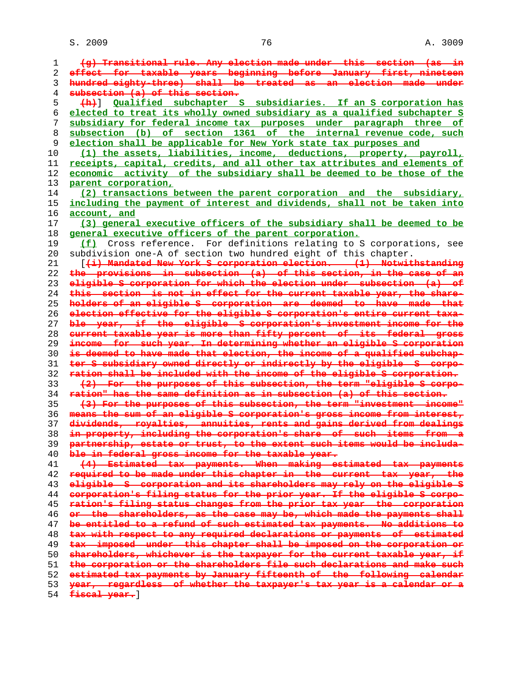**(g) Transitional rule. Any election made under this section (as in effect for taxable years beginning before January first, nineteen hundred eighty-three) shall be treated as an election made under subsection (a) of this section. (h)**] **Qualified subchapter S subsidiaries. If an S corporation has elected to treat its wholly owned subsidiary as a qualified subchapter S subsidiary for federal income tax purposes under paragraph three of subsection (b) of section 1361 of the internal revenue code, such election shall be applicable for New York state tax purposes and (1) the assets, liabilities, income, deductions, property, payroll, receipts, capital, credits, and all other tax attributes and elements of economic activity of the subsidiary shall be deemed to be those of the parent corporation, (2) transactions between the parent corporation and the subsidiary, including the payment of interest and dividends, shall not be taken into account, and (3) general executive officers of the subsidiary shall be deemed to be general executive officers of the parent corporation. (f)** Cross reference. For definitions relating to S corporations, see 20 subdivision one-A of section two hundred eight of this chapter. 21 [**(i) Mandated New York S corporation election. (1) Notwithstanding the provisions in subsection (a) of this section, in the case of an eligible S corporation for which the election under subsection (a) of this section is not in effect for the current taxable year, the share- holders of an eligible S corporation are deemed to have made that election effective for the eligible S corporation's entire current taxa- ble year, if the eligible S corporation's investment income for the current taxable year is more than fifty percent of its federal gross income for such year. In determining whether an eligible S corporation is deemed to have made that election, the income of a qualified subchap- ter S subsidiary owned directly or indirectly by the eligible S corpo- ration shall be included with the income of the eligible S corporation. (2) For the purposes of this subsection, the term "eligible S corpo- ration" has the same definition as in subsection (a) of this section. (3) For the purposes of this subsection, the term "investment income" means the sum of an eligible S corporation's gross income from interest, dividends, royalties, annuities, rents and gains derived from dealings in property, including the corporation's share of such items from a partnership, estate or trust, to the extent such items would be includa- ble in federal gross income for the taxable year. (4) Estimated tax payments. When making estimated tax payments required to be made under this chapter in the current tax year, the eligible S corporation and its shareholders may rely on the eligible S corporation's filing status for the prior year. If the eligible S corpo- ration's filing status changes from the prior tax year the corporation or the shareholders, as the case may be, which made the payments shall be entitled to a refund of such estimated tax payments. No additions to tax with respect to any required declarations or payments of estimated tax imposed under this chapter shall be imposed on the corporation or shareholders, whichever is the taxpayer for the current taxable year, if the corporation or the shareholders file such declarations and make such estimated tax payments by January fifteenth of the following calendar year, regardless of whether the taxpayer's tax year is a calendar or a**

**fiscal year.**]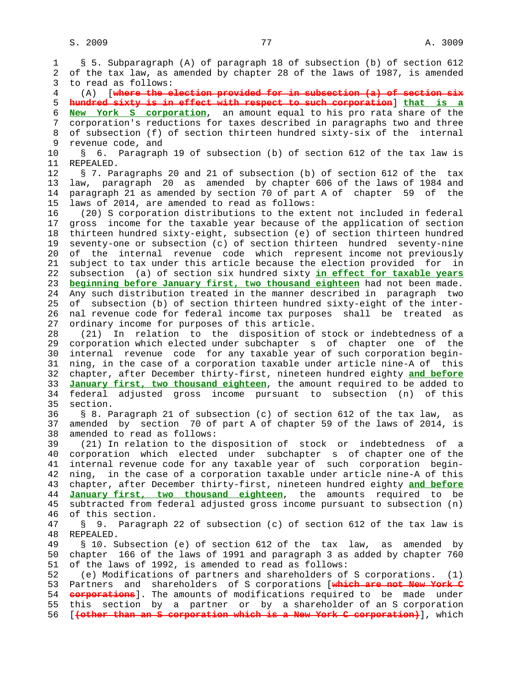1 § 5. Subparagraph (A) of paragraph 18 of subsection (b) of section 612 2 of the tax law, as amended by chapter 28 of the laws of 1987, is amended 3 to read as follows: 4 (A) [**where the election provided for in subsection (a) of section six** 5 **hundred sixty is in effect with respect to such corporation**] **that is a** 6 **New York S corporation**, an amount equal to his pro rata share of the 7 corporation's reductions for taxes described in paragraphs two and three 8 of subsection (f) of section thirteen hundred sixty-six of the internal<br>9 revenue code, and revenue code, and 10 § 6. Paragraph 19 of subsection (b) of section 612 of the tax law is 11 REPEALED. 12 § 7. Paragraphs 20 and 21 of subsection (b) of section 612 of the tax 13 law, paragraph 20 as amended by chapter 606 of the laws of 1984 and 14 paragraph 21 as amended by section 70 of part A of chapter 59 of the 15 laws of 2014, are amended to read as follows: 16 (20) S corporation distributions to the extent not included in federal 17 gross income for the taxable year because of the application of section 18 thirteen hundred sixty-eight, subsection (e) of section thirteen hundred 19 seventy-one or subsection (c) of section thirteen hundred seventy-nine 20 of the internal revenue code which represent income not previously 21 subject to tax under this article because the election provided for in 22 subsection (a) of section six hundred sixty **in effect for taxable years** 23 **beginning before January first, two thousand eighteen** had not been made. 24 Any such distribution treated in the manner described in paragraph two 25 of subsection (b) of section thirteen hundred sixty-eight of the inter- 26 nal revenue code for federal income tax purposes shall be treated as 27 ordinary income for purposes of this article. 28 (21) In relation to the disposition of stock or indebtedness of a 29 corporation which elected under subchapter s of chapter one of the 30 internal revenue code for any taxable year of such corporation begin- 31 ning, in the case of a corporation taxable under article nine-A of this 32 chapter, after December thirty-first, nineteen hundred eighty **and before** 33 **January first, two thousand eighteen**, the amount required to be added to 34 federal adjusted gross income pursuant to subsection (n) of this 35 section. 36 § 8. Paragraph 21 of subsection (c) of section 612 of the tax law, as 37 amended by section 70 of part A of chapter 59 of the laws of 2014, is 38 amended to read as follows: 39 (21) In relation to the disposition of stock or indebtedness of a 40 corporation which elected under subchapter s of chapter one of the 41 internal revenue code for any taxable year of such corporation begin- 42 ning, in the case of a corporation taxable under article nine-A of this 43 chapter, after December thirty-first, nineteen hundred eighty **and before** 44 **January first, two thousand eighteen**, the amounts required to be 45 subtracted from federal adjusted gross income pursuant to subsection (n) 46 of this section. 47 § 9. Paragraph 22 of subsection (c) of section 612 of the tax law is 48 REPEALED. 49 § 10. Subsection (e) of section 612 of the tax law, as amended by 50 chapter 166 of the laws of 1991 and paragraph 3 as added by chapter 760 51 of the laws of 1992, is amended to read as follows: 52 (e) Modifications of partners and shareholders of S corporations. (1) 53 Partners and shareholders of S corporations [**which are not New York C** 54 **corporations**]. The amounts of modifications required to be made under 55 this section by a partner or by a shareholder of an S corporation 56 [**(other than an S corporation which is a New York C corporation)**], which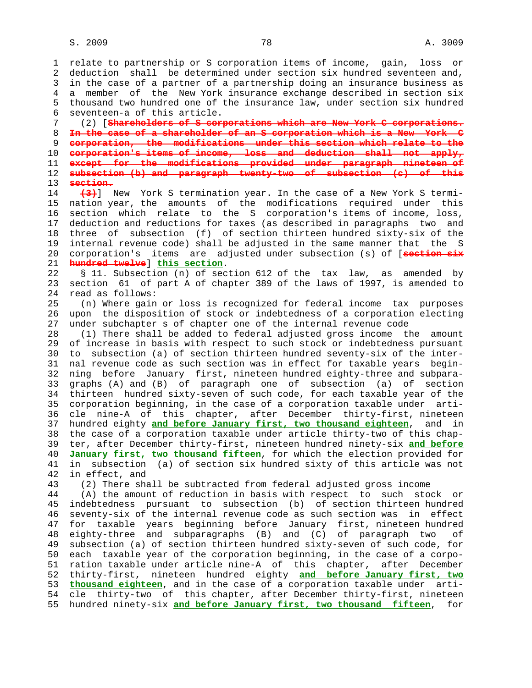1 relate to partnership or S corporation items of income, gain, loss or 2 deduction shall be determined under section six hundred seventeen and, 3 in the case of a partner of a partnership doing an insurance business as 4 a member of the New York insurance exchange described in section six 5 thousand two hundred one of the insurance law, under section six hundred 6 seventeen-a of this article. 7 (2) [**Shareholders of S corporations which are New York C corporations.** 8 **In the case of a shareholder of an S corporation which is a New York C** 9 **corporation, the modifications under this section which relate to the** 10 **corporation's items of income, loss and deduction shall not apply,** 11 **except for the modifications provided under paragraph nineteen of** 12 **subsection (b) and paragraph twenty-two of subsection (c) of this** 13 **section.** 14 **(3)**] New York S termination year. In the case of a New York S termi- 15 nation year, the amounts of the modifications required under this 16 section which relate to the S corporation's items of income, loss, 17 deduction and reductions for taxes (as described in paragraphs two and 18 three of subsection (f) of section thirteen hundred sixty-six of the 19 internal revenue code) shall be adjusted in the same manner that the S 20 corporation's items are adjusted under subsection (s) of [**section six** 21 **hundred twelve**] **this section**. 22 § 11. Subsection (n) of section 612 of the tax law, as amended by 23 section 61 of part A of chapter 389 of the laws of 1997, is amended to 24 read as follows: 25 (n) Where gain or loss is recognized for federal income tax purposes 26 upon the disposition of stock or indebtedness of a corporation electing 27 under subchapter s of chapter one of the internal revenue code 28 (1) There shall be added to federal adjusted gross income the amount 29 of increase in basis with respect to such stock or indebtedness pursuant 30 to subsection (a) of section thirteen hundred seventy-six of the inter- 31 nal revenue code as such section was in effect for taxable years begin- 32 ning before January first, nineteen hundred eighty-three and subpara- 33 graphs (A) and (B) of paragraph one of subsection (a) of section 34 thirteen hundred sixty-seven of such code, for each taxable year of the 35 corporation beginning, in the case of a corporation taxable under arti- 36 cle nine-A of this chapter, after December thirty-first, nineteen 37 hundred eighty **and before January first, two thousand eighteen**, and in 38 the case of a corporation taxable under article thirty-two of this chap- 39 ter, after December thirty-first, nineteen hundred ninety-six **and before** 40 **January first, two thousand fifteen**, for which the election provided for 41 in subsection (a) of section six hundred sixty of this article was not 42 in effect, and 43 (2) There shall be subtracted from federal adjusted gross income 44 (A) the amount of reduction in basis with respect to such stock or 45 indebtedness pursuant to subsection (b) of section thirteen hundred 46 seventy-six of the internal revenue code as such section was in effect 47 for taxable years beginning before January first, nineteen hundred 48 eighty-three and subparagraphs (B) and (C) of paragraph two of 49 subsection (a) of section thirteen hundred sixty-seven of such code, for 50 each taxable year of the corporation beginning, in the case of a corpo- 51 ration taxable under article nine-A of this chapter, after December 52 thirty-first, nineteen hundred eighty **and before January first, two** 53 **thousand eighteen**, and in the case of a corporation taxable under arti- 54 cle thirty-two of this chapter, after December thirty-first, nineteen 55 hundred ninety-six **and before January first, two thousand fifteen**, for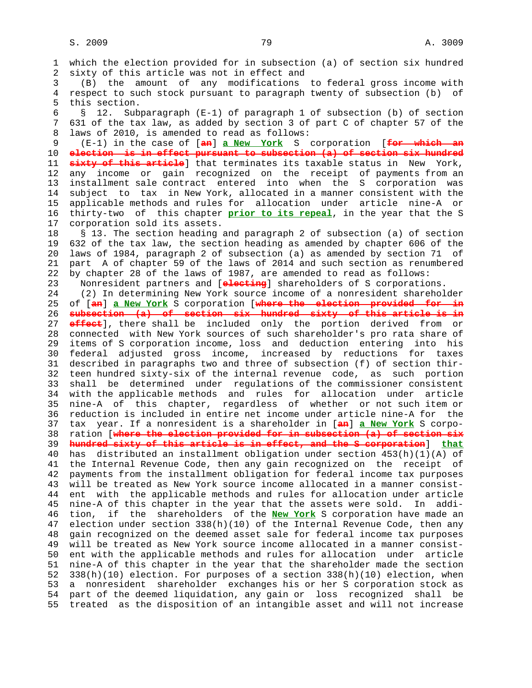1 which the election provided for in subsection (a) of section six hundred 2 sixty of this article was not in effect and 3 (B) the amount of any modifications to federal gross income with 4 respect to such stock pursuant to paragraph twenty of subsection (b) of 5 this section. 6 § 12. Subparagraph (E-1) of paragraph 1 of subsection (b) of section 7 631 of the tax law, as added by section 3 of part C of chapter 57 of the 8 laws of 2010, is amended to read as follows:<br>9 (E-1) in the case of  $\frac{1}{2}$  a New York S 9 (E-1) in the case of [**an**] **a New York** S corporation [**for which an** 10 **election is in effect pursuant to subsection (a) of section six hundred** 11 **sixty of this article**] that terminates its taxable status in New York, 12 any income or gain recognized on the receipt of payments from an 13 installment sale contract entered into when the S corporation was 14 subject to tax in New York, allocated in a manner consistent with the 15 applicable methods and rules for allocation under article nine-A or 16 thirty-two of this chapter **prior to its repeal**, in the year that the S 17 corporation sold its assets. 18 § 13. The section heading and paragraph 2 of subsection (a) of section 19 632 of the tax law, the section heading as amended by chapter 606 of the 20 laws of 1984, paragraph 2 of subsection (a) as amended by section 71 of 21 part A of chapter 59 of the laws of 2014 and such section as renumbered 22 by chapter 28 of the laws of 1987, are amended to read as follows: 23 Nonresident partners and [**electing**] shareholders of S corporations. 24 (2) In determining New York source income of a nonresident shareholder 25 of [**an**] **a New York** S corporation [**where the election provided for in** 26 **subsection (a) of section six hundred sixty of this article is in** 27 **effect**], there shall be included only the portion derived from or 28 connected with New York sources of such shareholder's pro rata share of 29 items of S corporation income, loss and deduction entering into his 30 federal adjusted gross income, increased by reductions for taxes 31 described in paragraphs two and three of subsection (f) of section thir- 32 teen hundred sixty-six of the internal revenue code, as such portion 33 shall be determined under regulations of the commissioner consistent 34 with the applicable methods and rules for allocation under article 35 nine-A of this chapter, regardless of whether or not such item or 36 reduction is included in entire net income under article nine-A for the 37 tax year. If a nonresident is a shareholder in [**an**] **a New York** S corpo- 38 ration [**where the election provided for in subsection (a) of section six** 39 **hundred sixty of this article is in effect, and the S corporation**] **that** 40 has distributed an installment obligation under section 453(h)(1)(A) of 41 the Internal Revenue Code, then any gain recognized on the receipt of 42 payments from the installment obligation for federal income tax purposes 43 will be treated as New York source income allocated in a manner consist- 44 ent with the applicable methods and rules for allocation under article 45 nine-A of this chapter in the year that the assets were sold. In addi- 46 tion, if the shareholders of the **New York** S corporation have made an 47 election under section 338(h)(10) of the Internal Revenue Code, then any 48 gain recognized on the deemed asset sale for federal income tax purposes 49 will be treated as New York source income allocated in a manner consist- 50 ent with the applicable methods and rules for allocation under article 51 nine-A of this chapter in the year that the shareholder made the section 52 338(h)(10) election. For purposes of a section 338(h)(10) election, when 53 a nonresident shareholder exchanges his or her S corporation stock as 54 part of the deemed liquidation, any gain or loss recognized shall be 55 treated as the disposition of an intangible asset and will not increase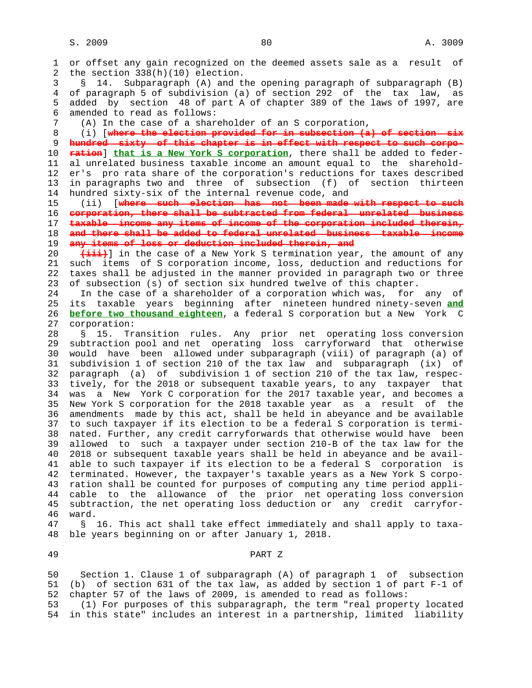1 or offset any gain recognized on the deemed assets sale as a result of 2 the section 338(h)(10) election. 3 § 14. Subparagraph (A) and the opening paragraph of subparagraph (B) 4 of paragraph 5 of subdivision (a) of section 292 of the tax law, as 5 added by section 48 of part A of chapter 389 of the laws of 1997, are 6 amended to read as follows: 7 (A) In the case of a shareholder of an S corporation, 8 (i) [**where the election provided for in subsection (a) of section six** 9 **hundred sixty of this chapter is in effect with respect to such corpo-** 10 **ration**] **that is a New York S corporation**, there shall be added to feder- 11 al unrelated business taxable income an amount equal to the sharehold- 12 er's pro rata share of the corporation's reductions for taxes described 13 in paragraphs two and three of subsection (f) of section thirteen 14 hundred sixty-six of the internal revenue code, and 15 (ii) [**where such election has not been made with respect to such** 16 **corporation, there shall be subtracted from federal unrelated business** 17 **taxable income any items of income of the corporation included therein,** 18 **and there shall be added to federal unrelated business taxable income** 19 **any items of loss or deduction included therein, and** 20 **(iii)**] in the case of a New York S termination year, the amount of any 21 such items of S corporation income, loss, deduction and reductions for 22 taxes shall be adjusted in the manner provided in paragraph two or three 23 of subsection (s) of section six hundred twelve of this chapter. 24 In the case of a shareholder of a corporation which was, for any of 25 its taxable years beginning after nineteen hundred ninety-seven **and** 26 **before two thousand eighteen**, a federal S corporation but a New York C 27 corporation: 28 § 15. Transition rules. Any prior net operating loss conversion 29 subtraction pool and net operating loss carryforward that otherwise 30 would have been allowed under subparagraph (viii) of paragraph (a) of 31 subdivision 1 of section 210 of the tax law and subparagraph (ix) of 32 paragraph (a) of subdivision 1 of section 210 of the tax law, respec- 33 tively, for the 2018 or subsequent taxable years, to any taxpayer that 34 was a New York C corporation for the 2017 taxable year, and becomes a 35 New York S corporation for the 2018 taxable year as a result of the 36 amendments made by this act, shall be held in abeyance and be available 37 to such taxpayer if its election to be a federal S corporation is termi- 38 nated. Further, any credit carryforwards that otherwise would have been 39 allowed to such a taxpayer under section 210-B of the tax law for the 40 2018 or subsequent taxable years shall be held in abeyance and be avail- 41 able to such taxpayer if its election to be a federal S corporation is 42 terminated. However, the taxpayer's taxable years as a New York S corpo- 43 ration shall be counted for purposes of computing any time period appli- 44 cable to the allowance of the prior net operating loss conversion 45 subtraction, the net operating loss deduction or any credit carryfor- 46 ward. 47 § 16. This act shall take effect immediately and shall apply to taxa- 48 ble years beginning on or after January 1, 2018. 49 PART Z

 50 Section 1. Clause 1 of subparagraph (A) of paragraph 1 of subsection 51 (b) of section 631 of the tax law, as added by section 1 of part F-1 of 52 chapter 57 of the laws of 2009, is amended to read as follows:

 53 (1) For purposes of this subparagraph, the term "real property located 54 in this state" includes an interest in a partnership, limited liability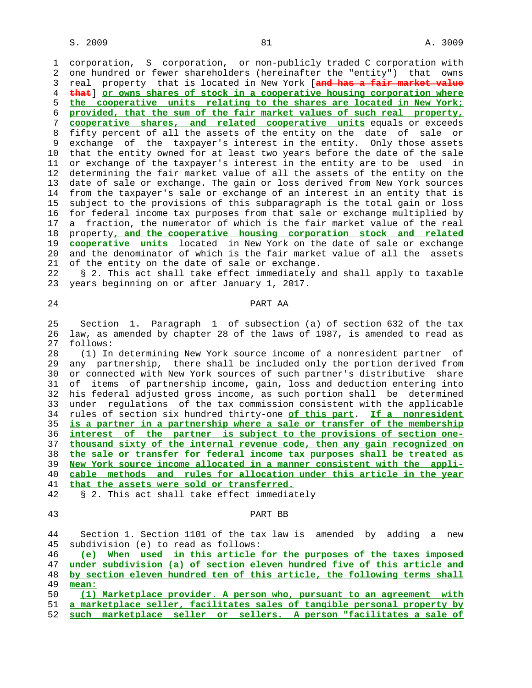1 corporation, S corporation, or non-publicly traded C corporation with 2 one hundred or fewer shareholders (hereinafter the "entity") that owns 3 real property that is located in New York [**and has a fair market value** 4 **that**] **or owns shares of stock in a cooperative housing corporation where** 5 **the cooperative units relating to the shares are located in New York;** 6 **provided, that the sum of the fair market values of such real property,** 7 **cooperative shares, and related cooperative units** equals or exceeds 8 fifty percent of all the assets of the entity on the date of sale or 9 exchange of the taxpayer's interest in the entity. Only those assets 10 that the entity owned for at least two years before the date of the sale 11 or exchange of the taxpayer's interest in the entity are to be used in 12 determining the fair market value of all the assets of the entity on the 13 date of sale or exchange. The gain or loss derived from New York sources 14 from the taxpayer's sale or exchange of an interest in an entity that is 15 subject to the provisions of this subparagraph is the total gain or loss 16 for federal income tax purposes from that sale or exchange multiplied by 17 a fraction, the numerator of which is the fair market value of the real 18 property**, and the cooperative housing corporation stock and related** 19 **cooperative units** located in New York on the date of sale or exchange 20 and the denominator of which is the fair market value of all the assets 21 of the entity on the date of sale or exchange.

 22 § 2. This act shall take effect immediately and shall apply to taxable 23 years beginning on or after January 1, 2017.

# 24 PART AA

 25 Section 1. Paragraph 1 of subsection (a) of section 632 of the tax 26 law, as amended by chapter 28 of the laws of 1987, is amended to read as 27 follows:

 28 (1) In determining New York source income of a nonresident partner of 29 any partnership, there shall be included only the portion derived from 30 or connected with New York sources of such partner's distributive share 31 of items of partnership income, gain, loss and deduction entering into 32 his federal adjusted gross income, as such portion shall be determined 33 under regulations of the tax commission consistent with the applicable 34 rules of section six hundred thirty-one **of this part**. **If a nonresident** 35 **is a partner in a partnership where a sale or transfer of the membership** 36 **interest of the partner is subject to the provisions of section one-** 37 **thousand sixty of the internal revenue code, then any gain recognized on** 38 **the sale or transfer for federal income tax purposes shall be treated as** 39 **New York source income allocated in a manner consistent with the appli-** 40 **cable methods and rules for allocation under this article in the year** 41 **that the assets were sold or transferred.** 42 § 2. This act shall take effect immediately

## 43 PART BB

 44 Section 1. Section 1101 of the tax law is amended by adding a new 45 subdivision (e) to read as follows:

**(e) When used in this article for the purposes of the taxes imposed under subdivision (a) of section eleven hundred five of this article and by section eleven hundred ten of this article, the following terms shall** 49 **mean:**

 50 **(1) Marketplace provider. A person who, pursuant to an agreement with** 51 **a marketplace seller, facilitates sales of tangible personal property by** 52 **such marketplace seller or sellers. A person "facilitates a sale of**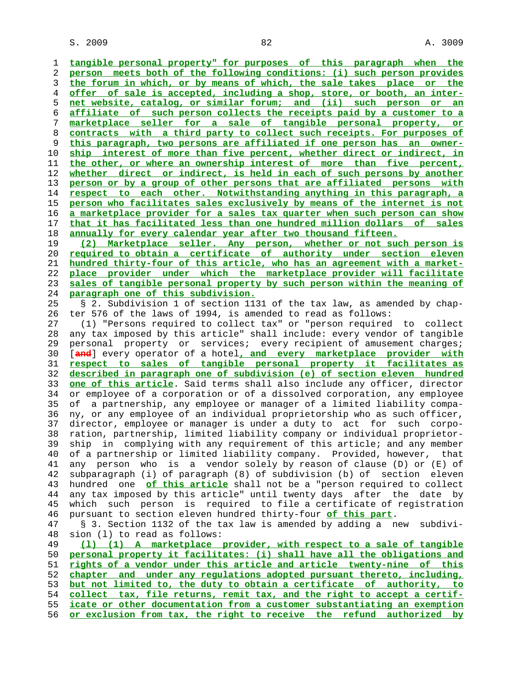$S. 2009$   $82$   $3009$ 

**tangible personal property" for purposes of this paragraph when the person meets both of the following conditions: (i) such person provides the forum in which, or by means of which, the sale takes place or the offer of sale is accepted, including a shop, store, or booth, an inter- net website, catalog, or similar forum; and (ii) such person or an affiliate of such person collects the receipts paid by a customer to a marketplace seller for a sale of tangible personal property, or contracts with a third party to collect such receipts. For purposes of this paragraph, two persons are affiliated if one person has an owner- ship interest of more than five percent, whether direct or indirect, in the other, or where an ownership interest of more than five percent, whether direct or indirect, is held in each of such persons by another person or by a group of other persons that are affiliated persons with respect to each other. Notwithstanding anything in this paragraph, a person who facilitates sales exclusively by means of the internet is not a marketplace provider for a sales tax quarter when such person can show that it has facilitated less than one hundred million dollars of sales annually for every calendar year after two thousand fifteen. (2) Marketplace seller. Any person, whether or not such person is required to obtain a certificate of authority under section eleven hundred thirty-four of this article, who has an agreement with a market- place provider under which the marketplace provider will facilitate sales of tangible personal property by such person within the meaning of paragraph one of this subdivision.** 25 § 2. Subdivision 1 of section 1131 of the tax law, as amended by chap- 26 ter 576 of the laws of 1994, is amended to read as follows: 27 (1) "Persons required to collect tax" or "person required to collect 28 any tax imposed by this article" shall include: every vendor of tangible 29 personal property or services; every recipient of amusement charges; 30 [**and**] every operator of a hotel**, and every marketplace provider with respect to sales of tangible personal property it facilitates as described in paragraph one of subdivision (e) of section eleven hundred one of this article**. Said terms shall also include any officer, director 34 or employee of a corporation or of a dissolved corporation, any employee 35 of a partnership, any employee or manager of a limited liability compa- 36 ny, or any employee of an individual proprietorship who as such officer, 37 director, employee or manager is under a duty to act for such corpo- 38 ration, partnership, limited liability company or individual proprietor- 39 ship in complying with any requirement of this article; and any member 40 of a partnership or limited liability company. Provided, however, that 41 any person who is a vendor solely by reason of clause (D) or (E) of 42 subparagraph (i) of paragraph (8) of subdivision (b) of section eleven 43 hundred one **of this article** shall not be a "person required to collect 44 any tax imposed by this article" until twenty days after the date by 45 which such person is required to file a certificate of registration 46 pursuant to section eleven hundred thirty-four **of this part**. 47 § 3. Section 1132 of the tax law is amended by adding a new subdivi- 48 sion (l) to read as follows: **(l) (1) A marketplace provider, with respect to a sale of tangible personal property it facilitates: (i) shall have all the obligations and rights of a vendor under this article and article twenty-nine of this chapter and under any regulations adopted pursuant thereto, including, but not limited to, the duty to obtain a certificate of authority, to collect tax, file returns, remit tax, and the right to accept a certif- icate or other documentation from a customer substantiating an exemption or exclusion from tax, the right to receive the refund authorized by**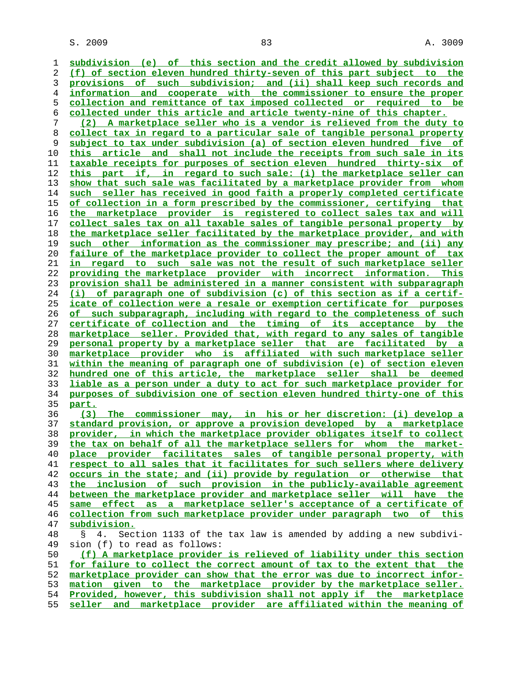$S. 2009$  and  $83$  and  $83$  and  $83$  and  $83$  and  $83$  and  $83$  and  $83$  and  $83$  and  $83$  and  $83$  and  $83$  and  $83$  and  $83$  and  $83$  and  $83$  and  $83$  and  $83$  and  $83$  and  $83$  and  $83$  and  $83$  and  $83$  and  $83$  and

**subdivision (e) of this section and the credit allowed by subdivision (f) of section eleven hundred thirty-seven of this part subject to the provisions of such subdivision; and (ii) shall keep such records and information and cooperate with the commissioner to ensure the proper collection and remittance of tax imposed collected or required to be collected under this article and article twenty-nine of this chapter. (2) A marketplace seller who is a vendor is relieved from the duty to collect tax in regard to a particular sale of tangible personal property subject to tax under subdivision (a) of section eleven hundred five of this article and shall not include the receipts from such sale in its taxable receipts for purposes of section eleven hundred thirty-six of this part if, in regard to such sale: (i) the marketplace seller can show that such sale was facilitated by a marketplace provider from whom such seller has received in good faith a properly completed certificate of collection in a form prescribed by the commissioner, certifying that the marketplace provider is registered to collect sales tax and will collect sales tax on all taxable sales of tangible personal property by the marketplace seller facilitated by the marketplace provider, and with such other information as the commissioner may prescribe; and (ii) any failure of the marketplace provider to collect the proper amount of tax in regard to such sale was not the result of such marketplace seller providing the marketplace provider with incorrect information. This provision shall be administered in a manner consistent with subparagraph (i) of paragraph one of subdivision (c) of this section as if a certif- icate of collection were a resale or exemption certificate for purposes of such subparagraph, including with regard to the completeness of such certificate of collection and the timing of its acceptance by the marketplace seller. Provided that, with regard to any sales of tangible personal property by a marketplace seller that are facilitated by a marketplace provider who is affiliated with such marketplace seller within the meaning of paragraph one of subdivision (e) of section eleven hundred one of this article, the marketplace seller shall be deemed liable as a person under a duty to act for such marketplace provider for purposes of subdivision one of section eleven hundred thirty-one of this part. (3) The commissioner may, in his or her discretion: (i) develop a standard provision, or approve a provision developed by a marketplace provider, in which the marketplace provider obligates itself to collect the tax on behalf of all the marketplace sellers for whom the market- place provider facilitates sales of tangible personal property, with respect to all sales that it facilitates for such sellers where delivery occurs in the state; and (ii) provide by regulation or otherwise that the inclusion of such provision in the publicly-available agreement between the marketplace provider and marketplace seller will have the same effect as a marketplace seller's acceptance of a certificate of collection from such marketplace provider under paragraph two of this subdivision.** 48 § 4. Section 1133 of the tax law is amended by adding a new subdivi- 49 sion (f) to read as follows: **(f) A marketplace provider is relieved of liability under this section for failure to collect the correct amount of tax to the extent that the marketplace provider can show that the error was due to incorrect infor- mation given to the marketplace provider by the marketplace seller. Provided, however, this subdivision shall not apply if the marketplace**

**seller and marketplace provider are affiliated within the meaning of**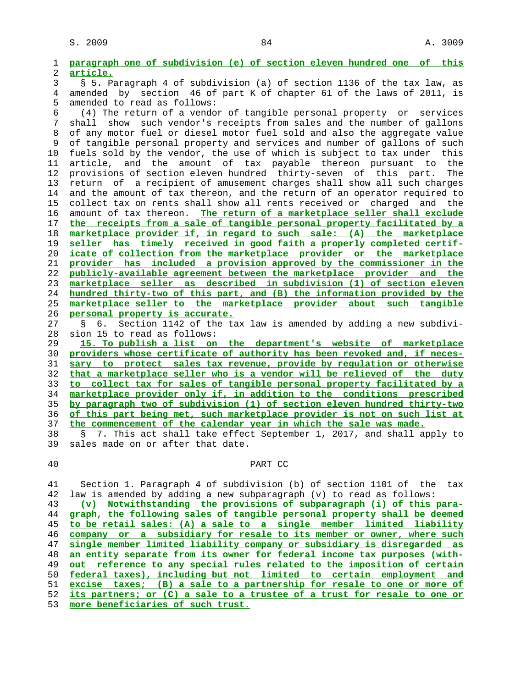| 1              | paragraph one of subdivision (e) of section eleven hundred one of this       |
|----------------|------------------------------------------------------------------------------|
| $\overline{c}$ | article.                                                                     |
| 3              | § 5. Paragraph 4 of subdivision (a) of section 1136 of the tax law, as       |
| 4              | amended by section 46 of part K of chapter 61 of the laws of 2011, is        |
| 5              | amended to read as follows:                                                  |
| 6              | (4) The return of a vendor of tangible personal property or services         |
| 7              | such vendor's receipts from sales and the number of gallons<br>shall<br>show |
| 8              | of any motor fuel or diesel motor fuel sold and also the aggregate value     |
| 9              | of tangible personal property and services and number of gallons of such     |
| 10             | fuels sold by the vendor, the use of which is subject to tax under this      |
| 11             | article, and the amount of tax payable thereon pursuant to the               |
| 12             | provisions of section eleven hundred thirty-seven of this part.<br>The       |
| 13             | return of a recipient of amusement charges shall show all such charges       |
| 14             | and the amount of tax thereon, and the return of an operator required to     |
| 15             | collect tax on rents shall show all rents received or<br>charged and the     |
| 16             | The return of a marketplace seller shall exclude<br>amount of tax thereon.   |
| 17             | the receipts from a sale of tangible personal property facilitated by a      |
| 18             | marketplace provider if, in regard to such sale: (A) the marketplace         |
| 19             | seller has timely received in good faith a properly completed certif-        |
| 20             | icate of collection from the marketplace provider or the marketplace         |
| 21             | provider has included a provision approved by the commissioner in the        |
| 22             | publicly-available agreement between the marketplace provider and the        |
| 23             | marketplace seller as described in subdivision (1) of section eleven         |
| 24             | hundred thirty-two of this part, and (B) the information provided by the     |
| 25             | marketplace seller to the marketplace provider about such tangible           |
| 26             | personal property is accurate.                                               |
| 27             | Section 1142 of the tax law is amended by adding a new subdivi-<br>б.        |
| 28             | sion 15 to read as follows:                                                  |
| 29             | 15. To publish a list on the department's website of marketplace             |
| 30             | providers whose certificate of authority has been revoked and, if neces-     |
| 31             | sary to protect sales tax revenue, provide by requlation or otherwise        |
| 32             | that a marketplace seller who is a vendor will be relieved of the duty       |
| 33             | to collect tax for sales of tangible personal property facilitated by a      |
| 34             | marketplace provider only if, in addition to the conditions prescribed       |
| 35             | by paragraph two of subdivision (1) of section eleven hundred thirty-two     |

 37 **the commencement of the calendar year in which the sale was made.** 38 § 7. This act shall take effect September 1, 2017, and shall apply to 39 sales made on or after that date. sales made on or after that date.

36 **of this part being met, such marketplace provider is not on such list at**

## 40 PART CC

 41 Section 1. Paragraph 4 of subdivision (b) of section 1101 of the tax 42 law is amended by adding a new subparagraph (v) to read as follows:

**(v) Notwithstanding the provisions of subparagraph (i) of this para- graph, the following sales of tangible personal property shall be deemed to be retail sales: (A) a sale to a single member limited liability company or a subsidiary for resale to its member or owner, where such single member limited liability company or subsidiary is disregarded as an entity separate from its owner for federal income tax purposes (with- out reference to any special rules related to the imposition of certain federal taxes), including but not limited to certain employment and excise taxes; (B) a sale to a partnership for resale to one or more of its partners; or (C) a sale to a trustee of a trust for resale to one or more beneficiaries of such trust.**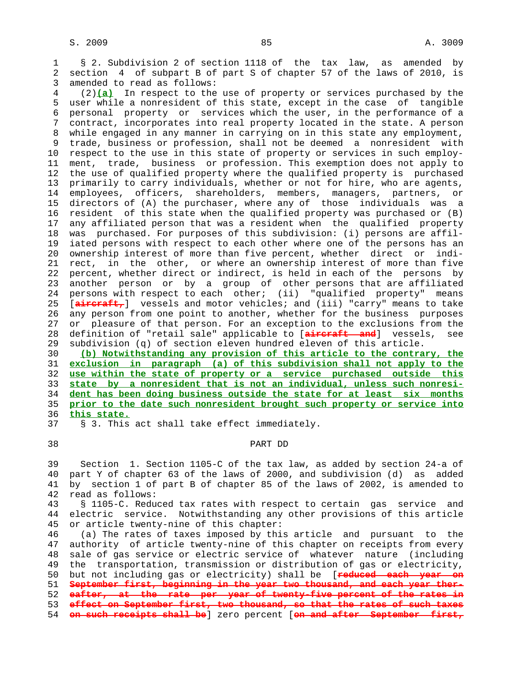1 § 2. Subdivision 2 of section 1118 of the tax law, as amended by 2 section 4 of subpart B of part S of chapter 57 of the laws of 2010, is 3 amended to read as follows:

 4 (2)**(a)** In respect to the use of property or services purchased by the 5 user while a nonresident of this state, except in the case of tangible 6 personal property or services which the user, in the performance of a 7 contract, incorporates into real property located in the state. A person 8 while engaged in any manner in carrying on in this state any employment, 9 trade, business or profession, shall not be deemed a nonresident with 10 respect to the use in this state of property or services in such employ- 11 ment, trade, business or profession. This exemption does not apply to 12 the use of qualified property where the qualified property is purchased 13 primarily to carry individuals, whether or not for hire, who are agents, 14 employees, officers, shareholders, members, managers, partners, or 15 directors of (A) the purchaser, where any of those individuals was a 16 resident of this state when the qualified property was purchased or (B) 17 any affiliated person that was a resident when the qualified property 18 was purchased. For purposes of this subdivision: (i) persons are affil- 19 iated persons with respect to each other where one of the persons has an 20 ownership interest of more than five percent, whether direct or indi- 21 rect, in the other, or where an ownership interest of more than five 22 percent, whether direct or indirect, is held in each of the persons by 23 another person or by a group of other persons that are affiliated 24 persons with respect to each other; (ii) "qualified property" means 25 [**aircraft,**] vessels and motor vehicles; and (iii) "carry" means to take 26 any person from one point to another, whether for the business purposes 27 or pleasure of that person. For an exception to the exclusions from the 28 definition of "retail sale" applicable to [**aircraft and**] vessels, see 29 subdivision (q) of section eleven hundred eleven of this article.

**(b) Notwithstanding any provision of this article to the contrary, the exclusion in paragraph (a) of this subdivision shall not apply to the use within the state of property or a service purchased outside this state by a nonresident that is not an individual, unless such nonresi- dent has been doing business outside the state for at least six months prior to the date such nonresident brought such property or service into this state.** 37 § 3. This act shall take effect immediately.

# 38 PART DD

 39 Section 1. Section 1105-C of the tax law, as added by section 24-a of 40 part Y of chapter 63 of the laws of 2000, and subdivision (d) as added 41 by section 1 of part B of chapter 85 of the laws of 2002, is amended to 42 read as follows:

 43 § 1105-C. Reduced tax rates with respect to certain gas service and 44 electric service. Notwithstanding any other provisions of this article 45 or article twenty-nine of this chapter:

 46 (a) The rates of taxes imposed by this article and pursuant to the 47 authority of article twenty-nine of this chapter on receipts from every 48 sale of gas service or electric service of whatever nature (including 49 the transportation, transmission or distribution of gas or electricity, 50 but not including gas or electricity) shall be [**reduced each year on** 51 **September first, beginning in the year two thousand, and each year ther-** 52 **eafter, at the rate per year of twenty-five percent of the rates in** 53 **effect on September first, two thousand, so that the rates of such taxes** 54 **on such receipts shall be**] zero percent [**on and after September first,**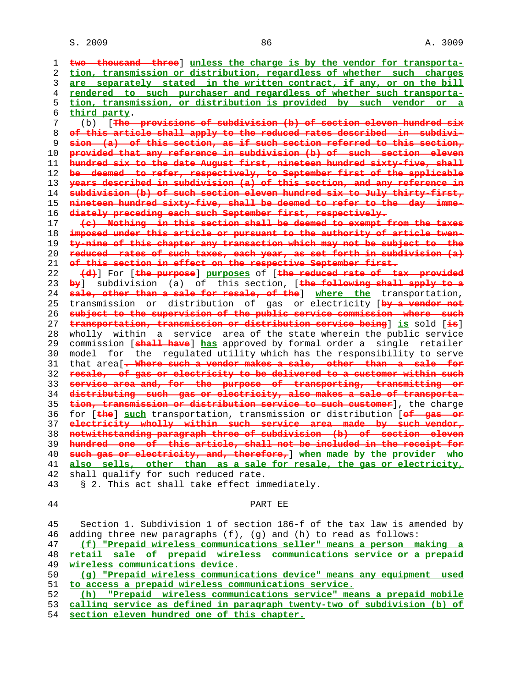**two thousand three**] **unless the charge is by the vendor for transporta- tion, transmission or distribution, regardless of whether such charges are separately stated in the written contract, if any, or on the bill rendered to such purchaser and regardless of whether such transporta- tion, transmission, or distribution is provided by such vendor or a third party**. 7 (b) [**The provisions of subdivision (b) of section eleven hundred six of this article shall apply to the reduced rates described in subdivi- sion (a) of this section, as if such section referred to this section, provided that any reference in subdivision (b) of such section eleven hundred six to the date August first, nineteen hundred sixty-five, shall be deemed to refer, respectively, to September first of the applicable years described in subdivision (a) of this section, and any reference in subdivision (b) of such section eleven hundred six to July thirty-first, nineteen hundred sixty-five, shall be deemed to refer to the day imme- diately preceding each such September first, respectively. (c) Nothing in this section shall be deemed to exempt from the taxes imposed under this article or pursuant to the authority of article twen- ty-nine of this chapter any transaction which may not be subject to the reduced rates of such taxes, each year, as set forth in subdivision (a) of this section in effect on the respective September first. (d)**] For [**the purpose**] **purposes** of [**the reduced rate of tax provided by**] subdivision (a) of this section, [**the following shall apply to a sale, other than a sale for resale, of the**] **where the** transportation, 25 transmission or distribution of gas or electricity [**by a vendor not subject to the supervision of the public service commission where such transportation, transmission or distribution service being**] **is** sold [**is**] 28 wholly within a service area of the state wherein the public service 29 commission [**shall have**] **has** approved by formal order a single retailer 30 model for the regulated utility which has the responsibility to serve 31 that area[**. Where such a vendor makes a sale, other than a sale for resale, of gas or electricity to be delivered to a customer within such service area and, for the purpose of transporting, transmitting or distributing such gas or electricity, also makes a sale of transporta- tion, transmission or distribution service to such customer**], the charge 36 for [**the**] **such** transportation, transmission or distribution [**of gas or electricity wholly within such service area made by such vendor, notwithstanding paragraph three of subdivision (b) of section eleven hundred one of this article, shall not be included in the receipt for such gas or electricity, and, therefore,**] **when made by the provider who also sells, other than as a sale for resale, the gas or electricity,** 42 shall qualify for such reduced rate. 43 § 2. This act shall take effect immediately.

#### 44 PART EE

 45 Section 1. Subdivision 1 of section 186-f of the tax law is amended by 46 adding three new paragraphs (f), (g) and (h) to read as follows: **(f) "Prepaid wireless communications seller" means a person making a retail sale of prepaid wireless communications service or a prepaid wireless communications device. (g) "Prepaid wireless communications device" means any equipment used to access a prepaid wireless communications service. (h) "Prepaid wireless communications service" means a prepaid mobile calling service as defined in paragraph twenty-two of subdivision (b) of section eleven hundred one of this chapter.**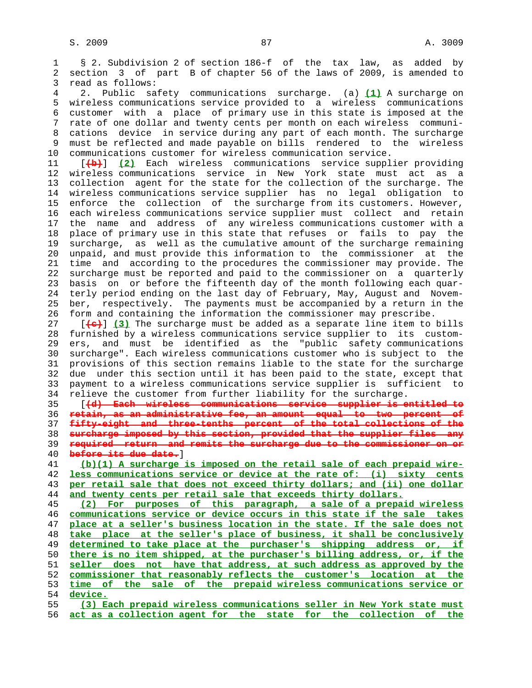1 § 2. Subdivision 2 of section 186-f of the tax law, as added by 2 section 3 of part B of chapter 56 of the laws of 2009, is amended to 3 read as follows:

 4 2. Public safety communications surcharge. (a) **(1)** A surcharge on 5 wireless communications service provided to a wireless communications 6 customer with a place of primary use in this state is imposed at the 7 rate of one dollar and twenty cents per month on each wireless communi- 8 cations device in service during any part of each month. The surcharge 9 must be reflected and made payable on bills rendered to the wireless 10 communications customer for wireless communication service.

 11 [**(b)**] **(2)** Each wireless communications service supplier providing 12 wireless communications service in New York state must act as a 13 collection agent for the state for the collection of the surcharge. The 14 wireless communications service supplier has no legal obligation to 15 enforce the collection of the surcharge from its customers. However, 16 each wireless communications service supplier must collect and retain 17 the name and address of any wireless communications customer with a 18 place of primary use in this state that refuses or fails to pay the 19 surcharge, as well as the cumulative amount of the surcharge remaining 20 unpaid, and must provide this information to the commissioner at the 21 time and according to the procedures the commissioner may provide. The 22 surcharge must be reported and paid to the commissioner on a quarterly 23 basis on or before the fifteenth day of the month following each quar- 24 terly period ending on the last day of February, May, August and Novem- 25 ber, respectively. The payments must be accompanied by a return in the 26 form and containing the information the commissioner may prescribe.

 27 [**(c)**] **(3)** The surcharge must be added as a separate line item to bills 28 furnished by a wireless communications service supplier to its custom- 29 ers, and must be identified as the "public safety communications 30 surcharge". Each wireless communications customer who is subject to the 31 provisions of this section remains liable to the state for the surcharge 32 due under this section until it has been paid to the state, except that 33 payment to a wireless communications service supplier is sufficient to 34 relieve the customer from further liability for the surcharge.

 35 [**(d) Each wireless communications service supplier is entitled to retain, as an administrative fee, an amount equal to two percent of fifty-eight and three-tenths percent of the total collections of the surcharge imposed by this section, provided that the supplier files any required return and remits the surcharge due to the commissioner on or before its due date.**]

**(b)(1) A surcharge is imposed on the retail sale of each prepaid wire- less communications service or device at the rate of: (i) sixty cents per retail sale that does not exceed thirty dollars; and (ii) one dollar and twenty cents per retail sale that exceeds thirty dollars.**

**(2) For purposes of this paragraph, a sale of a prepaid wireless communications service or device occurs in this state if the sale takes place at a seller's business location in the state. If the sale does not take place at the seller's place of business, it shall be conclusively determined to take place at the purchaser's shipping address or, if there is no item shipped, at the purchaser's billing address, or, if the seller does not have that address, at such address as approved by the commissioner that reasonably reflects the customer's location at the time of the sale of the prepaid wireless communications service or** 54 **device.**

 55 **(3) Each prepaid wireless communications seller in New York state must** 56 **act as a collection agent for the state for the collection of the**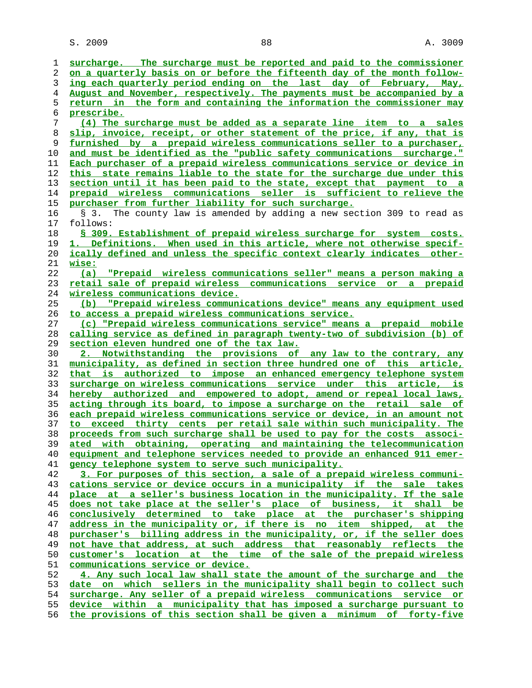S. 2009 88 A. 3009

| 1        | surcharge. The surcharge must be reported and paid to the commissioner                                                                         |
|----------|------------------------------------------------------------------------------------------------------------------------------------------------|
| 2        | on a quarterly basis on or before the fifteenth day of the month follow-                                                                       |
| 3        | ing each quarterly period ending on the last day of February, May,                                                                             |
| 4        | August and November, respectively. The payments must be accompanied by a                                                                       |
| 5        | return in the form and containing the information the commissioner may                                                                         |
| 6        | prescribe.                                                                                                                                     |
| 7        | (4) The surcharge must be added as a separate line item to a sales                                                                             |
| 8        | slip, invoice, receipt, or other statement of the price, if any, that is                                                                       |
| 9        | furnished by a prepaid wireless communications seller to a purchaser,                                                                          |
| 10       | and must be identified as the "public safety communications surcharge."                                                                        |
| 11       | Each purchaser of a prepaid wireless communications service or device in                                                                       |
| 12       | this state remains liable to the state for the surcharge due under this                                                                        |
| 13       | section until it has been paid to the state, except that payment to a                                                                          |
| 14       | prepaid wireless communications seller is sufficient to relieve the                                                                            |
| 15       | purchaser from further liability for such surcharge.                                                                                           |
| 16       | The county law is amended by adding a new section 309 to read as<br>S 3.                                                                       |
| 17       | follows:                                                                                                                                       |
| 18       | § 309. Establishment of prepaid wireless surcharge for system costs.                                                                           |
| 19       | 1. Definitions. When used in this article, where not otherwise specif-                                                                         |
| 20       | ically defined and unless the specific context clearly indicates other-                                                                        |
| 21       | wise:                                                                                                                                          |
| 22       | "Prepaid wireless communications seller" means a person making a<br>(a)                                                                        |
| 23       | retail sale of prepaid wireless communications service or a prepaid                                                                            |
| 24       | <u>wireless communications device.</u>                                                                                                         |
| 25       | "Prepaid wireless communications device" means any equipment used<br>(b)                                                                       |
| 26       | to access a prepaid wireless communications service.                                                                                           |
| 27       | (c) "Prepaid wireless communications service" means a prepaid mobile                                                                           |
| 28       | calling service as defined in paragraph twenty-two of subdivision (b) of                                                                       |
| 29       | section eleven hundred one of the tax law.                                                                                                     |
| 30       | 2. Notwithstanding the provisions of any law to the contrary, any                                                                              |
| 31       | municipality, as defined in section three hundred one of this article,                                                                         |
|          |                                                                                                                                                |
| 32       | that is authorized to impose an enhanced emergency telephone system                                                                            |
| 33       | surcharge on wireless communications service under this article, is                                                                            |
| 34       | hereby authorized and empowered to adopt, amend or repeal local laws,                                                                          |
| 35       | acting through its board, to impose a surcharge on the retail sale of                                                                          |
| 36       | each prepaid wireless communications service or device, in an amount not                                                                       |
| 37       | to exceed thirty cents per retail sale within such municipality. The                                                                           |
| 38       | proceeds from such surcharge shall be used to pay for the costs associ-                                                                        |
| 39       | ated with obtaining, operating and maintaining the telecommunication                                                                           |
| 40       | equipment and telephone services needed to provide an enhanced 911 emer-                                                                       |
| 41       | gency telephone system to serve such municipality.                                                                                             |
| 42       | 3. For purposes of this section, a sale of a prepaid wireless communi-                                                                         |
| 43       | cations service or device occurs in a municipality if the sale takes                                                                           |
| 44       | place at a seller's business location in the municipality. If the sale                                                                         |
| 45       | does not take place at the seller's place of business, it shall be                                                                             |
| 46       | conclusively determined to take place at the purchaser's shipping                                                                              |
| 47       | address in the municipality or, if there is no item shipped, at the                                                                            |
| 48       | purchaser's billing address in the municipality, or, if the seller does                                                                        |
| 49       | not have that address, at such address that reasonably reflects the                                                                            |
| 50       | customer's location at the time of the sale of the prepaid wireless                                                                            |
| 51       | communications service or device.                                                                                                              |
| 52       | 4. Any such local law shall state the amount of the surcharge and the                                                                          |
| 53       | date on which sellers in the municipality shall begin to collect such                                                                          |
| 54       | surcharge. Any seller of a prepaid wireless communications service or                                                                          |
| 55<br>56 | device within a municipality that has imposed a surcharge pursuant to<br>the provisions of this section shall be given a minimum of forty-five |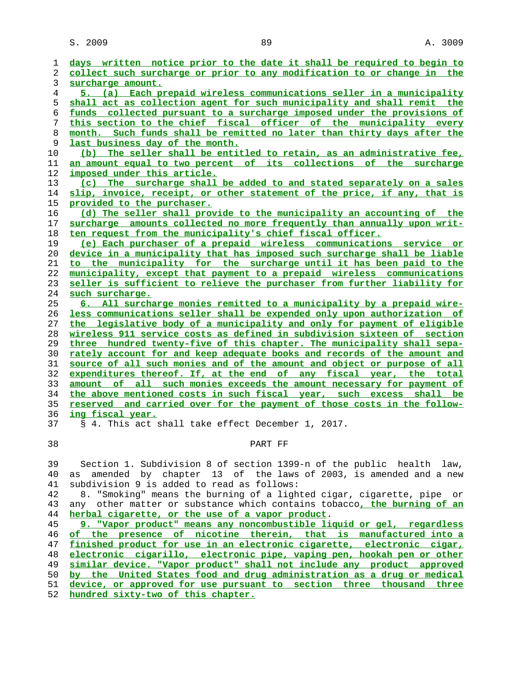**days written notice prior to the date it shall be required to begin to collect such surcharge or prior to any modification to or change in the surcharge amount. 5. (a) Each prepaid wireless communications seller in a municipality shall act as collection agent for such municipality and shall remit the funds collected pursuant to a surcharge imposed under the provisions of this section to the chief fiscal officer of the municipality every month. Such funds shall be remitted no later than thirty days after the last business day of the month. (b) The seller shall be entitled to retain, as an administrative fee, an amount equal to two percent of its collections of the surcharge imposed under this article. (c) The surcharge shall be added to and stated separately on a sales slip, invoice, receipt, or other statement of the price, if any, that is provided to the purchaser. (d) The seller shall provide to the municipality an accounting of the surcharge amounts collected no more frequently than annually upon writ- ten request from the municipality's chief fiscal officer. (e) Each purchaser of a prepaid wireless communications service or device in a municipality that has imposed such surcharge shall be liable to the municipality for the surcharge until it has been paid to the municipality, except that payment to a prepaid wireless communications seller is sufficient to relieve the purchaser from further liability for such surcharge. 6. All surcharge monies remitted to a municipality by a prepaid wire- less communications seller shall be expended only upon authorization of the legislative body of a municipality and only for payment of eligible wireless 911 service costs as defined in subdivision sixteen of section three hundred twenty-five of this chapter. The municipality shall sepa- rately account for and keep adequate books and records of the amount and source of all such monies and of the amount and object or purpose of all expenditures thereof. If, at the end of any fiscal year, the total amount of all such monies exceeds the amount necessary for payment of the above mentioned costs in such fiscal year, such excess shall be reserved and carried over for the payment of those costs in the follow- ing fiscal year.** 37 § 4. This act shall take effect December 1, 2017.

## 38 PART FF

 39 Section 1. Subdivision 8 of section 1399-n of the public health law, 40 as amended by chapter 13 of the laws of 2003, is amended and a new 41 subdivision 9 is added to read as follows:

 42 8. "Smoking" means the burning of a lighted cigar, cigarette, pipe or 43 any other matter or substance which contains tobacco**, the burning of an herbal cigarette, or the use of a vapor product**.

**9. "Vapor product" means any noncombustible liquid or gel, regardless of the presence of nicotine therein, that is manufactured into a finished product for use in an electronic cigarette, electronic cigar, electronic cigarillo, electronic pipe, vaping pen, hookah pen or other similar device. "Vapor product" shall not include any product approved by the United States food and drug administration as a drug or medical device, or approved for use pursuant to section three thousand three hundred sixty-two of this chapter.**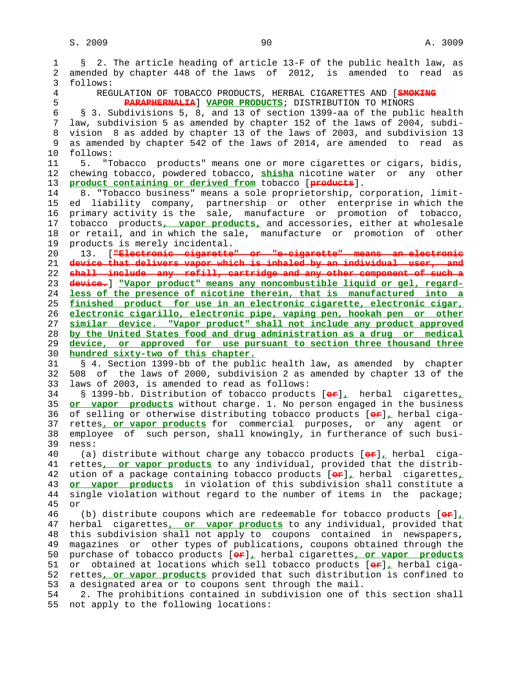1 § 2. The article heading of article 13-F of the public health law, as 2 amended by chapter 448 of the laws of 2012, is amended to read as 3 follows: 4 REGULATION OF TOBACCO PRODUCTS, HERBAL CIGARETTES AND [**SMOKING** 5 **PARAPHERNALIA**] **VAPOR PRODUCTS**; DISTRIBUTION TO MINORS 6 § 3. Subdivisions 5, 8, and 13 of section 1399-aa of the public health 7 law, subdivision 5 as amended by chapter 152 of the laws of 2004, subdi- 8 vision 8 as added by chapter 13 of the laws of 2003, and subdivision 13 as amended by chapter 542 of the laws of 2014, are amended to read as 10 follows: 11 5. "Tobacco products" means one or more cigarettes or cigars, bidis,<br>12 chewing tobacco, powdered tobacco, shisha nicotine water or anv other 12 chewing tobacco, powdered tobacco, **shisha** nicotine water or any other 13 **product containing or derived from** tobacco [**products**]. 14 8. "Tobacco business" means a sole proprietorship, corporation, limit- 15 ed liability company, partnership or other enterprise in which the 16 primary activity is the sale, manufacture or promotion of tobacco, 17 tobacco products**, vapor products,** and accessories, either at wholesale 18 or retail, and in which the sale, manufacture or promotion of other 19 products is merely incidental. 20 13. [**"Electronic cigarette" or "e-cigarette" means an electronic** 21 **device that delivers vapor which is inhaled by an individual user, and** 22 **shall include any refill, cartridge and any other component of such a** 23 **device.**] **"Vapor product" means any noncombustible liquid or gel, regard-** 24 **less of the presence of nicotine therein, that is manufactured into a** 25 **finished product for use in an electronic cigarette, electronic cigar,** 26 **electronic cigarillo, electronic pipe, vaping pen, hookah pen or other** 27 **similar device. "Vapor product" shall not include any product approved** 28 **by the United States food and drug administration as a drug or medical** 29 **device, or approved for use pursuant to section three thousand three** 30 **hundred sixty-two of this chapter.** 31 § 4. Section 1399-bb of the public health law, as amended by chapter 32 508 of the laws of 2000, subdivision 2 as amended by chapter 13 of the 33 laws of 2003, is amended to read as follows: 34 § 1399-bb. Distribution of tobacco products [**or**]**,** herbal cigarettes**,** 35 **or vapor products** without charge. 1. No person engaged in the business 36 of selling or otherwise distributing tobacco products [**or**]**,** herbal ciga- 37 rettes**, or vapor products** for commercial purposes, or any agent or 38 employee of such person, shall knowingly, in furtherance of such busi- 39 ness: 40 (a) distribute without charge any tobacco products [**or**]**,** herbal ciga- 41 rettes**, or vapor products** to any individual, provided that the distrib- 42 ution of a package containing tobacco products [**or**]**,** herbal cigarettes**,** 43 **or vapor products** in violation of this subdivision shall constitute a 44 single violation without regard to the number of items in the package; 45 or 46 (b) distribute coupons which are redeemable for tobacco products [**or**]**,** 47 herbal cigarettes**, or vapor products** to any individual, provided that 48 this subdivision shall not apply to coupons contained in newspapers, 49 magazines or other types of publications, coupons obtained through the 50 purchase of tobacco products [**or**]**,** herbal cigarettes**, or vapor products** 51 or obtained at locations which sell tobacco products [**or**]**,** herbal ciga- 52 rettes**, or vapor products** provided that such distribution is confined to 53 a designated area or to coupons sent through the mail. 54 2. The prohibitions contained in subdivision one of this section shall 55 not apply to the following locations: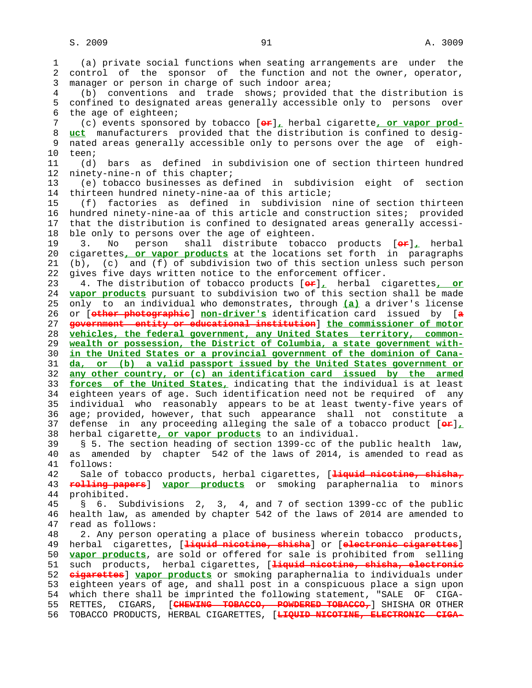1 (a) private social functions when seating arrangements are under the 2 control of the sponsor of the function and not the owner, operator, 3 manager or person in charge of such indoor area; 4 (b) conventions and trade shows; provided that the distribution is 5 confined to designated areas generally accessible only to persons over 6 the age of eighteen; 7 (c) events sponsored by tobacco [**or**]**,** herbal cigarette**, or vapor prod-** 8 **uct** manufacturers provided that the distribution is confined to desig nated areas generally accessible only to persons over the age of eigh- 10 teen; 11 (d) bars as defined in subdivision one of section thirteen hundred 12 ninety-nine-n of this chapter; 13 (e) tobacco businesses as defined in subdivision eight of section 14 thirteen hundred ninety-nine-aa of this article; 15 (f) factories as defined in subdivision nine of section thirteen 16 hundred ninety-nine-aa of this article and construction sites; provided 17 that the distribution is confined to designated areas generally accessi- 18 ble only to persons over the age of eighteen. 19 3. No person shall distribute tobacco products [**or**]**,** herbal 20 cigarettes**, or vapor products** at the locations set forth in paragraphs 21 (b), (c) and (f) of subdivision two of this section unless such person 22 gives five days written notice to the enforcement officer. 23 4. The distribution of tobacco products [**or**]**,** herbal cigarettes**, or** 24 **vapor products** pursuant to subdivision two of this section shall be made 25 only to an individual who demonstrates, through **(a)** a driver's license 26 or [**other photographic**] **non-driver's** identification card issued by [**a** 27 **government entity or educational institution**] **the commissioner of motor** 28 **vehicles, the federal government, any United States territory, common-** 29 **wealth or possession, the District of Columbia, a state government with-** 30 **in the United States or a provincial government of the dominion of Cana-** 31 **da, or (b) a valid passport issued by the United States government or** 32 **any other country, or (c) an identification card issued by the armed** 33 **forces of the United States,** indicating that the individual is at least 34 eighteen years of age. Such identification need not be required of any 35 individual who reasonably appears to be at least twenty-five years of 36 age; provided, however, that such appearance shall not constitute a 37 defense in any proceeding alleging the sale of a tobacco product [**or**]**,** 38 herbal cigarette**, or vapor products** to an individual. 39 § 5. The section heading of section 1399-cc of the public health law, 40 as amended by chapter 542 of the laws of 2014, is amended to read as 41 follows: 42 Sale of tobacco products, herbal cigarettes, [**liquid nicotine, shisha,** 43 **rolling papers**] **vapor products** or smoking paraphernalia to minors 44 prohibited. 45 § 6. Subdivisions 2, 3, 4, and 7 of section 1399-cc of the public 46 health law, as amended by chapter 542 of the laws of 2014 are amended to 47 read as follows: 48 2. Any person operating a place of business wherein tobacco products, 49 herbal cigarettes, [**liquid nicotine, shisha**] or [**electronic cigarettes**] 50 **vapor products**, are sold or offered for sale is prohibited from selling 51 such products, herbal cigarettes, [**liquid nicotine, shisha, electronic** 52 **cigarettes**] **vapor products** or smoking paraphernalia to individuals under 53 eighteen years of age, and shall post in a conspicuous place a sign upon 54 which there shall be imprinted the following statement, "SALE OF CIGA- 55 RETTES, CIGARS, [**CHEWING TOBACCO, POWDERED TOBACCO,**] SHISHA OR OTHER 56 TOBACCO PRODUCTS, HERBAL CIGARETTES, [**LIQUID NICOTINE, ELECTRONIC CIGA-**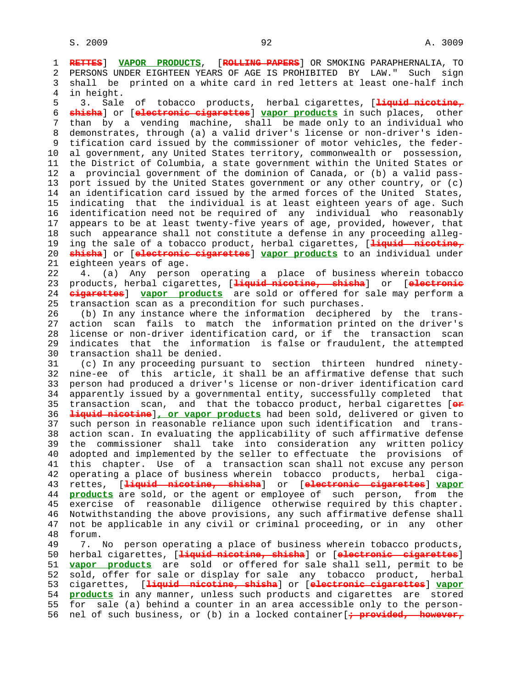1 **RETTES**] **VAPOR PRODUCTS**, [**ROLLING PAPERS**] OR SMOKING PARAPHERNALIA, TO 2 PERSONS UNDER EIGHTEEN YEARS OF AGE IS PROHIBITED BY LAW." Such sign 3 shall be printed on a white card in red letters at least one-half inch 4 in height. 5 3. Sale of tobacco products, herbal cigarettes, [**liquid nicotine,** 6 **shisha**] or [**electronic cigarettes**] **vapor products** in such places, other 7 than by a vending machine, shall be made only to an individual who 8 demonstrates, through (a) a valid driver's license or non-driver's iden-<br>9 tification card issued by the commissioner of motor vehicles, the federtification card issued by the commissioner of motor vehicles, the feder- 10 al government, any United States territory, commonwealth or possession, 11 the District of Columbia, a state government within the United States or 12 a provincial government of the dominion of Canada, or (b) a valid pass- 13 port issued by the United States government or any other country, or (c) 14 an identification card issued by the armed forces of the United States, 15 indicating that the individual is at least eighteen years of age. Such 16 identification need not be required of any individual who reasonably 17 appears to be at least twenty-five years of age, provided, however, that 18 such appearance shall not constitute a defense in any proceeding alleg- 19 ing the sale of a tobacco product, herbal cigarettes, [**liquid nicotine,** 20 **shisha**] or [**electronic cigarettes**] **vapor products** to an individual under 21 eighteen years of age. 22 4. (a) Any person operating a place of business wherein tobacco 23 products, herbal cigarettes, [**liquid nicotine, shisha**] or [**electronic** 24 **cigarettes**] **vapor products** are sold or offered for sale may perform a 25 transaction scan as a precondition for such purchases. 26 (b) In any instance where the information deciphered by the trans- 27 action scan fails to match the information printed on the driver's 28 license or non-driver identification card, or if the transaction scan 29 indicates that the information is false or fraudulent, the attempted 30 transaction shall be denied. 31 (c) In any proceeding pursuant to section thirteen hundred ninety- 32 nine-ee of this article, it shall be an affirmative defense that such 33 person had produced a driver's license or non-driver identification card 34 apparently issued by a governmental entity, successfully completed that 35 transaction scan, and that the tobacco product, herbal cigarettes [**or** 36 **liquid nicotine**]**, or vapor products** had been sold, delivered or given to 37 such person in reasonable reliance upon such identification and trans- 38 action scan. In evaluating the applicability of such affirmative defense 39 the commissioner shall take into consideration any written policy 40 adopted and implemented by the seller to effectuate the provisions of 41 this chapter. Use of a transaction scan shall not excuse any person 42 operating a place of business wherein tobacco products, herbal ciga- 43 rettes, [**liquid nicotine, shisha**] or [**electronic cigarettes**] **vapor** 44 **products** are sold, or the agent or employee of such person, from the 45 exercise of reasonable diligence otherwise required by this chapter. 46 Notwithstanding the above provisions, any such affirmative defense shall 47 not be applicable in any civil or criminal proceeding, or in any other 48 forum. 49 7. No person operating a place of business wherein tobacco products, 50 herbal cigarettes, [**liquid nicotine, shisha**] or [**electronic cigarettes**] 51 **vapor products** are sold or offered for sale shall sell, permit to be 52 sold, offer for sale or display for sale any tobacco product, herbal

 53 cigarettes, [**liquid nicotine, shisha**] or [**electronic cigarettes**] **vapor** 54 **products** in any manner, unless such products and cigarettes are stored 55 for sale (a) behind a counter in an area accessible only to the person- 56 nel of such business, or (b) in a locked container[**; provided, however,**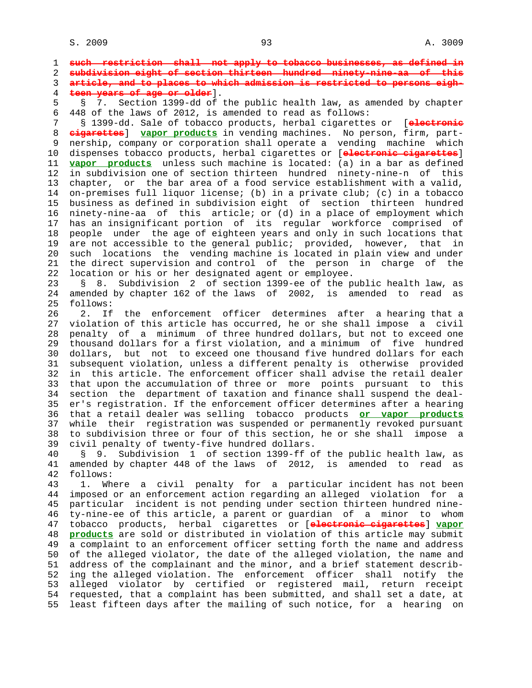1 **such restriction shall not apply to tobacco businesses, as defined in** 2 **subdivision eight of section thirteen hundred ninety-nine-aa of this** 3 **article, and to places to which admission is restricted to persons eigh-** 4 **teen years of age or older**]. 5 § 7. Section 1399-dd of the public health law, as amended by chapter 6 448 of the laws of 2012, is amended to read as follows: 7 § 1399-dd. Sale of tobacco products, herbal cigarettes or [**electronic** 8 **cigarettes**] **vapor products** in vending machines. No person, firm, part- 9 nership, company or corporation shall operate a vending machine which 10 dispenses tobacco products, herbal cigarettes or [**electronic cigarettes**] 11 **vapor products** unless such machine is located: (a) in a bar as defined 12 in subdivision one of section thirteen hundred ninety-nine-n of this 13 chapter, or the bar area of a food service establishment with a valid, 14 on-premises full liquor license; (b) in a private club; (c) in a tobacco 15 business as defined in subdivision eight of section thirteen hundred 16 ninety-nine-aa of this article; or (d) in a place of employment which 17 has an insignificant portion of its regular workforce comprised of 18 people under the age of eighteen years and only in such locations that 19 are not accessible to the general public; provided, however, that in 20 such locations the vending machine is located in plain view and under 21 the direct supervision and control of the person in charge of the 22 location or his or her designated agent or employee. 23 § 8. Subdivision 2 of section 1399-ee of the public health law, as 24 amended by chapter 162 of the laws of 2002, is amended to read as 25 follows: 26 2. If the enforcement officer determines after a hearing that a 27 violation of this article has occurred, he or she shall impose a civil 28 penalty of a minimum of three hundred dollars, but not to exceed one 29 thousand dollars for a first violation, and a minimum of five hundred 30 dollars, but not to exceed one thousand five hundred dollars for each 31 subsequent violation, unless a different penalty is otherwise provided 32 in this article. The enforcement officer shall advise the retail dealer 33 that upon the accumulation of three or more points pursuant to this 34 section the department of taxation and finance shall suspend the deal- 35 er's registration. If the enforcement officer determines after a hearing 36 that a retail dealer was selling tobacco products **or vapor products** 37 while their registration was suspended or permanently revoked pursuant 38 to subdivision three or four of this section, he or she shall impose a 39 civil penalty of twenty-five hundred dollars. 40 § 9. Subdivision 1 of section 1399-ff of the public health law, as 41 amended by chapter 448 of the laws of 2012, is amended to read as 42 follows: 43 1. Where a civil penalty for a particular incident has not been 44 imposed or an enforcement action regarding an alleged violation for a 45 particular incident is not pending under section thirteen hundred nine- 46 ty-nine-ee of this article, a parent or guardian of a minor to whom 47 tobacco products, herbal cigarettes or [**electronic cigarettes**] **vapor** 48 **products** are sold or distributed in violation of this article may submit 49 a complaint to an enforcement officer setting forth the name and address 50 of the alleged violator, the date of the alleged violation, the name and 51 address of the complainant and the minor, and a brief statement describ- 52 ing the alleged violation. The enforcement officer shall notify the 53 alleged violator by certified or registered mail, return receipt 54 requested, that a complaint has been submitted, and shall set a date, at 55 least fifteen days after the mailing of such notice, for a hearing on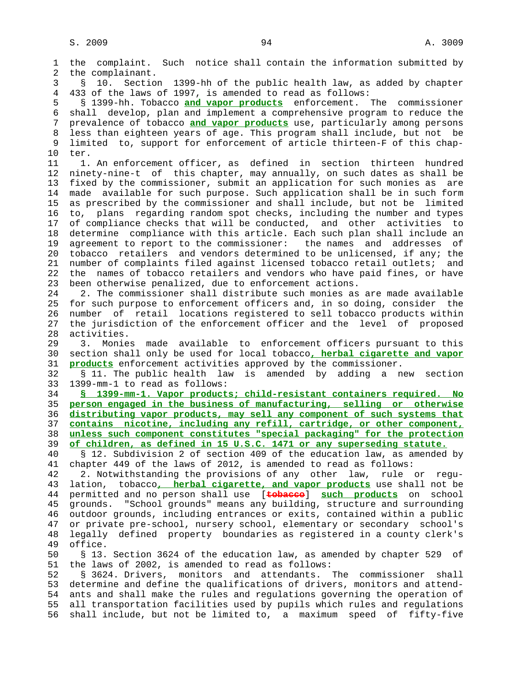1 the complaint. Such notice shall contain the information submitted by 2 the complainant. 3 § 10. Section 1399-hh of the public health law, as added by chapter 4 433 of the laws of 1997, is amended to read as follows: 5 § 1399-hh. Tobacco **and vapor products** enforcement. The commissioner 6 shall develop, plan and implement a comprehensive program to reduce the 7 prevalence of tobacco **and vapor products** use, particularly among persons 8 less than eighteen years of age. This program shall include, but not be<br>9 limited to, support for enforcement of article thirteen-F of this chaplimited to, support for enforcement of article thirteen-F of this chap- 10 ter. 11 1. An enforcement officer, as defined in section thirteen hundred 12 ninety-nine-t of this chapter, may annually, on such dates as shall be 13 fixed by the commissioner, submit an application for such monies as are 14 made available for such purpose. Such application shall be in such form 15 as prescribed by the commissioner and shall include, but not be limited 16 to, plans regarding random spot checks, including the number and types 17 of compliance checks that will be conducted, and other activities to 18 determine compliance with this article. Each such plan shall include an 19 agreement to report to the commissioner: the names and addresses of 20 tobacco retailers and vendors determined to be unlicensed, if any; the 21 number of complaints filed against licensed tobacco retail outlets; and 22 the names of tobacco retailers and vendors who have paid fines, or have 23 been otherwise penalized, due to enforcement actions. 24 2. The commissioner shall distribute such monies as are made available 25 for such purpose to enforcement officers and, in so doing, consider the 26 number of retail locations registered to sell tobacco products within 27 the jurisdiction of the enforcement officer and the level of proposed 28 activities. 29 3. Monies made available to enforcement officers pursuant to this 30 section shall only be used for local tobacco**, herbal cigarette and vapor** 31 **products** enforcement activities approved by the commissioner. 32 § 11. The public health law is amended by adding a new section 33 1399-mm-1 to read as follows: 34 **§ 1399-mm-1. Vapor products; child-resistant containers required. No** 35 **person engaged in the business of manufacturing, selling or otherwise** 36 **distributing vapor products, may sell any component of such systems that** 37 **contains nicotine, including any refill, cartridge, or other component,** 38 **unless such component constitutes "special packaging" for the protection** 39 **of children, as defined in 15 U.S.C. 1471 or any superseding statute.** 40 § 12. Subdivision 2 of section 409 of the education law, as amended by 41 chapter 449 of the laws of 2012, is amended to read as follows: 42 2. Notwithstanding the provisions of any other law, rule or regu- 43 lation, tobacco**, herbal cigarette, and vapor products** use shall not be 44 permitted and no person shall use [**tobacco**] **such products** on school 45 grounds. "School grounds" means any building, structure and surrounding 46 outdoor grounds, including entrances or exits, contained within a public 47 or private pre-school, nursery school, elementary or secondary school's 48 legally defined property boundaries as registered in a county clerk's office. 50 § 13. Section 3624 of the education law, as amended by chapter 529 of 51 the laws of 2002, is amended to read as follows: 52 § 3624. Drivers, monitors and attendants. The commissioner shall 53 determine and define the qualifications of drivers, monitors and attend- 54 ants and shall make the rules and regulations governing the operation of 55 all transportation facilities used by pupils which rules and regulations 56 shall include, but not be limited to, a maximum speed of fifty-five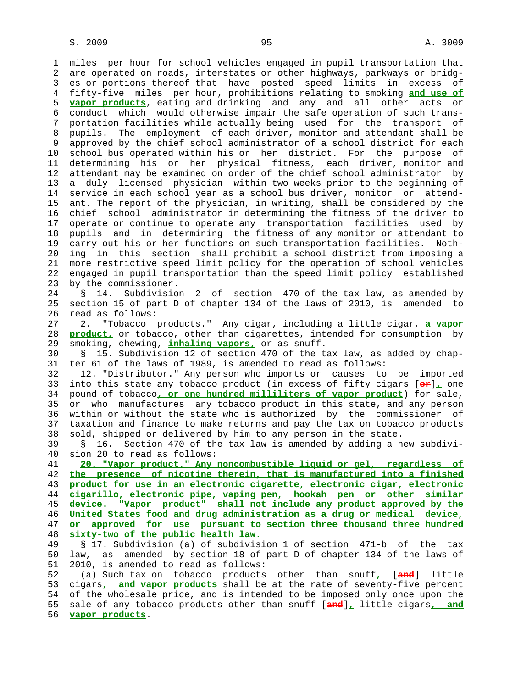1 miles per hour for school vehicles engaged in pupil transportation that 2 are operated on roads, interstates or other highways, parkways or bridg- 3 es or portions thereof that have posted speed limits in excess of 4 fifty-five miles per hour, prohibitions relating to smoking **and use of** 5 **vapor products**, eating and drinking and any and all other acts or 6 conduct which would otherwise impair the safe operation of such trans- 7 portation facilities while actually being used for the transport of 8 pupils. The employment of each driver, monitor and attendant shall be 9 approved by the chief school administrator of a school district for each 10 school bus operated within his or her district. For the purpose of 11 determining his or her physical fitness, each driver, monitor and 12 attendant may be examined on order of the chief school administrator by 13 a duly licensed physician within two weeks prior to the beginning of 14 service in each school year as a school bus driver, monitor or attend- 15 ant. The report of the physician, in writing, shall be considered by the 16 chief school administrator in determining the fitness of the driver to 17 operate or continue to operate any transportation facilities used by 18 pupils and in determining the fitness of any monitor or attendant to 19 carry out his or her functions on such transportation facilities. Noth- 20 ing in this section shall prohibit a school district from imposing a 21 more restrictive speed limit policy for the operation of school vehicles 22 engaged in pupil transportation than the speed limit policy established 23 by the commissioner. 24 § 14. Subdivision 2 of section 470 of the tax law, as amended by 25 section 15 of part D of chapter 134 of the laws of 2010, is amended to 26 read as follows: 27 2. "Tobacco products." Any cigar, including a little cigar, **a vapor** 28 **product,** or tobacco, other than cigarettes, intended for consumption by 29 smoking, chewing, **inhaling vapors,** or as snuff. 30 § 15. Subdivision 12 of section 470 of the tax law, as added by chap- 31 ter 61 of the laws of 1989, is amended to read as follows: 32 12. "Distributor." Any person who imports or causes to be imported 33 into this state any tobacco product (in excess of fifty cigars [**or**]**,** one 34 pound of tobacco**, or one hundred milliliters of vapor product**) for sale, 35 or who manufactures any tobacco product in this state, and any person 36 within or without the state who is authorized by the commissioner of 37 taxation and finance to make returns and pay the tax on tobacco products 38 sold, shipped or delivered by him to any person in the state. 39 § 16. Section 470 of the tax law is amended by adding a new subdivi- 40 sion 20 to read as follows: 41 **20. "Vapor product." Any noncombustible liquid or gel, regardless of** 42 **the presence of nicotine therein, that is manufactured into a finished** 43 **product for use in an electronic cigarette, electronic cigar, electronic**

**cigarillo, electronic pipe, vaping pen, hookah pen or other similar device. "Vapor product" shall not include any product approved by the United States food and drug administration as a drug or medical device, or approved for use pursuant to section three thousand three hundred sixty-two of the public health law.**

 49 § 17. Subdivision (a) of subdivision 1 of section 471-b of the tax 50 law, as amended by section 18 of part D of chapter 134 of the laws of 51 2010, is amended to read as follows:

 52 (a) Such tax on tobacco products other than snuff**,** [**and**] little 53 cigars**, and vapor products** shall be at the rate of seventy-five percent 54 of the wholesale price, and is intended to be imposed only once upon the 55 sale of any tobacco products other than snuff [**and**]**,** little cigars**, and** 56 **vapor products**.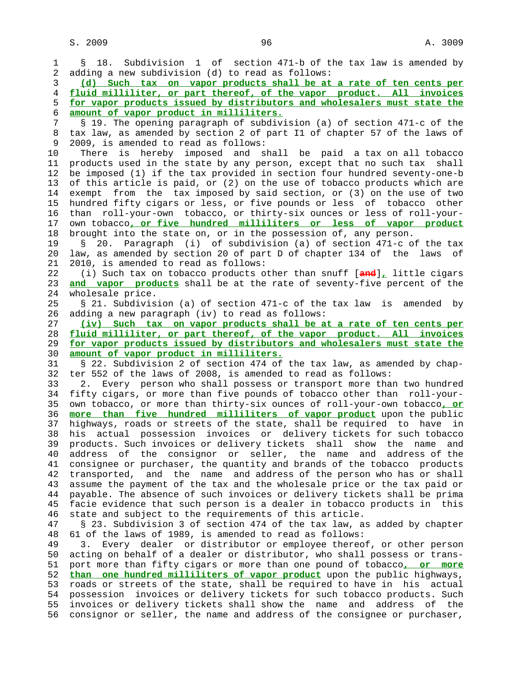1 § 18. Subdivision 1 of section 471-b of the tax law is amended by 2 adding a new subdivision (d) to read as follows: 3 **(d) Such tax on vapor products shall be at a rate of ten cents per** 4 **fluid milliliter, or part thereof, of the vapor product. All invoices** 5 **for vapor products issued by distributors and wholesalers must state the** 6 **amount of vapor product in milliliters.** 7 § 19. The opening paragraph of subdivision (a) of section 471-c of the 8 tax law, as amended by section 2 of part I1 of chapter 57 of the laws of 3 2009, is amended to read as follows: 2009, is amended to read as follows: 10 There is hereby imposed and shall be paid a tax on all tobacco 11 products used in the state by any person, except that no such tax shall 12 be imposed (1) if the tax provided in section four hundred seventy-one-b 13 of this article is paid, or (2) on the use of tobacco products which are 14 exempt from the tax imposed by said section, or (3) on the use of two 15 hundred fifty cigars or less, or five pounds or less of tobacco other 16 than roll-your-own tobacco, or thirty-six ounces or less of roll-your- 17 own tobacco**, or five hundred milliliters or less of vapor product** 18 brought into the state on, or in the possession of, any person. 19 § 20. Paragraph (i) of subdivision (a) of section 471-c of the tax 20 law, as amended by section 20 of part D of chapter 134 of the laws of 21 2010, is amended to read as follows: 22 (i) Such tax on tobacco products other than snuff [**and**]**,** little cigars 23 **and vapor products** shall be at the rate of seventy-five percent of the 24 wholesale price. 25 § 21. Subdivision (a) of section 471-c of the tax law is amended by 26 adding a new paragraph (iv) to read as follows: 27 **(iv) Such tax on vapor products shall be at a rate of ten cents per** 28 **fluid milliliter, or part thereof, of the vapor product. All invoices** 29 **for vapor products issued by distributors and wholesalers must state the** 30 **amount of vapor product in milliliters.** 31 § 22. Subdivision 2 of section 474 of the tax law, as amended by chap- 32 ter 552 of the laws of 2008, is amended to read as follows: 33 2. Every person who shall possess or transport more than two hundred 34 fifty cigars, or more than five pounds of tobacco other than roll-your- 35 own tobacco, or more than thirty-six ounces of roll-your-own tobacco**, or** 36 **more than five hundred milliliters of vapor product** upon the public 37 highways, roads or streets of the state, shall be required to have in 38 his actual possession invoices or delivery tickets for such tobacco 39 products. Such invoices or delivery tickets shall show the name and 40 address of the consignor or seller, the name and address of the 41 consignee or purchaser, the quantity and brands of the tobacco products 42 transported, and the name and address of the person who has or shall 43 assume the payment of the tax and the wholesale price or the tax paid or 44 payable. The absence of such invoices or delivery tickets shall be prima 45 facie evidence that such person is a dealer in tobacco products in this 46 state and subject to the requirements of this article. 47 § 23. Subdivision 3 of section 474 of the tax law, as added by chapter 48 61 of the laws of 1989, is amended to read as follows: 49 3. Every dealer or distributor or employee thereof, or other person 50 acting on behalf of a dealer or distributor, who shall possess or trans- 51 port more than fifty cigars or more than one pound of tobacco**, or more** 52 **than one hundred milliliters of vapor product** upon the public highways, 53 roads or streets of the state, shall be required to have in his actual 54 possession invoices or delivery tickets for such tobacco products. Such 55 invoices or delivery tickets shall show the name and address of the 56 consignor or seller, the name and address of the consignee or purchaser,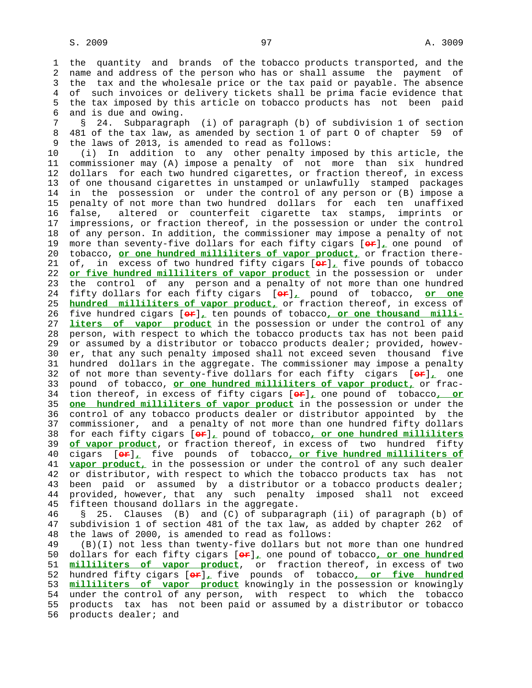1 the quantity and brands of the tobacco products transported, and the 2 name and address of the person who has or shall assume the payment of 3 the tax and the wholesale price or the tax paid or payable. The absence 4 of such invoices or delivery tickets shall be prima facie evidence that 5 the tax imposed by this article on tobacco products has not been paid 6 and is due and owing.

 7 § 24. Subparagraph (i) of paragraph (b) of subdivision 1 of section 8 481 of the tax law, as amended by section 1 of part 0 of chapter 59 of<br>9 the laws of 2013, is amended to read as follows: the laws of 2013, is amended to read as follows:

 10 (i) In addition to any other penalty imposed by this article, the 11 commissioner may (A) impose a penalty of not more than six hundred 12 dollars for each two hundred cigarettes, or fraction thereof, in excess 13 of one thousand cigarettes in unstamped or unlawfully stamped packages 14 in the possession or under the control of any person or (B) impose a 15 penalty of not more than two hundred dollars for each ten unaffixed 16 false, altered or counterfeit cigarette tax stamps, imprints or 17 impressions, or fraction thereof, in the possession or under the control 18 of any person. In addition, the commissioner may impose a penalty of not 19 more than seventy-five dollars for each fifty cigars [**or**]**,** one pound of 20 tobacco, **or one hundred milliliters of vapor product,** or fraction there- 21 of, in excess of two hundred fifty cigars [**or**]**,** five pounds of tobacco 22 **or five hundred milliliters of vapor product** in the possession or under 23 the control of any person and a penalty of not more than one hundred 24 fifty dollars for each fifty cigars [**or**]**,** pound of tobacco, **or one** 25 **hundred milliliters of vapor product,** or fraction thereof, in excess of 26 five hundred cigars [**or**]**,** ten pounds of tobacco**, or one thousand milli-** 27 **liters of vapor product** in the possession or under the control of any 28 person, with respect to which the tobacco products tax has not been paid 29 or assumed by a distributor or tobacco products dealer; provided, howev- 30 er, that any such penalty imposed shall not exceed seven thousand five 31 hundred dollars in the aggregate. The commissioner may impose a penalty 32 of not more than seventy-five dollars for each fifty cigars [**or**]**,** one 33 pound of tobacco, **or one hundred milliliters of vapor product,** or frac- 34 tion thereof, in excess of fifty cigars [**or**]**,** one pound of tobacco**, or** 35 **one hundred milliliters of vapor product** in the possession or under the 36 control of any tobacco products dealer or distributor appointed by the 37 commissioner, and a penalty of not more than one hundred fifty dollars 38 for each fifty cigars [**or**]**,** pound of tobacco**, or one hundred milliliters** 39 **of vapor product**, or fraction thereof, in excess of two hundred fifty 40 cigars [**or**]**,** five pounds of tobacco**, or five hundred milliliters of** 41 **vapor product,** in the possession or under the control of any such dealer 42 or distributor, with respect to which the tobacco products tax has not 43 been paid or assumed by a distributor or a tobacco products dealer; 44 provided, however, that any such penalty imposed shall not exceed 45 fifteen thousand dollars in the aggregate.

 46 § 25. Clauses (B) and (C) of subparagraph (ii) of paragraph (b) of 47 subdivision 1 of section 481 of the tax law, as added by chapter 262 of 48 the laws of 2000, is amended to read as follows:

 49 (B)(I) not less than twenty-five dollars but not more than one hundred 50 dollars for each fifty cigars [**or**]**,** one pound of tobacco**, or one hundred** 51 **milliliters of vapor product**, or fraction thereof, in excess of two 52 hundred fifty cigars [**or**]**,** five pounds of tobacco**, or five hundred** 53 **milliliters of vapor product** knowingly in the possession or knowingly 54 under the control of any person, with respect to which the tobacco 55 products tax has not been paid or assumed by a distributor or tobacco 56 products dealer; and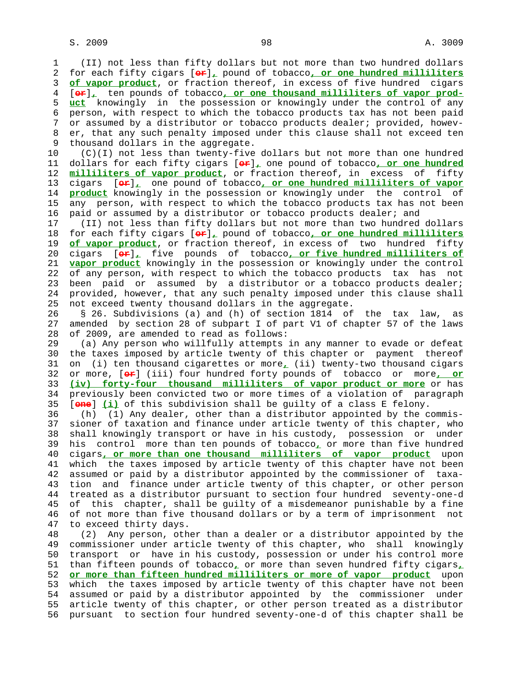1 (II) not less than fifty dollars but not more than two hundred dollars 2 for each fifty cigars [**or**]**,** pound of tobacco**, or one hundred milliliters** 3 **of vapor product**, or fraction thereof, in excess of five hundred cigars 4 [**or**]**,** ten pounds of tobacco**, or one thousand milliliters of vapor prod-** 5 **uct** knowingly in the possession or knowingly under the control of any 6 person, with respect to which the tobacco products tax has not been paid 7 or assumed by a distributor or tobacco products dealer; provided, howev- 8 er, that any such penalty imposed under this clause shall not exceed ten<br>9 thousand dollars in the aggregate. thousand dollars in the aggregate.

 10 (C)(I) not less than twenty-five dollars but not more than one hundred 11 dollars for each fifty cigars [**or**]**,** one pound of tobacco**, or one hundred** 12 **milliliters of vapor product**, or fraction thereof, in excess of fifty 13 cigars [**or**]**,** one pound of tobacco**, or one hundred milliliters of vapor** 14 **product** knowingly in the possession or knowingly under the control of 15 any person, with respect to which the tobacco products tax has not been 16 paid or assumed by a distributor or tobacco products dealer; and

 17 (II) not less than fifty dollars but not more than two hundred dollars 18 for each fifty cigars [**or**]**,** pound of tobacco**, or one hundred milliliters** 19 **of vapor product**, or fraction thereof, in excess of two hundred fifty 20 cigars [**or**]**,** five pounds of tobacco**, or five hundred milliliters of** 21 **vapor product** knowingly in the possession or knowingly under the control 22 of any person, with respect to which the tobacco products tax has not 23 been paid or assumed by a distributor or a tobacco products dealer; 24 provided, however, that any such penalty imposed under this clause shall 25 not exceed twenty thousand dollars in the aggregate.

 26 § 26. Subdivisions (a) and (h) of section 1814 of the tax law, as 27 amended by section 28 of subpart I of part V1 of chapter 57 of the laws 28 of 2009, are amended to read as follows:

 29 (a) Any person who willfully attempts in any manner to evade or defeat 30 the taxes imposed by article twenty of this chapter or payment thereof 31 on (i) ten thousand cigarettes or more**,** (ii) twenty-two thousand cigars 32 or more, [**or**] (iii) four hundred forty pounds of tobacco or more**, or** 33 **(iv) forty-four thousand milliliters of vapor product or more** or has 34 previously been convicted two or more times of a violation of paragraph 35 [**one**] **(i)** of this subdivision shall be guilty of a class E felony.

 36 (h) (1) Any dealer, other than a distributor appointed by the commis- 37 sioner of taxation and finance under article twenty of this chapter, who 38 shall knowingly transport or have in his custody, possession or under 39 his control more than ten pounds of tobacco**,** or more than five hundred 40 cigars**, or more than one thousand milliliters of vapor product** upon 41 which the taxes imposed by article twenty of this chapter have not been 42 assumed or paid by a distributor appointed by the commissioner of taxa- 43 tion and finance under article twenty of this chapter, or other person 44 treated as a distributor pursuant to section four hundred seventy-one-d 45 of this chapter, shall be guilty of a misdemeanor punishable by a fine 46 of not more than five thousand dollars or by a term of imprisonment not 47 to exceed thirty days.

 48 (2) Any person, other than a dealer or a distributor appointed by the 49 commissioner under article twenty of this chapter, who shall knowingly 50 transport or have in his custody, possession or under his control more 51 than fifteen pounds of tobacco**,** or more than seven hundred fifty cigars**,** 52 **or more than fifteen hundred milliliters or more of vapor product** upon 53 which the taxes imposed by article twenty of this chapter have not been 54 assumed or paid by a distributor appointed by the commissioner under 55 article twenty of this chapter, or other person treated as a distributor 56 pursuant to section four hundred seventy-one-d of this chapter shall be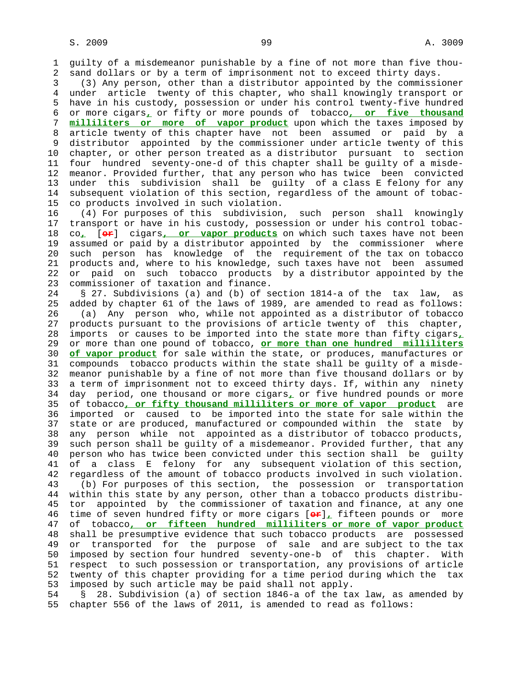1 guilty of a misdemeanor punishable by a fine of not more than five thou- 2 sand dollars or by a term of imprisonment not to exceed thirty days.

 3 (3) Any person, other than a distributor appointed by the commissioner 4 under article twenty of this chapter, who shall knowingly transport or 5 have in his custody, possession or under his control twenty-five hundred 6 or more cigars**,** or fifty or more pounds of tobacco**, or five thousand** 7 **milliliters or more of vapor product** upon which the taxes imposed by 8 article twenty of this chapter have not been assumed or paid by a 9 distributor appointed by the commissioner under article twenty of this 10 chapter, or other person treated as a distributor pursuant to section 11 four hundred seventy-one-d of this chapter shall be guilty of a misde- 12 meanor. Provided further, that any person who has twice been convicted 13 under this subdivision shall be guilty of a class E felony for any 14 subsequent violation of this section, regardless of the amount of tobac- 15 co products involved in such violation.

 16 (4) For purposes of this subdivision, such person shall knowingly 17 transport or have in his custody, possession or under his control tobac- 18 co**,** [**or**] cigars**, or vapor products** on which such taxes have not been 19 assumed or paid by a distributor appointed by the commissioner where 20 such person has knowledge of the requirement of the tax on tobacco 21 products and, where to his knowledge, such taxes have not been assumed 22 or paid on such tobacco products by a distributor appointed by the 23 commissioner of taxation and finance.

 24 § 27. Subdivisions (a) and (b) of section 1814-a of the tax law, as 25 added by chapter 61 of the laws of 1989, are amended to read as follows: 26 (a) Any person who, while not appointed as a distributor of tobacco 27 products pursuant to the provisions of article twenty of this chapter, 28 imports or causes to be imported into the state more than fifty cigars**,** 29 or more than one pound of tobacco, **or more than one hundred milliliters** 30 **of vapor product** for sale within the state, or produces, manufactures or 31 compounds tobacco products within the state shall be guilty of a misde- 32 meanor punishable by a fine of not more than five thousand dollars or by 33 a term of imprisonment not to exceed thirty days. If, within any ninety 34 day period, one thousand or more cigars**,** or five hundred pounds or more 35 of tobacco**, or fifty thousand milliliters or more of vapor product** are 36 imported or caused to be imported into the state for sale within the 37 state or are produced, manufactured or compounded within the state by 38 any person while not appointed as a distributor of tobacco products, 39 such person shall be guilty of a misdemeanor. Provided further, that any 40 person who has twice been convicted under this section shall be guilty 41 of a class E felony for any subsequent violation of this section, 42 regardless of the amount of tobacco products involved in such violation. 43 (b) For purposes of this section, the possession or transportation 44 within this state by any person, other than a tobacco products distribu- 45 tor appointed by the commissioner of taxation and finance, at any one 46 time of seven hundred fifty or more cigars [**or**]**,** fifteen pounds or more 47 of tobacco**, or fifteen hundred milliliters or more of vapor product** 48 shall be presumptive evidence that such tobacco products are possessed 49 or transported for the purpose of sale and are subject to the tax 50 imposed by section four hundred seventy-one-b of this chapter. With 51 respect to such possession or transportation, any provisions of article 52 twenty of this chapter providing for a time period during which the tax 53 imposed by such article may be paid shall not apply.

 54 § 28. Subdivision (a) of section 1846-a of the tax law, as amended by 55 chapter 556 of the laws of 2011, is amended to read as follows: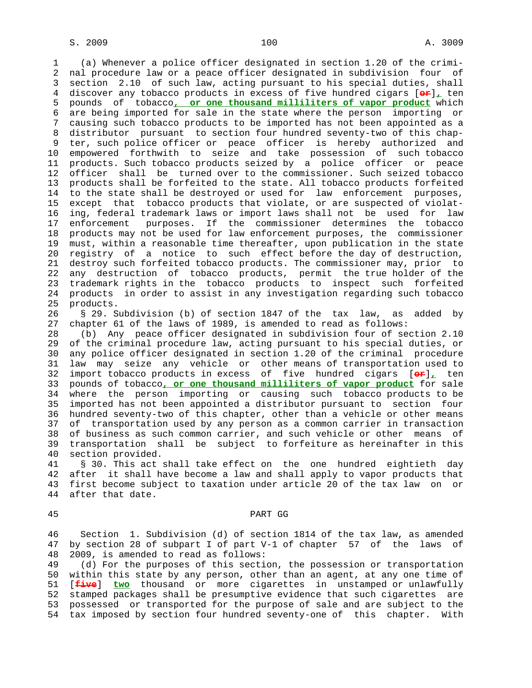1 (a) Whenever a police officer designated in section 1.20 of the crimi- 2 nal procedure law or a peace officer designated in subdivision four of 3 section 2.10 of such law, acting pursuant to his special duties, shall 4 discover any tobacco products in excess of five hundred cigars [**or**]**,** ten 5 pounds of tobacco**, or one thousand milliliters of vapor product** which 6 are being imported for sale in the state where the person importing or 7 causing such tobacco products to be imported has not been appointed as a 8 distributor pursuant to section four hundred seventy-two of this chap- 9 ter, such police officer or peace officer is hereby authorized and 10 empowered forthwith to seize and take possession of such tobacco 11 products. Such tobacco products seized by a police officer or peace 12 officer shall be turned over to the commissioner. Such seized tobacco 13 products shall be forfeited to the state. All tobacco products forfeited 14 to the state shall be destroyed or used for law enforcement purposes, 15 except that tobacco products that violate, or are suspected of violat- 16 ing, federal trademark laws or import laws shall not be used for law 17 enforcement purposes. If the commissioner determines the tobacco 18 products may not be used for law enforcement purposes, the commissioner 19 must, within a reasonable time thereafter, upon publication in the state 20 registry of a notice to such effect before the day of destruction, 21 destroy such forfeited tobacco products. The commissioner may, prior to 22 any destruction of tobacco products, permit the true holder of the 23 trademark rights in the tobacco products to inspect such forfeited 24 products in order to assist in any investigation regarding such tobacco 25 products. 26 § 29. Subdivision (b) of section 1847 of the tax law, as added by

27 chapter 61 of the laws of 1989, is amended to read as follows:

 28 (b) Any peace officer designated in subdivision four of section 2.10 29 of the criminal procedure law, acting pursuant to his special duties, or 30 any police officer designated in section 1.20 of the criminal procedure 31 law may seize any vehicle or other means of transportation used to 32 import tobacco products in excess of five hundred cigars [**or**]**,** ten 33 pounds of tobacco**, or one thousand milliliters of vapor product** for sale 34 where the person importing or causing such tobacco products to be 35 imported has not been appointed a distributor pursuant to section four 36 hundred seventy-two of this chapter, other than a vehicle or other means 37 of transportation used by any person as a common carrier in transaction 38 of business as such common carrier, and such vehicle or other means of 39 transportation shall be subject to forfeiture as hereinafter in this 40 section provided.

 41 § 30. This act shall take effect on the one hundred eightieth day 42 after it shall have become a law and shall apply to vapor products that 43 first become subject to taxation under article 20 of the tax law on or 44 after that date.

### 45 PART GG

 46 Section 1. Subdivision (d) of section 1814 of the tax law, as amended 47 by section 28 of subpart I of part V-1 of chapter 57 of the laws of 48 2009, is amended to read as follows:

 49 (d) For the purposes of this section, the possession or transportation 50 within this state by any person, other than an agent, at any one time of 51 [**five**] **two** thousand or more cigarettes in unstamped or unlawfully 52 stamped packages shall be presumptive evidence that such cigarettes are 53 possessed or transported for the purpose of sale and are subject to the 54 tax imposed by section four hundred seventy-one of this chapter. With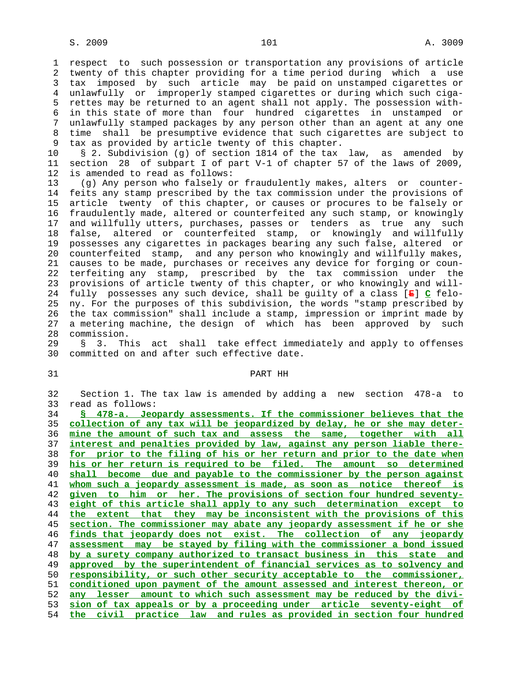1 respect to such possession or transportation any provisions of article 2 twenty of this chapter providing for a time period during which a use 3 tax imposed by such article may be paid on unstamped cigarettes or 4 unlawfully or improperly stamped cigarettes or during which such ciga- 5 rettes may be returned to an agent shall not apply. The possession with- 6 in this state of more than four hundred cigarettes in unstamped or 7 unlawfully stamped packages by any person other than an agent at any one 8 time shall be presumptive evidence that such cigarettes are subject to<br>9 tax as provided by article twenty of this chapter. tax as provided by article twenty of this chapter.

 10 § 2. Subdivision (g) of section 1814 of the tax law, as amended by 11 section 28 of subpart I of part V-1 of chapter 57 of the laws of 2009, 12 is amended to read as follows:

 13 (g) Any person who falsely or fraudulently makes, alters or counter- 14 feits any stamp prescribed by the tax commission under the provisions of 15 article twenty of this chapter, or causes or procures to be falsely or 16 fraudulently made, altered or counterfeited any such stamp, or knowingly 17 and willfully utters, purchases, passes or tenders as true any such 18 false, altered or counterfeited stamp, or knowingly and willfully 19 possesses any cigarettes in packages bearing any such false, altered or 20 counterfeited stamp, and any person who knowingly and willfully makes, 21 causes to be made, purchases or receives any device for forging or coun- 22 terfeiting any stamp, prescribed by the tax commission under the 23 provisions of article twenty of this chapter, or who knowingly and will- 24 fully possesses any such device, shall be guilty of a class [**E**] **C** felo- 25 ny. For the purposes of this subdivision, the words "stamp prescribed by 26 the tax commission" shall include a stamp, impression or imprint made by 27 a metering machine, the design of which has been approved by such 28 commission.

 29 § 3. This act shall take effect immediately and apply to offenses 30 committed on and after such effective date.

# 31 PART HH

 32 Section 1. The tax law is amended by adding a new section 478-a to 33 read as follows:

**§ 478-a. Jeopardy assessments. If the commissioner believes that the collection of any tax will be jeopardized by delay, he or she may deter- mine the amount of such tax and assess the same, together with all interest and penalties provided by law, against any person liable there- for prior to the filing of his or her return and prior to the date when his or her return is required to be filed. The amount so determined shall become due and payable to the commissioner by the person against whom such a jeopardy assessment is made, as soon as notice thereof is given to him or her. The provisions of section four hundred seventy- eight of this article shall apply to any such determination except to the extent that they may be inconsistent with the provisions of this section. The commissioner may abate any jeopardy assessment if he or she finds that jeopardy does not exist. The collection of any jeopardy assessment may be stayed by filing with the commissioner a bond issued by a surety company authorized to transact business in this state and approved by the superintendent of financial services as to solvency and responsibility, or such other security acceptable to the commissioner, conditioned upon payment of the amount assessed and interest thereon, or any lesser amount to which such assessment may be reduced by the divi- sion of tax appeals or by a proceeding under article seventy-eight of the civil practice law and rules as provided in section four hundred**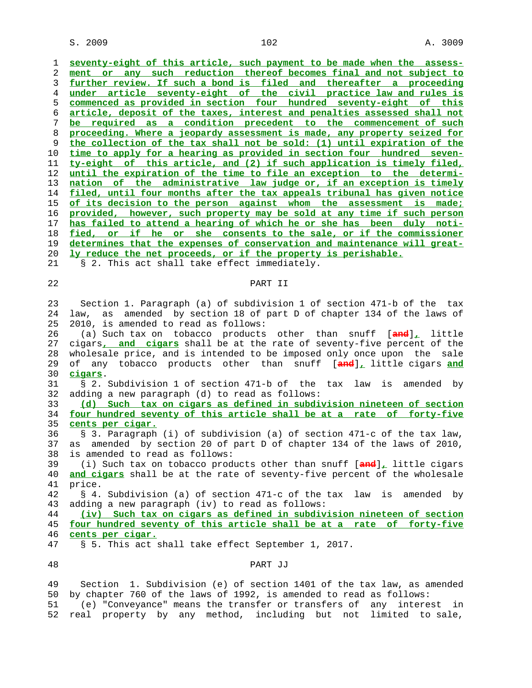1 **seventy-eight of this article, such payment to be made when the assess-** 2 **ment or any such reduction thereof becomes final and not subject to** 3 **further review. If such a bond is filed and thereafter a proceeding** 4 **under article seventy-eight of the civil practice law and rules is** 5 **commenced as provided in section four hundred seventy-eight of this** 6 **article, deposit of the taxes, interest and penalties assessed shall not** 7 **be required as a condition precedent to the commencement of such** 8 **proceeding. Where a jeopardy assessment is made, any property seized for** 9 **the collection of the tax shall not be sold: (1) until expiration of the** 10 **time to apply for a hearing as provided in section four hundred seven-** 11 **ty-eight of this article, and (2) if such application is timely filed,** 12 **until the expiration of the time to file an exception to the determi-** 13 **nation of the administrative law judge or, if an exception is timely** 14 **filed, until four months after the tax appeals tribunal has given notice** 15 **of its decision to the person against whom the assessment is made;** 16 **provided, however, such property may be sold at any time if such person** 17 **has failed to attend a hearing of which he or she has been duly noti-** 18 **fied, or if he or she consents to the sale, or if the commissioner** 19 **determines that the expenses of conservation and maintenance will great-** 20 **ly reduce the net proceeds, or if the property is perishable.** 21 § 2. This act shall take effect immediately. 22 PART II 23 Section 1. Paragraph (a) of subdivision 1 of section 471-b of the tax 24 law, as amended by section 18 of part D of chapter 134 of the laws of 25 2010, is amended to read as follows: 26 (a) Such tax on tobacco products other than snuff [**and**]**,** little 27 cigars**, and cigars** shall be at the rate of seventy-five percent of the 28 wholesale price, and is intended to be imposed only once upon the sale 29 of any tobacco products other than snuff [**and**]**,** little cigars **and** 30 **cigars**. 31 § 2. Subdivision 1 of section 471-b of the tax law is amended by 32 adding a new paragraph (d) to read as follows: 33 **(d) Such tax on cigars as defined in subdivision nineteen of section** 34 **four hundred seventy of this article shall be at a rate of forty-five** 35 **cents per cigar.** 36 § 3. Paragraph (i) of subdivision (a) of section 471-c of the tax law, 37 as amended by section 20 of part D of chapter 134 of the laws of 2010, 38 is amended to read as follows: 39 (i) Such tax on tobacco products other than snuff [**and**]**,** little cigars 40 **and cigars** shall be at the rate of seventy-five percent of the wholesale 41 price. 42 § 4. Subdivision (a) of section 471-c of the tax law is amended by 43 adding a new paragraph (iv) to read as follows: 44 **(iv) Such tax on cigars as defined in subdivision nineteen of section** 45 **four hundred seventy of this article shall be at a rate of forty-five** 46 **cents per cigar.** 47 § 5. This act shall take effect September 1, 2017. 48 PART JJ 49 Section 1. Subdivision (e) of section 1401 of the tax law, as amended 50 by chapter 760 of the laws of 1992, is amended to read as follows:

 51 (e) "Conveyance" means the transfer or transfers of any interest in 52 real property by any method, including but not limited to sale,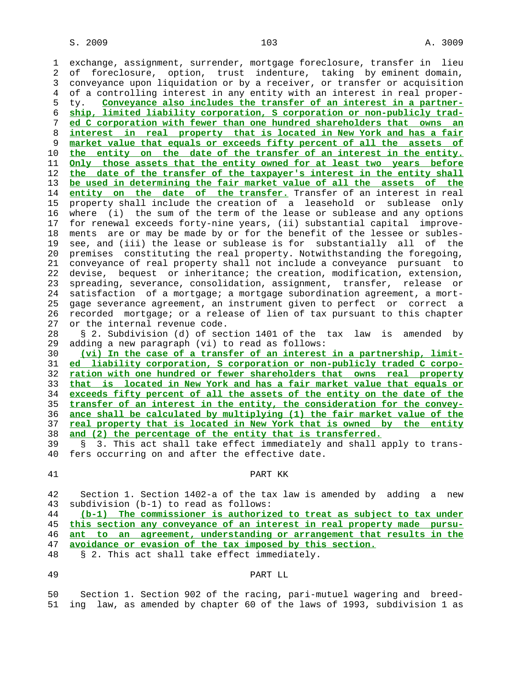1 exchange, assignment, surrender, mortgage foreclosure, transfer in lieu 2 of foreclosure, option, trust indenture, taking by eminent domain, 3 conveyance upon liquidation or by a receiver, or transfer or acquisition 4 of a controlling interest in any entity with an interest in real proper- 5 ty. **Conveyance also includes the transfer of an interest in a partner-** 6 **ship, limited liability corporation, S corporation or non-publicly trad-** 7 **ed C corporation with fewer than one hundred shareholders that owns an** 8 **interest in real property that is located in New York and has a fair** 9 **market value that equals or exceeds fifty percent of all the assets of** 10 **the entity on the date of the transfer of an interest in the entity.** 11 **Only those assets that the entity owned for at least two years before** 12 **the date of the transfer of the taxpayer's interest in the entity shall** 13 **be used in determining the fair market value of all the assets of the** 14 **entity on the date of the transfer.** Transfer of an interest in real 15 property shall include the creation of a leasehold or sublease only 16 where (i) the sum of the term of the lease or sublease and any options 17 for renewal exceeds forty-nine years, (ii) substantial capital improve- 18 ments are or may be made by or for the benefit of the lessee or subles- 19 see, and (iii) the lease or sublease is for substantially all of the 20 premises constituting the real property. Notwithstanding the foregoing, 21 conveyance of real property shall not include a conveyance pursuant to 22 devise, bequest or inheritance; the creation, modification, extension, 23 spreading, severance, consolidation, assignment, transfer, release or 24 satisfaction of a mortgage; a mortgage subordination agreement, a mort- 25 gage severance agreement, an instrument given to perfect or correct a 26 recorded mortgage; or a release of lien of tax pursuant to this chapter 27 or the internal revenue code. 28 § 2. Subdivision (d) of section 1401 of the tax law is amended by 29 adding a new paragraph (vi) to read as follows: 30 **(vi) In the case of a transfer of an interest in a partnership, limit-** 31 **ed liability corporation, S corporation or non-publicly traded C corpo-** 32 **ration with one hundred or fewer shareholders that owns real property** 33 **that is located in New York and has a fair market value that equals or** 34 **exceeds fifty percent of all the assets of the entity on the date of the** 35 **transfer of an interest in the entity, the consideration for the convey-** 36 **ance shall be calculated by multiplying (1) the fair market value of the** 37 **real property that is located in New York that is owned by the entity** 38 **and (2) the percentage of the entity that is transferred.** 39 § 3. This act shall take effect immediately and shall apply to trans- 40 fers occurring on and after the effective date. 41 PART KK 42 Section 1. Section 1402-a of the tax law is amended by adding a new 43 subdivision (b-1) to read as follows: 44 **(b-1) The commissioner is authorized to treat as subject to tax under** 45 **this section any conveyance of an interest in real property made pursu-** 46 **ant to an agreement, understanding or arrangement that results in the** 47 **avoidance or evasion of the tax imposed by this section.** 48 § 2. This act shall take effect immediately. 49 PART LL 50 Section 1. Section 902 of the racing, pari-mutuel wagering and breed- 51 ing law, as amended by chapter 60 of the laws of 1993, subdivision 1 as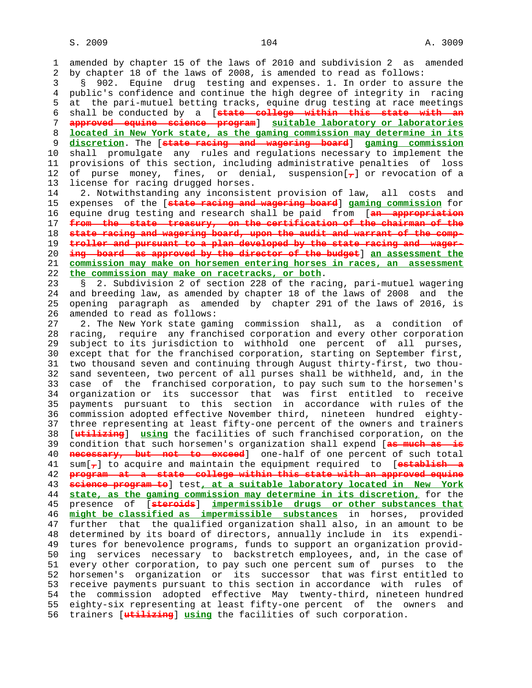1 amended by chapter 15 of the laws of 2010 and subdivision 2 as amended 2 by chapter 18 of the laws of 2008, is amended to read as follows: 3 § 902. Equine drug testing and expenses. 1. In order to assure the 4 public's confidence and continue the high degree of integrity in racing 5 at the pari-mutuel betting tracks, equine drug testing at race meetings 6 shall be conducted by a [**state college within this state with an** 7 **approved equine science program**] **suitable laboratory or laboratories** 8 **located in New York state, as the gaming commission may determine in its** 9 **discretion**. The [**state racing and wagering board**] **gaming commission** 10 shall promulgate any rules and regulations necessary to implement the 11 provisions of this section, including administrative penalties of loss 12 of purse money, fines, or denial, suspension[**,**] or revocation of a 13 license for racing drugged horses. 14 2. Notwithstanding any inconsistent provision of law, all costs and 15 expenses of the [**state racing and wagering board**] **gaming commission** for 16 equine drug testing and research shall be paid from [**an appropriation** 17 **from the state treasury, on the certification of the chairman of the** 18 **state racing and wagering board, upon the audit and warrant of the comp-** 19 **troller and pursuant to a plan developed by the state racing and wager-** 20 **ing board as approved by the director of the budget**] **an assessment the** 21 **commission may make on horsemen entering horses in races, an assessment** 22 **the commission may make on racetracks, or both**. 23 § 2. Subdivision 2 of section 228 of the racing, pari-mutuel wagering 24 and breeding law, as amended by chapter 18 of the laws of 2008 and the 25 opening paragraph as amended by chapter 291 of the laws of 2016, is 26 amended to read as follows: 27 2. The New York state gaming commission shall, as a condition of 28 racing, require any franchised corporation and every other corporation 29 subject to its jurisdiction to withhold one percent of all purses, 30 except that for the franchised corporation, starting on September first, 31 two thousand seven and continuing through August thirty-first, two thou- 32 sand seventeen, two percent of all purses shall be withheld, and, in the 33 case of the franchised corporation, to pay such sum to the horsemen's 34 organization or its successor that was first entitled to receive 35 payments pursuant to this section in accordance with rules of the 36 commission adopted effective November third, nineteen hundred eighty- 37 three representing at least fifty-one percent of the owners and trainers 38 [**utilizing**] **using** the facilities of such franchised corporation, on the 39 condition that such horsemen's organization shall expend [**as much as is** 40 **necessary, but not to exceed**] one-half of one percent of such total 41 sum[**,**] to acquire and maintain the equipment required to [**establish a** 42 **program at a state college within this state with an approved equine** 43 **science program to**] test**, at a suitable laboratory located in New York** 44 **state, as the gaming commission may determine in its discretion,** for the 45 presence of [**steroids**] **impermissible drugs or other substances that** 46 **might be classified as impermissible substances** in horses, provided 47 further that the qualified organization shall also, in an amount to be 48 determined by its board of directors, annually include in its expendi- 49 tures for benevolence programs, funds to support an organization provid- 50 ing services necessary to backstretch employees, and, in the case of 51 every other corporation, to pay such one percent sum of purses to the 52 horsemen's organization or its successor that was first entitled to 53 receive payments pursuant to this section in accordance with rules of 54 the commission adopted effective May twenty-third, nineteen hundred 55 eighty-six representing at least fifty-one percent of the owners and 56 trainers [**utilizing**] **using** the facilities of such corporation.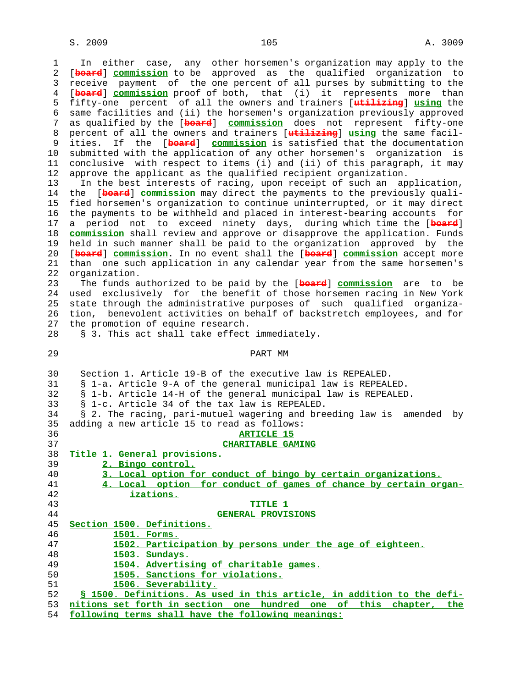1 In either case, any other horsemen's organization may apply to the 2 [**board**] **commission** to be approved as the qualified organization to 3 receive payment of the one percent of all purses by submitting to the 4 [**board**] **commission** proof of both, that (i) it represents more than 5 fifty-one percent of all the owners and trainers [**utilizing**] **using** the 6 same facilities and (ii) the horsemen's organization previously approved 7 as qualified by the [**board**] **commission** does not represent fifty-one 8 percent of all the owners and trainers [**utilizing**] **using** the same facil ities. If the [**board**] **commission** is satisfied that the documentation 10 submitted with the application of any other horsemen's organization is 11 conclusive with respect to items (i) and (ii) of this paragraph, it may 12 approve the applicant as the qualified recipient organization. 13 In the best interests of racing, upon receipt of such an application,<br>14 the [beard] commission may direct the payments to the previously quali-[board] commission may direct the payments to the previously quali- 15 fied horsemen's organization to continue uninterrupted, or it may direct 16 the payments to be withheld and placed in interest-bearing accounts for 17 a period not to exceed ninety days, during which time the [**board**] 18 **commission** shall review and approve or disapprove the application. Funds 19 held in such manner shall be paid to the organization approved by the 20 [**board**] **commission**. In no event shall the [**board**] **commission** accept more 21 than one such application in any calendar year from the same horsemen's 22 organization. 23 The funds authorized to be paid by the [**board**] **commission** are to be 24 used exclusively for the benefit of those horsemen racing in New York 25 state through the administrative purposes of such qualified organiza- 26 tion, benevolent activities on behalf of backstretch employees, and for 27 the promotion of equine research. 28 § 3. This act shall take effect immediately. 29 PART MM 30 Section 1. Article 19-B of the executive law is REPEALED. 31 § 1-a. Article 9-A of the general municipal law is REPEALED. 32 § 1-b. Article 14-H of the general municipal law is REPEALED. 33 § 1-c. Article 34 of the tax law is REPEALED. 34 § 2. The racing, pari-mutuel wagering and breeding law is amended by 35 adding a new article 15 to read as follows: 36 **ARTICLE 15** 37 **CHARITABLE GAMING** 38 **Title 1. General provisions.** 39 **2. Bingo control.** 40 **3. Local option for conduct of bingo by certain organizations.** 41 **4. Local option for conduct of games of chance by certain organ-** 42 **izations.** 43 **TITLE 1** 44 **GENERAL PROVISIONS** 45 **Section 1500. Definitions.** 46 **1501. Forms.** 1502. Participation by persons under the age of eighteen. 48 **1503. Sundays.** 49 **1504. Advertising of charitable games.** 50 **1505. Sanctions for violations.** 51 **1506. Severability.** 52 **§ 1500. Definitions. As used in this article, in addition to the defi-** 53 **nitions set forth in section one hundred one of this chapter, the**

54 **following terms shall have the following meanings:**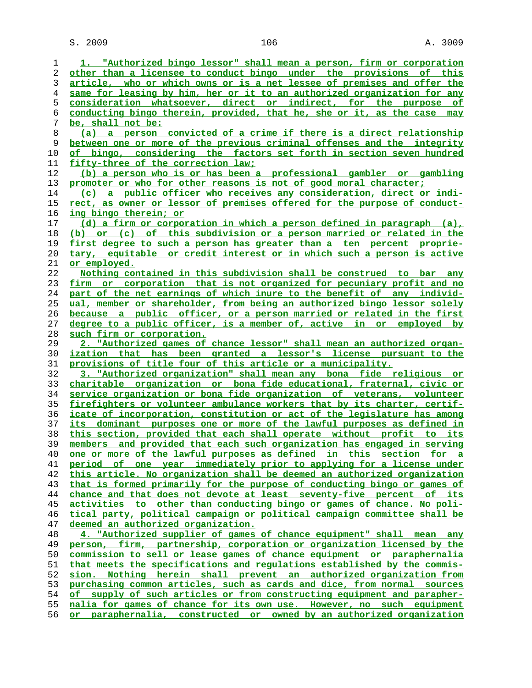$S. 2009$  and  $106$  and  $A. 3009$ 

**1. "Authorized bingo lessor" shall mean a person, firm or corporation other than a licensee to conduct bingo under the provisions of this article, who or which owns or is a net lessee of premises and offer the same for leasing by him, her or it to an authorized organization for any consideration whatsoever, direct or indirect, for the purpose of conducting bingo therein, provided, that he, she or it, as the case may be, shall not be: (a) a person convicted of a crime if there is a direct relationship between one or more of the previous criminal offenses and the integrity of bingo, considering the factors set forth in section seven hundred fifty-three of the correction law; (b) a person who is or has been a professional gambler or gambling promoter or who for other reasons is not of good moral character; (c) a public officer who receives any consideration, direct or indi- rect, as owner or lessor of premises offered for the purpose of conduct- ing bingo therein; or (d) a firm or corporation in which a person defined in paragraph (a), (b) or (c) of this subdivision or a person married or related in the first degree to such a person has greater than a ten percent proprie- tary, equitable or credit interest or in which such a person is active or employed. Nothing contained in this subdivision shall be construed to bar any firm or corporation that is not organized for pecuniary profit and no part of the net earnings of which inure to the benefit of any individ- ual, member or shareholder, from being an authorized bingo lessor solely because a public officer, or a person married or related in the first degree to a public officer, is a member of, active in or employed by such firm or corporation. 2. "Authorized games of chance lessor" shall mean an authorized organ- ization that has been granted a lessor's license pursuant to the provisions of title four of this article or a municipality. 3. "Authorized organization" shall mean any bona fide religious or charitable organization or bona fide educational, fraternal, civic or service organization or bona fide organization of veterans, volunteer firefighters or volunteer ambulance workers that by its charter, certif- icate of incorporation, constitution or act of the legislature has among its dominant purposes one or more of the lawful purposes as defined in this section, provided that each shall operate without profit to its members and provided that each such organization has engaged in serving one or more of the lawful purposes as defined in this section for a period of one year immediately prior to applying for a license under this article. No organization shall be deemed an authorized organization that is formed primarily for the purpose of conducting bingo or games of chance and that does not devote at least seventy-five percent of its activities to other than conducting bingo or games of chance. No poli- tical party, political campaign or political campaign committee shall be deemed an authorized organization. 4. "Authorized supplier of games of chance equipment" shall mean any person, firm, partnership, corporation or organization licensed by the commission to sell or lease games of chance equipment or paraphernalia that meets the specifications and regulations established by the commis- sion. Nothing herein shall prevent an authorized organization from purchasing common articles, such as cards and dice, from normal sources of supply of such articles or from constructing equipment and parapher- nalia for games of chance for its own use. However, no such equipment or paraphernalia, constructed or owned by an authorized organization**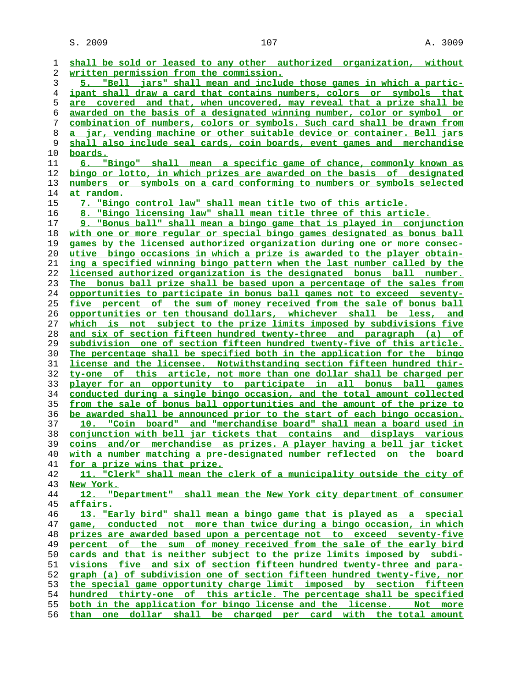$S. 2009$  and  $107$  and  $107$  and  $107$  and  $107$  and  $107$  and  $109$  and  $109$ 

**shall be sold or leased to any other authorized organization, without written permission from the commission. 5. "Bell jars" shall mean and include those games in which a partic- ipant shall draw a card that contains numbers, colors or symbols that are covered and that, when uncovered, may reveal that a prize shall be awarded on the basis of a designated winning number, color or symbol or combination of numbers, colors or symbols. Such card shall be drawn from a jar, vending machine or other suitable device or container. Bell jars shall also include seal cards, coin boards, event games and merchandise boards. 6. "Bingo" shall mean a specific game of chance, commonly known as bingo or lotto, in which prizes are awarded on the basis of designated numbers or symbols on a card conforming to numbers or symbols selected at random. 7. "Bingo control law" shall mean title two of this article. 8. "Bingo licensing law" shall mean title three of this article. 9. "Bonus ball" shall mean a bingo game that is played in conjunction with one or more regular or special bingo games designated as bonus ball games by the licensed authorized organization during one or more consec- utive bingo occasions in which a prize is awarded to the player obtain- ing a specified winning bingo pattern when the last number called by the licensed authorized organization is the designated bonus ball number. The bonus ball prize shall be based upon a percentage of the sales from opportunities to participate in bonus ball games not to exceed seventy- five percent of the sum of money received from the sale of bonus ball opportunities or ten thousand dollars, whichever shall be less, and which is not subject to the prize limits imposed by subdivisions five and six of section fifteen hundred twenty-three and paragraph (a) of subdivision one of section fifteen hundred twenty-five of this article. The percentage shall be specified both in the application for the bingo license and the licensee. Notwithstanding section fifteen hundred thir- ty-one of this article, not more than one dollar shall be charged per player for an opportunity to participate in all bonus ball games conducted during a single bingo occasion, and the total amount collected from the sale of bonus ball opportunities and the amount of the prize to be awarded shall be announced prior to the start of each bingo occasion. 10. "Coin board" and "merchandise board" shall mean a board used in conjunction with bell jar tickets that contains and displays various coins and/or merchandise as prizes. A player having a bell jar ticket with a number matching a pre-designated number reflected on the board for a prize wins that prize. 11. "Clerk" shall mean the clerk of a municipality outside the city of New York. 12. "Department" shall mean the New York city department of consumer affairs. 13. "Early bird" shall mean a bingo game that is played as a special game, conducted not more than twice during a bingo occasion, in which prizes are awarded based upon a percentage not to exceed seventy-five percent of the sum of money received from the sale of the early bird cards and that is neither subject to the prize limits imposed by subdi- visions five and six of section fifteen hundred twenty-three and para- graph (a) of subdivision one of section fifteen hundred twenty-five, nor the special game opportunity charge limit imposed by section fifteen hundred thirty-one of this article. The percentage shall be specified both in the application for bingo license and the license. Not more than one dollar shall be charged per card with the total amount**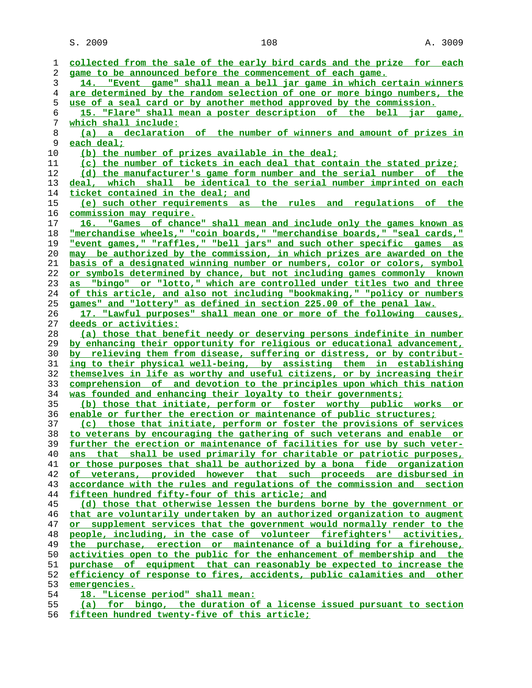S. 2009 2009 2008 2009 2008 2009 2009 2010 2020 2030 2040 2050 2060 2070 2080 2090 2009 2009 2009 2009 2009 20

| 1  | collected from the sale of the early bird cards and the prize for each          |
|----|---------------------------------------------------------------------------------|
| 2  | game to be announced before the commencement of each game.                      |
| 3  | 14. "Event game" shall mean a bell jar game in which certain winners            |
| 4  | are determined by the random selection of one or more bingo numbers, the        |
| 5  | use of a seal card or by another method approved by the commission.             |
| 6  | 15. "Flare" shall mean a poster description of the bell jar game,               |
| 7  | which shall include:                                                            |
| 8  | (a) a declaration of the number of winners and amount of prizes in              |
| 9  | <u>each deal;</u>                                                               |
| 10 | (b) the number of prizes available in the deal;                                 |
| 11 | (c) the number of tickets in each deal that contain the stated prize;           |
| 12 | (d) the manufacturer's game form number and the serial number of the            |
| 13 | deal, which shall be identical to the serial number imprinted on each           |
| 14 | ticket contained in the deal; and                                               |
| 15 | (e) such other requirements as the rules and regulations of the                 |
| 16 | commission may require.                                                         |
| 17 | 16. "Games of chance" shall mean and include only the games known as            |
| 18 | "merchandise wheels," "coin boards," "merchandise boards," "seal cards,"        |
| 19 | "event games," "raffles," "bell jars" and such other specific games as          |
| 20 | may be authorized by the commission, in which prizes are awarded on the         |
| 21 | <u>basis of a designated winning number or numbers, color or colors, symbol</u> |
| 22 | or symbols determined by chance, but not including games commonly known         |
| 23 | as "bingo" or "lotto," which are controlled under titles two and three          |
| 24 | of this article, and also not including "bookmaking," "policy or numbers        |
| 25 | games" and "lottery" as defined in section 225.00 of the penal law.             |
| 26 | 17. "Lawful purposes" shall mean one or more of the following causes,           |
| 27 | deeds or activities:                                                            |
| 28 | (a) those that benefit needy or deserving persons indefinite in number          |
| 29 | by enhancing their opportunity for religious or educational advancement,        |
| 30 | by relieving them from disease, suffering or distress, or by contribut-         |
| 31 | ing to their physical well-being, by assisting them in establishing             |
| 32 | themselves in life as worthy and useful citizens, or by increasing their        |
| 33 | comprehension of and devotion to the principles upon which this nation          |
| 34 | was founded and enhancing their loyalty to their governments;                   |
| 35 | (b) those that initiate, perform or foster worthy public works or               |
| 36 | enable or further the erection or maintenance of public structures;             |
| 37 | (c) those that initiate, perform or foster the provisions of services           |
| 38 | to veterans by encouraging the gathering of such veterans and enable or         |
| 39 | further the erection or maintenance of facilities for use by such veter-        |
| 40 | ans that shall be used primarily for charitable or patriotic purposes,          |
| 41 | or those purposes that shall be authorized by a bona fide organization          |
| 42 | of veterans, provided however that such proceeds are disbursed in               |
| 43 | accordance with the rules and regulations of the commission and section         |
| 44 | fifteen hundred fifty-four of this article; and                                 |
| 45 | (d) those that otherwise lessen the burdens borne by the government or          |
| 46 | that are voluntarily undertaken by an authorized organization to augment        |
| 47 | or supplement services that the government would normally render to the         |
| 48 | people, including, in the case of volunteer firefighters' activities,           |
| 49 | the purchase, erection or maintenance of a building for a firehouse,            |
| 50 | activities open to the public for the enhancement of membership and the         |
| 51 | purchase of equipment that can reasonably be expected to increase the           |
| 52 | efficiency of response to fires, accidents, public calamities and other         |
| 53 | emergencies.                                                                    |
| 54 | 18. "License period" shall mean:                                                |
| 55 | (a) for bingo, the duration of a license issued pursuant to section             |

**fifteen hundred twenty-five of this article;**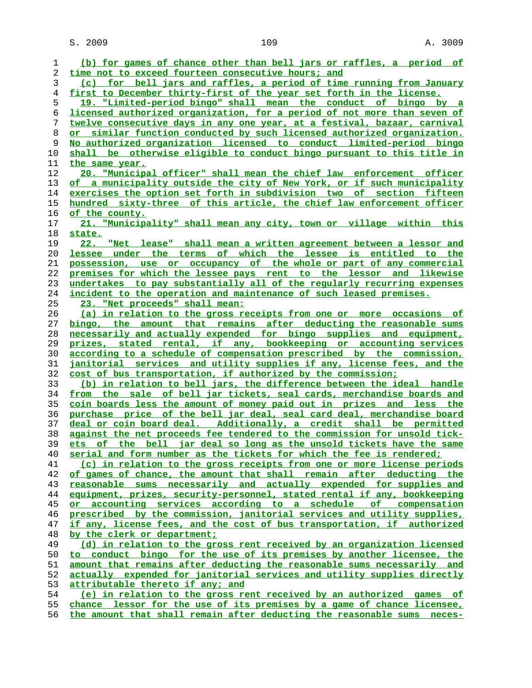$S. 2009$  and  $109$  and  $109$  and  $109$  and  $109$  and  $109$  and  $109$  and  $109$  and  $109$  and  $109$  and  $109$  and  $109$  and  $109$  and  $109$  and  $109$  and  $109$  and  $109$  and  $109$  and  $109$  and  $109$  and  $109$  and  $109$  a

**(b) for games of chance other than bell jars or raffles, a period of time not to exceed fourteen consecutive hours; and (c) for bell jars and raffles, a period of time running from January first to December thirty-first of the year set forth in the license. 19. "Limited-period bingo" shall mean the conduct of bingo by a licensed authorized organization, for a period of not more than seven of twelve consecutive days in any one year, at a festival, bazaar, carnival or similar function conducted by such licensed authorized organization. No authorized organization licensed to conduct limited-period bingo shall be otherwise eligible to conduct bingo pursuant to this title in the same year. 20. "Municipal officer" shall mean the chief law enforcement officer of a municipality outside the city of New York, or if such municipality exercises the option set forth in subdivision two of section fifteen hundred sixty-three of this article, the chief law enforcement officer of the county. 21. "Municipality" shall mean any city, town or village within this state. 22. "Net lease" shall mean a written agreement between a lessor and lessee under the terms of which the lessee is entitled to the possession, use or occupancy of the whole or part of any commercial premises for which the lessee pays rent to the lessor and likewise undertakes to pay substantially all of the regularly recurring expenses incident to the operation and maintenance of such leased premises. 23. "Net proceeds" shall mean: (a) in relation to the gross receipts from one or more occasions of bingo, the amount that remains after deducting the reasonable sums necessarily and actually expended for bingo supplies and equipment, prizes, stated rental, if any, bookkeeping or accounting services according to a schedule of compensation prescribed by the commission, janitorial services and utility supplies if any, license fees, and the cost of bus transportation, if authorized by the commission; (b) in relation to bell jars, the difference between the ideal handle from the sale of bell jar tickets, seal cards, merchandise boards and coin boards less the amount of money paid out in prizes and less the purchase price of the bell jar deal, seal card deal, merchandise board deal or coin board deal. Additionally, a credit shall be permitted against the net proceeds fee tendered to the commission for unsold tick- ets of the bell jar deal so long as the unsold tickets have the same serial and form number as the tickets for which the fee is rendered; (c) in relation to the gross receipts from one or more license periods of games of chance, the amount that shall remain after deducting the reasonable sums necessarily and actually expended for supplies and equipment, prizes, security-personnel, stated rental if any, bookkeeping or accounting services according to a schedule of compensation prescribed by the commission, janitorial services and utility supplies, if any, license fees, and the cost of bus transportation, if authorized by the clerk or department; (d) in relation to the gross rent received by an organization licensed to conduct bingo for the use of its premises by another licensee, the amount that remains after deducting the reasonable sums necessarily and actually expended for janitorial services and utility supplies directly attributable thereto if any; and (e) in relation to the gross rent received by an authorized games of chance lessor for the use of its premises by a game of chance licensee,**

**the amount that shall remain after deducting the reasonable sums neces-**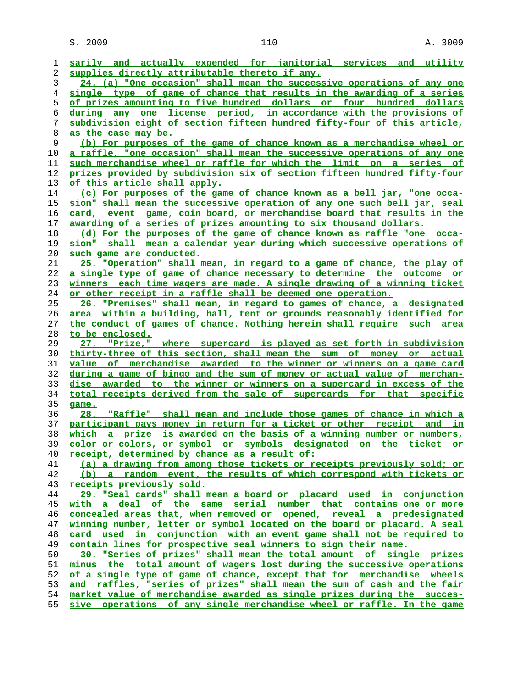$S. 2009$  and  $110$  and  $110$  and  $110$  and  $110$  and  $110$  and  $110$  and  $110$  and  $110$  and  $110$  and  $110$  and  $110$  and  $110$  and  $110$  and  $110$  and  $110$  and  $110$  and  $110$  and  $110$  and  $110$  and  $110$  and  $110$  a

| 1              | sarily and actually expended for janitorial services and utility               |
|----------------|--------------------------------------------------------------------------------|
| 2              | supplies directly attributable thereto if any.                                 |
| 3              | 24. (a) "One occasion" shall mean the successive operations of any one         |
| $\overline{4}$ | single type of game of chance that results in the awarding of a series         |
| 5              | of prizes amounting to five hundred dollars or four hundred dollars            |
| 6              | during any one license period, in accordance with the provisions of            |
| 7              | subdivision eight of section fifteen hundred fifty-four of this article,       |
| 8              | <u>as the case may be.</u>                                                     |
| 9              | (b) For purposes of the game of chance known as a merchandise wheel or         |
| 10             | a raffle, "one occasion" shall mean the successive operations of any one       |
| 11             | such merchandise wheel or raffle for which the limit on a series of            |
| 12             | prizes provided by subdivision six of section fifteen hundred fifty-four       |
| 13             | of this article shall apply.                                                   |
| 14             | (c) For purposes of the game of chance known as a bell jar, "one occa-         |
| 15             | sion" shall mean the successive operation of any one such bell jar, seal       |
| 16             | card, event game, coin board, or merchandise board that results in the         |
| 17             | awarding of a series of prizes amounting to six thousand dollars.              |
| 18             | (d) For the purposes of the game of chance known as raffle "one occa-          |
| 19             | sion" shall mean a calendar year during which successive operations of         |
| 20             | such game are conducted.                                                       |
| 21             | 25. "Operation" shall mean, in regard to a game of chance, the play of         |
|                | a single type of game of chance necessary to determine the outcome or          |
| 22<br>23       | winners each time wagers are made. A single drawing of a winning ticket        |
|                | or other receipt in a raffle shall be deemed one operation.                    |
| 24             |                                                                                |
| 25             | 26. "Premises" shall mean, in regard to games of chance, a designated          |
| 26             | <u>area within a building, hall, tent or grounds reasonably identified for</u> |
| 27             | the conduct of games of chance. Nothing herein shall require such area         |
| 28             | to be enclosed.                                                                |
| 29             | 27. "Prize," where supercard is played as set forth in subdivision             |
| 30             | thirty-three of this section, shall mean the sum of money or actual            |
| 31             | value of merchandise awarded to the winner or winners on a game card           |
| 32             | during a game of bingo and the sum of money or actual value of merchan-        |
| 33             | dise awarded to the winner or winners on a supercard in excess of the          |
| 34             | total receipts derived from the sale of supercards for that specific           |
| 35             | game.                                                                          |
| 36             | 28. "Raffle" shall mean and include those games of chance in which a           |
| 37             | participant pays money in return for a ticket or other receipt and in          |
| 38             | which a prize is awarded on the basis of a winning number or numbers,          |
| 39             | color or colors, or symbol or symbols designated on the ticket or              |
| 40             | receipt, determined by chance as a result of:                                  |
| 41             | (a) a drawing from among those tickets or receipts previously sold; or         |
| 42             | (b) a random event, the results of which correspond with tickets or            |
| 43             | receipts previously sold.                                                      |
| 44             | <u>29. "Seal cards" shall mean a board or placard used in conjunction</u>      |
| 45             | with a deal of the same serial number that contains one or more                |
| 46             | concealed areas that, when removed or opened, reveal a predesignated           |
| 47             | winning number, letter or symbol located on the board or placard. A seal       |
| 48             | card used in conjunction with an event game shall not be required to           |
| 49             | contain lines for prospective seal winners to sign their name.                 |
| 50             | 30. "Series of prizes" shall mean the total amount of single prizes            |
| 51             | minus the total amount of wagers lost during the successive operations         |
| 52             | of a single type of game of chance, except that for merchandise wheels         |
| 53             | raffles, "series of prizes" shall mean the sum of cash and the fair<br>and     |
| 54             | market value of merchandise awarded as single prizes during the succes-        |
| 55             | sive operations of any single merchandise wheel or raffle. In the game         |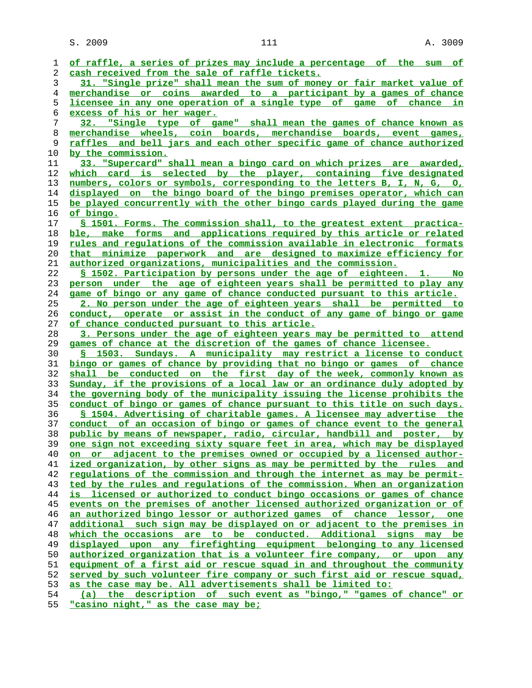$S. 2009$  and  $111$  and  $A. 3009$ 

**of raffle, a series of prizes may include a percentage of the sum of cash received from the sale of raffle tickets. 31. "Single prize" shall mean the sum of money or fair market value of merchandise or coins awarded to a participant by a games of chance licensee in any one operation of a single type of game of chance in excess of his or her wager. 32. "Single type of game" shall mean the games of chance known as merchandise wheels, coin boards, merchandise boards, event games, raffles and bell jars and each other specific game of chance authorized by the commission. 33. "Supercard" shall mean a bingo card on which prizes are awarded, which card is selected by the player, containing five designated numbers, colors or symbols, corresponding to the letters B, I, N, G, O, displayed on the bingo board of the bingo premises operator, which can be played concurrently with the other bingo cards played during the game of bingo. § 1501. Forms. The commission shall, to the greatest extent practica- ble, make forms and applications required by this article or related rules and regulations of the commission available in electronic formats that minimize paperwork and are designed to maximize efficiency for authorized organizations, municipalities and the commission. § 1502. Participation by persons under the age of eighteen. 1. No person under the age of eighteen years shall be permitted to play any game of bingo or any game of chance conducted pursuant to this article. 2. No person under the age of eighteen years shall be permitted to conduct, operate or assist in the conduct of any game of bingo or game of chance conducted pursuant to this article. 3. Persons under the age of eighteen years may be permitted to attend games of chance at the discretion of the games of chance licensee. § 1503. Sundays. A municipality may restrict a license to conduct bingo or games of chance by providing that no bingo or games of chance shall be conducted on the first day of the week, commonly known as Sunday, if the provisions of a local law or an ordinance duly adopted by the governing body of the municipality issuing the license prohibits the conduct of bingo or games of chance pursuant to this title on such days. § 1504. Advertising of charitable games. A licensee may advertise the conduct of an occasion of bingo or games of chance event to the general public by means of newspaper, radio, circular, handbill and poster, by one sign not exceeding sixty square feet in area, which may be displayed on or adjacent to the premises owned or occupied by a licensed author- ized organization, by other signs as may be permitted by the rules and regulations of the commission and through the internet as may be permit- ted by the rules and regulations of the commission. When an organization is licensed or authorized to conduct bingo occasions or games of chance events on the premises of another licensed authorized organization or of an authorized bingo lessor or authorized games of chance lessor, one additional such sign may be displayed on or adjacent to the premises in which the occasions are to be conducted. Additional signs may be displayed upon any firefighting equipment belonging to any licensed authorized organization that is a volunteer fire company, or upon any equipment of a first aid or rescue squad in and throughout the community served by such volunteer fire company or such first aid or rescue squad, as the case may be. All advertisements shall be limited to: (a) the description of such event as "bingo," "games of chance" or**

**"casino night," as the case may be;**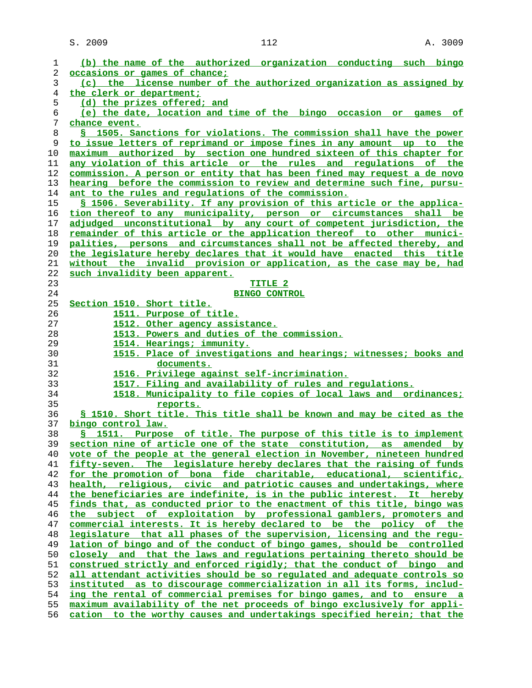S. 2009 112 A. 3009

| 1  | (b) the name of the authorized organization conducting such bingo                  |
|----|------------------------------------------------------------------------------------|
| 2  | occasions or games of chance;                                                      |
| 3  | (c) the license number of the authorized organization as assigned by               |
|    |                                                                                    |
| 4  | the clerk or department;                                                           |
| 5  | (d) the prizes offered; and                                                        |
| 6  | (e) the date, location and time of the bingo occasion or games of                  |
| 7  | chance event.                                                                      |
| 8  | \$ 1505. Sanctions for violations. The commission shall have the power             |
| 9  | to issue letters of reprimand or impose fines in any amount up to the              |
| 10 | maximum authorized by section one hundred sixteen of this chapter for              |
| 11 | any violation of this article or the rules and requlations of the                  |
| 12 | commission. A person or entity that has been fined may request a de novo           |
| 13 | hearing before the commission to review and determine such fine, pursu-            |
| 14 | ant to the rules and requlations of the commission.                                |
| 15 | \$ 1506. Severability. If any provision of this article or the applica-            |
|    |                                                                                    |
| 16 | tion thereof to any municipality, person or circumstances shall be                 |
| 17 | adjudged unconstitutional by any court of competent jurisdiction, the              |
| 18 | remainder of this article or the application thereof to other munici-              |
| 19 | palities, persons and circumstances shall not be affected thereby, and             |
| 20 | the legislature hereby declares that it would have enacted this title              |
| 21 | without the invalid provision or application, as the case may be, had              |
| 22 | such invalidity been apparent.                                                     |
| 23 | TITLE 2                                                                            |
| 24 | <b>BINGO CONTROL</b>                                                               |
| 25 | Section 1510. Short title.                                                         |
| 26 | 1511. Purpose of title.                                                            |
| 27 | 1512. Other agency assistance.                                                     |
| 28 | 1513. Powers and duties of the commission.                                         |
| 29 | 1514. Hearings; immunity.                                                          |
| 30 | 1515. Place of investigations and hearings; witnesses; books and                   |
| 31 | documents.                                                                         |
| 32 | 1516. Privilege against self-incrimination.                                        |
| 33 | 1517. Filing and availability of rules and regulations.                            |
| 34 | 1518. Municipality to file copies of local laws and ordinances;                    |
| 35 |                                                                                    |
|    | reports.<br>§ 1510. Short title. This title shall be known and may be cited as the |
| 36 |                                                                                    |
| 37 | bingo control law.                                                                 |
| 38 | S 1511. Purpose of title. The purpose of this title is to implement                |
| 39 | section nine of article one of the state constitution, as amended by               |
| 40 | vote of the people at the general election in November, nineteen hundred           |
| 41 | fifty-seven. The legislature hereby declares that the raising of funds             |
| 42 | for the promotion of bona fide charitable, educational, scientific,                |
| 43 | health, religious, civic and patriotic causes and undertakings, where              |
| 44 | the beneficiaries are indefinite, is in the public interest. It hereby             |
| 45 |                                                                                    |
|    | finds that, as conducted prior to the enactment of this title, bingo was           |
| 46 | the subject of exploitation by professional gamblers, promoters and                |
| 47 | commercial interests. It is hereby declared to be the policy of the                |
| 48 | legislature that all phases of the supervision, licensing and the regu-            |
| 49 | lation of bingo and of the conduct of bingo games, should be controlled            |
| 50 | closely and that the laws and regulations pertaining thereto should be             |
| 51 | construed strictly and enforced rigidly; that the conduct of bingo and             |
| 52 | all attendant activities should be so regulated and adequate controls so           |
| 53 | instituted as to discourage commercialization in all its forms, includ-            |
| 54 | ing the rental of commercial premises for bingo games, and to ensure a             |
| 55 | maximum availability of the net proceeds of bingo exclusively for appli-           |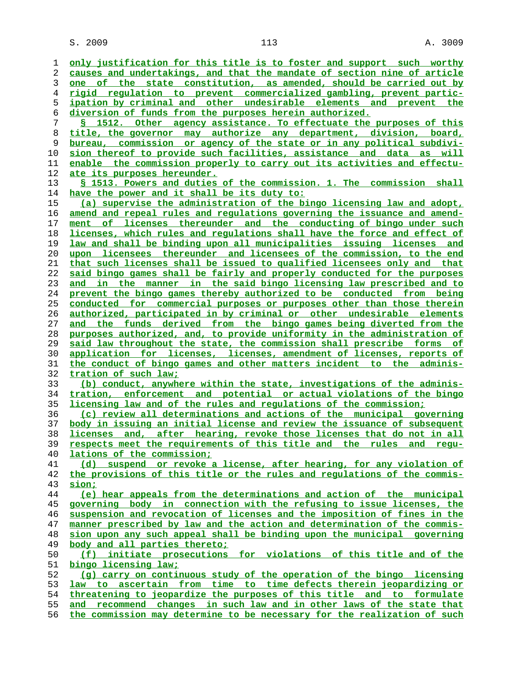$S. 2009$  and  $113$  and  $113$  and  $113$  and  $113$  and  $113$  and  $113$  and  $113$  and  $113$  and  $113$  and  $113$  and  $113$  and  $113$  and  $113$  and  $113$  and  $113$  and  $113$  and  $113$  and  $113$  and  $113$  and  $113$  and  $113$  a

**only justification for this title is to foster and support such worthy causes and undertakings, and that the mandate of section nine of article one of the state constitution, as amended, should be carried out by rigid regulation to prevent commercialized gambling, prevent partic- ipation by criminal and other undesirable elements and prevent the diversion of funds from the purposes herein authorized. § 1512. Other agency assistance. To effectuate the purposes of this title, the governor may authorize any department, division, board, bureau, commission or agency of the state or in any political subdivi- sion thereof to provide such facilities, assistance and data as will enable the commission properly to carry out its activities and effectu- ate its purposes hereunder. § 1513. Powers and duties of the commission. 1. The commission shall have the power and it shall be its duty to: (a) supervise the administration of the bingo licensing law and adopt, amend and repeal rules and regulations governing the issuance and amend- ment of licenses thereunder and the conducting of bingo under such licenses, which rules and regulations shall have the force and effect of law and shall be binding upon all municipalities issuing licenses and upon licensees thereunder and licensees of the commission, to the end that such licenses shall be issued to qualified licensees only and that said bingo games shall be fairly and properly conducted for the purposes and in the manner in the said bingo licensing law prescribed and to prevent the bingo games thereby authorized to be conducted from being conducted for commercial purposes or purposes other than those therein authorized, participated in by criminal or other undesirable elements and the funds derived from the bingo games being diverted from the purposes authorized, and, to provide uniformity in the administration of said law throughout the state, the commission shall prescribe forms of application for licenses, licenses, amendment of licenses, reports of the conduct of bingo games and other matters incident to the adminis- tration of such law; (b) conduct, anywhere within the state, investigations of the adminis- tration, enforcement and potential or actual violations of the bingo licensing law and of the rules and regulations of the commission; (c) review all determinations and actions of the municipal governing body in issuing an initial license and review the issuance of subsequent licenses and, after hearing, revoke those licenses that do not in all respects meet the requirements of this title and the rules and regu- lations of the commission; (d) suspend or revoke a license, after hearing, for any violation of the provisions of this title or the rules and regulations of the commis- sion; (e) hear appeals from the determinations and action of the municipal governing body in connection with the refusing to issue licenses, the suspension and revocation of licenses and the imposition of fines in the manner prescribed by law and the action and determination of the commis- sion upon any such appeal shall be binding upon the municipal governing body and all parties thereto; (f) initiate prosecutions for violations of this title and of the bingo licensing law; (g) carry on continuous study of the operation of the bingo licensing law to ascertain from time to time defects therein jeopardizing or threatening to jeopardize the purposes of this title and to formulate and recommend changes in such law and in other laws of the state that**

**the commission may determine to be necessary for the realization of such**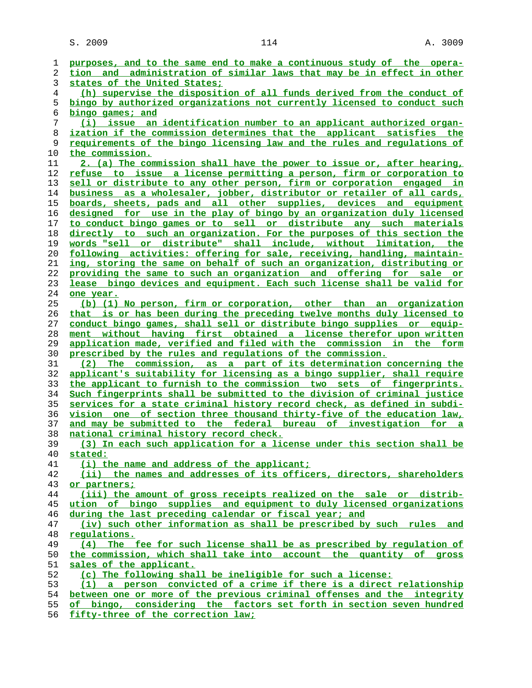| 1              | purposes, and to the same end to make a continuous study of the opera-                                                             |
|----------------|------------------------------------------------------------------------------------------------------------------------------------|
| 2              | tion and administration of similar laws that may be in effect in other                                                             |
| 3              | states of the United States;                                                                                                       |
| $\overline{4}$ | (h) supervise the disposition of all funds derived from the conduct of                                                             |
| 5              | bingo by authorized organizations not currently licensed to conduct such                                                           |
| 6              | bingo games; and                                                                                                                   |
| 7              | (i) issue an identification number to an applicant authorized organ-                                                               |
| 8              | ization if the commission determines that the applicant satisfies the                                                              |
| 9              | requirements of the bingo licensing law and the rules and requlations of                                                           |
| 10             | the commission.                                                                                                                    |
| 11             | 2. (a) The commission shall have the power to issue or, after hearing,                                                             |
| 12             | refuse to issue a license permitting a person, firm or corporation to                                                              |
| 13             | sell or distribute to any other person, firm or corporation engaged in                                                             |
| 14             | business as a wholesaler, jobber, distributor or retailer of all cards,                                                            |
| 15             | boards, sheets, pads and all other supplies, devices and equipment                                                                 |
| 16             | designed for use in the play of bingo by an organization duly licensed                                                             |
| 17             | to conduct bingo games or to sell or distribute any such materials                                                                 |
| 18             | directly to such an organization. For the purposes of this section the                                                             |
| 19             | words "sell or distribute" shall include, without limitation, the                                                                  |
| 20             | following activities: offering for sale, receiving, handling, maintain-                                                            |
| 21             | ing, storing the same on behalf of such an organization, distributing or                                                           |
| 22             | providing the same to such an organization and offering for sale or                                                                |
| 23             | lease bingo devices and equipment. Each such license shall be valid for                                                            |
| 24             | one year.                                                                                                                          |
| 25             | (b) (1) No person, firm or corporation, other than an organization                                                                 |
| 26             | that is or has been during the preceding twelve months duly licensed to                                                            |
| 27             | conduct bingo games, shall sell or distribute bingo supplies or equip-                                                             |
| 28             | ment without having first obtained a license therefor upon written                                                                 |
| 29             | <u>application made, verified and filed with the commission in the form</u>                                                        |
| 30<br>31       | prescribed by the rules and regulations of the commission.<br>The commission, as a part of its determination concerning the<br>(2) |
| 32             | applicant's suitability for licensing as a bingo supplier, shall require                                                           |
| 33             | the applicant to furnish to the commission two sets of fingerprints.                                                               |
| 34             | Such fingerprints shall be submitted to the division of criminal justice                                                           |
| 35             | services for a state criminal history record check, as defined in subdi-                                                           |
| 36             | vision one of section three thousand thirty-five of the education law,                                                             |
| 37             | and may be submitted to the federal bureau of investigation for a                                                                  |
| 38             | national criminal history record check.                                                                                            |
| 39             | (3) In each such application for a license under this section shall be                                                             |
| 40             | stated:                                                                                                                            |
| 41             | (i) the name and address of the applicant;                                                                                         |
| 42             | (ii) the names and addresses of its officers, directors, shareholders                                                              |
| 43             | or partners;                                                                                                                       |
| 44             | (iii) the amount of gross receipts realized on the sale or distrib-                                                                |
| 45             | ution of bingo supplies and equipment to duly licensed organizations                                                               |
| 46             | during the last preceding calendar or fiscal year; and                                                                             |
| 47             | (iv) such other information as shall be prescribed by such rules and                                                               |
| 48             | regulations.                                                                                                                       |
| 49             | (4) The fee for such license shall be as prescribed by regulation of                                                               |
| 50             | the commission, which shall take into account the quantity of gross                                                                |
| 51             | sales of the applicant.                                                                                                            |
| 52             | (c) The following shall be ineligible for such a license:                                                                          |
| 53             | (1) a person convicted of a crime if there is a direct relationship                                                                |
| 54             | between one or more of the previous criminal offenses and the integrity                                                            |
| 55             | of bingo, considering the factors set forth in section seven hundred                                                               |

**fifty-three of the correction law;**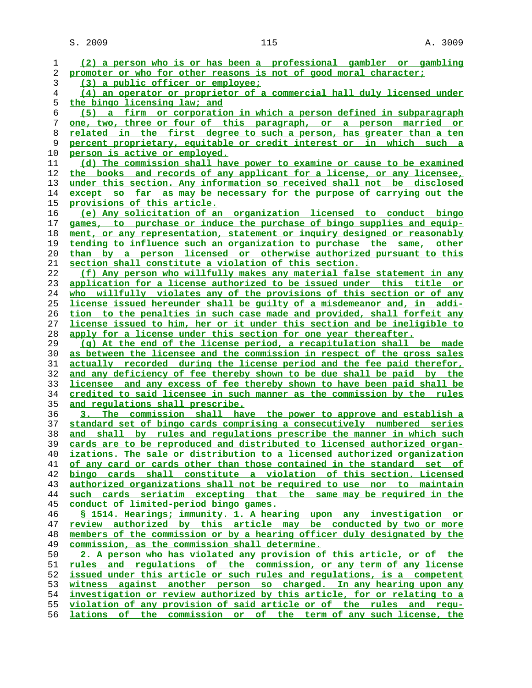$S. 2009$  and  $115$  and  $115$  and  $115$  and  $115$  and  $115$  and  $115$  and  $115$  and  $115$  and  $115$  and  $115$  and  $115$  and  $115$  and  $115$  and  $115$  and  $115$  and  $115$  and  $115$  and  $115$  and  $115$  and  $115$  and  $115$  a

**(2) a person who is or has been a professional gambler or gambling promoter or who for other reasons is not of good moral character; (3) a public officer or employee; (4) an operator or proprietor of a commercial hall duly licensed under the bingo licensing law; and (5) a firm or corporation in which a person defined in subparagraph one, two, three or four of this paragraph, or a person married or related in the first degree to such a person, has greater than a ten percent proprietary, equitable or credit interest or in which such a person is active or employed. (d) The commission shall have power to examine or cause to be examined the books and records of any applicant for a license, or any licensee, under this section. Any information so received shall not be disclosed except so far as may be necessary for the purpose of carrying out the provisions of this article. (e) Any solicitation of an organization licensed to conduct bingo games, to purchase or induce the purchase of bingo supplies and equip- ment, or any representation, statement or inquiry designed or reasonably tending to influence such an organization to purchase the same, other than by a person licensed or otherwise authorized pursuant to this section shall constitute a violation of this section. (f) Any person who willfully makes any material false statement in any application for a license authorized to be issued under this title or who willfully violates any of the provisions of this section or of any license issued hereunder shall be guilty of a misdemeanor and, in addi- tion to the penalties in such case made and provided, shall forfeit any license issued to him, her or it under this section and be ineligible to apply for a license under this section for one year thereafter. (g) At the end of the license period, a recapitulation shall be made as between the licensee and the commission in respect of the gross sales actually recorded during the license period and the fee paid therefor, and any deficiency of fee thereby shown to be due shall be paid by the licensee and any excess of fee thereby shown to have been paid shall be credited to said licensee in such manner as the commission by the rules and regulations shall prescribe. 3. The commission shall have the power to approve and establish a standard set of bingo cards comprising a consecutively numbered series and shall by rules and regulations prescribe the manner in which such cards are to be reproduced and distributed to licensed authorized organ- izations. The sale or distribution to a licensed authorized organization of any card or cards other than those contained in the standard set of bingo cards shall constitute a violation of this section. Licensed authorized organizations shall not be required to use nor to maintain such cards seriatim excepting that the same may be required in the conduct of limited-period bingo games. § 1514. Hearings; immunity. 1. A hearing upon any investigation or review authorized by this article may be conducted by two or more members of the commission or by a hearing officer duly designated by the commission, as the commission shall determine. 2. A person who has violated any provision of this article, or of the rules and regulations of the commission, or any term of any license issued under this article or such rules and regulations, is a competent witness against another person so charged. In any hearing upon any investigation or review authorized by this article, for or relating to a violation of any provision of said article or of the rules and regu- lations of the commission or of the term of any such license, the**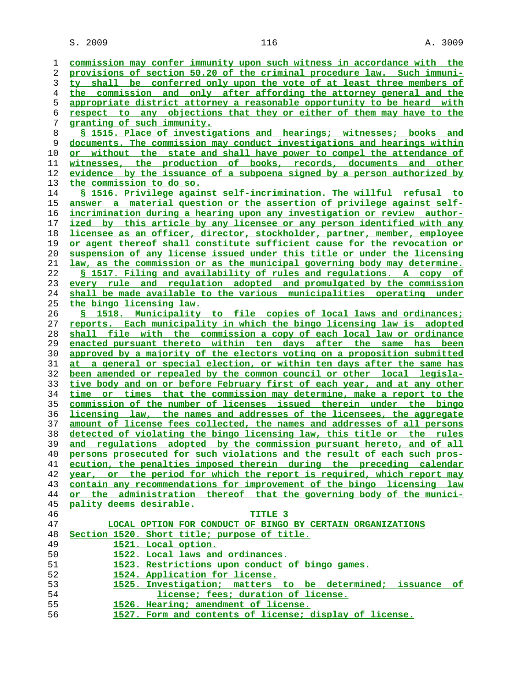$S. 2009$  and  $116$  and  $116$  and  $116$  and  $116$  and  $116$  and  $116$  and  $116$  and  $116$  and  $116$  and  $116$  and  $116$  and  $116$  and  $116$  and  $116$  and  $116$  and  $116$  and  $116$  and  $116$  and  $116$  and  $116$  and  $116$  a

**commission may confer immunity upon such witness in accordance with the provisions of section 50.20 of the criminal procedure law. Such immuni- ty shall be conferred only upon the vote of at least three members of the commission and only after affording the attorney general and the appropriate district attorney a reasonable opportunity to be heard with respect to any objections that they or either of them may have to the granting of such immunity. § 1515. Place of investigations and hearings; witnesses; books and documents. The commission may conduct investigations and hearings within or without the state and shall have power to compel the attendance of witnesses, the production of books, records, documents and other evidence by the issuance of a subpoena signed by a person authorized by the commission to do so. § 1516. Privilege against self-incrimination. The willful refusal to answer a material question or the assertion of privilege against self- incrimination during a hearing upon any investigation or review author- ized by this article by any licensee or any person identified with any licensee as an officer, director, stockholder, partner, member, employee or agent thereof shall constitute sufficient cause for the revocation or suspension of any license issued under this title or under the licensing law, as the commission or as the municipal governing body may determine. § 1517. Filing and availability of rules and regulations. A copy of every rule and regulation adopted and promulgated by the commission shall be made available to the various municipalities operating under the bingo licensing law. § 1518. Municipality to file copies of local laws and ordinances; reports. Each municipality in which the bingo licensing law is adopted shall file with the commission a copy of each local law or ordinance enacted pursuant thereto within ten days after the same has been approved by a majority of the electors voting on a proposition submitted at a general or special election, or within ten days after the same has been amended or repealed by the common council or other local legisla- tive body and on or before February first of each year, and at any other time or times that the commission may determine, make a report to the commission of the number of licenses issued therein under the bingo licensing law, the names and addresses of the licensees, the aggregate amount of license fees collected, the names and addresses of all persons detected of violating the bingo licensing law, this title or the rules and regulations adopted by the commission pursuant hereto, and of all persons prosecuted for such violations and the result of each such pros- ecution, the penalties imposed therein during the preceding calendar year, or the period for which the report is required, which report may contain any recommendations for improvement of the bingo licensing law or the administration thereof that the governing body of the munici- pality deems desirable. TITLE 3 LOCAL OPTION FOR CONDUCT OF BINGO BY CERTAIN ORGANIZATIONS Section 1520. Short title; purpose of title. 1521. Local option. 1522. Local laws and ordinances. 1523. Restrictions upon conduct of bingo games. 1524. Application for license. 1525. Investigation; matters to be determined; issuance of license; fees; duration of license. 1526. Hearing; amendment of license. 1527. Form and contents of license; display of license.**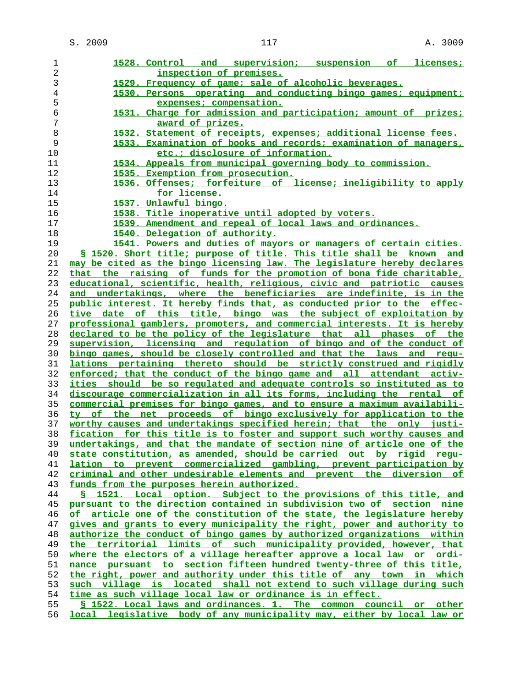**1528. Control and supervision; suspension of licenses; inspection of premises. 1529. Frequency of game; sale of alcoholic beverages. 1530. Persons operating and conducting bingo games; equipment; expenses; compensation. 1531. Charge for admission and participation; amount of prizes; award of prizes. 1532. Statement of receipts, expenses; additional license fees. 1533. Examination of books and records; examination of managers, etc.; disclosure of information. 1534. Appeals from municipal governing body to commission. 1535. Exemption from prosecution. 1536. Offenses; forfeiture of license; ineligibility to apply for license. 1537. Unlawful bingo. 1538. Title inoperative until adopted by voters. 1539. Amendment and repeal of local laws and ordinances. 1540. Delegation of authority. 1541. Powers and duties of mayors or managers of certain cities. § 1520. Short title; purpose of title. This title shall be known and may be cited as the bingo licensing law. The legislature hereby declares that the raising of funds for the promotion of bona fide charitable, educational, scientific, health, religious, civic and patriotic causes and undertakings, where the beneficiaries are indefinite, is in the public interest. It hereby finds that, as conducted prior to the effec- tive date of this title, bingo was the subject of exploitation by professional gamblers, promoters, and commercial interests. It is hereby declared to be the policy of the legislature that all phases of the supervision, licensing and regulation of bingo and of the conduct of bingo games, should be closely controlled and that the laws and regu- lations pertaining thereto should be strictly construed and rigidly enforced; that the conduct of the bingo game and all attendant activ- ities should be so regulated and adequate controls so instituted as to discourage commercialization in all its forms, including the rental of commercial premises for bingo games, and to ensure a maximum availabili- ty of the net proceeds of bingo exclusively for application to the worthy causes and undertakings specified herein; that the only justi- fication for this title is to foster and support such worthy causes and undertakings, and that the mandate of section nine of article one of the state constitution, as amended, should be carried out by rigid regu- lation to prevent commercialized gambling, prevent participation by criminal and other undesirable elements and prevent the diversion of funds from the purposes herein authorized. § 1521. Local option. Subject to the provisions of this title, and pursuant to the direction contained in subdivision two of section nine of article one of the constitution of the state, the legislature hereby gives and grants to every municipality the right, power and authority to authorize the conduct of bingo games by authorized organizations within the territorial limits of such municipality provided, however, that where the electors of a village hereafter approve a local law or ordi- nance pursuant to section fifteen hundred twenty-three of this title, the right, power and authority under this title of any town in which such village is located shall not extend to such village during such time as such village local law or ordinance is in effect. § 1522. Local laws and ordinances. 1. The common council or other local legislative body of any municipality may, either by local law or**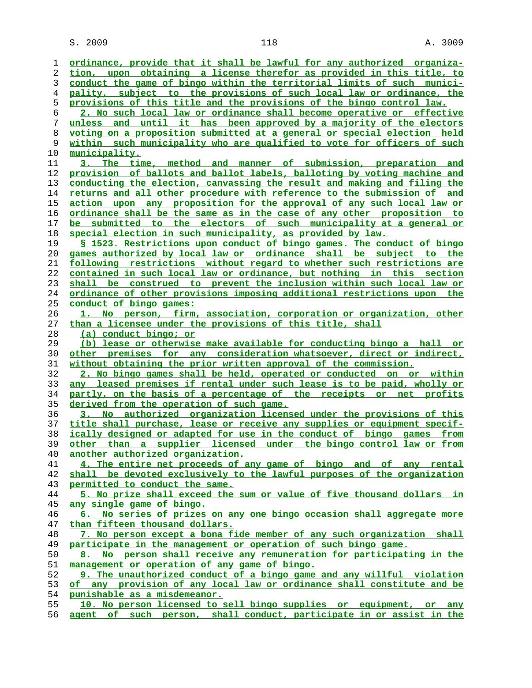$S. 2009$  and  $118$  and  $118$  and  $118$  and  $118$  and  $118$  and  $118$  and  $118$  and  $118$  and  $118$  and  $118$  and  $118$  and  $118$  and  $118$  and  $118$  and  $118$  and  $118$  and  $118$  and  $118$  and  $118$  and  $118$  and  $118$  a

**ordinance, provide that it shall be lawful for any authorized organiza- tion, upon obtaining a license therefor as provided in this title, to conduct the game of bingo within the territorial limits of such munici- pality, subject to the provisions of such local law or ordinance, the provisions of this title and the provisions of the bingo control law. 2. No such local law or ordinance shall become operative or effective unless and until it has been approved by a majority of the electors voting on a proposition submitted at a general or special election held within such municipality who are qualified to vote for officers of such municipality. 3. The time, method and manner of submission, preparation and provision of ballots and ballot labels, balloting by voting machine and conducting the election, canvassing the result and making and filing the returns and all other procedure with reference to the submission of and action upon any proposition for the approval of any such local law or ordinance shall be the same as in the case of any other proposition to be submitted to the electors of such municipality at a general or special election in such municipality, as provided by law. § 1523. Restrictions upon conduct of bingo games. The conduct of bingo games authorized by local law or ordinance shall be subject to the following restrictions without regard to whether such restrictions are contained in such local law or ordinance, but nothing in this section shall be construed to prevent the inclusion within such local law or ordinance of other provisions imposing additional restrictions upon the conduct of bingo games: 1. No person, firm, association, corporation or organization, other than a licensee under the provisions of this title, shall (a) conduct bingo; or (b) lease or otherwise make available for conducting bingo a hall or other premises for any consideration whatsoever, direct or indirect, without obtaining the prior written approval of the commission. 2. No bingo games shall be held, operated or conducted on or within any leased premises if rental under such lease is to be paid, wholly or partly, on the basis of a percentage of the receipts or net profits derived from the operation of such game. 3. No authorized organization licensed under the provisions of this title shall purchase, lease or receive any supplies or equipment specif- ically designed or adapted for use in the conduct of bingo games from other than a supplier licensed under the bingo control law or from another authorized organization. 4. The entire net proceeds of any game of bingo and of any rental shall be devoted exclusively to the lawful purposes of the organization permitted to conduct the same. 5. No prize shall exceed the sum or value of five thousand dollars in any single game of bingo. 6. No series of prizes on any one bingo occasion shall aggregate more than fifteen thousand dollars. 7. No person except a bona fide member of any such organization shall participate in the management or operation of such bingo game. 8. No person shall receive any remuneration for participating in the management or operation of any game of bingo. 9. The unauthorized conduct of a bingo game and any willful violation of any provision of any local law or ordinance shall constitute and be punishable as a misdemeanor. 10. No person licensed to sell bingo supplies or equipment, or any**

**agent of such person, shall conduct, participate in or assist in the**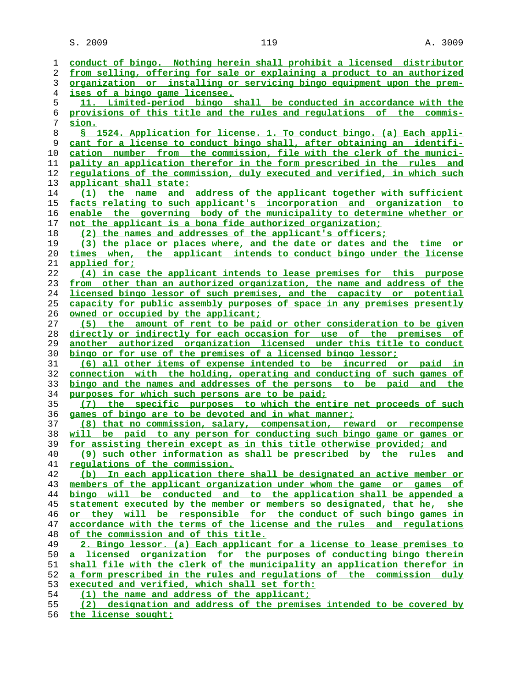$S. 2009$  and  $119$  and  $119$  and  $119$  and  $119$  and  $119$  and  $119$  and  $119$  and  $119$  and  $119$  and  $119$  and  $119$  and  $119$  and  $119$  and  $119$  and  $119$  and  $119$  and  $119$  and  $119$  and  $119$  and  $119$  and  $119$  a

| 1  | conduct of bingo. Nothing herein shall prohibit a licensed distributor   |
|----|--------------------------------------------------------------------------|
| 2  | from selling, offering for sale or explaining a product to an authorized |
| 3  | organization or installing or servicing bingo equipment upon the prem-   |
| 4  | <u>ises of a bingo game licensee.</u>                                    |
| 5  | 11. Limited-period bingo shall be conducted in accordance with the       |
| 6  | provisions of this title and the rules and regulations of the commis-    |
| 7  | sion.                                                                    |
| 8  | S 1524. Application for license. 1. To conduct bingo. (a) Each appli-    |
| 9  | cant for a license to conduct bingo shall, after obtaining an identifi-  |
| 10 | cation number from the commission, file with the clerk of the munici-    |
| 11 | pality an application therefor in the form prescribed in the rules and   |
| 12 | requlations of the commission, duly executed and verified, in which such |
| 13 | applicant shall state:                                                   |
| 14 | (1) the name and address of the applicant together with sufficient       |
| 15 | facts relating to such applicant's incorporation and organization to     |
| 16 | enable the governing body of the municipality to determine whether or    |
| 17 | not the applicant is a bona fide authorized organization;                |
| 18 | (2) the names and addresses of the applicant's officers;                 |
| 19 | (3) the place or places where, and the date or dates and the time or     |
| 20 | times when, the applicant intends to conduct bingo under the license     |
| 21 | applied for;                                                             |
| 22 | (4) in case the applicant intends to lease premises for this purpose     |
| 23 | from other than an authorized organization, the name and address of the  |
| 24 | licensed bingo lessor of such premises, and the capacity or potential    |
| 25 | capacity for public assembly purposes of space in any premises presently |
| 26 | owned or occupied by the applicant;                                      |
| 27 | (5) the amount of rent to be paid or other consideration to be given     |
| 28 | directly or indirectly for each occasion for use of the premises of      |
| 29 | another authorized organization licensed under this title to conduct     |
| 30 | bingo or for use of the premises of a licensed bingo lessor;             |
| 31 | (6) all other items of expense intended to be incurred or paid in        |
| 32 | connection with the holding, operating and conducting of such games of   |
| 33 | bingo and the names and addresses of the persons to be paid and the      |
| 34 | purposes for which such persons are to be paid;                          |
| 35 | (7) the specific purposes to which the entire net proceeds of such       |
| 36 | games of bingo are to be devoted and in what manner;                     |
| 37 | (8) that no commission, salary, compensation, reward or recompense       |
| 38 | will be paid to any person for conducting such bingo game or games or    |
| 39 | for assisting therein except as in this title otherwise provided; and    |
| 40 | (9) such other information as shall be prescribed by the rules<br>and    |
| 41 | regulations of the commission.                                           |
| 42 | (b) In each application there shall be designated an active member or    |
| 43 | members of the applicant organization under whom the game or games of    |
| 44 | bingo will be conducted and to the application shall be appended a       |
| 45 | statement executed by the member or members so designated, that he, she  |
| 46 | or they will be responsible for the conduct of such bingo games in       |
| 47 | accordance with the terms of the license and the rules and requlations   |
| 48 | of the commission and of this title.                                     |
| 49 | 2. Bingo lessor. (a) Each applicant for a license to lease premises to   |
| 50 | a licensed organization for the purposes of conducting bingo therein     |
| 51 | shall file with the clerk of the municipality an application therefor in |
| 52 | a form prescribed in the rules and requlations of the commission duly    |
| 53 | executed and verified, which shall set forth:                            |
| 54 | (1) the name and address of the applicant;                               |
| 55 | (2) designation and address of the premises intended to be covered by    |
|    |                                                                          |

**the license sought;**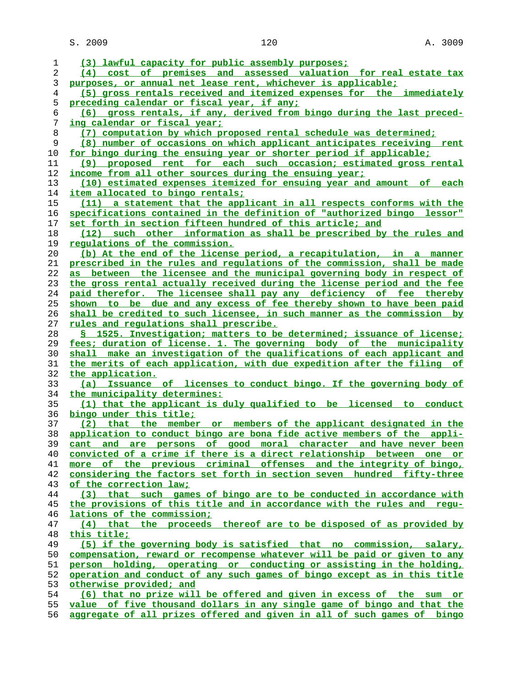S. 2009 120 120 A. 3009

| 1              | (3) lawful capacity for public assembly purposes;                                                                                                  |
|----------------|----------------------------------------------------------------------------------------------------------------------------------------------------|
| $\overline{c}$ | (4) cost of premises and assessed valuation for real estate tax                                                                                    |
| 3              | purposes, or annual net lease rent, whichever is applicable;                                                                                       |
| $\overline{4}$ | (5) gross rentals received and itemized expenses for the immediately                                                                               |
| 5              | preceding calendar or fiscal year, if any;                                                                                                         |
| 6              | (6) gross rentals, if any, derived from bingo during the last preced-                                                                              |
| 7              | ing calendar or fiscal year;                                                                                                                       |
| 8              | (7) computation by which proposed rental schedule was determined;                                                                                  |
| 9              | (8) number of occasions on which applicant anticipates receiving rent                                                                              |
| 10             | for bingo during the ensuing year or shorter period if applicable;                                                                                 |
| 11             | (9) proposed rent for each such occasion; estimated gross rental                                                                                   |
| 12             | income from all other sources during the ensuing year;                                                                                             |
| 13             | (10) estimated expenses itemized for ensuing year and amount of each                                                                               |
| 14             | <u>item allocated to bingo rentals:</u>                                                                                                            |
| 15             | (11) a statement that the applicant in all respects conforms with the                                                                              |
| 16             | specifications contained in the definition of "authorized bingo lessor"                                                                            |
| 17             | set forth in section fifteen hundred of this article; and                                                                                          |
| 18             | such other information as shall be prescribed by the rules and<br>(12)                                                                             |
| 19             | <u>requlations of the commission.</u>                                                                                                              |
| 20             | (b) At the end of the license period, a recapitulation, in a manner                                                                                |
| 21             | prescribed in the rules and regulations of the commission, shall be made                                                                           |
| 22             | as between the licensee and the municipal governing body in respect of                                                                             |
| 23             | the gross rental actually received during the license period and the fee                                                                           |
| 24             | paid therefor. The licensee shall pay any deficiency of fee thereby                                                                                |
| 25             | shown to be due and any excess of fee thereby shown to have been paid                                                                              |
| 26             | shall be credited to such licensee, in such manner as the commission by                                                                            |
| 27             | rules and regulations shall prescribe.                                                                                                             |
| 28             | § 1525. Investigation; matters to be determined; issuance of license;                                                                              |
| 29             | fees; duration of license. 1. The governing body of the municipality                                                                               |
| 30<br>31       | shall make an investigation of the qualifications of each applicant and<br>the merits of each application, with due expedition after the filing of |
| 32             | the application.                                                                                                                                   |
| 33             | Issuance of licenses to conduct bingo. If the governing body of<br>(a)                                                                             |
| 34             | the municipality determines:                                                                                                                       |
| 35             | (1) that the applicant is duly qualified to be licensed to conduct                                                                                 |
| 36             | bingo under this title;                                                                                                                            |
| 37             | (2) that the member or members of the applicant designated in the                                                                                  |
| 38             | application to conduct bingo are bona fide active members of the appli-                                                                            |
| 39             | and are persons of good moral character and have never been<br>cant                                                                                |
| 40             | convicted of a crime if there is a direct relationship between one or                                                                              |
| 41             | more of the previous criminal offenses and the integrity of bingo,                                                                                 |
| 42             | considering the factors set forth in section seven hundred fifty-three                                                                             |
| 43             | of the correction law;                                                                                                                             |
| 44             | (3) that such games of bingo are to be conducted in accordance with                                                                                |
| 45             | the provisions of this title and in accordance with the rules and requ-                                                                            |
| 46             | lations of the commission;                                                                                                                         |
| 47             | (4) that the proceeds thereof are to be disposed of as provided by                                                                                 |
| 48             | this title;                                                                                                                                        |
| 49             | (5) if the governing body is satisfied that no commission, salary,                                                                                 |
| 50             | compensation, reward or recompense whatever will be paid or given to any                                                                           |
| 51             | person holding, operating or conducting or assisting in the holding,                                                                               |
| 52             | operation and conduct of any such games of bingo except as in this title                                                                           |
| 53             | otherwise provided; and                                                                                                                            |
| 54             | (6) that no prize will be offered and given in excess of the sum or                                                                                |
| 55             | value of five thousand dollars in any single game of bingo and that the                                                                            |

**aggregate of all prizes offered and given in all of such games of bingo**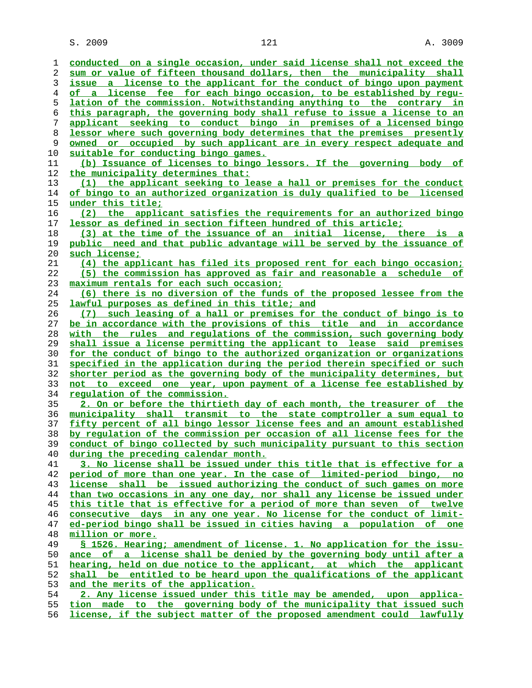S. 2009 121 A. 3009

| 1        | conducted on a single occasion, under said license shall not exceed the                                    |
|----------|------------------------------------------------------------------------------------------------------------|
| 2        | sum or value of fifteen thousand dollars, then the municipality shall                                      |
| 3        | issue a license to the applicant for the conduct of bingo upon payment                                     |
| 4        | of a license fee for each bingo occasion, to be established by requ-                                       |
| 5        | lation of the commission. Notwithstanding anything to the contrary in                                      |
| 6        | this paragraph, the governing body shall refuse to issue a license to an                                   |
| 7        | applicant seeking to conduct bingo in premises of a licensed bingo                                         |
| 8        | lessor where such governing body determines that the premises presently                                    |
| 9        | owned or occupied by such applicant are in every respect adequate and                                      |
| 10       | suitable for conducting bingo games.                                                                       |
| 11       | (b) Issuance of licenses to bingo lessors. If the governing body of                                        |
| 12       | the municipality determines that:                                                                          |
| 13       | (1) the applicant seeking to lease a hall or premises for the conduct                                      |
| 14       | of bingo to an authorized organization is duly qualified to be licensed                                    |
| 15       | under this title;                                                                                          |
| 16       | (2) the applicant satisfies the requirements for an authorized bingo                                       |
| 17       | <u>lessor as defined in section fifteen hundred of this article;</u>                                       |
| 18       | (3) at the time of the issuance of an initial license, there is a                                          |
| 19       | public need and that public advantage will be served by the issuance of                                    |
| 20       | such license;                                                                                              |
| 21       | (4) the applicant has filed its proposed rent for each bingo occasion;                                     |
| 22       | (5) the commission has approved as fair and reasonable a schedule of                                       |
| 23       | maximum rentals for each such occasion;                                                                    |
| 24       | (6) there is no diversion of the funds of the proposed lessee from the                                     |
| 25       | lawful purposes as defined in this title; and                                                              |
| 26       | (7) such leasing of a hall or premises for the conduct of bingo is to                                      |
| 27       | be in accordance with the provisions of this title and in accordance                                       |
| 28       | with the rules and regulations of the commission, such governing body                                      |
| 29       | shall issue a license permitting the applicant to lease said premises                                      |
| 30       | for the conduct of bingo to the authorized organization or organizations                                   |
| 31       | <u>specified in the application during the period therein specified or such</u>                            |
| 32       | shorter period as the governing body of the municipality determines, but                                   |
| 33       | not to exceed one year, upon payment of a license fee established by                                       |
| 34       | <u>requlation of the commission.</u>                                                                       |
| 35       | 2. On or before the thirtieth day of each month, the treasurer of the                                      |
| 36       | municipality shall transmit to the state comptroller a sum equal to                                        |
| 37       | fifty percent of all bingo lessor license fees and an amount established                                   |
| 38       | by regulation of the commission per occasion of all license fees for the                                   |
| 39       | conduct of bingo collected by such municipality pursuant to this section                                   |
| 40       | during the preceding calendar month.                                                                       |
| 41       | 3. No license shall be issued under this title that is effective for a                                     |
| 42       | period of more than one year. In the case of limited-period bingo, no                                      |
| 43       | license shall be issued authorizing the conduct of such games on more                                      |
| 44       | than two occasions in any one day, nor shall any license be issued under                                   |
| 45       | this title that is effective for a period of more than seven of twelve                                     |
| 46       | consecutive days in any one year. No license for the conduct of limit-                                     |
| 47       | ed-period bingo shall be issued in cities having a population of one                                       |
| 48       | million or more.                                                                                           |
| 49       | <u>S 1526. Hearing; amendment of license. 1. No application for the issu-</u>                              |
| 50       | ance of a license shall be denied by the governing body until after a                                      |
| 51       | hearing, held on due notice to the applicant, at which the applicant                                       |
| 52       | shall be entitled to be heard upon the qualifications of the applicant                                     |
| 53<br>54 | and the merits of the application.<br>2. Any license issued under this title may be amended, upon applica- |
|          | tion made to the governing body of the municipality that issued such                                       |
| 55       |                                                                                                            |

**license, if the subject matter of the proposed amendment could lawfully**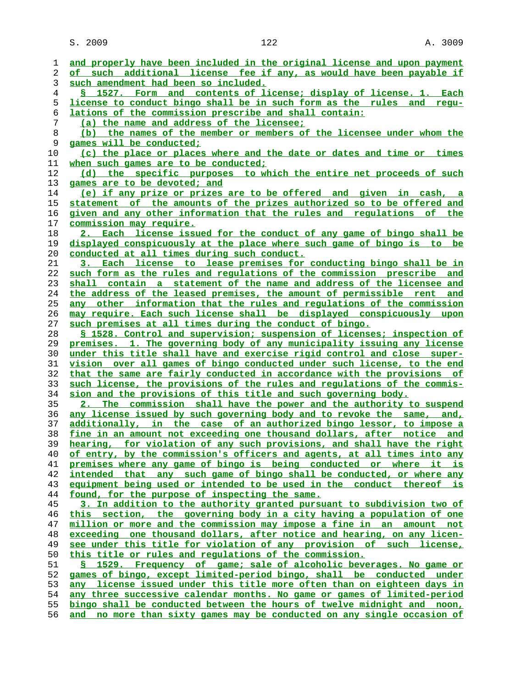**and properly have been included in the original license and upon payment of such additional license fee if any, as would have been payable if such amendment had been so included. § 1527. Form and contents of license; display of license. 1. Each license to conduct bingo shall be in such form as the rules and regu- lations of the commission prescribe and shall contain: (a) the name and address of the licensee; (b) the names of the member or members of the licensee under whom the games will be conducted; (c) the place or places where and the date or dates and time or times when such games are to be conducted; (d) the specific purposes to which the entire net proceeds of such games are to be devoted; and (e) if any prize or prizes are to be offered and given in cash, a statement of the amounts of the prizes authorized so to be offered and given and any other information that the rules and regulations of the commission may require. 2. Each license issued for the conduct of any game of bingo shall be displayed conspicuously at the place where such game of bingo is to be conducted at all times during such conduct. 3. Each license to lease premises for conducting bingo shall be in such form as the rules and regulations of the commission prescribe and shall contain a statement of the name and address of the licensee and the address of the leased premises, the amount of permissible rent and any other information that the rules and regulations of the commission may require. Each such license shall be displayed conspicuously upon such premises at all times during the conduct of bingo. § 1528. Control and supervision; suspension of licenses; inspection of premises. 1. The governing body of any municipality issuing any license under this title shall have and exercise rigid control and close super- vision over all games of bingo conducted under such license, to the end that the same are fairly conducted in accordance with the provisions of such license, the provisions of the rules and regulations of the commis- sion and the provisions of this title and such governing body. 2. The commission shall have the power and the authority to suspend any license issued by such governing body and to revoke the same, and, additionally, in the case of an authorized bingo lessor, to impose a fine in an amount not exceeding one thousand dollars, after notice and hearing, for violation of any such provisions, and shall have the right of entry, by the commission's officers and agents, at all times into any premises where any game of bingo is being conducted or where it is intended that any such game of bingo shall be conducted, or where any equipment being used or intended to be used in the conduct thereof is found, for the purpose of inspecting the same. 3. In addition to the authority granted pursuant to subdivision two of this section, the governing body in a city having a population of one million or more and the commission may impose a fine in an amount not exceeding one thousand dollars, after notice and hearing, on any licen- see under this title for violation of any provision of such license, this title or rules and regulations of the commission. § 1529. Frequency of game; sale of alcoholic beverages. No game or games of bingo, except limited-period bingo, shall be conducted under any license issued under this title more often than on eighteen days in any three successive calendar months. No game or games of limited-period bingo shall be conducted between the hours of twelve midnight and noon, and no more than sixty games may be conducted on any single occasion of**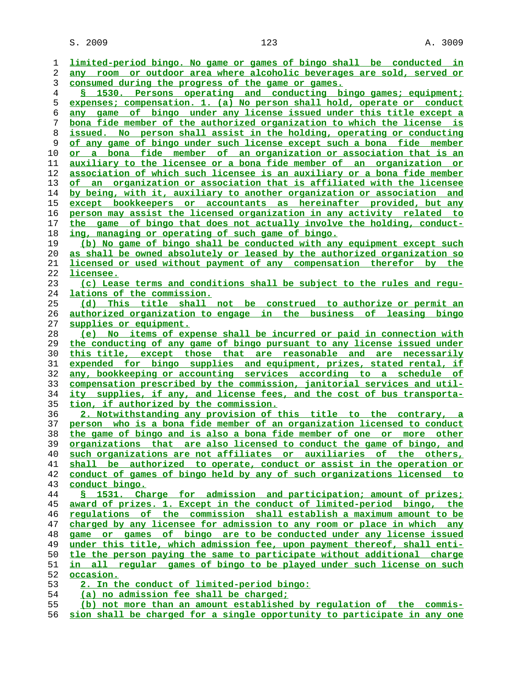$S. 2009$  and  $123$  and  $123$  and  $123$  and  $123$  and  $123$  and  $123$  and  $123$  and  $123$  and  $123$  and  $123$  and  $123$  and  $123$  and  $123$  and  $123$  and  $123$  and  $123$  and  $123$  and  $123$  and  $123$  and  $123$  and  $123$  a

**limited-period bingo. No game or games of bingo shall be conducted in any room or outdoor area where alcoholic beverages are sold, served or consumed during the progress of the game or games. § 1530. Persons operating and conducting bingo games; equipment; expenses; compensation. 1. (a) No person shall hold, operate or conduct any game of bingo under any license issued under this title except a bona fide member of the authorized organization to which the license is issued. No person shall assist in the holding, operating or conducting of any game of bingo under such license except such a bona fide member or a bona fide member of an organization or association that is an auxiliary to the licensee or a bona fide member of an organization or association of which such licensee is an auxiliary or a bona fide member of an organization or association that is affiliated with the licensee by being, with it, auxiliary to another organization or association and except bookkeepers or accountants as hereinafter provided, but any person may assist the licensed organization in any activity related to the game of bingo that does not actually involve the holding, conduct- ing, managing or operating of such game of bingo. (b) No game of bingo shall be conducted with any equipment except such as shall be owned absolutely or leased by the authorized organization so licensed or used without payment of any compensation therefor by the licensee. (c) Lease terms and conditions shall be subject to the rules and regu- lations of the commission. (d) This title shall not be construed to authorize or permit an authorized organization to engage in the business of leasing bingo supplies or equipment. (e) No items of expense shall be incurred or paid in connection with the conducting of any game of bingo pursuant to any license issued under this title, except those that are reasonable and are necessarily expended for bingo supplies and equipment, prizes, stated rental, if any, bookkeeping or accounting services according to a schedule of compensation prescribed by the commission, janitorial services and util- ity supplies, if any, and license fees, and the cost of bus transporta- tion, if authorized by the commission. 2. Notwithstanding any provision of this title to the contrary, a person who is a bona fide member of an organization licensed to conduct the game of bingo and is also a bona fide member of one or more other organizations that are also licensed to conduct the game of bingo, and such organizations are not affiliates or auxiliaries of the others, shall be authorized to operate, conduct or assist in the operation or conduct of games of bingo held by any of such organizations licensed to conduct bingo. § 1531. Charge for admission and participation; amount of prizes; award of prizes. 1. Except in the conduct of limited-period bingo, the regulations of the commission shall establish a maximum amount to be charged by any licensee for admission to any room or place in which any game or games of bingo are to be conducted under any license issued under this title, which admission fee, upon payment thereof, shall enti- tle the person paying the same to participate without additional charge in all regular games of bingo to be played under such license on such occasion. 2. In the conduct of limited-period bingo: (a) no admission fee shall be charged;**

**(b) not more than an amount established by regulation of the commis- sion shall be charged for a single opportunity to participate in any one**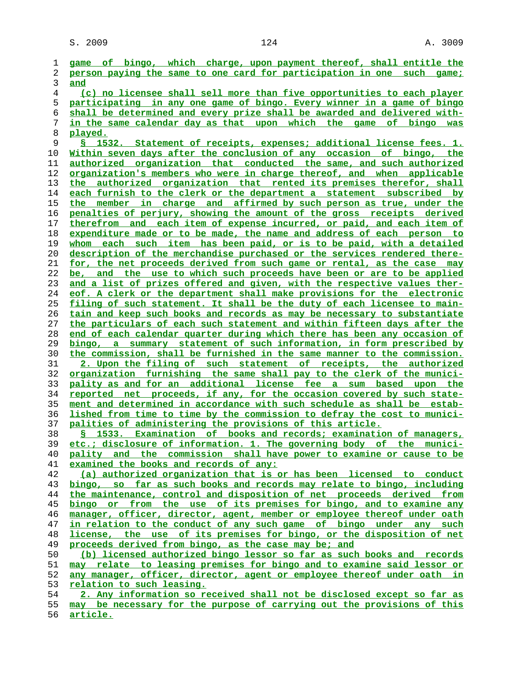**game of bingo, which charge, upon payment thereof, shall entitle the person paying the same to one card for participation in one such game; and (c) no licensee shall sell more than five opportunities to each player participating in any one game of bingo. Every winner in a game of bingo shall be determined and every prize shall be awarded and delivered with- in the same calendar day as that upon which the game of bingo was played. § 1532. Statement of receipts, expenses; additional license fees. 1. Within seven days after the conclusion of any occasion of bingo, the authorized organization that conducted the same, and such authorized organization's members who were in charge thereof, and when applicable the authorized organization that rented its premises therefor, shall each furnish to the clerk or the department a statement subscribed by the member in charge and affirmed by such person as true, under the penalties of perjury, showing the amount of the gross receipts derived therefrom and each item of expense incurred, or paid, and each item of expenditure made or to be made, the name and address of each person to whom each such item has been paid, or is to be paid, with a detailed description of the merchandise purchased or the services rendered there- for, the net proceeds derived from such game or rental, as the case may be, and the use to which such proceeds have been or are to be applied and a list of prizes offered and given, with the respective values ther- eof. A clerk or the department shall make provisions for the electronic filing of such statement. It shall be the duty of each licensee to main- tain and keep such books and records as may be necessary to substantiate the particulars of each such statement and within fifteen days after the end of each calendar quarter during which there has been any occasion of bingo, a summary statement of such information, in form prescribed by the commission, shall be furnished in the same manner to the commission. 2. Upon the filing of such statement of receipts, the authorized organization furnishing the same shall pay to the clerk of the munici- pality as and for an additional license fee a sum based upon the reported net proceeds, if any, for the occasion covered by such state- ment and determined in accordance with such schedule as shall be estab- lished from time to time by the commission to defray the cost to munici- palities of administering the provisions of this article. § 1533. Examination of books and records; examination of managers, etc.; disclosure of information. 1. The governing body of the munici- pality and the commission shall have power to examine or cause to be examined the books and records of any: (a) authorized organization that is or has been licensed to conduct bingo, so far as such books and records may relate to bingo, including the maintenance, control and disposition of net proceeds derived from bingo or from the use of its premises for bingo, and to examine any manager, officer, director, agent, member or employee thereof under oath in relation to the conduct of any such game of bingo under any such license, the use of its premises for bingo, or the disposition of net proceeds derived from bingo, as the case may be; and (b) licensed authorized bingo lessor so far as such books and records may relate to leasing premises for bingo and to examine said lessor or any manager, officer, director, agent or employee thereof under oath in relation to such leasing. 2. Any information so received shall not be disclosed except so far as may be necessary for the purpose of carrying out the provisions of this**

**article.**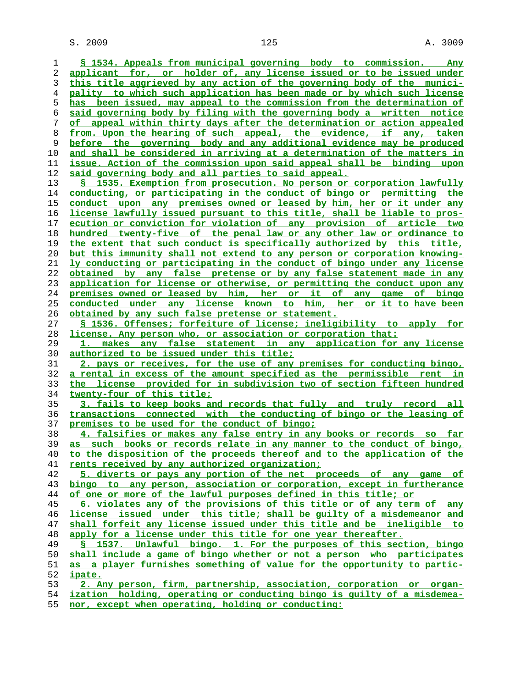$S. 2009$  and  $125$  and  $125$  and  $125$  and  $125$  and  $125$  and  $125$  and  $125$  and  $125$  and  $125$  and  $125$  and  $125$  and  $125$  and  $125$  and  $125$  and  $125$  and  $125$  and  $125$  and  $125$  and  $125$  and  $125$  and  $125$  a

| ı  | § 1534. Appeals from municipal governing body to commission. Any         |
|----|--------------------------------------------------------------------------|
| 2  | applicant for, or holder of, any license issued or to be issued under    |
| 3  | this title aggrieved by any action of the governing body of the munici-  |
| 4  | pality to which such application has been made or by which such license  |
| 5  | has been issued, may appeal to the commission from the determination of  |
| 6  | said governing body by filing with the governing body a written notice   |
| 7  | of appeal within thirty days after the determination or action appealed  |
| 8  | from. Upon the hearing of such appeal, the evidence, if any, taken       |
| 9  | before the governing body and any additional evidence may be produced    |
| 10 | and shall be considered in arriving at a determination of the matters in |
| 11 | issue. Action of the commission upon said appeal shall be binding upon   |
| 12 | said governing body and all parties to said appeal.                      |
| 13 | § 1535. Exemption from prosecution. No person or corporation lawfully    |
| 14 | conducting, or participating in the conduct of bingo or permitting the   |
| 15 | conduct upon any premises owned or leased by him, her or it under any    |
| 16 | license lawfully issued pursuant to this title, shall be liable to pros- |
| 17 | ecution or conviction for violation of any provision of article two      |
| 18 | hundred twenty-five of the penal law or any other law or ordinance to    |
| 19 | the extent that such conduct is specifically authorized by this title,   |
| 20 | but this immunity shall not extend to any person or corporation knowing- |
| 21 | ly conducting or participating in the conduct of bingo under any license |
| 22 | obtained by any false pretense or by any false statement made in any     |
| 23 | application for license or otherwise, or permitting the conduct upon any |
| 24 | premises owned or leased by him, her or it of any game of bingo          |
| 25 | conducted under any license known to him, her or it to have been         |
| 26 | obtained by any such false pretense or statement.                        |
| 27 | § 1536. Offenses; forfeiture of license; ineligibility to apply for      |
| 28 | license. Any person who, or association or corporation that:             |
| 29 | makes any false statement in any application for any license             |
| 30 | authorized to be issued under this title;                                |
| 31 | 2. pays or receives, for the use of any premises for conducting bingo,   |
| 32 | a rental in excess of the amount specified as the permissible rent in    |
| 33 | the license provided for in subdivision two of section fifteen hundred   |
| 34 | twenty-four of this title;                                               |
| 35 | 3. fails to keep books and records that fully and truly record all       |
| 36 | transactions connected with the conducting of bingo or the leasing of    |
| 37 | premises to be used for the conduct of bingo;                            |
| 38 | 4. falsifies or makes any false entry in any books or records so far     |
| 39 | as such books or records relate in any manner to the conduct of bingo,   |
| 40 | to the disposition of the proceeds thereof and to the application of the |
| 41 | rents received by any authorized organization;                           |
| 42 | 5. diverts or pays any portion of the net proceeds of any game of        |
| 43 | bingo to any person, association or corporation, except in furtherance   |
| 44 | of one or more of the lawful purposes defined in this title; or          |
| 45 | 6. violates any of the provisions of this title or of any term of any    |
| 46 | license issued under this title; shall be quilty of a misdemeanor and    |
| 47 | shall forfeit any license issued under this title and be ineligible to   |
| 48 | apply for a license under this title for one year thereafter.            |
| 49 | § 1537. Unlawful bingo. 1. For the purposes of this section, bingo       |
| 50 | shall include a game of bingo whether or not a person who participates   |
| 51 | as a player furnishes something of value for the opportunity to partic-  |
| 52 | ipate.                                                                   |
| 53 | 2. Any person, firm, partnership, association, corporation or organ-     |
| 54 | ization holding, operating or conducting bingo is quilty of a misdemea-  |

**nor, except when operating, holding or conducting:**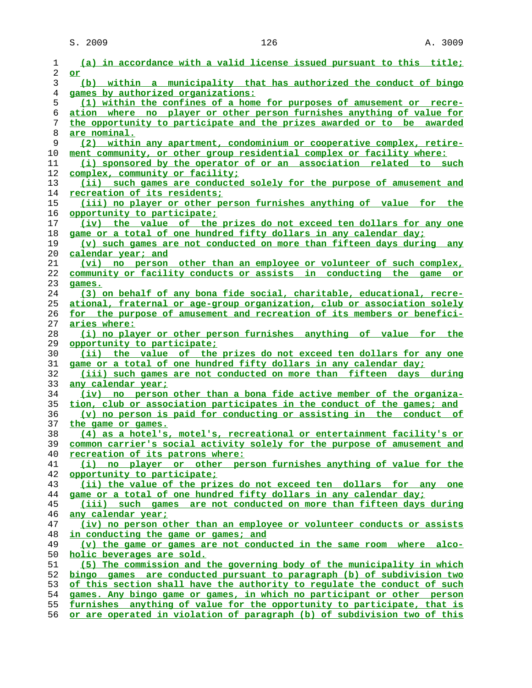| 1              | (a) in accordance with a valid license issued pursuant to this title;           |
|----------------|---------------------------------------------------------------------------------|
| 2              | or                                                                              |
| 3              | (b) within a municipality that has authorized the conduct of bingo              |
| $\overline{4}$ | games by authorized organizations:                                              |
| 5              | (1) within the confines of a home for purposes of amusement or recre-           |
| 6              | ation where no player or other person furnishes anything of value for           |
| 7              | the opportunity to participate and the prizes awarded or to be awarded          |
| 8              | are nominal.                                                                    |
| 9              | (2) within any apartment, condominium or cooperative complex, retire-           |
| 10             | ment community, or other group residential complex or facility where:           |
| 11             | (i) sponsored by the operator of or an association related to such              |
| 12             | complex, community or facility;                                                 |
| 13             | (ii) such games are conducted solely for the purpose of amusement and           |
| 14             | <u>recreation of its residents;</u>                                             |
| 15             | <u>(iii) no player or other person furnishes anything of value for the</u>      |
| 16             | opportunity to participate;                                                     |
| 17             | (iv) the value of the prizes do not exceed ten dollars for any one              |
| 18             | game or a total of one hundred fifty dollars in any calendar day;               |
| 19             | (v) such games are not conducted on more than fifteen days during any           |
| 20             | calendar year; and                                                              |
| 21             | (vi) no person other than an employee or volunteer of such complex,             |
| 22             | community or facility conducts or assists in conducting the game or             |
| 23             | games.                                                                          |
| 24             | (3) on behalf of any bona fide social, charitable, educational, recre-          |
| 25             | ational, fraternal or age-group organization, club or association solely        |
| 26             | for the purpose of amusement and recreation of its members or benefici-         |
| 27             | aries where:                                                                    |
| 28             | (i) no player or other person furnishes anything of value for the               |
| 29             | opportunity to participate;                                                     |
| 30             | (ii) the value of the prizes do not exceed ten dollars for any one              |
| 31             | game or a total of one hundred fifty dollars in any calendar day;               |
| 32             | (iii) such games are not conducted on more than fifteen days during             |
| 33             | any calendar year;                                                              |
| 34             | (iv) no person other than a bona fide active member of the organiza-            |
| 35             | tion, club or association participates in the conduct of the games; and         |
| 36             | (v) no person is paid for conducting or assisting in the conduct of             |
| 37             | the game or games.                                                              |
| 38             | (4) as a hotel's, motel's, recreational or entertainment facility's or          |
| 39             | common carrier's social activity solely for the purpose of amusement and        |
| 40             | recreation of its patrons where:                                                |
| 41             | (i) no player or other person furnishes anything of value for the               |
| 42             | opportunity to participate;                                                     |
| 43             | (ii) the value of the prizes do not exceed ten dollars for any one              |
| 44             | game or a total of one hundred fifty dollars in any calendar day;               |
| 45             | (iii) such games are not conducted on more than fifteen days during             |
| 46             | any calendar year;                                                              |
| 47             | (iv) no person other than an employee or volunteer conducts or assists          |
| 48             | in conducting the game or games; and                                            |
| 49             | (v) the game or games are not conducted in the same room where alco-            |
| 50             | holic beverages are sold.                                                       |
| 51             | (5) The commission and the governing body of the municipality in which          |
| 52             | bingo games are conducted pursuant to paragraph (b) of subdivision two          |
| 53             | of this section shall have the authority to regulate the conduct of such        |
| 54             | games. Any bingo game or games, in which no participant or other person         |
| 55             | furnishes anything of value for the opportunity to participate, that is         |
| 56             | <u>or are operated in violation of paragraph (b) of subdivision two of this</u> |
|                |                                                                                 |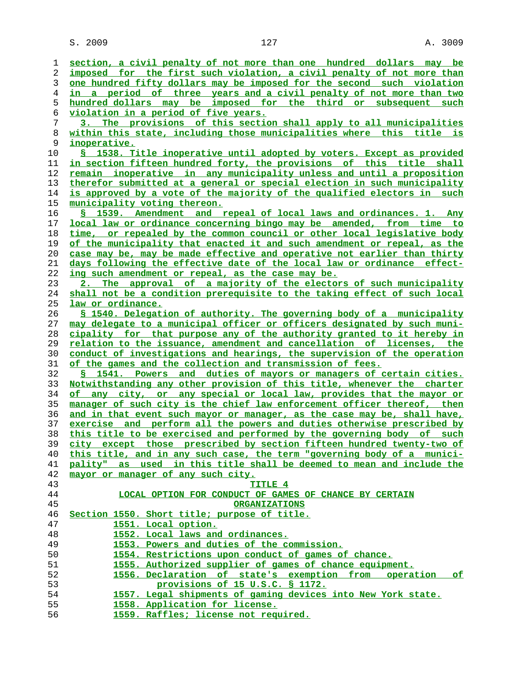| 1  | section, a civil penalty of not more than one hundred dollars may be         |
|----|------------------------------------------------------------------------------|
| 2  | imposed for the first such violation, a civil penalty of not more than       |
| 3  | one hundred fifty dollars may be imposed for the second such violation       |
| 4  | in a period of three years and a civil penalty of not more than two          |
| 5  | hundred dollars may be imposed for the third or subsequent such              |
| 6  | violation in a period of five years.                                         |
| 7  | 3. The provisions of this section shall apply to all municipalities          |
| 8  | within this state, including those municipalities where this title is        |
| 9  | inoperative.                                                                 |
| 10 | S 1538. Title inoperative until adopted by voters. Except as provided        |
| 11 | in section fifteen hundred forty, the provisions of this title shall         |
| 12 | remain inoperative in any municipality unless and until a proposition        |
| 13 | therefor submitted at a general or special election in such municipality     |
| 14 | is approved by a vote of the majority of the qualified electors in such      |
| 15 | <u>municipality voting thereon.</u>                                          |
| 16 | S 1539. Amendment and repeal of local laws and ordinances. 1. Any            |
| 17 | local law or ordinance concerning bingo may be amended, from time to         |
| 18 | time, or repealed by the common council or other local legislative body      |
| 19 | of the municipality that enacted it and such amendment or repeal, as the     |
| 20 | case may be, may be made effective and operative not earlier than thirty     |
| 21 | days following the effective date of the local law or ordinance effect-      |
| 22 | ing such amendment or repeal, as the case may be.                            |
| 23 | 2. The approval of a majority of the electors of such municipality           |
| 24 | shall not be a condition prerequisite to the taking effect of such local     |
| 25 | law or ordinance.                                                            |
| 26 | § 1540. Delegation of authority. The governing body of a municipality        |
| 27 | may delegate to a municipal officer or officers designated by such muni-     |
| 28 | cipality for that purpose any of the authority granted to it hereby in       |
| 29 | <u>relation to the issuance, amendment and cancellation of licenses, the</u> |
| 30 | conduct of investigations and hearings, the supervision of the operation     |
| 31 | of the games and the collection and transmission of fees.                    |
| 32 | <u>S 1541. Powers and duties of mayors or managers of certain cities.</u>    |
| 33 | Notwithstanding any other provision of this title, whenever the charter      |
| 34 | of any city, or any special or local law, provides that the mayor or         |
| 35 | manager of such city is the chief law enforcement officer thereof, then      |
| 36 | and in that event such mayor or manager, as the case may be, shall have,     |
| 37 | exercise and perform all the powers and duties otherwise prescribed by       |
| 38 | this title to be exercised and performed by the governing body of such       |
| 39 | city except those prescribed by section fifteen hundred twenty-two of        |
| 40 | this title, and in any such case, the term "governing body of a munici-      |
| 41 | pality" as used in this title shall be deemed to mean and include the        |
| 42 | mayor or manager of any such city.                                           |
| 43 | TITLE 4                                                                      |
| 44 | LOCAL OPTION FOR CONDUCT OF GAMES OF CHANCE BY CERTAIN                       |
| 45 | <b>ORGANIZATIONS</b>                                                         |
| 46 | Section 1550. Short title; purpose of title.                                 |
| 47 | 1551. Local option.                                                          |
| 48 | 1552. Local laws and ordinances.                                             |
| 49 | 1553. Powers and duties of the commission.                                   |
| 50 | 1554. Restrictions upon conduct of games of chance.                          |
| 51 | 1555. Authorized supplier of games of chance equipment.                      |
| 52 | 1556. Declaration of state's exemption from operation of                     |
| 53 | provisions of 15 U.S.C. § 1172.                                              |
| 54 | 1557. Legal shipments of gaming devices into New York state.                 |
| 55 | 1558. Application for license.                                               |
| 56 | 1559. Raffles; license not required.                                         |
|    |                                                                              |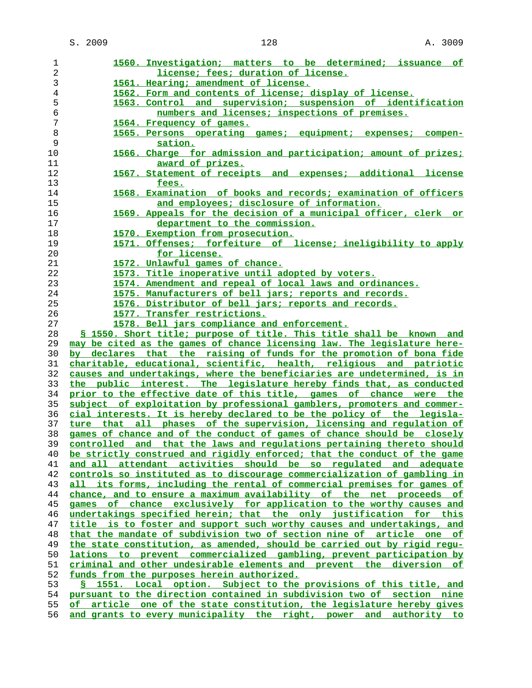| 1              | 1560. Investigation; matters to be determined; issuance of               |
|----------------|--------------------------------------------------------------------------|
| 2              | license; fees; duration of license.                                      |
| 3              | 1561. Hearing; amendment of license.                                     |
| $\overline{4}$ | 1562. Form and contents of license; display of license.                  |
| 5              | 1563. Control and supervision; suspension of identification              |
| 6              | numbers and licenses; inspections of premises.                           |
| 7              | 1564. Frequency of games.                                                |
| $\,8\,$        |                                                                          |
| 9              | 1565. Persons operating games; equipment; expenses; compen-              |
|                | sation.                                                                  |
| 10             | 1566. Charge for admission and participation; amount of prizes;          |
| 11             | award of prizes.                                                         |
| 12             | 1567. Statement of receipts and expenses; additional license             |
| 13             | fees.                                                                    |
| 14             | 1568. Examination of books and records; examination of officers          |
| 15             | and employees; disclosure of information.                                |
| 16             | 1569. Appeals for the decision of a municipal officer, clerk or          |
| 17             | department to the commission.                                            |
| 18             | 1570. Exemption from prosecution.                                        |
| 19             | 1571. Offenses; forfeiture of license; ineligibility to apply            |
| 20             | for license.                                                             |
| 21             | 1572. Unlawful games of chance.                                          |
| 22             | 1573. Title inoperative until adopted by voters.                         |
| 23             | 1574. Amendment and repeal of local laws and ordinances.                 |
| 24             | 1575. Manufacturers of bell jars; reports and records.                   |
| 25             | 1576. Distributor of bell jars; reports and records.                     |
| 26             | 1577. Transfer restrictions.                                             |
|                |                                                                          |
| 27             | 1578. Bell jars compliance and enforcement.                              |
| 28             | § 1550. Short title; purpose of title. This title shall be known and     |
| 29             | may be cited as the games of chance licensing law. The legislature here- |
| 30             | by declares that the raising of funds for the promotion of bona fide     |
| 31             | charitable, educational, scientific, health, religious and patriotic     |
| 32             | causes and undertakings, where the beneficiaries are undetermined, is in |
| 33             | the public interest. The legislature hereby finds that, as conducted     |
| 34             | prior to the effective date of this title, games of chance were the      |
| 35             | subject of exploitation by professional gamblers, promoters and commer-  |
| 36             | cial interests. It is hereby declared to be the policy of the legisla-   |
| 37             | ture that all phases of the supervision, licensing and regulation of     |
| 38             | games of chance and of the conduct of games of chance should be closely  |
| 39             | controlled and that the laws and regulations pertaining thereto should   |
| 40             | be strictly construed and rigidly enforced; that the conduct of the game |
| 41             | and all attendant activities should be so requlated and adequate         |
| 42             | controls so instituted as to discourage commercialization of gambling in |
| 43             | all its forms, including the rental of commercial premises for games of  |
| 44             | chance, and to ensure a maximum availability of the net proceeds of      |
| 45             | games of chance exclusively for application to the worthy causes and     |
| 46             | undertakings specified herein; that the only justification for this      |
| 47             | title is to foster and support such worthy causes and undertakings, and  |
| 48             | that the mandate of subdivision two of section nine of article one of    |
| 49             | the state constitution, as amended, should be carried out by rigid regu- |
| 50             | lations to prevent commercialized gambling, prevent participation by     |
| 51             | criminal and other undesirable elements and prevent the diversion of     |
| 52             | funds from the purposes herein authorized.                               |
| 53             | S 1551. Local option. Subject to the provisions of this title, and       |
|                | pursuant to the direction contained in subdivision two of section nine   |
| 54             |                                                                          |
| 55             | of article one of the state constitution, the legislature hereby gives   |
| 56             | and grants to every municipality the right, power and authority to       |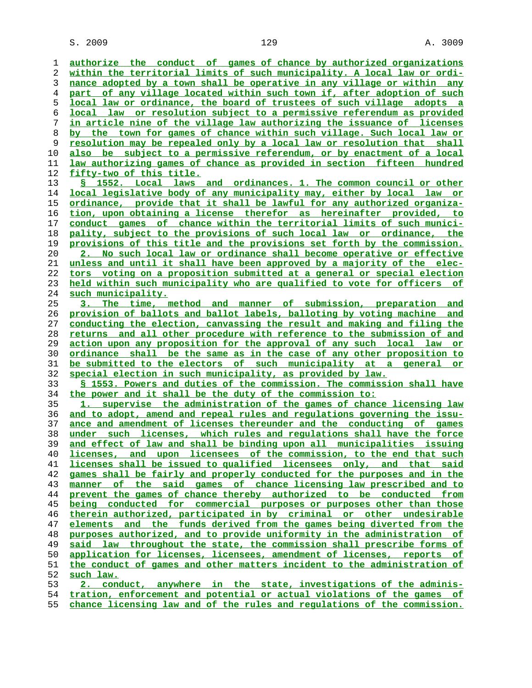$S. 2009$  and  $129$  and  $129$  and  $129$  and  $129$  and  $129$  and  $129$  and  $129$  and  $129$  and  $129$  and  $129$  and  $129$  and  $129$  and  $129$  and  $129$  and  $129$  and  $129$  and  $129$  and  $129$  and  $129$  and  $129$  and  $129$  a

**authorize the conduct of games of chance by authorized organizations within the territorial limits of such municipality. A local law or ordi- nance adopted by a town shall be operative in any village or within any part of any village located within such town if, after adoption of such local law or ordinance, the board of trustees of such village adopts a local law or resolution subject to a permissive referendum as provided in article nine of the village law authorizing the issuance of licenses by the town for games of chance within such village. Such local law or resolution may be repealed only by a local law or resolution that shall also be subject to a permissive referendum, or by enactment of a local law authorizing games of chance as provided in section fifteen hundred fifty-two of this title. § 1552. Local laws and ordinances. 1. The common council or other local legislative body of any municipality may, either by local law or ordinance, provide that it shall be lawful for any authorized organiza- tion, upon obtaining a license therefor as hereinafter provided, to conduct games of chance within the territorial limits of such munici- pality, subject to the provisions of such local law or ordinance, the provisions of this title and the provisions set forth by the commission. 2. No such local law or ordinance shall become operative or effective unless and until it shall have been approved by a majority of the elec- tors voting on a proposition submitted at a general or special election held within such municipality who are qualified to vote for officers of such municipality. 3. The time, method and manner of submission, preparation and provision of ballots and ballot labels, balloting by voting machine and conducting the election, canvassing the result and making and filing the returns and all other procedure with reference to the submission of and action upon any proposition for the approval of any such local law or ordinance shall be the same as in the case of any other proposition to be submitted to the electors of such municipality at a general or special election in such municipality, as provided by law. § 1553. Powers and duties of the commission. The commission shall have the power and it shall be the duty of the commission to: 1. supervise the administration of the games of chance licensing law and to adopt, amend and repeal rules and regulations governing the issu- ance and amendment of licenses thereunder and the conducting of games under such licenses, which rules and regulations shall have the force and effect of law and shall be binding upon all municipalities issuing licenses, and upon licensees of the commission, to the end that such licenses shall be issued to qualified licensees only, and that said games shall be fairly and properly conducted for the purposes and in the manner of the said games of chance licensing law prescribed and to prevent the games of chance thereby authorized to be conducted from being conducted for commercial purposes or purposes other than those therein authorized, participated in by criminal or other undesirable elements and the funds derived from the games being diverted from the purposes authorized, and to provide uniformity in the administration of said law throughout the state, the commission shall prescribe forms of application for licenses, licensees, amendment of licenses, reports of the conduct of games and other matters incident to the administration of such law. 2. conduct, anywhere in the state, investigations of the adminis- tration, enforcement and potential or actual violations of the games of**

**chance licensing law and of the rules and regulations of the commission.**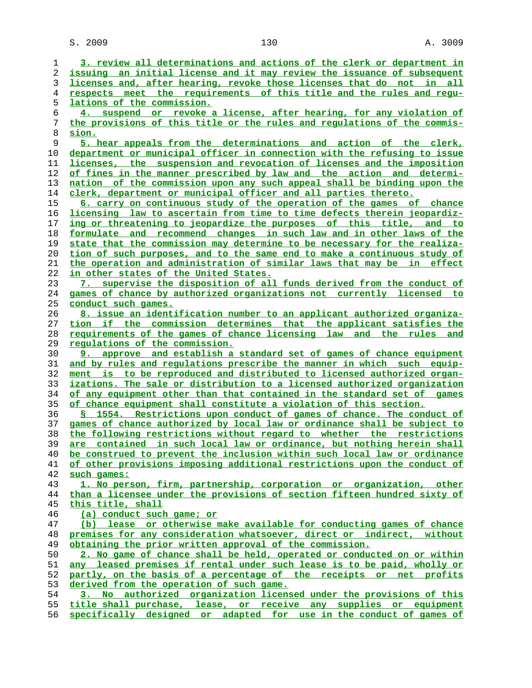$S. 2009$  and  $130$  and  $130$  and  $130$  and  $130$  and  $130$  and  $130$  and  $130$  and  $130$  and  $130$  and  $130$  and  $130$  and  $130$  and  $130$  and  $130$  and  $130$  and  $130$  and  $130$  and  $130$  and  $130$  and  $130$  and  $130$  a

**3. review all determinations and actions of the clerk or department in issuing an initial license and it may review the issuance of subsequent licenses and, after hearing, revoke those licenses that do not in all respects meet the requirements of this title and the rules and regu- lations of the commission. 4. suspend or revoke a license, after hearing, for any violation of the provisions of this title or the rules and regulations of the commis- sion. 5. hear appeals from the determinations and action of the clerk, department or municipal officer in connection with the refusing to issue licenses, the suspension and revocation of licenses and the imposition of fines in the manner prescribed by law and the action and determi- nation of the commission upon any such appeal shall be binding upon the clerk, department or municipal officer and all parties thereto. 6. carry on continuous study of the operation of the games of chance licensing law to ascertain from time to time defects therein jeopardiz- ing or threatening to jeopardize the purposes of this title, and to formulate and recommend changes in such law and in other laws of the state that the commission may determine to be necessary for the realiza- tion of such purposes, and to the same end to make a continuous study of the operation and administration of similar laws that may be in effect in other states of the United States. 7. supervise the disposition of all funds derived from the conduct of games of chance by authorized organizations not currently licensed to conduct such games. 8. issue an identification number to an applicant authorized organiza- tion if the commission determines that the applicant satisfies the requirements of the games of chance licensing law and the rules and regulations of the commission. 9. approve and establish a standard set of games of chance equipment and by rules and regulations prescribe the manner in which such equip- ment is to be reproduced and distributed to licensed authorized organ- izations. The sale or distribution to a licensed authorized organization of any equipment other than that contained in the standard set of games of chance equipment shall constitute a violation of this section. § 1554. Restrictions upon conduct of games of chance. The conduct of games of chance authorized by local law or ordinance shall be subject to the following restrictions without regard to whether the restrictions are contained in such local law or ordinance, but nothing herein shall be construed to prevent the inclusion within such local law or ordinance of other provisions imposing additional restrictions upon the conduct of such games: 1. No person, firm, partnership, corporation or organization, other than a licensee under the provisions of section fifteen hundred sixty of this title, shall (a) conduct such game; or (b) lease or otherwise make available for conducting games of chance premises for any consideration whatsoever, direct or indirect, without obtaining the prior written approval of the commission. 2. No game of chance shall be held, operated or conducted on or within any leased premises if rental under such lease is to be paid, wholly or partly, on the basis of a percentage of the receipts or net profits derived from the operation of such game. 3. No authorized organization licensed under the provisions of this title shall purchase, lease, or receive any supplies or equipment**

**specifically designed or adapted for use in the conduct of games of**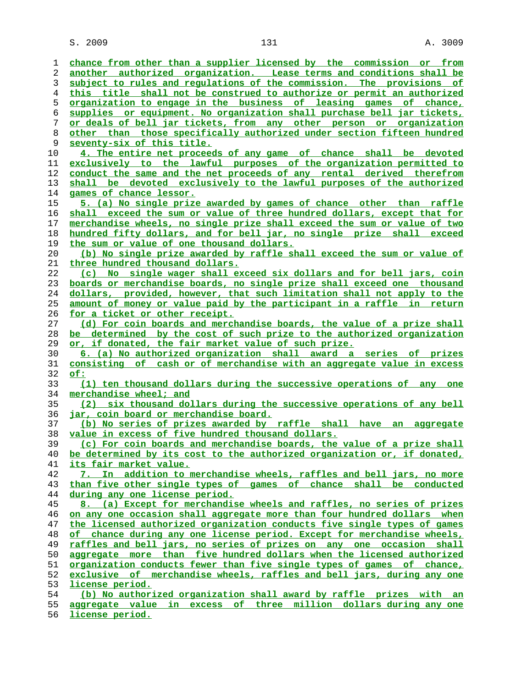$S. 2009$  and  $131$  and  $131$  and  $131$  and  $131$  and  $131$  and  $131$  and  $131$  and  $131$  and  $131$  and  $131$  and  $131$  and  $131$  and  $131$  and  $131$  and  $131$  and  $131$  and  $131$  and  $131$  and  $131$  and  $131$  and  $131$  a

**chance from other than a supplier licensed by the commission or from another authorized organization. Lease terms and conditions shall be subject to rules and regulations of the commission. The provisions of this title shall not be construed to authorize or permit an authorized organization to engage in the business of leasing games of chance, supplies or equipment. No organization shall purchase bell jar tickets, or deals of bell jar tickets, from any other person or organization other than those specifically authorized under section fifteen hundred seventy-six of this title. 4. The entire net proceeds of any game of chance shall be devoted exclusively to the lawful purposes of the organization permitted to conduct the same and the net proceeds of any rental derived therefrom shall be devoted exclusively to the lawful purposes of the authorized games of chance lessor. 5. (a) No single prize awarded by games of chance other than raffle shall exceed the sum or value of three hundred dollars, except that for merchandise wheels, no single prize shall exceed the sum or value of two hundred fifty dollars, and for bell jar, no single prize shall exceed the sum or value of one thousand dollars. (b) No single prize awarded by raffle shall exceed the sum or value of three hundred thousand dollars. (c) No single wager shall exceed six dollars and for bell jars, coin boards or merchandise boards, no single prize shall exceed one thousand dollars, provided, however, that such limitation shall not apply to the amount of money or value paid by the participant in a raffle in return for a ticket or other receipt. (d) For coin boards and merchandise boards, the value of a prize shall be determined by the cost of such prize to the authorized organization or, if donated, the fair market value of such prize. 6. (a) No authorized organization shall award a series of prizes consisting of cash or of merchandise with an aggregate value in excess of: (1) ten thousand dollars during the successive operations of any one merchandise wheel; and (2) six thousand dollars during the successive operations of any bell jar, coin board or merchandise board. (b) No series of prizes awarded by raffle shall have an aggregate value in excess of five hundred thousand dollars. (c) For coin boards and merchandise boards, the value of a prize shall be determined by its cost to the authorized organization or, if donated, its fair market value. 7. In addition to merchandise wheels, raffles and bell jars, no more than five other single types of games of chance shall be conducted during any one license period. 8. (a) Except for merchandise wheels and raffles, no series of prizes on any one occasion shall aggregate more than four hundred dollars when the licensed authorized organization conducts five single types of games of chance during any one license period. Except for merchandise wheels, raffles and bell jars, no series of prizes on any one occasion shall aggregate more than five hundred dollars when the licensed authorized organization conducts fewer than five single types of games of chance, exclusive of merchandise wheels, raffles and bell jars, during any one license period. (b) No authorized organization shall award by raffle prizes with an aggregate value in excess of three million dollars during any one**

**license period.**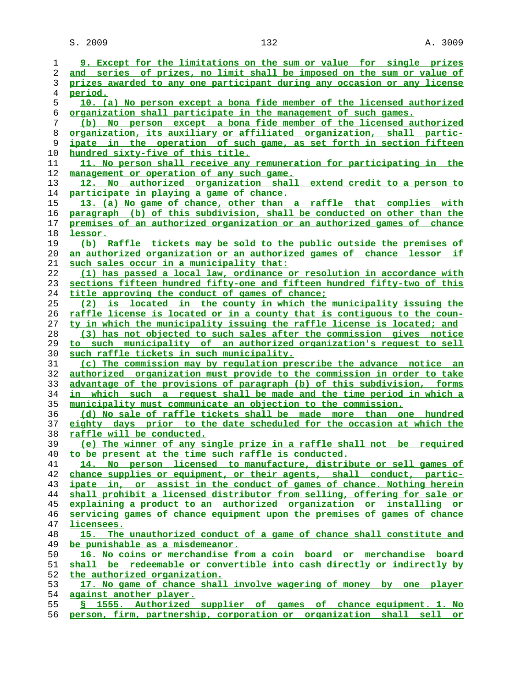S. 2009 132 A. 3009

| ı              | 9. Except for the limitations on the sum or value for single prizes            |
|----------------|--------------------------------------------------------------------------------|
| 2              | and series of prizes, no limit shall be imposed on the sum or value of         |
| 3              | prizes awarded to any one participant during any occasion or any license       |
| $\overline{4}$ | period.                                                                        |
| 5              | 10. (a) No person except a bona fide member of the licensed authorized         |
| 6              | organization shall participate in the management of such games.                |
| 7              | (b) No person except a bona fide member of the licensed authorized             |
| 8              | organization, its auxiliary or affiliated organization, shall partic-          |
| 9              | ipate in the operation of such game, as set forth in section fifteen           |
| 10             | hundred sixty-five of this title.                                              |
| 11             | 11. No person shall receive any remuneration for participating in the          |
|                |                                                                                |
| 12             | management or operation of any such game.                                      |
| 13             | 12. No authorized organization shall extend credit to a person to              |
| 14             | participate in playing a game of chance.                                       |
| 15             | 13. (a) No game of chance, other than a raffle that complies with              |
| 16             | paragraph (b) of this subdivision, shall be conducted on other than the        |
| 17             | premises of an authorized organization or an authorized games of chance        |
| 18             | lessor.                                                                        |
| 19             | (b) Raffle tickets may be sold to the public outside the premises of           |
| 20             | an authorized organization or an authorized games of chance lessor if          |
| 21             | such sales occur in a municipality that:                                       |
| 22             | (1) has passed a local law, ordinance or resolution in accordance with         |
| 23             | sections fifteen hundred fifty-one and fifteen hundred fifty-two of this       |
| 24             | title approving the conduct of games of chance;                                |
| 25             | (2) is located in the county in which the municipality issuing the             |
| 26             | raffle license is located or in a county that is contiguous to the coun-       |
| 27             | ty in which the municipality issuing the raffle license is located; and        |
| 28             | (3) has not objected to such sales after the commission gives notice           |
| 29             | to such municipality of an authorized organization's request to sell           |
| 30             | such raffle tickets in such municipality.                                      |
| 31             | (c) The commission may by requlation prescribe the advance notice an           |
| 32             | authorized organization must provide to the commission in order to take        |
| 33             | advantage of the provisions of paragraph (b) of this subdivision, forms        |
| 34             | in which such a request shall be made and the time period in which a           |
| 35             | municipality must communicate an objection to the commission.                  |
| 36             | (d) No sale of raffle tickets shall be made more than one hundred              |
| 37             | eighty days prior to the date scheduled for the occasion at which the          |
| 38             | raffle will be conducted.                                                      |
| 39             | (e) The winner of any single prize in a raffle shall not be<br><u>required</u> |
| 40             | to be present at the time such raffle is conducted.                            |
| 41             | 14. No person licensed to manufacture, distribute or sell games of             |
| 42             | chance supplies or equipment, or their agents, shall conduct, partic-          |
| 43             | ipate in, or assist in the conduct of games of chance. Nothing herein          |
|                |                                                                                |
| 44             | shall prohibit a licensed distributor from selling, offering for sale or       |
| 45             | explaining a product to an authorized organization or installing or            |
| 46             | servicing games of chance equipment upon the premises of games of chance       |
| 47             | licensees.                                                                     |
| 48             | 15. The unauthorized conduct of a game of chance shall constitute and          |
| 49             | <u>be punishable as a misdemeanor.</u>                                         |
| 50             | 16. No coins or merchandise from a coin board or merchandise board             |
| 51             | shall be redeemable or convertible into cash directly or indirectly by         |
| 52             | the authorized organization.                                                   |
| 53             | 17. No game of chance shall involve wagering of money by one player            |
| 54             | against another player.                                                        |
| 55             | \$ 1555. Authorized supplier of games of chance equipment. 1. No               |
| 56             | person, firm, partnership, corporation or organization shall sell or           |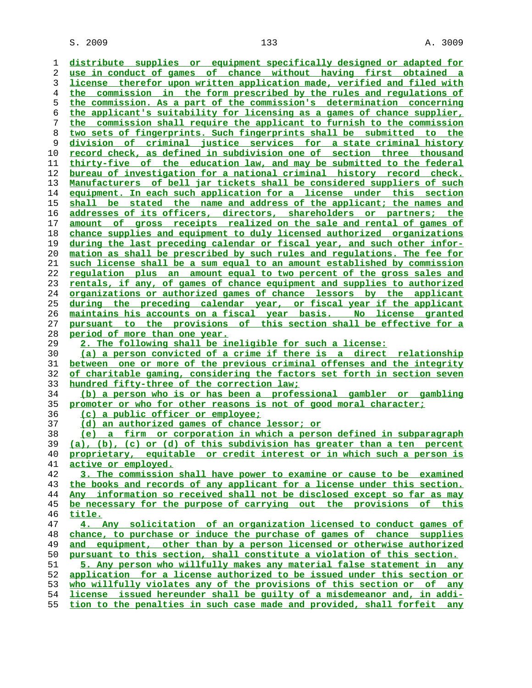$S. 2009$  and  $133$  and  $133$  and  $133$  and  $133$  and  $133$  and  $133$  and  $133$  and  $133$  and  $133$  and  $133$  and  $133$  and  $133$  and  $133$  and  $133$  and  $133$  and  $133$  and  $133$  and  $133$  and  $133$  and  $133$  and  $133$  a

**distribute supplies or equipment specifically designed or adapted for use in conduct of games of chance without having first obtained a license therefor upon written application made, verified and filed with the commission in the form prescribed by the rules and regulations of the commission. As a part of the commission's determination concerning the applicant's suitability for licensing as a games of chance supplier, the commission shall require the applicant to furnish to the commission two sets of fingerprints. Such fingerprints shall be submitted to the division of criminal justice services for a state criminal history record check, as defined in subdivision one of section three thousand thirty-five of the education law, and may be submitted to the federal bureau of investigation for a national criminal history record check. Manufacturers of bell jar tickets shall be considered suppliers of such equipment. In each such application for a license under this section shall be stated the name and address of the applicant; the names and addresses of its officers, directors, shareholders or partners; the amount of gross receipts realized on the sale and rental of games of chance supplies and equipment to duly licensed authorized organizations during the last preceding calendar or fiscal year, and such other infor- mation as shall be prescribed by such rules and regulations. The fee for such license shall be a sum equal to an amount established by commission regulation plus an amount equal to two percent of the gross sales and rentals, if any, of games of chance equipment and supplies to authorized organizations or authorized games of chance lessors by the applicant during the preceding calendar year, or fiscal year if the applicant maintains his accounts on a fiscal year basis. No license granted pursuant to the provisions of this section shall be effective for a period of more than one year. 2. The following shall be ineligible for such a license: (a) a person convicted of a crime if there is a direct relationship between one or more of the previous criminal offenses and the integrity of charitable gaming, considering the factors set forth in section seven hundred fifty-three of the correction law; (b) a person who is or has been a professional gambler or gambling promoter or who for other reasons is not of good moral character; (c) a public officer or employee; (d) an authorized games of chance lessor; or (e) a firm or corporation in which a person defined in subparagraph (a), (b), (c) or (d) of this subdivision has greater than a ten percent proprietary, equitable or credit interest or in which such a person is active or employed. 3. The commission shall have power to examine or cause to be examined the books and records of any applicant for a license under this section. Any information so received shall not be disclosed except so far as may be necessary for the purpose of carrying out the provisions of this title. 4. Any solicitation of an organization licensed to conduct games of chance, to purchase or induce the purchase of games of chance supplies and equipment, other than by a person licensed or otherwise authorized pursuant to this section, shall constitute a violation of this section. 5. Any person who willfully makes any material false statement in any application for a license authorized to be issued under this section or who willfully violates any of the provisions of this section or of any license issued hereunder shall be guilty of a misdemeanor and, in addi- tion to the penalties in such case made and provided, shall forfeit any**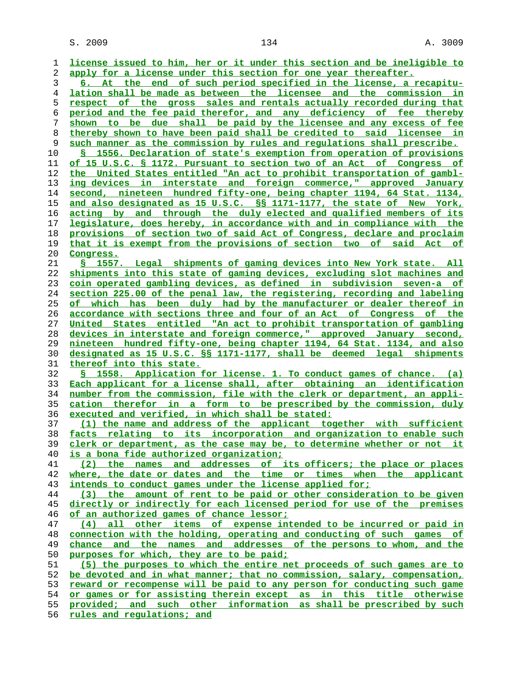$S. 2009$  and  $134$  and  $A. 3009$ 

**license issued to him, her or it under this section and be ineligible to apply for a license under this section for one year thereafter. 6. At the end of such period specified in the license, a recapitu- lation shall be made as between the licensee and the commission in respect of the gross sales and rentals actually recorded during that period and the fee paid therefor, and any deficiency of fee thereby shown to be due shall be paid by the licensee and any excess of fee thereby shown to have been paid shall be credited to said licensee in such manner as the commission by rules and regulations shall prescribe. § 1556. Declaration of state's exemption from operation of provisions of 15 U.S.C. § 1172. Pursuant to section two of an Act of Congress of the United States entitled "An act to prohibit transportation of gambl- ing devices in interstate and foreign commerce," approved January second, nineteen hundred fifty-one, being chapter 1194, 64 Stat. 1134, and also designated as 15 U.S.C. §§ 1171-1177, the state of New York, acting by and through the duly elected and qualified members of its legislature, does hereby, in accordance with and in compliance with the provisions of section two of said Act of Congress, declare and proclaim that it is exempt from the provisions of section two of said Act of Congress. § 1557. Legal shipments of gaming devices into New York state. All shipments into this state of gaming devices, excluding slot machines and coin operated gambling devices, as defined in subdivision seven-a of section 225.00 of the penal law, the registering, recording and labeling of which has been duly had by the manufacturer or dealer thereof in accordance with sections three and four of an Act of Congress of the United States entitled "An act to prohibit transportation of gambling devices in interstate and foreign commerce," approved January second, nineteen hundred fifty-one, being chapter 1194, 64 Stat. 1134, and also designated as 15 U.S.C. §§ 1171-1177, shall be deemed legal shipments thereof into this state. § 1558. Application for license. 1. To conduct games of chance. (a) Each applicant for a license shall, after obtaining an identification number from the commission, file with the clerk or department, an appli- cation therefor in a form to be prescribed by the commission, duly executed and verified, in which shall be stated: (1) the name and address of the applicant together with sufficient facts relating to its incorporation and organization to enable such clerk or department, as the case may be, to determine whether or not it is a bona fide authorized organization; (2) the names and addresses of its officers; the place or places where, the date or dates and the time or times when the applicant intends to conduct games under the license applied for; (3) the amount of rent to be paid or other consideration to be given directly or indirectly for each licensed period for use of the premises of an authorized games of chance lessor; (4) all other items of expense intended to be incurred or paid in connection with the holding, operating and conducting of such games of chance and the names and addresses of the persons to whom, and the purposes for which, they are to be paid; (5) the purposes to which the entire net proceeds of such games are to be devoted and in what manner; that no commission, salary, compensation, reward or recompense will be paid to any person for conducting such game or games or for assisting therein except as in this title otherwise provided; and such other information as shall be prescribed by such rules and regulations; and**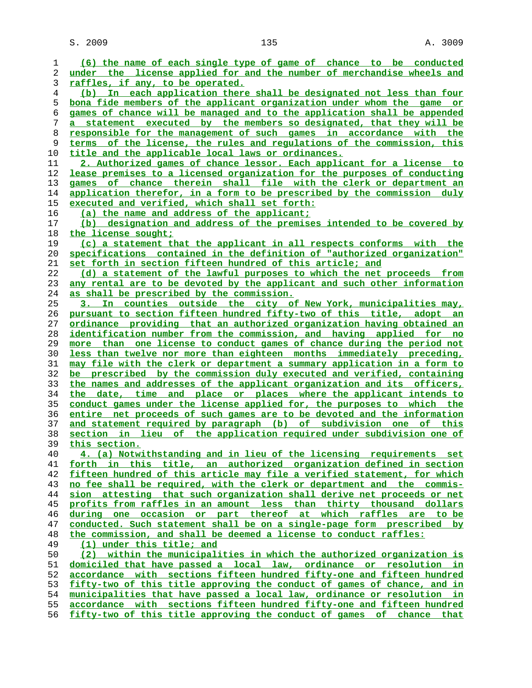$S. 2009$  and  $135$  and  $135$  and  $135$  and  $135$  and  $135$  and  $135$  and  $135$  and  $135$  and  $135$  and  $1300$ 

**(6) the name of each single type of game of chance to be conducted under the license applied for and the number of merchandise wheels and raffles, if any, to be operated. (b) In each application there shall be designated not less than four bona fide members of the applicant organization under whom the game or games of chance will be managed and to the application shall be appended a statement executed by the members so designated, that they will be responsible for the management of such games in accordance with the terms of the license, the rules and regulations of the commission, this title and the applicable local laws or ordinances. 2. Authorized games of chance lessor. Each applicant for a license to lease premises to a licensed organization for the purposes of conducting games of chance therein shall file with the clerk or department an application therefor, in a form to be prescribed by the commission duly executed and verified, which shall set forth: (a) the name and address of the applicant; (b) designation and address of the premises intended to be covered by the license sought; (c) a statement that the applicant in all respects conforms with the specifications contained in the definition of "authorized organization" set forth in section fifteen hundred of this article; and (d) a statement of the lawful purposes to which the net proceeds from any rental are to be devoted by the applicant and such other information as shall be prescribed by the commission. 3. In counties outside the city of New York, municipalities may, pursuant to section fifteen hundred fifty-two of this title, adopt an ordinance providing that an authorized organization having obtained an identification number from the commission, and having applied for no more than one license to conduct games of chance during the period not less than twelve nor more than eighteen months immediately preceding, may file with the clerk or department a summary application in a form to be prescribed by the commission duly executed and verified, containing the names and addresses of the applicant organization and its officers, the date, time and place or places where the applicant intends to conduct games under the license applied for, the purposes to which the entire net proceeds of such games are to be devoted and the information and statement required by paragraph (b) of subdivision one of this section in lieu of the application required under subdivision one of this section. 4. (a) Notwithstanding and in lieu of the licensing requirements set forth in this title, an authorized organization defined in section fifteen hundred of this article may file a verified statement, for which no fee shall be required, with the clerk or department and the commis- sion attesting that such organization shall derive net proceeds or net profits from raffles in an amount less than thirty thousand dollars during one occasion or part thereof at which raffles are to be conducted. Such statement shall be on a single-page form prescribed by the commission, and shall be deemed a license to conduct raffles:**<br>49 (1) under this title; and **(1) under this title; and (2) within the municipalities in which the authorized organization is domiciled that have passed a local law, ordinance or resolution in accordance with sections fifteen hundred fifty-one and fifteen hundred fifty-two of this title approving the conduct of games of chance, and in municipalities that have passed a local law, ordinance or resolution in accordance with sections fifteen hundred fifty-one and fifteen hundred fifty-two of this title approving the conduct of games of chance that**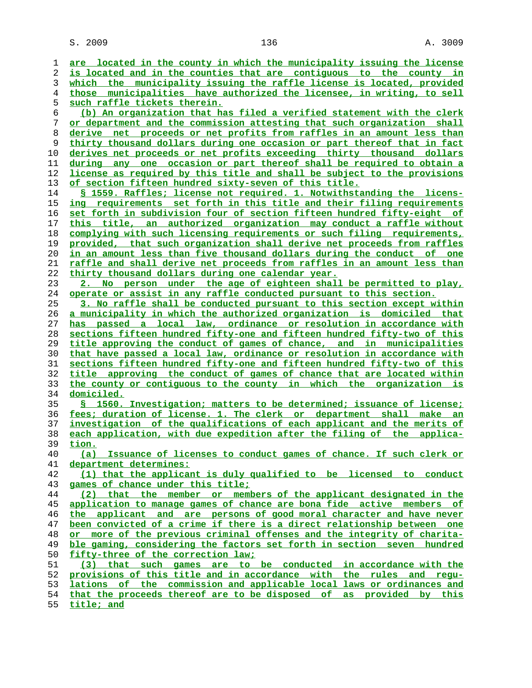$S. 2009$  and  $136$  and  $136$  and  $136$  and  $136$  and  $136$  and  $136$  and  $13009$ 

**are located in the county in which the municipality issuing the license is located and in the counties that are contiguous to the county in which the municipality issuing the raffle license is located, provided those municipalities have authorized the licensee, in writing, to sell such raffle tickets therein. (b) An organization that has filed a verified statement with the clerk or department and the commission attesting that such organization shall derive net proceeds or net profits from raffles in an amount less than thirty thousand dollars during one occasion or part thereof that in fact derives net proceeds or net profits exceeding thirty thousand dollars during any one occasion or part thereof shall be required to obtain a license as required by this title and shall be subject to the provisions of section fifteen hundred sixty-seven of this title. § 1559. Raffles; license not required. 1. Notwithstanding the licens- ing requirements set forth in this title and their filing requirements set forth in subdivision four of section fifteen hundred fifty-eight of this title, an authorized organization may conduct a raffle without complying with such licensing requirements or such filing requirements, provided, that such organization shall derive net proceeds from raffles in an amount less than five thousand dollars during the conduct of one raffle and shall derive net proceeds from raffles in an amount less than thirty thousand dollars during one calendar year. 2. No person under the age of eighteen shall be permitted to play, operate or assist in any raffle conducted pursuant to this section. 3. No raffle shall be conducted pursuant to this section except within a municipality in which the authorized organization is domiciled that has passed a local law, ordinance or resolution in accordance with sections fifteen hundred fifty-one and fifteen hundred fifty-two of this title approving the conduct of games of chance, and in municipalities that have passed a local law, ordinance or resolution in accordance with sections fifteen hundred fifty-one and fifteen hundred fifty-two of this title approving the conduct of games of chance that are located within the county or contiguous to the county in which the organization is domiciled. § 1560. Investigation; matters to be determined; issuance of license; fees; duration of license. 1. The clerk or department shall make an investigation of the qualifications of each applicant and the merits of each application, with due expedition after the filing of the applica- tion. (a) Issuance of licenses to conduct games of chance. If such clerk or department determines: (1) that the applicant is duly qualified to be licensed to conduct games of chance under this title; (2) that the member or members of the applicant designated in the application to manage games of chance are bona fide active members of the applicant and are persons of good moral character and have never been convicted of a crime if there is a direct relationship between one or more of the previous criminal offenses and the integrity of charita- ble gaming, considering the factors set forth in section seven hundred fifty-three of the correction law; (3) that such games are to be conducted in accordance with the provisions of this title and in accordance with the rules and regu- lations of the commission and applicable local laws or ordinances and that the proceeds thereof are to be disposed of as provided by this**

**title; and**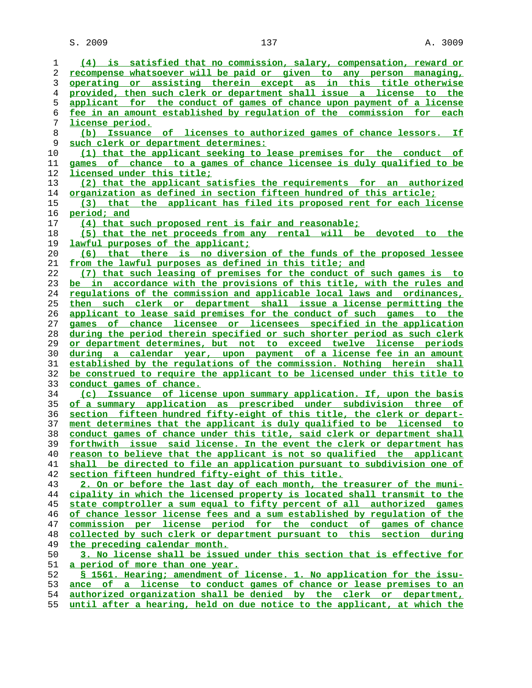$S. 2009$  and  $137$  and  $137$  and  $2009$ 

| 1        | (4) is satisfied that no commission, salary, compensation, reward or                                                                      |
|----------|-------------------------------------------------------------------------------------------------------------------------------------------|
| 2        | recompense whatsoever will be paid or given to any person managing,                                                                       |
| 3        | operating or assisting therein except as in this title otherwise                                                                          |
| 4        | provided, then such clerk or department shall issue a license to the                                                                      |
| 5        | applicant for the conduct of games of chance upon payment of a license                                                                    |
| 6        | fee in an amount established by requlation of the commission for each                                                                     |
| 7        | license period.                                                                                                                           |
| 8        | (b) Issuance of licenses to authorized games of chance lessors. If                                                                        |
| 9        | such clerk or department determines:                                                                                                      |
| 10       | (1) that the applicant seeking to lease premises for the conduct of                                                                       |
| 11       | games of chance to a games of chance licensee is duly qualified to be                                                                     |
| 12       | licensed under this title;                                                                                                                |
| 13       | (2) that the applicant satisfies the requirements for an authorized                                                                       |
| 14       | <u>organization as defined in section fifteen hundred of this article;</u>                                                                |
| 15       | (3) that the applicant has filed its proposed rent for each license                                                                       |
| 16       | period; and                                                                                                                               |
| 17       | (4) that such proposed rent is fair and reasonable;                                                                                       |
| 18       | (5) that the net proceeds from any rental will be devoted to the                                                                          |
| 19       | lawful purposes of the applicant;                                                                                                         |
| 20       | (6) that there is no diversion of the funds of the proposed lessee                                                                        |
| 21       | from the lawful purposes as defined in this title; and                                                                                    |
| 22       | (7) that such leasing of premises for the conduct of such games is to                                                                     |
| 23       | be in accordance with the provisions of this title, with the rules and                                                                    |
| 24       | regulations of the commission and applicable local laws and ordinances,                                                                   |
| 25       | then such clerk or department shall issue a license permitting the                                                                        |
| 26       | applicant to lease said premises for the conduct of such games to the                                                                     |
| 27       | games of chance licensee or licensees specified in the application                                                                        |
| 28       | during the period therein specified or such shorter period as such clerk                                                                  |
| 29       | or department determines, but not to exceed twelve license periods                                                                        |
| 30       | <u>during a calendar year, upon payment of a license fee in an amount</u>                                                                 |
| 31       | established by the requlations of the commission. Nothing herein shall                                                                    |
| 32<br>33 | be construed to require the applicant to be licensed under this title to                                                                  |
|          | conduct games of chance.                                                                                                                  |
| 34<br>35 | (c) Issuance of license upon summary application. If, upon the basis<br>of a summary application as prescribed under subdivision three of |
| 36       | section fifteen hundred fifty-eight of this title, the clerk or depart-                                                                   |
| 37       | ment determines that the applicant is duly qualified to be licensed to                                                                    |
| 38       | conduct games of chance under this title, said clerk or department shall                                                                  |
| 39       | forthwith issue said license. In the event the clerk or department has                                                                    |
| 40       | reason to believe that the applicant is not so qualified the applicant                                                                    |
| 41       | shall be directed to file an application pursuant to subdivision one of                                                                   |
| 42       | section fifteen hundred fifty-eight of this title.                                                                                        |
| 43       | 2. On or before the last day of each month, the treasurer of the muni-                                                                    |
| 44       | cipality in which the licensed property is located shall transmit to the                                                                  |
| 45       | state comptroller a sum equal to fifty percent of all authorized games                                                                    |
| 46       | of chance lessor license fees and a sum established by requlation of the                                                                  |
| 47       | commission per license period for the conduct of games of chance                                                                          |
| 48       | collected by such clerk or department pursuant to this section during                                                                     |
| 49       | the preceding calendar month.                                                                                                             |
| 50       | 3. No license shall be issued under this section that is effective for                                                                    |
| 51       | a period of more than one year.                                                                                                           |
| 52       | S 1561. Hearing; amendment of license. 1. No application for the issu-                                                                    |
| 53       | ance of a license to conduct games of chance or lease premises to an                                                                      |
| 54       | authorized organization shall be denied by the clerk or department,                                                                       |
|          |                                                                                                                                           |

**until after a hearing, held on due notice to the applicant, at which the**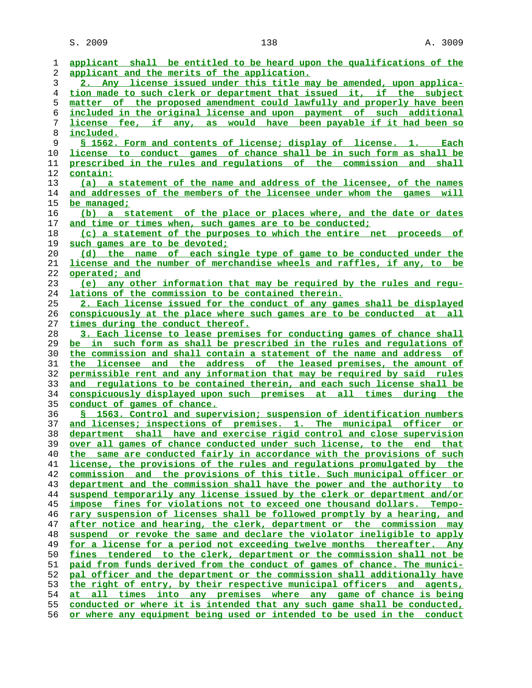$S. 2009$  and  $138$  and  $A. 3009$ 

| 1  | applicant shall be entitled to be heard upon the qualifications of the     |
|----|----------------------------------------------------------------------------|
| 2  | applicant and the merits of the application.                               |
| 3  | 2. Any license issued under this title may be amended, upon applica-       |
| 4  | tion made to such clerk or department that issued it, if the subject       |
| 5  | matter of the proposed amendment could lawfully and properly have been     |
| 6  | included in the original license and upon payment of such additional       |
|    |                                                                            |
| 7  | <u>license fee, if any, as would have been payable if it had been so</u>   |
| 8  | <u>included.</u>                                                           |
| 9  | <u>S 1562. Form and contents of license; display of license. 1. Each</u>   |
| 10 | license to conduct games of chance shall be in such form as shall be       |
| 11 | prescribed in the rules and requlations of the commission and shall        |
| 12 | contain:                                                                   |
| 13 | (a) a statement of the name and address of the licensee, of the names      |
| 14 | and addresses of the members of the licensee under whom the games will     |
| 15 | be managed;                                                                |
| 16 | (b) a statement of the place or places where, and the date or dates        |
| 17 | and time or times when, such games are to be conducted;                    |
| 18 | (c) a statement of the purposes to which the entire net proceeds of        |
| 19 | such games are to be devoted;                                              |
| 20 | (d) the name of each single type of game to be conducted under the         |
| 21 | license and the number of merchandise wheels and raffles, if any, to be    |
| 22 | operated; and                                                              |
| 23 | (e) any other information that may be required by the rules and regu-      |
| 24 | lations of the commission to be contained therein.                         |
| 25 |                                                                            |
|    | 2. Each license issued for the conduct of any games shall be displayed     |
| 26 | conspicuously at the place where such games are to be conducted at all     |
| 27 | times during the conduct thereof.                                          |
| 28 | 3. Each license to lease premises for conducting games of chance shall     |
| 29 | be in such form as shall be prescribed in the rules and requlations of     |
| 30 | the commission and shall contain a statement of the name and address of    |
| 31 | the licensee and the address of the leased premises, the amount of         |
| 32 | permissible rent and any information that may be required by said rules    |
| 33 | and regulations to be contained therein, and each such license shall be    |
| 34 | conspicuously displayed upon such premises at all times during the         |
| 35 | conduct of games of chance.                                                |
| 36 | § 1563. Control and supervision; suspension of identification numbers      |
| 37 | and licenses; inspections of premises. 1. The municipal officer or         |
| 38 | department shall have and exercise rigid control and close supervision     |
| 39 | over all games of chance conducted under such license, to the end that     |
| 40 | the same are conducted fairly in accordance with the provisions of such    |
| 41 | license, the provisions of the rules and requlations promulgated by the    |
| 42 | commission and the provisions of this title. Such municipal officer or     |
| 43 | department and the commission shall have the power and the authority to    |
| 44 | suspend temporarily any license issued by the clerk or department and/or   |
| 45 | impose fines for violations not to exceed one thousand dollars. Tempo-     |
| 46 | rary suspension of licenses shall be followed promptly by a hearing, and   |
| 47 | after notice and hearing, the clerk, department or the commission may      |
| 48 | or revoke the same and declare the violator ineligible to apply<br>suspend |
|    |                                                                            |
| 49 | for a license for a period not exceeding twelve months thereafter. Any     |
| 50 | fines tendered to the clerk, department or the commission shall not be     |
| 51 | paid from funds derived from the conduct of games of chance. The munici-   |
| 52 | pal officer and the department or the commission shall additionally have   |
| 53 | the right of entry, by their respective municipal officers and agents,     |
| 54 | all times into any premises where any game of chance is being<br>at        |
| 55 | conducted or where it is intended that any such game shall be conducted,   |
| 56 | or where any equipment being used or intended to be used in the conduct    |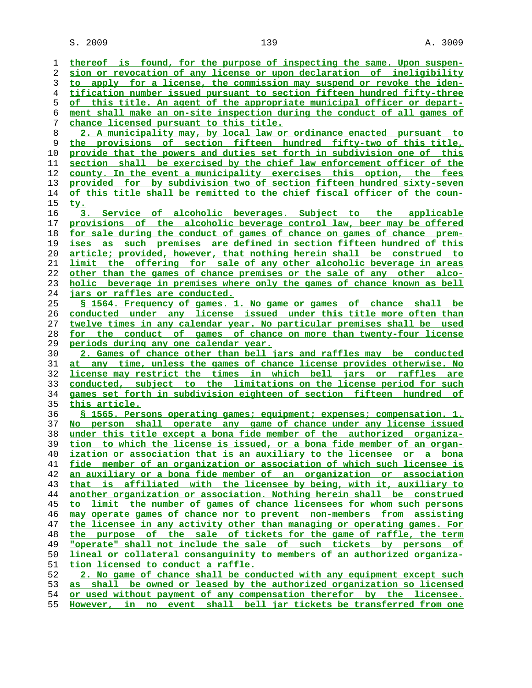$S. 2009$  and  $139$  and  $139$  and  $139$  and  $139$  and  $139$  and  $139$  and  $139$  and  $139$  and  $139$  and  $1309$ 

**thereof is found, for the purpose of inspecting the same. Upon suspen- sion or revocation of any license or upon declaration of ineligibility to apply for a license, the commission may suspend or revoke the iden- tification number issued pursuant to section fifteen hundred fifty-three of this title. An agent of the appropriate municipal officer or depart- ment shall make an on-site inspection during the conduct of all games of chance licensed pursuant to this title. 2. A municipality may, by local law or ordinance enacted pursuant to the provisions of section fifteen hundred fifty-two of this title, provide that the powers and duties set forth in subdivision one of this section shall be exercised by the chief law enforcement officer of the county. In the event a municipality exercises this option, the fees provided for by subdivision two of section fifteen hundred sixty-seven of this title shall be remitted to the chief fiscal officer of the coun- ty. 3. Service of alcoholic beverages. Subject to the applicable provisions of the alcoholic beverage control law, beer may be offered for sale during the conduct of games of chance on games of chance prem- ises as such premises are defined in section fifteen hundred of this article; provided, however, that nothing herein shall be construed to limit the offering for sale of any other alcoholic beverage in areas other than the games of chance premises or the sale of any other alco- holic beverage in premises where only the games of chance known as bell jars or raffles are conducted. § 1564. Frequency of games. 1. No game or games of chance shall be conducted under any license issued under this title more often than twelve times in any calendar year. No particular premises shall be used for the conduct of games of chance on more than twenty-four license periods during any one calendar year. 2. Games of chance other than bell jars and raffles may be conducted at any time, unless the games of chance license provides otherwise. No license may restrict the times in which bell jars or raffles are conducted, subject to the limitations on the license period for such games set forth in subdivision eighteen of section fifteen hundred of this article. § 1565. Persons operating games; equipment; expenses; compensation. 1. No person shall operate any game of chance under any license issued under this title except a bona fide member of the authorized organiza- tion to which the license is issued, or a bona fide member of an organ- ization or association that is an auxiliary to the licensee or a bona fide member of an organization or association of which such licensee is an auxiliary or a bona fide member of an organization or association that is affiliated with the licensee by being, with it, auxiliary to another organization or association. Nothing herein shall be construed to limit the number of games of chance licensees for whom such persons may operate games of chance nor to prevent non-members from assisting the licensee in any activity other than managing or operating games. For the purpose of the sale of tickets for the game of raffle, the term "operate" shall not include the sale of such tickets by persons of lineal or collateral consanguinity to members of an authorized organiza- tion licensed to conduct a raffle. 2. No game of chance shall be conducted with any equipment except such as shall be owned or leased by the authorized organization so licensed or used without payment of any compensation therefor by the licensee.**

**However, in no event shall bell jar tickets be transferred from one**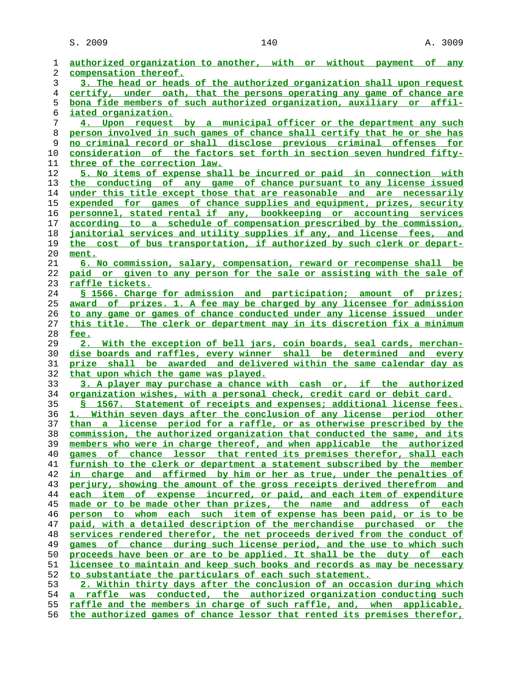S. 2009 140 140 A. 3009

| 1              | authorized organization to another, with or without payment of any            |
|----------------|-------------------------------------------------------------------------------|
| 2              | compensation thereof.                                                         |
| 3              | 3. The head or heads of the authorized organization shall upon request        |
| $\overline{4}$ | certify, under oath, that the persons operating any game of chance are        |
| 5              | bona fide members of such authorized organization, auxiliary or affil-        |
| 6              | iated organization.                                                           |
|                |                                                                               |
| 7              | 4. Upon request by a municipal officer or the department any such             |
| 8              | person involved in such games of chance shall certify that he or she has      |
| 9              | no criminal record or shall disclose previous criminal offenses for           |
| $10$           | <u>consideration of the factors set forth in section seven hundred fifty-</u> |
| 11             | three of the correction law.                                                  |
| 12             | 5. No items of expense shall be incurred or paid in connection with           |
| 13             | the conducting of any game of chance pursuant to any license issued           |
| 14             | under this title except those that are reasonable and are necessarily         |
| 15             | expended for games of chance supplies and equipment, prizes, security         |
| 16             | personnel, stated rental if any, bookkeeping or accounting services           |
| 17             | according to a schedule of compensation prescribed by the commission,         |
| 18             | janitorial services and utility supplies if any, and license fees, and        |
| 19             | the cost of bus transportation, if authorized by such clerk or depart-        |
| 20             | ment.                                                                         |
| 21             | <u>6. No commission, salary, compensation, reward or recompense shall be</u>  |
| 22             | paid or given to any person for the sale or assisting with the sale of        |
| 23             | raffle tickets.                                                               |
| 24             | § 1566. Charge for admission and participation; amount of prizes;             |
| 25             | award of prizes. 1. A fee may be charged by any licensee for admission        |
| 26             | to any game or games of chance conducted under any license issued under       |
| 27             | this title. The clerk or department may in its discretion fix a minimum       |
| 28             | fee.                                                                          |
| 29             | 2. With the exception of bell jars, coin boards, seal cards, merchan-         |
| 30             | dise boards and raffles, every winner shall be determined and every           |
| 31             | prize shall be awarded and delivered within the same calendar day as          |
| 32             | that upon which the game was played.                                          |
| 33             | 3. A player may purchase a chance with cash or, if the authorized             |
| 34             | organization wishes, with a personal check, credit card or debit card.        |
| 35             | § 1567. Statement of receipts and expenses; additional license fees.          |
| 36             | 1. Within seven days after the conclusion of any license period other         |
|                | than a license period for a raffle, or as otherwise prescribed by the         |
| 37<br>38       | commission, the authorized organization that conducted the same, and its      |
|                |                                                                               |
| 39             | members who were in charge thereof, and when applicable the authorized        |
| 40             | games of chance lessor that rented its premises therefor, shall each          |
| 41             | furnish to the clerk or department a statement subscribed by the member       |
| 42             | charge and affirmed by him or her as true, under the penalties of<br>in.      |
| 43             | perjury, showing the amount of the gross receipts derived therefrom and       |
| 44             | each item<br>of expense incurred, or paid, and each item of expenditure       |
| 45             | made or to be made other than prizes, the name and address of each            |
| 46             | person to whom each such item of expense has been paid, or is to be           |
| 47             | paid, with a detailed description of the merchandise purchased or the         |
| 48             | services rendered therefor, the net proceeds derived from the conduct of      |
| 49             | games of chance during such license period, and the use to which such         |
| 50             | proceeds have been or are to be applied. It shall be the duty of each         |
| 51             | licensee to maintain and keep such books and records as may be necessary      |
| 52             | to substantiate the particulars of each such statement.                       |
| 53             | 2. Within thirty days after the conclusion of an occasion during which        |
| 54             | a raffle was conducted, the authorized organization conducting such           |
| 55             | raffle and the members in charge of such raffle, and, when applicable,        |
| 56             | the authorized games of chance lessor that rented its premises therefor,      |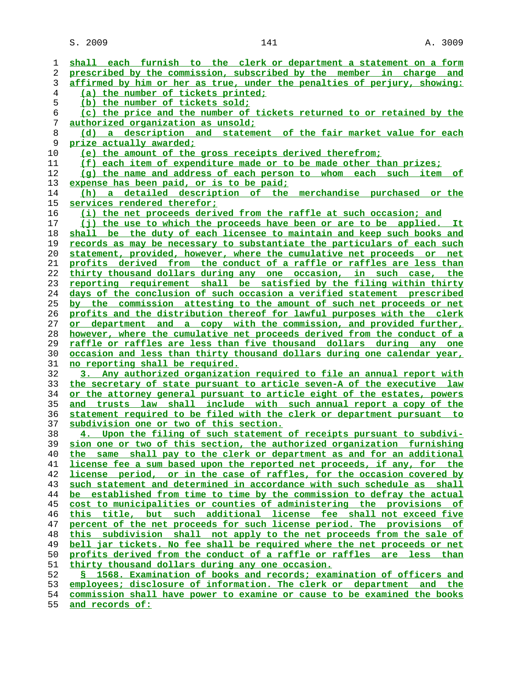$S. 2009$  and  $141$  and  $A. 3009$ 

**shall each furnish to the clerk or department a statement on a form prescribed by the commission, subscribed by the member in charge and affirmed by him or her as true, under the penalties of perjury, showing: (a) the number of tickets printed; (b) the number of tickets sold; (c) the price and the number of tickets returned to or retained by the authorized organization as unsold; (d) a description and statement of the fair market value for each prize actually awarded; (e) the amount of the gross receipts derived therefrom; (f) each item of expenditure made or to be made other than prizes; (g) the name and address of each person to whom each such item of expense has been paid, or is to be paid; (h) a detailed description of the merchandise purchased or the services rendered therefor; (i) the net proceeds derived from the raffle at such occasion; and (j) the use to which the proceeds have been or are to be applied. It shall be the duty of each licensee to maintain and keep such books and records as may be necessary to substantiate the particulars of each such statement, provided, however, where the cumulative net proceeds or net profits derived from the conduct of a raffle or raffles are less than thirty thousand dollars during any one occasion, in such case, the reporting requirement shall be satisfied by the filing within thirty days of the conclusion of such occasion a verified statement prescribed by the commission attesting to the amount of such net proceeds or net profits and the distribution thereof for lawful purposes with the clerk or department and a copy with the commission, and provided further, however, where the cumulative net proceeds derived from the conduct of a raffle or raffles are less than five thousand dollars during any one occasion and less than thirty thousand dollars during one calendar year, no reporting shall be required. 3. Any authorized organization required to file an annual report with the secretary of state pursuant to article seven-A of the executive law or the attorney general pursuant to article eight of the estates, powers and trusts law shall include with such annual report a copy of the statement required to be filed with the clerk or department pursuant to subdivision one or two of this section. 4. Upon the filing of such statement of receipts pursuant to subdivi- sion one or two of this section, the authorized organization furnishing the same shall pay to the clerk or department as and for an additional license fee a sum based upon the reported net proceeds, if any, for the license period, or in the case of raffles, for the occasion covered by such statement and determined in accordance with such schedule as shall be established from time to time by the commission to defray the actual cost to municipalities or counties of administering the provisions of this title, but such additional license fee shall not exceed five percent of the net proceeds for such license period. The provisions of this subdivision shall not apply to the net proceeds from the sale of bell jar tickets. No fee shall be required where the net proceeds or net profits derived from the conduct of a raffle or raffles are less than thirty thousand dollars during any one occasion. § 1568. Examination of books and records; examination of officers and employees; disclosure of information. The clerk or department and the commission shall have power to examine or cause to be examined the books**

**and records of:**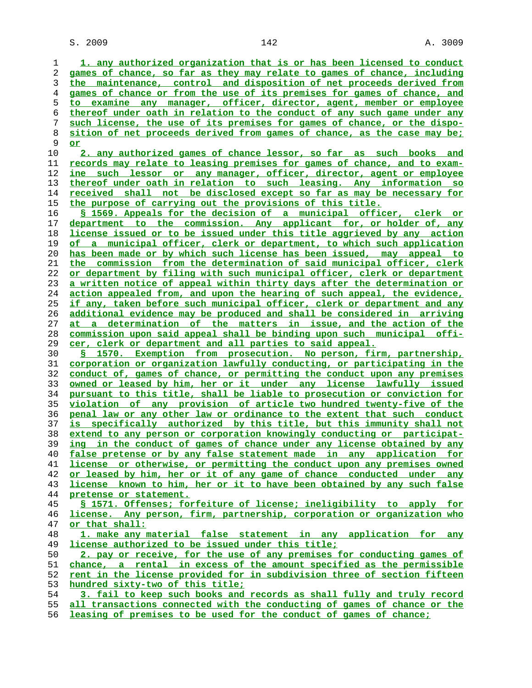$S. 2009$  and  $142$  and  $142$  and  $142$  and  $142$  and  $142$  and  $142$  and  $142$  and  $142$  and  $142$  and  $142$  and  $142$  and  $142$  and  $142$  and  $142$  and  $142$  and  $142$  and  $142$  and  $142$  and  $142$  and  $142$  and  $142$  a

**1. any authorized organization that is or has been licensed to conduct games of chance, so far as they may relate to games of chance, including the maintenance, control and disposition of net proceeds derived from games of chance or from the use of its premises for games of chance, and to examine any manager, officer, director, agent, member or employee thereof under oath in relation to the conduct of any such game under any such license, the use of its premises for games of chance, or the dispo- sition of net proceeds derived from games of chance, as the case may be; or 2. any authorized games of chance lessor, so far as such books and records may relate to leasing premises for games of chance, and to exam- ine such lessor or any manager, officer, director, agent or employee thereof under oath in relation to such leasing. Any information so received shall not be disclosed except so far as may be necessary for the purpose of carrying out the provisions of this title. § 1569. Appeals for the decision of a municipal officer, clerk or department to the commission. Any applicant for, or holder of, any license issued or to be issued under this title aggrieved by any action of a municipal officer, clerk or department, to which such application has been made or by which such license has been issued, may appeal to the commission from the determination of said municipal officer, clerk or department by filing with such municipal officer, clerk or department a written notice of appeal within thirty days after the determination or action appealed from, and upon the hearing of such appeal, the evidence, if any, taken before such municipal officer, clerk or department and any additional evidence may be produced and shall be considered in arriving at a determination of the matters in issue, and the action of the commission upon said appeal shall be binding upon such municipal offi- cer, clerk or department and all parties to said appeal. § 1570. Exemption from prosecution. No person, firm, partnership, corporation or organization lawfully conducting, or participating in the conduct of, games of chance, or permitting the conduct upon any premises owned or leased by him, her or it under any license lawfully issued pursuant to this title, shall be liable to prosecution or conviction for violation of any provision of article two hundred twenty-five of the penal law or any other law or ordinance to the extent that such conduct is specifically authorized by this title, but this immunity shall not extend to any person or corporation knowingly conducting or participat- ing in the conduct of games of chance under any license obtained by any false pretense or by any false statement made in any application for license or otherwise, or permitting the conduct upon any premises owned or leased by him, her or it of any game of chance conducted under any license known to him, her or it to have been obtained by any such false pretense or statement. § 1571. Offenses; forfeiture of license; ineligibility to apply for license. Any person, firm, partnership, corporation or organization who or that shall: 1. make any material false statement in any application for any license authorized to be issued under this title; 2. pay or receive, for the use of any premises for conducting games of chance, a rental in excess of the amount specified as the permissible rent in the license provided for in subdivision three of section fifteen hundred sixty-two of this title; 3. fail to keep such books and records as shall fully and truly record all transactions connected with the conducting of games of chance or the**

**leasing of premises to be used for the conduct of games of chance;**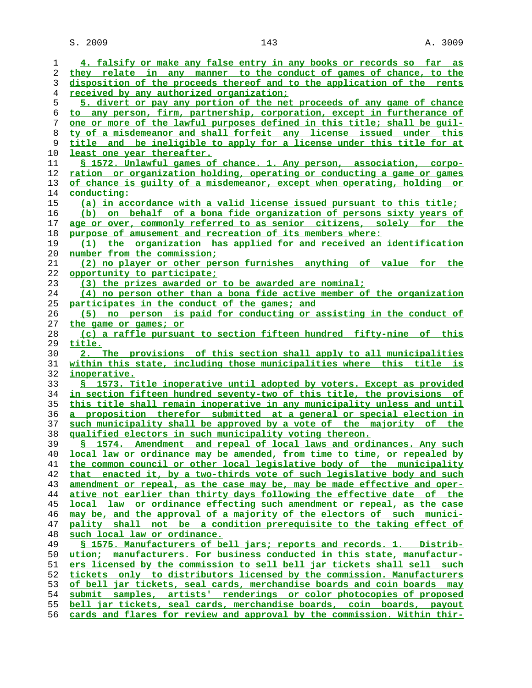S. 2009 143 A. 3009

| 1  | 4. falsify or make any false entry in any books or records so far as           |
|----|--------------------------------------------------------------------------------|
| 2  | they relate in any manner to the conduct of games of chance, to the            |
| 3  | disposition of the proceeds thereof and to the application of the rents        |
|    |                                                                                |
| 4  | <u>received by any authorized organization;</u>                                |
| 5  | 5. divert or pay any portion of the net proceeds of any game of chance         |
| 6  | to any person, firm, partnership, corporation, except in furtherance of        |
| 7  | one or more of the lawful purposes defined in this title; shall be quil-       |
| 8  | ty of a misdemeanor and shall forfeit any license issued under this            |
|    |                                                                                |
| 9  | title and be ineligible to apply for a license under this title for at         |
| 10 | least one year thereafter.                                                     |
| 11 | § 1572. Unlawful games of chance. 1. Any person, association, corpo-           |
| 12 | ration or organization holding, operating or conducting a game or games        |
| 13 | of chance is guilty of a misdemeanor, except when operating, holding or        |
| 14 | <u>conducting:</u>                                                             |
|    |                                                                                |
| 15 | (a) in accordance with a valid license issued pursuant to this title;          |
| 16 | (b) on behalf of a bona fide organization of persons sixty years of            |
| 17 | age or over, commonly referred to as senior citizens, solely for the           |
| 18 | purpose of amusement and recreation of its members where:                      |
| 19 | (1) the organization has applied for and received an identification            |
|    |                                                                                |
| 20 | <u>number from the commission;</u>                                             |
| 21 | (2) no player or other person furnishes anything of value for the              |
| 22 | opportunity to participate;                                                    |
| 23 | (3) the prizes awarded or to be awarded are nominal;                           |
| 24 | (4) no person other than a bona fide active member of the organization         |
|    |                                                                                |
| 25 | <u>participates in the conduct of the games; and</u>                           |
| 26 | (5) no person is paid for conducting or assisting in the conduct of            |
| 27 | the game or games; or                                                          |
| 28 | (c) a raffle pursuant to section fifteen hundred fifty-nine of this            |
| 29 | title.                                                                         |
| 30 | 2. The provisions of this section shall apply to all municipalities            |
|    | within this state, including those municipalities where this title is          |
| 31 |                                                                                |
| 32 | inoperative.                                                                   |
| 33 | § 1573. Title inoperative until adopted by voters. Except as provided          |
| 34 | <u>in section fifteen hundred seventy-two of this title, the provisions of</u> |
| 35 | this title shall remain inoperative in any municipality unless and until       |
| 36 | a proposition therefor submitted at a general or special election in           |
| 37 | such municipality shall be approved by a vote of the majority of the           |
|    |                                                                                |
| 38 | qualified electors in such municipality voting thereon.                        |
| 39 | \$ 1574. Amendment and repeal of local laws and ordinances. Any such           |
| 40 | local law or ordinance may be amended, from time to time, or repealed by       |
| 41 | the common council or other local legislative body of the municipality         |
| 42 | that enacted it, by a two-thirds vote of such legislative body and such        |
| 43 | amendment or repeal, as the case may be, may be made effective and oper-       |
|    | ative not earlier than thirty days following the effective date of the         |
| 44 |                                                                                |
| 45 | local law or ordinance effecting such amendment or repeal, as the case         |
| 46 | may be, and the approval of a majority of the electors of such munici-         |
| 47 | pality shall not be a condition prerequisite to the taking effect of           |
| 48 | such local law or ordinance.                                                   |
| 49 | § 1575. Manufacturers of bell jars; reports and records. 1. Distrib-           |
|    |                                                                                |
| 50 | ution; manufacturers. For business conducted in this state, manufactur-        |
| 51 | ers licensed by the commission to sell bell jar tickets shall sell such        |
| 52 | tickets only to distributors licensed by the commission. Manufacturers         |
| 53 | of bell jar tickets, seal cards, merchandise boards and coin boards may        |
| 54 | submit samples, artists' renderings or color photocopies of proposed           |
| 55 | bell jar tickets, seal cards, merchandise boards, coin boards, payout          |
| 56 | cards and flares for review and approval by the commission. Within thir-       |
|    |                                                                                |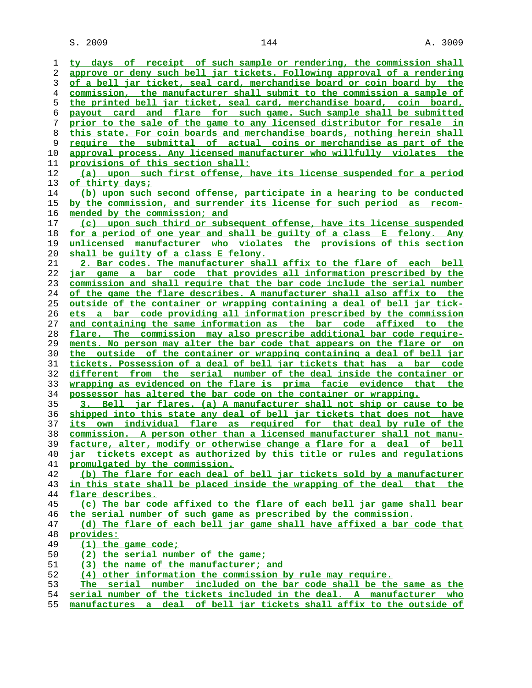S. 2009 144 A. 3009

| ı        |                                                                                                                                              |
|----------|----------------------------------------------------------------------------------------------------------------------------------------------|
|          | ty days of receipt of such sample or rendering, the commission shall                                                                         |
| 2        | approve or deny such bell jar tickets. Following approval of a rendering                                                                     |
| 3        | of a bell jar ticket, seal card, merchandise board or coin board by the                                                                      |
| 4        | commission, the manufacturer shall submit to the commission a sample of                                                                      |
| 5        | the printed bell jar ticket, seal card, merchandise board, coin board,                                                                       |
| 6        | payout card and flare for such game. Such sample shall be submitted                                                                          |
| 7        | prior to the sale of the game to any licensed distributor for resale in                                                                      |
| 8        | this state. For coin boards and merchandise boards, nothing herein shall                                                                     |
| 9        | require the submittal of actual coins or merchandise as part of the                                                                          |
| 10       | approval process. Any licensed manufacturer who willfully violates the                                                                       |
| 11       | provisions of this section shall:                                                                                                            |
| 12       | (a) upon such first offense, have its license suspended for a period                                                                         |
| 13       | of thirty days;                                                                                                                              |
| 14       | (b) upon such second offense, participate in a hearing to be conducted                                                                       |
| 15       | by the commission, and surrender its license for such period as recom-                                                                       |
| 16       | mended by the commission; and                                                                                                                |
| 17       | (c) upon such third or subsequent offense, have its license suspended                                                                        |
| 18       | for a period of one year and shall be guilty of a class E felony. Any                                                                        |
| 19       | unlicensed manufacturer who violates the provisions of this section                                                                          |
| 20       | shall be quilty of a class E felony.                                                                                                         |
| 21       | 2. Bar codes. The manufacturer shall affix to the flare of each bell                                                                         |
| 22       | game a bar code that provides all information prescribed by the<br>iar                                                                       |
| 23       | commission and shall require that the bar code include the serial number                                                                     |
| 24       | of the game the flare describes. A manufacturer shall also affix to the                                                                      |
| 25       | outside of the container or wrapping containing a deal of bell jar tick-                                                                     |
| 26       | ets a bar code providing all information prescribed by the commission                                                                        |
| 27       | and containing the same information as the bar code affixed to the                                                                           |
| 28       | flare. The commission may also prescribe additional bar code require-                                                                        |
| 29       | ments. No person may alter the bar code that appears on the flare or on                                                                      |
| 30       | the outside of the container or wrapping containing a deal of bell jar                                                                       |
| 31       | tickets. Possession of a deal of bell jar tickets that has a bar code                                                                        |
| 32       | different from the serial number of the deal inside the container or                                                                         |
| 33       |                                                                                                                                              |
|          | wrapping as evidenced on the flare is prima facie evidence that the                                                                          |
| 34       | possessor has altered the bar code on the container or wrapping.                                                                             |
| 35       | 3. Bell jar flares. (a) A manufacturer shall not ship or cause to be                                                                         |
| 36       | shipped into this state any deal of bell jar tickets that does not have                                                                      |
| 37       | its own individual flare as required for that deal by rule of the                                                                            |
| 38       | commission. A person other than a licensed manufacturer shall not manu-                                                                      |
| 39       | facture, alter, modify or otherwise change a flare for a deal of bell                                                                        |
| 40       | jar tickets except as authorized by this title or rules and regulations                                                                      |
| 41       | promulgated by the commission.                                                                                                               |
| 42       | (b) The flare for each deal of bell jar tickets sold by a manufacturer                                                                       |
| 43       | in this state shall be placed inside the wrapping of the deal that the                                                                       |
| 44       | flare describes.                                                                                                                             |
| 45       | (c) The bar code affixed to the flare of each bell jar game shall bear                                                                       |
| 46       | the serial number of such game as prescribed by the commission.                                                                              |
| 47       | (d) The flare of each bell jar game shall have affixed a bar code that                                                                       |
| 48       | provides:                                                                                                                                    |
| 49       | (1) the game code;                                                                                                                           |
| 50       | (2) the serial number of the game;                                                                                                           |
| 51       | (3) the name of the manufacturer; and                                                                                                        |
| 52       | (4) other information the commission by rule may require.                                                                                    |
| 53<br>54 | The serial number included on the bar code shall be the same as the<br>serial number of the tickets included in the deal. A manufacturer who |

**manufactures a deal of bell jar tickets shall affix to the outside of**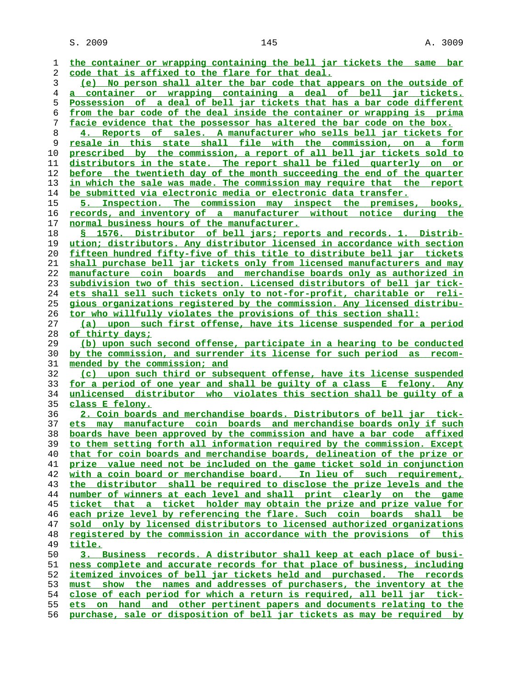**the container or wrapping containing the bell jar tickets the same bar code that is affixed to the flare for that deal. (e) No person shall alter the bar code that appears on the outside of a container or wrapping containing a deal of bell jar tickets. Possession of a deal of bell jar tickets that has a bar code different from the bar code of the deal inside the container or wrapping is prima facie evidence that the possessor has altered the bar code on the box. 4. Reports of sales. A manufacturer who sells bell jar tickets for resale in this state shall file with the commission, on a form prescribed by the commission, a report of all bell jar tickets sold to distributors in the state. The report shall be filed quarterly on or before the twentieth day of the month succeeding the end of the quarter in which the sale was made. The commission may require that the report be submitted via electronic media or electronic data transfer. 5. Inspection. The commission may inspect the premises, books, records, and inventory of a manufacturer without notice during the normal business hours of the manufacturer. § 1576. Distributor of bell jars; reports and records. 1. Distrib- ution; distributors. Any distributor licensed in accordance with section fifteen hundred fifty-five of this title to distribute bell jar tickets shall purchase bell jar tickets only from licensed manufacturers and may manufacture coin boards and merchandise boards only as authorized in subdivision two of this section. Licensed distributors of bell jar tick- ets shall sell such tickets only to not-for-profit, charitable or reli- gious organizations registered by the commission. Any licensed distribu- tor who willfully violates the provisions of this section shall: (a) upon such first offense, have its license suspended for a period of thirty days; (b) upon such second offense, participate in a hearing to be conducted by the commission, and surrender its license for such period as recom- mended by the commission; and (c) upon such third or subsequent offense, have its license suspended for a period of one year and shall be guilty of a class E felony. Any unlicensed distributor who violates this section shall be guilty of a class E felony. 2. Coin boards and merchandise boards. Distributors of bell jar tick- ets may manufacture coin boards and merchandise boards only if such boards have been approved by the commission and have a bar code affixed to them setting forth all information required by the commission. Except that for coin boards and merchandise boards, delineation of the prize or prize value need not be included on the game ticket sold in conjunction with a coin board or merchandise board. In lieu of such requirement, the distributor shall be required to disclose the prize levels and the number of winners at each level and shall print clearly on the game ticket that a ticket holder may obtain the prize and prize value for each prize level by referencing the flare. Such coin boards shall be sold only by licensed distributors to licensed authorized organizations registered by the commission in accordance with the provisions of this title. 3. Business records. A distributor shall keep at each place of busi- ness complete and accurate records for that place of business, including itemized invoices of bell jar tickets held and purchased. The records must show the names and addresses of purchasers, the inventory at the close of each period for which a return is required, all bell jar tick- ets on hand and other pertinent papers and documents relating to the**

**purchase, sale or disposition of bell jar tickets as may be required by**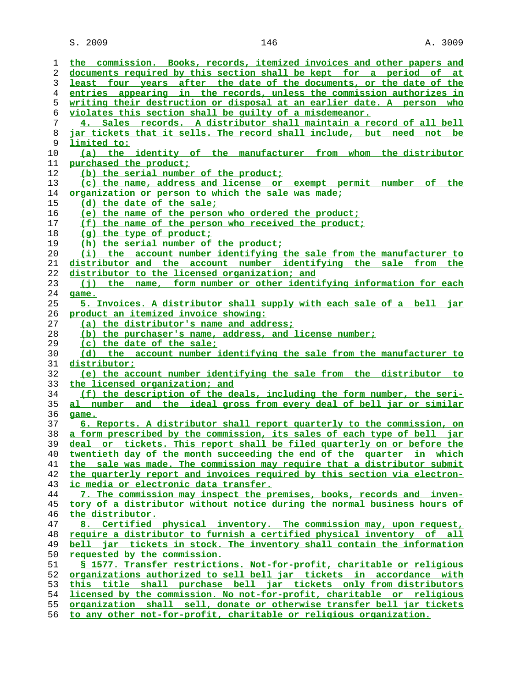S. 2009 146 146 A. 3009

| ı  | the commission. Books, records, itemized invoices and other papers and        |
|----|-------------------------------------------------------------------------------|
| 2  | documents required by this section shall be kept for a period of at           |
| 3  | least four years after the date of the documents, or the date of the          |
| 4  | entries appearing in the records, unless the commission authorizes in         |
| 5  | writing their destruction or disposal at an earlier date. A person who        |
| 6  | violates this section shall be quilty of a misdemeanor.                       |
| 7  | 4. Sales records. A distributor shall maintain a record of all bell           |
| 8  | jar tickets that it sells. The record shall include, but need not be          |
| 9  | limited to:                                                                   |
| 10 | (a) the identity of the manufacturer from whom the distributor                |
| 11 | purchased the product;                                                        |
| 12 |                                                                               |
|    | (b) the serial number of the product;                                         |
| 13 | (c) the name, address and license or exempt permit number of the              |
| 14 | organization or person to which the sale was made;                            |
| 15 | (d) the date of the sale;                                                     |
| 16 | (e) the name of the person who ordered the product;                           |
| 17 | (f) the name of the person who received the product;                          |
| 18 | $(q)$ the type of product;                                                    |
| 19 | (h) the serial number of the product;                                         |
| 20 | (i) the account number identifying the sale from the manufacturer to          |
| 21 | distributor and the account number identifying the sale from the              |
| 22 | distributor to the licensed organization; and                                 |
| 23 | (j) the name, form number or other identifying information for each           |
| 24 | game.                                                                         |
| 25 | 5. Invoices. A distributor shall supply with each sale of a bell jar          |
| 26 | product an itemized invoice showing:                                          |
| 27 | (a) the distributor's name and address;                                       |
| 28 | (b) the purchaser's name, address, and license number;                        |
| 29 | (c) the date of the sale;                                                     |
| 30 | (d) the account number identifying the sale from the manufacturer to          |
| 31 | distributor;                                                                  |
| 32 | (e) the account number identifying the sale from the distributor to           |
| 33 | the licensed organization; and                                                |
| 34 | (f) the description of the deals, including the form number, the seri-        |
| 35 | <u>al number and the ideal gross from every deal of bell jar or similar</u>   |
| 36 | game.                                                                         |
| 37 | <u>6. Reports. A distributor shall report quarterly to the commission, on</u> |
| 38 | a form prescribed by the commission, its sales of each type of bell jar       |
| 39 | deal or tickets. This report shall be filed quarterly on or before the        |
| 40 | twentieth day of the month succeeding the end of the quarter in which         |
| 41 | the sale was made. The commission may require that a distributor submit       |
|    |                                                                               |
| 42 | the quarterly report and invoices required by this section via electron-      |
| 43 | <u>ic media or electronic data transfer.</u>                                  |
| 44 | 7. The commission may inspect the premises, books, records and inven-         |
| 45 | tory of a distributor without notice during the normal business hours of      |
| 46 | the distributor.                                                              |
| 47 | 8. Certified physical inventory. The commission may, upon request,            |
| 48 | require a distributor to furnish a certified physical inventory of all        |
| 49 | bell jar tickets in stock. The inventory shall contain the information        |
| 50 | requested by the commission.                                                  |
| 51 | § 1577. Transfer restrictions. Not-for-profit, charitable or religious        |
| 52 | organizations authorized to sell bell jar tickets in accordance with          |
| 53 | this title shall purchase bell jar tickets only from distributors             |
| 54 | licensed by the commission. No not-for-profit, charitable or religious        |
| 55 | <u>organization shall sell, donate or otherwise transfer bell jar tickets</u> |
| 56 | to any other not-for-profit, charitable or religious organization.            |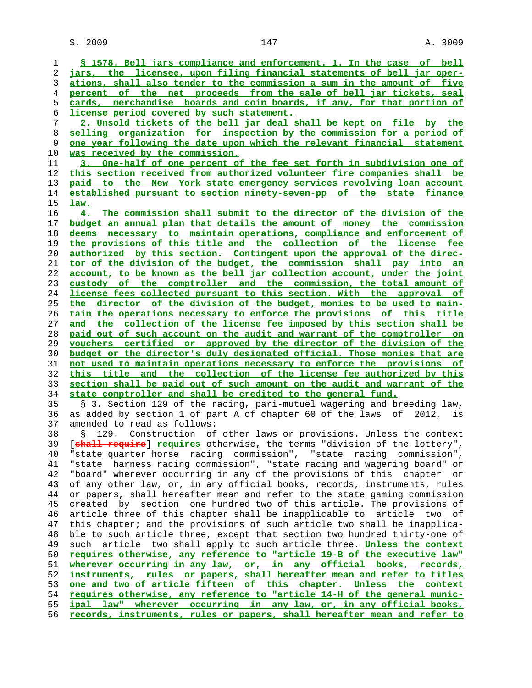**§ 1578. Bell jars compliance and enforcement. 1. In the case of bell jars, the licensee, upon filing financial statements of bell jar oper- ations, shall also tender to the commission a sum in the amount of five percent of the net proceeds from the sale of bell jar tickets, seal cards, merchandise boards and coin boards, if any, for that portion of license period covered by such statement. 2. Unsold tickets of the bell jar deal shall be kept on file by the selling organization for inspection by the commission for a period of one year following the date upon which the relevant financial statement was received by the commission. 3. One-half of one percent of the fee set forth in subdivision one of this section received from authorized volunteer fire companies shall be paid to the New York state emergency services revolving loan account established pursuant to section ninety-seven-pp of the state finance law. 4. The commission shall submit to the director of the division of the budget an annual plan that details the amount of money the commission deems necessary to maintain operations, compliance and enforcement of the provisions of this title and the collection of the license fee authorized by this section. Contingent upon the approval of the direc- tor of the division of the budget, the commission shall pay into an account, to be known as the bell jar collection account, under the joint custody of the comptroller and the commission, the total amount of license fees collected pursuant to this section. With the approval of the director of the division of the budget, monies to be used to main- tain the operations necessary to enforce the provisions of this title and the collection of the license fee imposed by this section shall be paid out of such account on the audit and warrant of the comptroller on vouchers certified or approved by the director of the division of the budget or the director's duly designated official. Those monies that are not used to maintain operations necessary to enforce the provisions of this title and the collection of the license fee authorized by this section shall be paid out of such amount on the audit and warrant of the state comptroller and shall be credited to the general fund.** 35 § 3. Section 129 of the racing, pari-mutuel wagering and breeding law, 36 as added by section 1 of part A of chapter 60 of the laws of 2012, is 37 amended to read as follows: 38 § 129. Construction of other laws or provisions. Unless the context 39 [**shall require**] **requires** otherwise, the terms "division of the lottery", 40 "state quarter horse racing commission", "state racing commission", 41 "state harness racing commission", "state racing and wagering board" or 42 "board" wherever occurring in any of the provisions of this chapter or 43 of any other law, or, in any official books, records, instruments, rules 44 or papers, shall hereafter mean and refer to the state gaming commission 45 created by section one hundred two of this article. The provisions of 46 article three of this chapter shall be inapplicable to article two of 47 this chapter; and the provisions of such article two shall be inapplica- 48 ble to such article three, except that section two hundred thirty-one of 49 such article two shall apply to such article three. **Unless the context requires otherwise, any reference to "article 19-B of the executive law" wherever occurring in any law, or, in any official books, records, instruments, rules or papers, shall hereafter mean and refer to titles one and two of article fifteen of this chapter. Unless the context requires otherwise, any reference to "article 14-H of the general munic- ipal law" wherever occurring in any law, or, in any official books, records, instruments, rules or papers, shall hereafter mean and refer to**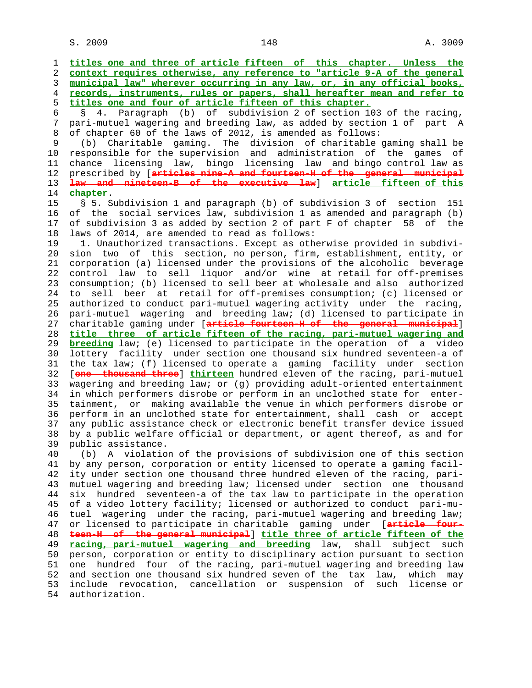$S. 2009$  and  $148$  and  $148$  and  $148$  and  $148$  and  $148$  and  $148$  and  $148$  and  $148$  and  $148$  and  $148$  and  $148$  and  $148$  and  $148$  and  $148$  and  $148$  and  $148$  and  $148$  and  $148$  and  $148$  and  $148$  and  $148$  a

 1 **titles one and three of article fifteen of this chapter. Unless the** 2 **context requires otherwise, any reference to "article 9-A of the general** 3 **municipal law" wherever occurring in any law, or, in any official books,** 4 **records, instruments, rules or papers, shall hereafter mean and refer to** 5 **titles one and four of article fifteen of this chapter.** 6 § 4. Paragraph (b) of subdivision 2 of section 103 of the racing, 7 pari-mutuel wagering and breeding law, as added by section 1 of part A 8 of chapter 60 of the laws of 2012, is amended as follows: 9 (b) Charitable gaming. The division of charitable gaming shall be 10 responsible for the supervision and administration of the games of 11 chance licensing law, bingo licensing law and bingo control law as 12 prescribed by [**articles nine-A and fourteen-H of the general municipal** 13 **law and nineteen-B of the executive law**] **article fifteen of this** 14 **chapter**. 15 § 5. Subdivision 1 and paragraph (b) of subdivision 3 of section 151 16 of the social services law, subdivision 1 as amended and paragraph (b) 17 of subdivision 3 as added by section 2 of part F of chapter 58 of the 18 laws of 2014, are amended to read as follows: 19 1. Unauthorized transactions. Except as otherwise provided in subdivi- 20 sion two of this section, no person, firm, establishment, entity, or 21 corporation (a) licensed under the provisions of the alcoholic beverage 22 control law to sell liquor and/or wine at retail for off-premises 23 consumption; (b) licensed to sell beer at wholesale and also authorized 24 to sell beer at retail for off-premises consumption; (c) licensed or 25 authorized to conduct pari-mutuel wagering activity under the racing, 26 pari-mutuel wagering and breeding law; (d) licensed to participate in 27 charitable gaming under [**article fourteen-H of the general municipal**] 28 **title three of article fifteen of the racing, pari-mutuel wagering and** 29 **breeding** law; (e) licensed to participate in the operation of a video 30 lottery facility under section one thousand six hundred seventeen-a of 31 the tax law; (f) licensed to operate a gaming facility under section 32 [**one thousand three**] **thirteen** hundred eleven of the racing, pari-mutuel 33 wagering and breeding law; or (g) providing adult-oriented entertainment 34 in which performers disrobe or perform in an unclothed state for enter- 35 tainment, or making available the venue in which performers disrobe or 36 perform in an unclothed state for entertainment, shall cash or accept 37 any public assistance check or electronic benefit transfer device issued 38 by a public welfare official or department, or agent thereof, as and for 39 public assistance. 40 (b) A violation of the provisions of subdivision one of this section 41 by any person, corporation or entity licensed to operate a gaming facil- 42 ity under section one thousand three hundred eleven of the racing, pari- 43 mutuel wagering and breeding law; licensed under section one thousand 44 six hundred seventeen-a of the tax law to participate in the operation 45 of a video lottery facility; licensed or authorized to conduct pari-mu- 46 tuel wagering under the racing, pari-mutuel wagering and breeding law; 47 or licensed to participate in charitable gaming under [**article four-** 48 **teen-H of the general municipal**] **title three of article fifteen of the** 49 **racing, pari-mutuel wagering and breeding** law, shall subject such 50 person, corporation or entity to disciplinary action pursuant to section 51 one hundred four of the racing, pari-mutuel wagering and breeding law 52 and section one thousand six hundred seven of the tax law, which may 53 include revocation, cancellation or suspension of such license or 54 authorization.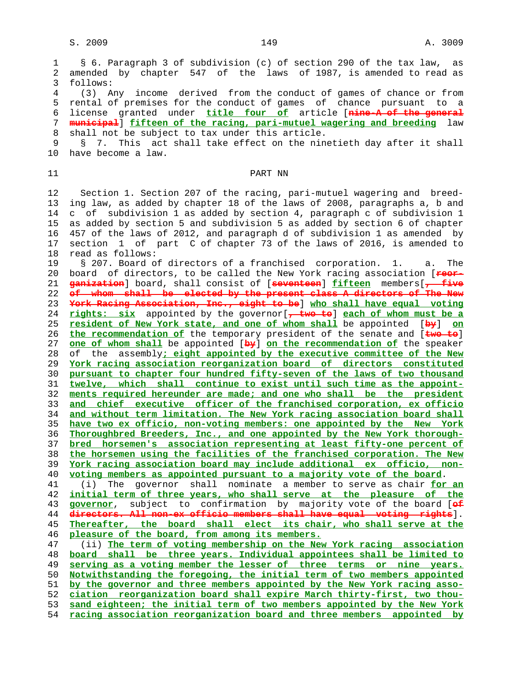1 § 6. Paragraph 3 of subdivision (c) of section 290 of the tax law, as 2 amended by chapter 547 of the laws of 1987, is amended to read as 3 follows: 4 (3) Any income derived from the conduct of games of chance or from 5 rental of premises for the conduct of games of chance pursuant to a 6 license granted under **title four of** article [**nine-A of the general** 7 **municipal**] **fifteen of the racing, pari-mutuel wagering and breeding** law 8 shall not be subject to tax under this article. 9 § 7. This act shall take effect on the ninetieth day after it shall 10 have become a law. 11 PART NN 12 Section 1. Section 207 of the racing, pari-mutuel wagering and breed- 13 ing law, as added by chapter 18 of the laws of 2008, paragraphs a, b and 14 c of subdivision 1 as added by section 4, paragraph c of subdivision 1 15 as added by section 5 and subdivision 5 as added by section 6 of chapter 16 457 of the laws of 2012, and paragraph d of subdivision 1 as amended by 17 section 1 of part C of chapter 73 of the laws of 2016, is amended to 18 read as follows: 19 § 207. Board of directors of a franchised corporation. 1. a. The 20 board of directors, to be called the New York racing association [**reor-** 21 **ganization**] board, shall consist of [**seventeen**] **fifteen** members[**, five** 22 **of whom shall be elected by the present class A directors of The New** 23 **York Racing Association, Inc., eight to be**] **who shall have equal voting** 24 **rights: six** appointed by the governor[**, two to**] **each of whom must be a** 25 **resident of New York state, and one of whom shall** be appointed [**by**] **on** 26 **the recommendation of** the temporary president of the senate and [**two to**] 27 **one of whom shall** be appointed [**by**] **on the recommendation of** the speaker 28 of the assembly**; eight appointed by the executive committee of the New** 29 **York racing association reorganization board of directors constituted** 30 **pursuant to chapter four hundred fifty-seven of the laws of two thousand** 31 **twelve, which shall continue to exist until such time as the appoint-** 32 **ments required hereunder are made; and one who shall be the president** 33 **and chief executive officer of the franchised corporation, ex officio** 34 **and without term limitation. The New York racing association board shall** 35 **have two ex officio, non-voting members: one appointed by the New York** 36 **Thoroughbred Breeders, Inc., and one appointed by the New York thorough-** 37 **bred horsemen's association representing at least fifty-one percent of** 38 **the horsemen using the facilities of the franchised corporation. The New** 39 **York racing association board may include additional ex officio, non-** 40 **voting members as appointed pursuant to a majority vote of the board**. 41 (i) The governor shall nominate a member to serve as chair **for an** 42 **initial term of three years, who shall serve at the pleasure of the** 43 **governor**, subject to confirmation by majority vote of the board [**of** 44 **directors. All non-ex officio members shall have equal voting rights**]. 45 **Thereafter, the board shall elect its chair, who shall serve at the** 46 **pleasure of the board, from among its members.** 47 (ii) **The term of voting membership on the New York racing association** 48 **board shall be three years. Individual appointees shall be limited to** 49 **serving as a voting member the lesser of three terms or nine years.** 50 **Notwithstanding the foregoing, the initial term of two members appointed** 51 **by the governor and three members appointed by the New York racing asso-** 52 **ciation reorganization board shall expire March thirty-first, two thou-** 53 **sand eighteen; the initial term of two members appointed by the New York** 54 **racing association reorganization board and three members appointed by**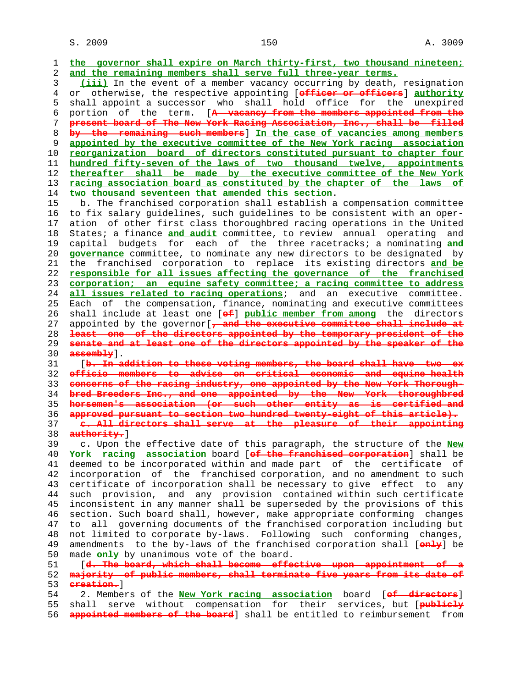$S. 2009$  and  $150$  and  $150$  and  $150$  and  $150$  and  $150$  and  $150$  and  $150$  and  $150$  and  $150$  and  $150$  and  $150$  and  $150$  and  $150$  and  $150$  and  $150$  and  $150$  and  $150$  and  $150$  and  $150$  and  $150$  and  $150$  a

 1 **the governor shall expire on March thirty-first, two thousand nineteen;** 2 **and the remaining members shall serve full three-year terms.** 3 **(iii)** In the event of a member vacancy occurring by death, resignation 4 or otherwise, the respective appointing [**officer or officers**] **authority** 5 shall appoint a successor who shall hold office for the unexpired 6 portion of the term. [**A vacancy from the members appointed from the** 7 **present board of The New York Racing Association, Inc., shall be filled** 8 **by the remaining such members**] **In the case of vacancies among members** 9 **appointed by the executive committee of the New York racing association** 10 **reorganization board of directors constituted pursuant to chapter four** 11 **hundred fifty-seven of the laws of two thousand twelve, appointments** 12 **thereafter shall be made by the executive committee of the New York** 13 **racing association board as constituted by the chapter of the laws of** 14 **two thousand seventeen that amended this section**. 15 b. The franchised corporation shall establish a compensation committee 16 to fix salary guidelines, such guidelines to be consistent with an oper- 17 ation of other first class thoroughbred racing operations in the United 18 States; a finance **and audit** committee, to review annual operating and 19 capital budgets for each of the three racetracks; a nominating **and** 20 **governance** committee, to nominate any new directors to be designated by 21 the franchised corporation to replace its existing directors **and be** 22 **responsible for all issues affecting the governance of the franchised** 23 **corporation; an equine safety committee; a racing committee to address** 24 **all issues related to racing operations**; and an executive committee. 25 Each of the compensation, finance, nominating and executive committees 26 shall include at least one [**of**] **public member from among** the directors 27 appointed by the governor[**, and the executive committee shall include at** 28 **least one of the directors appointed by the temporary president of the** 29 **senate and at least one of the directors appointed by the speaker of the** 30 **assembly**]. 31 [b. In addition to these voting members, the board shall have two 32 **officio members to advise on critical economic and equine health** 33 **concerns of the racing industry, one appointed by the New York Thorough-** 34 **bred Breeders Inc., and one appointed by the New York thoroughbred** 35 **horsemen's association (or such other entity as is certified and** 36 **approved pursuant to section two hundred twenty-eight of this article).** 37 **c. All directors shall serve at the pleasure of their appointing** 38 **authority.**] 39 c. Upon the effective date of this paragraph, the structure of the **New** 40 **York racing association** board [**of the franchised corporation**] shall be 41 deemed to be incorporated within and made part of the certificate of 42 incorporation of the franchised corporation, and no amendment to such 43 certificate of incorporation shall be necessary to give effect to any 44 such provision, and any provision contained within such certificate 45 inconsistent in any manner shall be superseded by the provisions of this 46 section. Such board shall, however, make appropriate conforming changes 47 to all governing documents of the franchised corporation including but 48 not limited to corporate by-laws. Following such conforming changes, 49 amendments to the by-laws of the franchised corporation shall [**only**] be 50 made **only** by unanimous vote of the board. 51 [**d. The board, which shall become effective upon appointment of a** 52 **majority of public members, shall terminate five years from its date of** 53 **creation.**] 54 2. Members of the **New York racing association** board [**of directors**] 55 shall serve without compensation for their services, but [**publicly** 56 **appointed members of the board**] shall be entitled to reimbursement from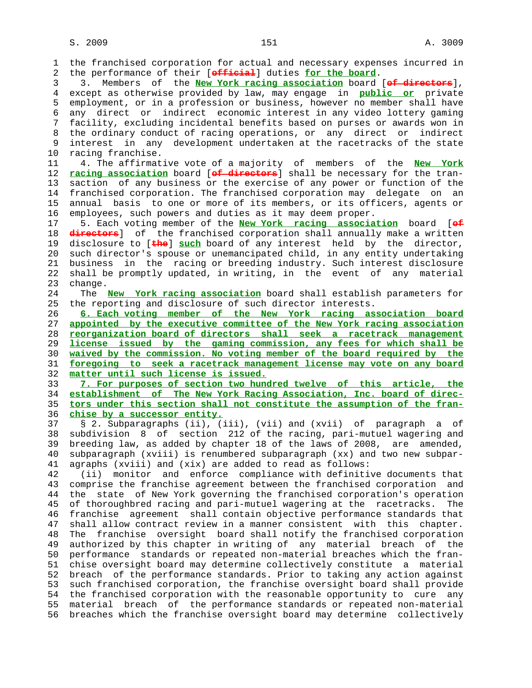1 the franchised corporation for actual and necessary expenses incurred in 2 the performance of their [**official**] duties **for the board**. 3 3. Members of the **New York racing association** board [**of directors**], 4 except as otherwise provided by law, may engage in **public or** private 5 employment, or in a profession or business, however no member shall have 6 any direct or indirect economic interest in any video lottery gaming 7 facility, excluding incidental benefits based on purses or awards won in 8 the ordinary conduct of racing operations, or any direct or indirect interest in any development undertaken at the racetracks of the state 10 racing franchise. 11 4. The affirmative vote of a majority of members of the **New York** 12 **racing association** board [**of directors**] shall be necessary for the tran- 13 saction of any business or the exercise of any power or function of the 14 franchised corporation. The franchised corporation may delegate on an 15 annual basis to one or more of its members, or its officers, agents or 16 employees, such powers and duties as it may deem proper. 17 5. Each voting member of the **New York racing association** board [**of** 18 **directors**] of the franchised corporation shall annually make a written 19 disclosure to [**the**] **such** board of any interest held by the director, 20 such director's spouse or unemancipated child, in any entity undertaking 21 business in the racing or breeding industry. Such interest disclosure 22 shall be promptly updated, in writing, in the event of any material 23 change. 24 The **New York racing association** board shall establish parameters for 25 the reporting and disclosure of such director interests. 26 **6. Each voting member of the New York racing association board** 27 **appointed by the executive committee of the New York racing association** 28 **reorganization board of directors shall seek a racetrack management** 29 **license issued by the gaming commission, any fees for which shall be** 30 **waived by the commission. No voting member of the board required by the** 31 **foregoing to seek a racetrack management license may vote on any board** 32 **matter until such license is issued.** 33 **7. For purposes of section two hundred twelve of this article, the** 34 **establishment of The New York Racing Association, Inc. board of direc-** 35 **tors under this section shall not constitute the assumption of the fran-** 36 **chise by a successor entity.** 37 § 2. Subparagraphs (ii), (iii), (vii) and (xvii) of paragraph a of 38 subdivision 8 of section 212 of the racing, pari-mutuel wagering and 39 breeding law, as added by chapter 18 of the laws of 2008, are amended, 40 subparagraph (xviii) is renumbered subparagraph (xx) and two new subpar- 41 agraphs (xviii) and (xix) are added to read as follows: 42 (ii) monitor and enforce compliance with definitive documents that 43 comprise the franchise agreement between the franchised corporation and 44 the state of New York governing the franchised corporation's operation 45 of thoroughbred racing and pari-mutuel wagering at the racetracks. The 46 franchise agreement shall contain objective performance standards that 47 shall allow contract review in a manner consistent with this chapter. 48 The franchise oversight board shall notify the franchised corporation 49 authorized by this chapter in writing of any material breach of the 50 performance standards or repeated non-material breaches which the fran- 51 chise oversight board may determine collectively constitute a material 52 breach of the performance standards. Prior to taking any action against 53 such franchised corporation, the franchise oversight board shall provide 54 the franchised corporation with the reasonable opportunity to cure any 55 material breach of the performance standards or repeated non-material 56 breaches which the franchise oversight board may determine collectively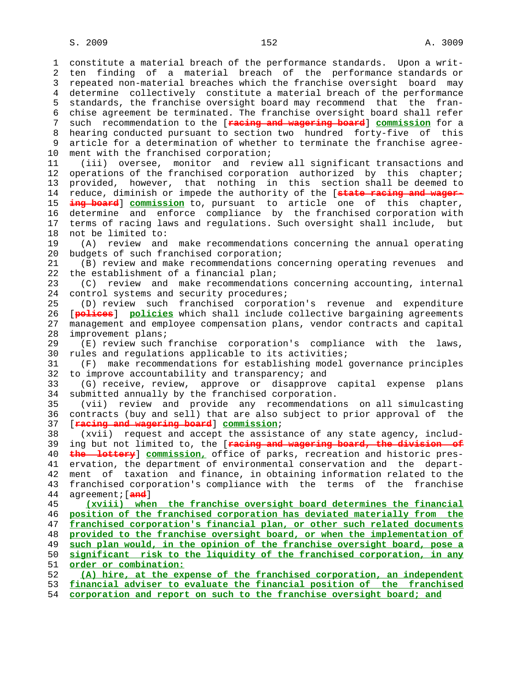1 constitute a material breach of the performance standards. Upon a writ- 2 ten finding of a material breach of the performance standards or 3 repeated non-material breaches which the franchise oversight board may 4 determine collectively constitute a material breach of the performance 5 standards, the franchise oversight board may recommend that the fran- 6 chise agreement be terminated. The franchise oversight board shall refer 7 such recommendation to the [**racing and wagering board**] **commission** for a 8 hearing conducted pursuant to section two hundred forty-five of this 9 article for a determination of whether to terminate the franchise agree- 10 ment with the franchised corporation; 11 (iii) oversee, monitor and review all significant transactions and 12 operations of the franchised corporation authorized by this chapter; 13 provided, however, that nothing in this section shall be deemed to 14 reduce, diminish or impede the authority of the [**state racing and wager-** 15 **ing board**] **commission** to, pursuant to article one of this chapter, 16 determine and enforce compliance by the franchised corporation with 17 terms of racing laws and regulations. Such oversight shall include, but 18 not be limited to: 19 (A) review and make recommendations concerning the annual operating 20 budgets of such franchised corporation; 21 (B) review and make recommendations concerning operating revenues and 22 the establishment of a financial plan; 23 (C) review and make recommendations concerning accounting, internal 24 control systems and security procedures; 25 (D) review such franchised corporation's revenue and expenditure 26 [**polices**] **policies** which shall include collective bargaining agreements 27 management and employee compensation plans, vendor contracts and capital 28 improvement plans; 29 (E) review such franchise corporation's compliance with the laws, 30 rules and regulations applicable to its activities; 31 (F) make recommendations for establishing model governance principles 32 to improve accountability and transparency; and 33 (G) receive, review, approve or disapprove capital expense plans 34 submitted annually by the franchised corporation. 35 (vii) review and provide any recommendations on all simulcasting 36 contracts (buy and sell) that are also subject to prior approval of the 37 [**racing and wagering board**] **commission**; 38 (xvii) request and accept the assistance of any state agency, includ- 39 ing but not limited to, the [**racing and wagering board, the division of** 40 **the lottery**] **commission,** office of parks, recreation and historic pres- 41 ervation, the department of environmental conservation and the depart- 42 ment of taxation and finance, in obtaining information related to the 43 franchised corporation's compliance with the terms of the franchise 44 agreement;[**and**] 45 **(xviii) when the franchise oversight board determines the financial** 46 **position of the franchised corporation has deviated materially from the** 47 **franchised corporation's financial plan, or other such related documents** 48 **provided to the franchise oversight board, or when the implementation of** 49 **such plan would, in the opinion of the franchise oversight board, pose a** 50 **significant risk to the liquidity of the franchised corporation, in any** 51 **order or combination:** 52 **(A) hire, at the expense of the franchised corporation, an independent** 53 **financial adviser to evaluate the financial position of the franchised**

54 **corporation and report on such to the franchise oversight board; and**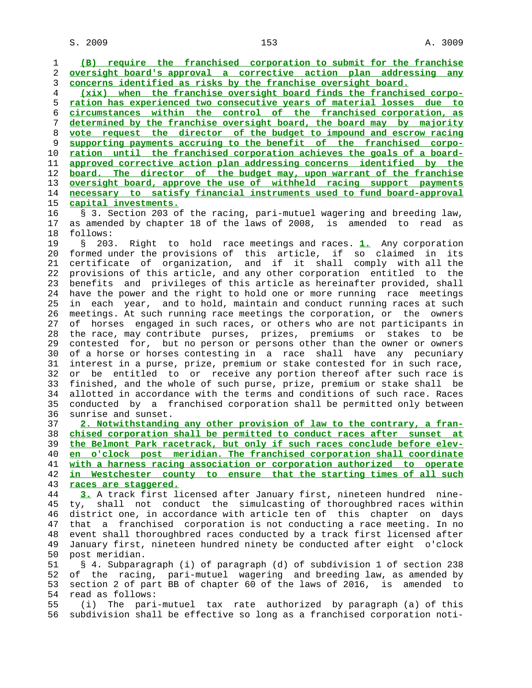**(B) require the franchised corporation to submit for the franchise oversight board's approval a corrective action plan addressing any concerns identified as risks by the franchise oversight board. (xix) when the franchise oversight board finds the franchised corpo- ration has experienced two consecutive years of material losses due to circumstances within the control of the franchised corporation, as determined by the franchise oversight board, the board may by majority vote request the director of the budget to impound and escrow racing supporting payments accruing to the benefit of the franchised corpo- ration until the franchised corporation achieves the goals of a board- approved corrective action plan addressing concerns identified by the board. The director of the budget may, upon warrant of the franchise oversight board, approve the use of withheld racing support payments necessary to satisfy financial instruments used to fund board-approval capital investments.**

 16 § 3. Section 203 of the racing, pari-mutuel wagering and breeding law, 17 as amended by chapter 18 of the laws of 2008, is amended to read as 18 follows:

 19 § 203. Right to hold race meetings and races. **1.** Any corporation 20 formed under the provisions of this article, if so claimed in its 21 certificate of organization, and if it shall comply with all the 22 provisions of this article, and any other corporation entitled to the 23 benefits and privileges of this article as hereinafter provided, shall 24 have the power and the right to hold one or more running race meetings 25 in each year, and to hold, maintain and conduct running races at such 26 meetings. At such running race meetings the corporation, or the owners 27 of horses engaged in such races, or others who are not participants in 28 the race, may contribute purses, prizes, premiums or stakes to be 29 contested for, but no person or persons other than the owner or owners 30 of a horse or horses contesting in a race shall have any pecuniary 31 interest in a purse, prize, premium or stake contested for in such race, 32 or be entitled to or receive any portion thereof after such race is 33 finished, and the whole of such purse, prize, premium or stake shall be 34 allotted in accordance with the terms and conditions of such race. Races 35 conducted by a franchised corporation shall be permitted only between 36 sunrise and sunset.

**2. Notwithstanding any other provision of law to the contrary, a fran- chised corporation shall be permitted to conduct races after sunset at the Belmont Park racetrack, but only if such races conclude before elev- en o'clock post meridian. The franchised corporation shall coordinate with a harness racing association or corporation authorized to operate in Westchester county to ensure that the starting times of all such races are staggered.**

 44 **3.** A track first licensed after January first, nineteen hundred nine- 45 ty, shall not conduct the simulcasting of thoroughbred races within 46 district one, in accordance with article ten of this chapter on days 47 that a franchised corporation is not conducting a race meeting. In no 48 event shall thoroughbred races conducted by a track first licensed after 49 January first, nineteen hundred ninety be conducted after eight o'clock 50 post meridian.

 51 § 4. Subparagraph (i) of paragraph (d) of subdivision 1 of section 238 52 of the racing, pari-mutuel wagering and breeding law, as amended by 53 section 2 of part BB of chapter 60 of the laws of 2016, is amended to 54 read as follows:

 55 (i) The pari-mutuel tax rate authorized by paragraph (a) of this 56 subdivision shall be effective so long as a franchised corporation noti-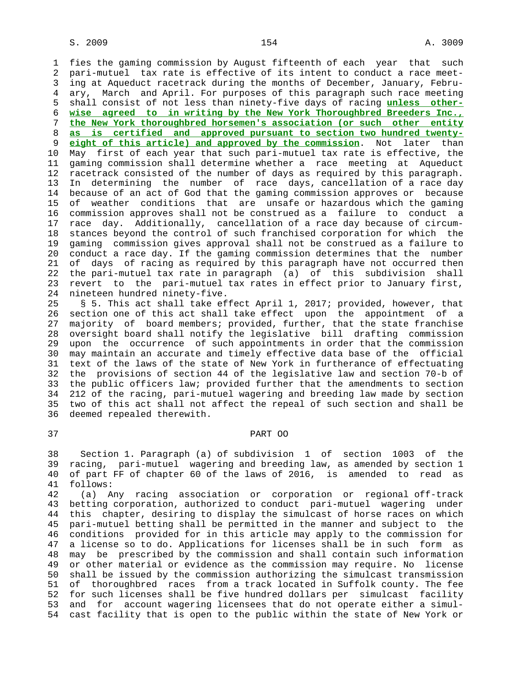1 fies the gaming commission by August fifteenth of each year that such 2 pari-mutuel tax rate is effective of its intent to conduct a race meet- 3 ing at Aqueduct racetrack during the months of December, January, Febru- 4 ary, March and April. For purposes of this paragraph such race meeting 5 shall consist of not less than ninety-five days of racing **unless other-** 6 **wise agreed to in writing by the New York Thoroughbred Breeders Inc.,** 7 **the New York thoroughbred horsemen's association (or such other entity** 8 **as is certified and approved pursuant to section two hundred twenty eight of this article) and approved by the commission**. Not later than 10 May first of each year that such pari-mutuel tax rate is effective, the 11 gaming commission shall determine whether a race meeting at Aqueduct 12 racetrack consisted of the number of days as required by this paragraph. 13 In determining the number of race days, cancellation of a race day 14 because of an act of God that the gaming commission approves or because 15 of weather conditions that are unsafe or hazardous which the gaming 16 commission approves shall not be construed as a failure to conduct a 17 race day. Additionally, cancellation of a race day because of circum- 18 stances beyond the control of such franchised corporation for which the 19 gaming commission gives approval shall not be construed as a failure to 20 conduct a race day. If the gaming commission determines that the number 21 of days of racing as required by this paragraph have not occurred then 22 the pari-mutuel tax rate in paragraph (a) of this subdivision shall 23 revert to the pari-mutuel tax rates in effect prior to January first, 24 nineteen hundred ninety-five.

 25 § 5. This act shall take effect April 1, 2017; provided, however, that 26 section one of this act shall take effect upon the appointment of a 27 majority of board members; provided, further, that the state franchise 28 oversight board shall notify the legislative bill drafting commission 29 upon the occurrence of such appointments in order that the commission 30 may maintain an accurate and timely effective data base of the official 31 text of the laws of the state of New York in furtherance of effectuating 32 the provisions of section 44 of the legislative law and section 70-b of 33 the public officers law; provided further that the amendments to section 34 212 of the racing, pari-mutuel wagering and breeding law made by section two of this act shall not affect the repeal of such section and shall be 36 deemed repealed therewith.

## 37 PART OO

 38 Section 1. Paragraph (a) of subdivision 1 of section 1003 of the 39 racing, pari-mutuel wagering and breeding law, as amended by section 1 40 of part FF of chapter 60 of the laws of 2016, is amended to read as 41 follows:

 42 (a) Any racing association or corporation or regional off-track 43 betting corporation, authorized to conduct pari-mutuel wagering under 44 this chapter, desiring to display the simulcast of horse races on which 45 pari-mutuel betting shall be permitted in the manner and subject to the 46 conditions provided for in this article may apply to the commission for 47 a license so to do. Applications for licenses shall be in such form as 48 may be prescribed by the commission and shall contain such information 49 or other material or evidence as the commission may require. No license 50 shall be issued by the commission authorizing the simulcast transmission 51 of thoroughbred races from a track located in Suffolk county. The fee 52 for such licenses shall be five hundred dollars per simulcast facility 53 and for account wagering licensees that do not operate either a simul- 54 cast facility that is open to the public within the state of New York or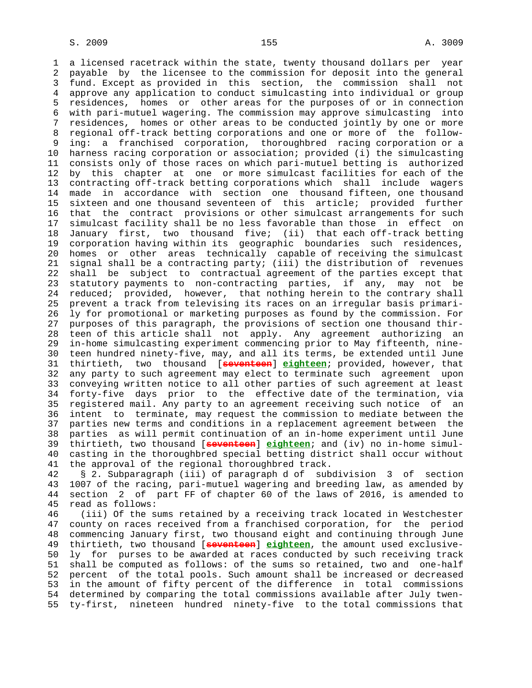1 a licensed racetrack within the state, twenty thousand dollars per year 2 payable by the licensee to the commission for deposit into the general 3 fund. Except as provided in this section, the commission shall not 4 approve any application to conduct simulcasting into individual or group 5 residences, homes or other areas for the purposes of or in connection 6 with pari-mutuel wagering. The commission may approve simulcasting into 7 residences, homes or other areas to be conducted jointly by one or more 8 regional off-track betting corporations and one or more of the follow-<br>9 ing: a franchised corporation, thoroughbred racing corporation or a ing: a franchised corporation, thoroughbred racing corporation or a 10 harness racing corporation or association; provided (i) the simulcasting 11 consists only of those races on which pari-mutuel betting is authorized 12 by this chapter at one or more simulcast facilities for each of the 13 contracting off-track betting corporations which shall include wagers 14 made in accordance with section one thousand fifteen, one thousand 15 sixteen and one thousand seventeen of this article; provided further 16 that the contract provisions or other simulcast arrangements for such 17 simulcast facility shall be no less favorable than those in effect on 18 January first, two thousand five; (ii) that each off-track betting 19 corporation having within its geographic boundaries such residences, 20 homes or other areas technically capable of receiving the simulcast 21 signal shall be a contracting party; (iii) the distribution of revenues 22 shall be subject to contractual agreement of the parties except that 23 statutory payments to non-contracting parties, if any, may not be 24 reduced; provided, however, that nothing herein to the contrary shall 25 prevent a track from televising its races on an irregular basis primari- 26 ly for promotional or marketing purposes as found by the commission. For 27 purposes of this paragraph, the provisions of section one thousand thir- 28 teen of this article shall not apply. Any agreement authorizing an 29 in-home simulcasting experiment commencing prior to May fifteenth, nine- 30 teen hundred ninety-five, may, and all its terms, be extended until June 31 thirtieth, two thousand [**seventeen**] **eighteen**; provided, however, that 32 any party to such agreement may elect to terminate such agreement upon 33 conveying written notice to all other parties of such agreement at least 34 forty-five days prior to the effective date of the termination, via 35 registered mail. Any party to an agreement receiving such notice of an 36 intent to terminate, may request the commission to mediate between the 37 parties new terms and conditions in a replacement agreement between the 38 parties as will permit continuation of an in-home experiment until June 39 thirtieth, two thousand [**seventeen**] **eighteen**; and (iv) no in-home simul- 40 casting in the thoroughbred special betting district shall occur without 41 the approval of the regional thoroughbred track.

 42 § 2. Subparagraph (iii) of paragraph d of subdivision 3 of section 43 1007 of the racing, pari-mutuel wagering and breeding law, as amended by 44 section 2 of part FF of chapter 60 of the laws of 2016, is amended to 45 read as follows:

 46 (iii) Of the sums retained by a receiving track located in Westchester 47 county on races received from a franchised corporation, for the period 48 commencing January first, two thousand eight and continuing through June 49 thirtieth, two thousand [**seventeen**] **eighteen**, the amount used exclusive- 50 ly for purses to be awarded at races conducted by such receiving track 51 shall be computed as follows: of the sums so retained, two and one-half 52 percent of the total pools. Such amount shall be increased or decreased 53 in the amount of fifty percent of the difference in total commissions 54 determined by comparing the total commissions available after July twen- 55 ty-first, nineteen hundred ninety-five to the total commissions that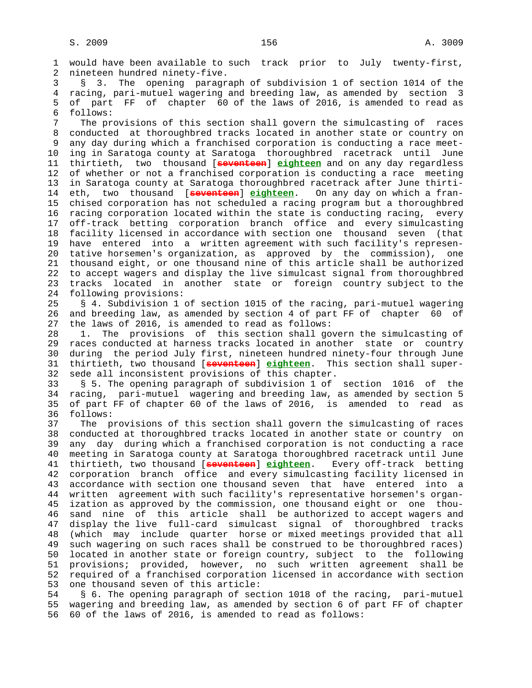1 would have been available to such track prior to July twenty-first, 2 nineteen hundred ninety-five. 3 § 3. The opening paragraph of subdivision 1 of section 1014 of the 4 racing, pari-mutuel wagering and breeding law, as amended by section 3 5 of part FF of chapter 60 of the laws of 2016, is amended to read as 6 follows: 7 The provisions of this section shall govern the simulcasting of races 8 conducted at thoroughbred tracks located in another state or country on any day during which a franchised corporation is conducting a race meet- 10 ing in Saratoga county at Saratoga thoroughbred racetrack until June 11 thirtieth, two thousand [**seventeen**] **eighteen** and on any day regardless 12 of whether or not a franchised corporation is conducting a race meeting 13 in Saratoga county at Saratoga thoroughbred racetrack after June thirti- 14 eth, two thousand [**seventeen**] **eighteen**. On any day on which a fran- 15 chised corporation has not scheduled a racing program but a thoroughbred 16 racing corporation located within the state is conducting racing, every 17 off-track betting corporation branch office and every simulcasting 18 facility licensed in accordance with section one thousand seven (that 19 have entered into a written agreement with such facility's represen- 20 tative horsemen's organization, as approved by the commission), one 21 thousand eight, or one thousand nine of this article shall be authorized 22 to accept wagers and display the live simulcast signal from thoroughbred 23 tracks located in another state or foreign country subject to the 24 following provisions: 25 § 4. Subdivision 1 of section 1015 of the racing, pari-mutuel wagering 26 and breeding law, as amended by section 4 of part FF of chapter 60 of 27 the laws of 2016, is amended to read as follows: 28 1. The provisions of this section shall govern the simulcasting of 29 races conducted at harness tracks located in another state or country 30 during the period July first, nineteen hundred ninety-four through June 31 thirtieth, two thousand [**seventeen**] **eighteen**. This section shall super- 32 sede all inconsistent provisions of this chapter. 33 § 5. The opening paragraph of subdivision 1 of section 1016 of the 34 racing, pari-mutuel wagering and breeding law, as amended by section 5 35 of part FF of chapter 60 of the laws of 2016, is amended to read as 36 follows: 37 The provisions of this section shall govern the simulcasting of races 38 conducted at thoroughbred tracks located in another state or country on 39 any day during which a franchised corporation is not conducting a race 40 meeting in Saratoga county at Saratoga thoroughbred racetrack until June 41 thirtieth, two thousand [**seventeen**] **eighteen**. Every off-track betting 42 corporation branch office and every simulcasting facility licensed in 43 accordance with section one thousand seven that have entered into a 44 written agreement with such facility's representative horsemen's organ- 45 ization as approved by the commission, one thousand eight or one thou- 46 sand nine of this article shall be authorized to accept wagers and 47 display the live full-card simulcast signal of thoroughbred tracks 48 (which may include quarter horse or mixed meetings provided that all 49 such wagering on such races shall be construed to be thoroughbred races) 50 located in another state or foreign country, subject to the following 51 provisions; provided, however, no such written agreement shall be 52 required of a franchised corporation licensed in accordance with section 53 one thousand seven of this article: 54 § 6. The opening paragraph of section 1018 of the racing, pari-mutuel

 55 wagering and breeding law, as amended by section 6 of part FF of chapter 56 60 of the laws of 2016, is amended to read as follows: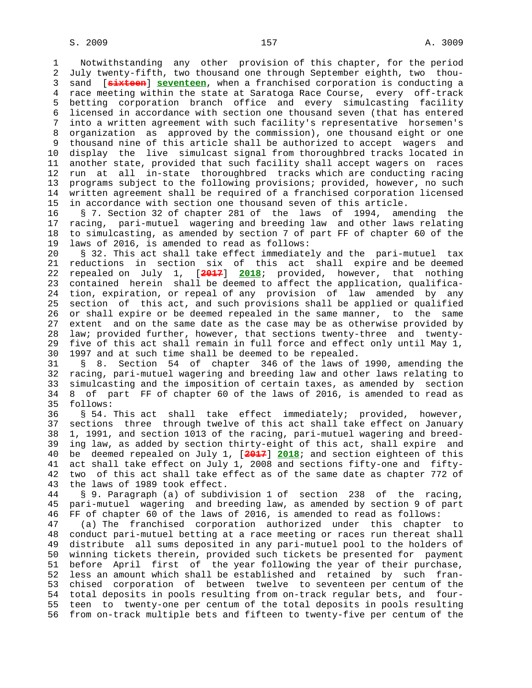1 Notwithstanding any other provision of this chapter, for the period 2 July twenty-fifth, two thousand one through September eighth, two thou- 3 sand [**sixteen**] **seventeen**, when a franchised corporation is conducting a 4 race meeting within the state at Saratoga Race Course, every off-track 5 betting corporation branch office and every simulcasting facility 6 licensed in accordance with section one thousand seven (that has entered 7 into a written agreement with such facility's representative horsemen's 8 organization as approved by the commission), one thousand eight or one<br>9 thousand nine of this article shall be authorized to accept wagers and 9 thousand nine of this article shall be authorized to accept wagers and 10 display the live simulcast signal from thoroughbred tracks located in 11 another state, provided that such facility shall accept wagers on races 12 run at all in-state thoroughbred tracks which are conducting racing 13 programs subject to the following provisions; provided, however, no such 14 written agreement shall be required of a franchised corporation licensed 15 in accordance with section one thousand seven of this article.

 16 § 7. Section 32 of chapter 281 of the laws of 1994, amending the 17 racing, pari-mutuel wagering and breeding law and other laws relating 18 to simulcasting, as amended by section 7 of part FF of chapter 60 of the 19 laws of 2016, is amended to read as follows:

 20 § 32. This act shall take effect immediately and the pari-mutuel tax 21 reductions in section six of this act shall expire and be deemed 22 repealed on July 1, [**2017**] **2018**; provided, however, that nothing 23 contained herein shall be deemed to affect the application, qualifica- 24 tion, expiration, or repeal of any provision of law amended by any 25 section of this act, and such provisions shall be applied or qualified 26 or shall expire or be deemed repealed in the same manner, to the same 27 extent and on the same date as the case may be as otherwise provided by 28 law; provided further, however, that sections twenty-three and twenty- 29 five of this act shall remain in full force and effect only until May 1, 30 1997 and at such time shall be deemed to be repealed.

 31 § 8. Section 54 of chapter 346 of the laws of 1990, amending the 32 racing, pari-mutuel wagering and breeding law and other laws relating to 33 simulcasting and the imposition of certain taxes, as amended by section 34 8 of part FF of chapter 60 of the laws of 2016, is amended to read as 35 follows:

 36 § 54. This act shall take effect immediately; provided, however, 37 sections three through twelve of this act shall take effect on January 38 1, 1991, and section 1013 of the racing, pari-mutuel wagering and breed- 39 ing law, as added by section thirty-eight of this act, shall expire and 40 be deemed repealed on July 1, [**2017**] **2018**; and section eighteen of this 41 act shall take effect on July 1, 2008 and sections fifty-one and fifty- 42 two of this act shall take effect as of the same date as chapter 772 of 43 the laws of 1989 took effect.

 44 § 9. Paragraph (a) of subdivision 1 of section 238 of the racing, 45 pari-mutuel wagering and breeding law, as amended by section 9 of part 46 FF of chapter 60 of the laws of 2016, is amended to read as follows:

 47 (a) The franchised corporation authorized under this chapter to 48 conduct pari-mutuel betting at a race meeting or races run thereat shall 49 distribute all sums deposited in any pari-mutuel pool to the holders of 50 winning tickets therein, provided such tickets be presented for payment 51 before April first of the year following the year of their purchase, 52 less an amount which shall be established and retained by such fran- 53 chised corporation of between twelve to seventeen per centum of the 54 total deposits in pools resulting from on-track regular bets, and four- 55 teen to twenty-one per centum of the total deposits in pools resulting 56 from on-track multiple bets and fifteen to twenty-five per centum of the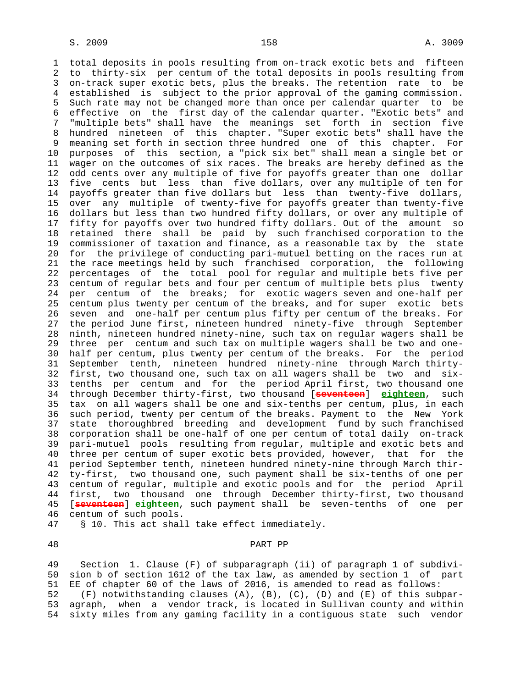1 total deposits in pools resulting from on-track exotic bets and fifteen 2 to thirty-six per centum of the total deposits in pools resulting from 3 on-track super exotic bets, plus the breaks. The retention rate to be 4 established is subject to the prior approval of the gaming commission. 5 Such rate may not be changed more than once per calendar quarter to be 6 effective on the first day of the calendar quarter. "Exotic bets" and 7 "multiple bets" shall have the meanings set forth in section five 8 hundred nineteen of this chapter. "Super exotic bets" shall have the 9 meaning set forth in section three hundred one of this chapter. For 10 purposes of this section, a "pick six bet" shall mean a single bet or 11 wager on the outcomes of six races. The breaks are hereby defined as the 12 odd cents over any multiple of five for payoffs greater than one dollar 13 five cents but less than five dollars, over any multiple of ten for 14 payoffs greater than five dollars but less than twenty-five dollars, 15 over any multiple of twenty-five for payoffs greater than twenty-five 16 dollars but less than two hundred fifty dollars, or over any multiple of 17 fifty for payoffs over two hundred fifty dollars. Out of the amount so 18 retained there shall be paid by such franchised corporation to the 19 commissioner of taxation and finance, as a reasonable tax by the state 20 for the privilege of conducting pari-mutuel betting on the races run at 21 the race meetings held by such franchised corporation, the following 22 percentages of the total pool for regular and multiple bets five per 23 centum of regular bets and four per centum of multiple bets plus twenty 24 per centum of the breaks; for exotic wagers seven and one-half per 25 centum plus twenty per centum of the breaks, and for super exotic bets 26 seven and one-half per centum plus fifty per centum of the breaks. For 27 the period June first, nineteen hundred ninety-five through September 28 ninth, nineteen hundred ninety-nine, such tax on regular wagers shall be 29 three per centum and such tax on multiple wagers shall be two and one- 30 half per centum, plus twenty per centum of the breaks. For the period 31 September tenth, nineteen hundred ninety-nine through March thirty- 32 first, two thousand one, such tax on all wagers shall be two and six- 33 tenths per centum and for the period April first, two thousand one 34 through December thirty-first, two thousand [**seventeen**] **eighteen**, such 35 tax on all wagers shall be one and six-tenths per centum, plus, in each 36 such period, twenty per centum of the breaks. Payment to the New York 37 state thoroughbred breeding and development fund by such franchised 38 corporation shall be one-half of one per centum of total daily on-track 39 pari-mutuel pools resulting from regular, multiple and exotic bets and 40 three per centum of super exotic bets provided, however, that for the 41 period September tenth, nineteen hundred ninety-nine through March thir- 42 ty-first, two thousand one, such payment shall be six-tenths of one per 43 centum of regular, multiple and exotic pools and for the period April 44 first, two thousand one through December thirty-first, two thousand 45 [**seventeen**] **eighteen**, such payment shall be seven-tenths of one per 46 centum of such pools.

47 § 10. This act shall take effect immediately.

## 48 PART PP

 49 Section 1. Clause (F) of subparagraph (ii) of paragraph 1 of subdivi- 50 sion b of section 1612 of the tax law, as amended by section 1 of part 51 EE of chapter 60 of the laws of 2016, is amended to read as follows:<br>52 (F) notwithstanding clauses (A), (B), (C), (D) and (E) of this sub  $(F)$  notwithstanding clauses  $(A)$ ,  $(B)$ ,  $(C)$ ,  $(D)$  and  $(E)$  of this subpar- 53 agraph, when a vendor track, is located in Sullivan county and within 54 sixty miles from any gaming facility in a contiguous state such vendor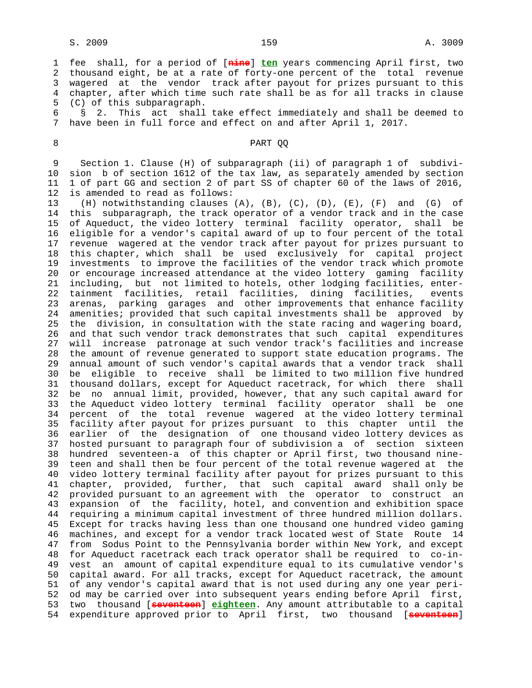1 fee shall, for a period of [**nine**] **ten** years commencing April first, two 2 thousand eight, be at a rate of forty-one percent of the total revenue 3 wagered at the vendor track after payout for prizes pursuant to this 4 chapter, after which time such rate shall be as for all tracks in clause 5 (C) of this subparagraph.

 6 § 2. This act shall take effect immediately and shall be deemed to 7 have been in full force and effect on and after April 1, 2017.

## 8 PART QQ

 9 Section 1. Clause (H) of subparagraph (ii) of paragraph 1 of subdivi- 10 sion b of section 1612 of the tax law, as separately amended by section 11 1 of part GG and section 2 of part SS of chapter 60 of the laws of 2016, 12 is amended to read as follows:

 13 (H) notwithstanding clauses (A), (B), (C), (D), (E), (F) and (G) of 14 this subparagraph, the track operator of a vendor track and in the case 15 of Aqueduct, the video lottery terminal facility operator, shall be 16 eligible for a vendor's capital award of up to four percent of the total 17 revenue wagered at the vendor track after payout for prizes pursuant to 18 this chapter, which shall be used exclusively for capital project 19 investments to improve the facilities of the vendor track which promote 20 or encourage increased attendance at the video lottery gaming facility 21 including, but not limited to hotels, other lodging facilities, enter- 22 tainment facilities, retail facilities, dining facilities, events 23 arenas, parking garages and other improvements that enhance facility 24 amenities; provided that such capital investments shall be approved by 25 the division, in consultation with the state racing and wagering board, 26 and that such vendor track demonstrates that such capital expenditures 27 will increase patronage at such vendor track's facilities and increase 28 the amount of revenue generated to support state education programs. The 29 annual amount of such vendor's capital awards that a vendor track shall 30 be eligible to receive shall be limited to two million five hundred 31 thousand dollars, except for Aqueduct racetrack, for which there shall 32 be no annual limit, provided, however, that any such capital award for 33 the Aqueduct video lottery terminal facility operator shall be one 34 percent of the total revenue wagered at the video lottery terminal 35 facility after payout for prizes pursuant to this chapter until the 36 earlier of the designation of one thousand video lottery devices as 37 hosted pursuant to paragraph four of subdivision a of section sixteen 38 hundred seventeen-a of this chapter or April first, two thousand nine- 39 teen and shall then be four percent of the total revenue wagered at the 40 video lottery terminal facility after payout for prizes pursuant to this 41 chapter, provided, further, that such capital award shall only be 42 provided pursuant to an agreement with the operator to construct an 43 expansion of the facility, hotel, and convention and exhibition space 44 requiring a minimum capital investment of three hundred million dollars. 45 Except for tracks having less than one thousand one hundred video gaming 46 machines, and except for a vendor track located west of State Route 14 47 from Sodus Point to the Pennsylvania border within New York, and except 48 for Aqueduct racetrack each track operator shall be required to co-in- 49 vest an amount of capital expenditure equal to its cumulative vendor's 50 capital award. For all tracks, except for Aqueduct racetrack, the amount 51 of any vendor's capital award that is not used during any one year peri- 52 od may be carried over into subsequent years ending before April first, 53 two thousand [**seventeen**] **eighteen**. Any amount attributable to a capital 54 expenditure approved prior to April first, two thousand [**seventeen**]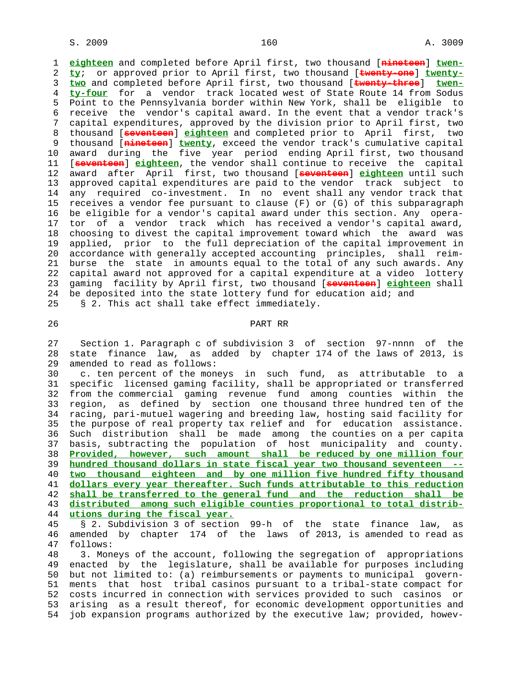1 **eighteen** and completed before April first, two thousand [**nineteen**] **twen-** 2 **ty**; or approved prior to April first, two thousand [**twenty-one**] **twenty-** 3 **two** and completed before April first, two thousand [**twenty-three**] **twen-** 4 **ty-four** for a vendor track located west of State Route 14 from Sodus 5 Point to the Pennsylvania border within New York, shall be eligible to 6 receive the vendor's capital award. In the event that a vendor track's 7 capital expenditures, approved by the division prior to April first, two 8 thousand [**seventeen**] **eighteen** and completed prior to April first, two 9 thousand [**nineteen**] **twenty**, exceed the vendor track's cumulative capital 10 award during the five year period ending April first, two thousand 11 [**seventeen**] **eighteen**, the vendor shall continue to receive the capital 12 award after April first, two thousand [**seventeen**] **eighteen** until such 13 approved capital expenditures are paid to the vendor track subject to 14 any required co-investment. In no event shall any vendor track that 15 receives a vendor fee pursuant to clause (F) or (G) of this subparagraph 16 be eligible for a vendor's capital award under this section. Any opera- 17 tor of a vendor track which has received a vendor's capital award, 18 choosing to divest the capital improvement toward which the award was 19 applied, prior to the full depreciation of the capital improvement in 20 accordance with generally accepted accounting principles, shall reim- 21 burse the state in amounts equal to the total of any such awards. Any 22 capital award not approved for a capital expenditure at a video lottery 23 gaming facility by April first, two thousand [**seventeen**] **eighteen** shall 24 be deposited into the state lottery fund for education aid; and 25 § 2. This act shall take effect immediately.

## 26 PART RR

 27 Section 1. Paragraph c of subdivision 3 of section 97-nnnn of the 28 state finance law, as added by chapter 174 of the laws of 2013, is 29 amended to read as follows:

 30 c. ten percent of the moneys in such fund, as attributable to a 31 specific licensed gaming facility, shall be appropriated or transferred 32 from the commercial gaming revenue fund among counties within the 33 region, as defined by section one thousand three hundred ten of the 34 racing, pari-mutuel wagering and breeding law, hosting said facility for 35 the purpose of real property tax relief and for education assistance. 36 Such distribution shall be made among the counties on a per capita 37 basis, subtracting the population of host municipality and county. 38 **Provided, however, such amount shall be reduced by one million four** 39 **hundred thousand dollars in state fiscal year two thousand seventeen --** 40 **two thousand eighteen and by one million five hundred fifty thousand** 41 **dollars every year thereafter. Such funds attributable to this reduction** 42 **shall be transferred to the general fund and the reduction shall be** 43 **distributed among such eligible counties proportional to total distrib-** 44 **utions during the fiscal year.**

 45 § 2. Subdivision 3 of section 99-h of the state finance law, as 46 amended by chapter 174 of the laws of 2013, is amended to read as follows:

 48 3. Moneys of the account, following the segregation of appropriations 49 enacted by the legislature, shall be available for purposes including 50 but not limited to: (a) reimbursements or payments to municipal govern- 51 ments that host tribal casinos pursuant to a tribal-state compact for 52 costs incurred in connection with services provided to such casinos or 53 arising as a result thereof, for economic development opportunities and 54 job expansion programs authorized by the executive law; provided, howev-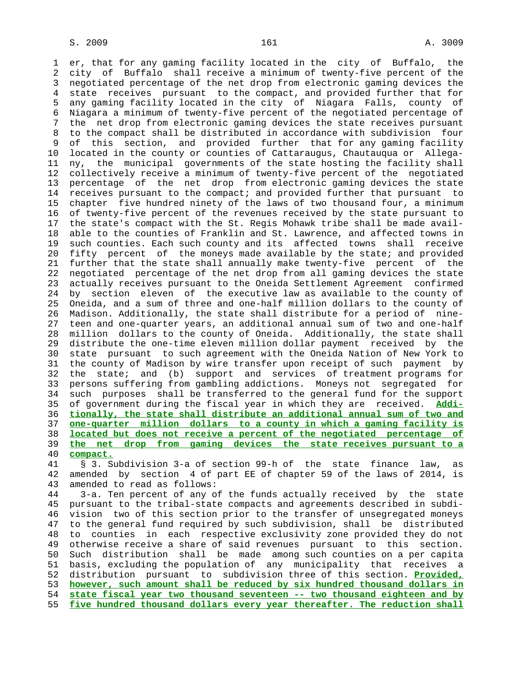1 er, that for any gaming facility located in the city of Buffalo, the 2 city of Buffalo shall receive a minimum of twenty-five percent of the 3 negotiated percentage of the net drop from electronic gaming devices the 4 state receives pursuant to the compact, and provided further that for 5 any gaming facility located in the city of Niagara Falls, county of 6 Niagara a minimum of twenty-five percent of the negotiated percentage of 7 the net drop from electronic gaming devices the state receives pursuant 8 to the compact shall be distributed in accordance with subdivision four of this section, and provided further that for any gaming facility 10 located in the county or counties of Cattaraugus, Chautauqua or Allega- 11 ny, the municipal governments of the state hosting the facility shall 12 collectively receive a minimum of twenty-five percent of the negotiated 13 percentage of the net drop from electronic gaming devices the state 14 receives pursuant to the compact; and provided further that pursuant to 15 chapter five hundred ninety of the laws of two thousand four, a minimum 16 of twenty-five percent of the revenues received by the state pursuant to 17 the state's compact with the St. Regis Mohawk tribe shall be made avail- 18 able to the counties of Franklin and St. Lawrence, and affected towns in 19 such counties. Each such county and its affected towns shall receive 20 fifty percent of the moneys made available by the state; and provided 21 further that the state shall annually make twenty-five percent of the 22 negotiated percentage of the net drop from all gaming devices the state 23 actually receives pursuant to the Oneida Settlement Agreement confirmed 24 by section eleven of the executive law as available to the county of 25 Oneida, and a sum of three and one-half million dollars to the county of 26 Madison. Additionally, the state shall distribute for a period of nine- 27 teen and one-quarter years, an additional annual sum of two and one-half 28 million dollars to the county of Oneida. Additionally, the state shall 29 distribute the one-time eleven million dollar payment received by the 30 state pursuant to such agreement with the Oneida Nation of New York to 31 the county of Madison by wire transfer upon receipt of such payment by 32 the state; and (b) support and services of treatment programs for 33 persons suffering from gambling addictions. Moneys not segregated for 34 such purposes shall be transferred to the general fund for the support 35 of government during the fiscal year in which they are received. **Addi-** 36 **tionally, the state shall distribute an additional annual sum of two and** 37 **one-quarter million dollars to a county in which a gaming facility is** 38 **located but does not receive a percent of the negotiated percentage of** 39 **the net drop from gaming devices the state receives pursuant to a** 40 **compact.** 41 § 3. Subdivision 3-a of section 99-h of the state finance law, as 42 amended by section 4 of part EE of chapter 59 of the laws of 2014, is 43 amended to read as follows: 44 3-a. Ten percent of any of the funds actually received by the state 45 pursuant to the tribal-state compacts and agreements described in subdi- 46 vision two of this section prior to the transfer of unsegregated moneys 47 to the general fund required by such subdivision, shall be distributed 48 to counties in each respective exclusivity zone provided they do not 49 otherwise receive a share of said revenues pursuant to this section.

 50 Such distribution shall be made among such counties on a per capita 51 basis, excluding the population of any municipality that receives a 52 distribution pursuant to subdivision three of this section. **Provided,** 53 **however, such amount shall be reduced by six hundred thousand dollars in** 54 **state fiscal year two thousand seventeen -- two thousand eighteen and by** 55 **five hundred thousand dollars every year thereafter. The reduction shall**